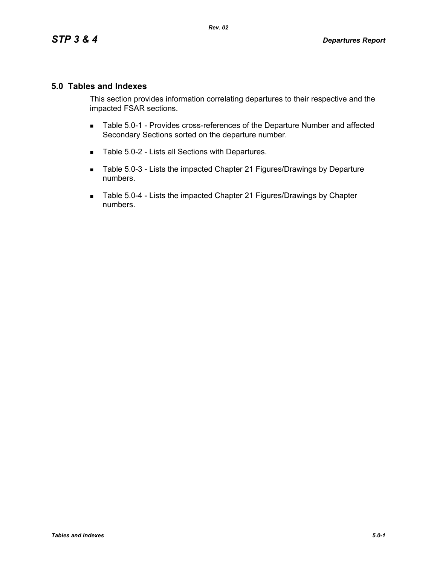## **5.0 Tables and Indexes**

This section provides information correlating departures to their respective and the impacted FSAR sections.

- **Table 5.0-1 Provides cross-references of the Departure Number and affected** Secondary Sections sorted on the departure number.
- Table 5.0-2 Lists all Sections with Departures.
- Table 5.0-3 Lists the impacted Chapter 21 Figures/Drawings by Departure numbers.
- Table 5.0-4 Lists the impacted Chapter 21 Figures/Drawings by Chapter numbers.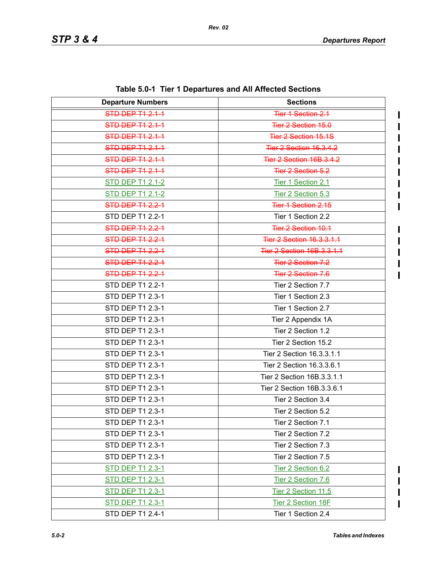| <b>Departure Numbers</b> | <b>Sections</b>                 |
|--------------------------|---------------------------------|
| <b>STD DEP T1 2.1-1</b>  | Tier 1 Section 2.1              |
| STD DEP T1 2.1-1         | Tier 2 Section 15.0             |
| <b>STD DEP T1 2.1-1</b>  | <b>Tier 2 Section 15.1S</b>     |
| <b>STD DEP T1 2.1-1</b>  | <b>Tier 2 Section 16.3.4.2</b>  |
| STD DEP T1 2.1-1         | <b>Tier 2 Section 16B.3.4.2</b> |
| STD DEP T1 2.1-1         | <b>Tier 2 Section 5.2</b>       |
| <b>STD DEP T1 2.1-2</b>  | Tier 1 Section 2.1              |
| <b>STD DEP T1 2.1-2</b>  | Tier 2 Section 5.3              |
| <b>STD DEP T1 2.2-1</b>  | <b>Tier 1 Section 2.15</b>      |
| STD DEP T1 2.2-1         | Tier 1 Section 2.2              |
| STD DEP T1 2.2-1         | Tier 2 Section 10.1             |
| <b>STD DEP T1 2.2-1</b>  | Tier 2 Section 16.3.3.1.1       |
| <b>STD DEP T1 2.2-1</b>  | Tier 2 Section 16B.3.3.1.1      |
| <b>STD DEP T1 2.2-1</b>  | Tier 2 Section 7.2              |
| <b>STD DEP T1 2.2-1</b>  | <b>Tier 2 Section 7.6</b>       |
| STD DEP T1 2.2-1         | Tier 2 Section 7.7              |
| STD DEP T1 2.3-1         | Tier 1 Section 2.3              |
| STD DEP T1 2.3-1         | Tier 1 Section 2.7              |
| STD DEP T1 2.3-1         | Tier 2 Appendix 1A              |
| STD DEP T1 2.3-1         | Tier 2 Section 1.2              |
| STD DEP T1 2.3-1         | Tier 2 Section 15.2             |
| STD DEP T1 2.3-1         | Tier 2 Section 16.3.3.1.1       |
| STD DEP T1 2.3-1         | Tier 2 Section 16.3.3.6.1       |
| STD DEP T1 2.3-1         | Tier 2 Section 16B.3.3.1.1      |
| STD DEP T1 2.3-1         | Tier 2 Section 16B.3.3.6.1      |
| STD DEP T1 2.3-1         | Tier 2 Section 3.4              |
| STD DEP T1 2.3-1         | Tier 2 Section 5.2              |
| STD DEP T1 2.3-1         | Tier 2 Section 7.1              |
| STD DEP T1 2.3-1         | Tier 2 Section 7.2              |
| STD DEP T1 2.3-1         | Tier 2 Section 7.3              |
| STD DEP T1 2.3-1         | Tier 2 Section 7.5              |
| <b>STD DEP T1 2.3-1</b>  | Tier 2 Section 6.2              |
| <b>STD DEP T1 2.3-1</b>  | Tier 2 Section 7.6              |
| <b>STD DEP T1 2.3-1</b>  | Tier 2 Section 11.5             |
| <b>STD DEP T1 2.3-1</b>  | Tier 2 Section 18F              |
| STD DEP T1 2.4-1         | Tier 1 Section 2.4              |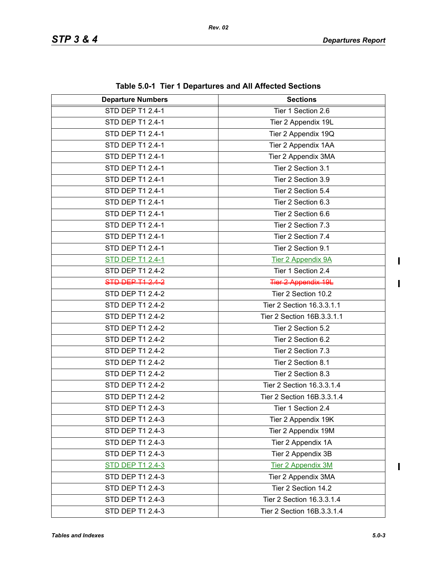| <b>Departure Numbers</b> | <b>Sections</b>            |
|--------------------------|----------------------------|
| <b>STD DEP T1 2.4-1</b>  | Tier 1 Section 2.6         |
| STD DEP T1 2.4-1         | Tier 2 Appendix 19L        |
| STD DEP T1 2.4-1         | Tier 2 Appendix 19Q        |
| STD DEP T1 2.4-1         | Tier 2 Appendix 1AA        |
| STD DEP T1 2.4-1         | Tier 2 Appendix 3MA        |
| STD DEP T1 2.4-1         | Tier 2 Section 3.1         |
| STD DEP T1 2.4-1         | Tier 2 Section 3.9         |
| STD DEP T1 2.4-1         | Tier 2 Section 5.4         |
| STD DEP T1 2.4-1         | Tier 2 Section 6.3         |
| STD DEP T1 2.4-1         | Tier 2 Section 6.6         |
| STD DEP T1 2.4-1         | Tier 2 Section 7.3         |
| STD DEP T1 2.4-1         | Tier 2 Section 7.4         |
| STD DEP T1 2.4-1         | Tier 2 Section 9.1         |
| <b>STD DEP T1 2.4-1</b>  | <b>Tier 2 Appendix 9A</b>  |
| STD DEP T1 2.4-2         | Tier 1 Section 2.4         |
| STD DEP T1 2.4-2         | <b>Tier 2 Appendix 19L</b> |
| <b>STD DEP T1 2.4-2</b>  | Tier 2 Section 10.2        |
| STD DEP T1 2.4-2         | Tier 2 Section 16.3.3.1.1  |
| STD DEP T1 2.4-2         | Tier 2 Section 16B.3.3.1.1 |
| STD DEP T1 2.4-2         | Tier 2 Section 5.2         |
| STD DEP T1 2.4-2         | Tier 2 Section 6.2         |
| STD DEP T1 2.4-2         | Tier 2 Section 7.3         |
| STD DEP T1 2.4-2         | Tier 2 Section 8.1         |
| STD DEP T1 2.4-2         | Tier 2 Section 8.3         |
| STD DEP T1 2.4-2         | Tier 2 Section 16.3.3.1.4  |
| STD DEP T1 2.4-2         | Tier 2 Section 16B.3.3.1.4 |
| STD DEP T1 2.4-3         | Tier 1 Section 2.4         |
| STD DEP T1 2.4-3         | Tier 2 Appendix 19K        |
| STD DEP T1 2.4-3         | Tier 2 Appendix 19M        |
| STD DEP T1 2.4-3         | Tier 2 Appendix 1A         |
| STD DEP T1 2.4-3         | Tier 2 Appendix 3B         |
| <b>STD DEP T1 2.4-3</b>  | <b>Tier 2 Appendix 3M</b>  |
| STD DEP T1 2.4-3         | Tier 2 Appendix 3MA        |
| STD DEP T1 2.4-3         | Tier 2 Section 14.2        |
| STD DEP T1 2.4-3         | Tier 2 Section 16.3.3.1.4  |
| STD DEP T1 2.4-3         | Tier 2 Section 16B.3.3.1.4 |

**Table 5.0-1 Tier 1 Departures and All Affected Sections**

 $\begin{array}{c} \rule{0pt}{2.5ex} \rule{0pt}{2.5ex} \rule{0pt}{2.5ex} \rule{0pt}{2.5ex} \rule{0pt}{2.5ex} \rule{0pt}{2.5ex} \rule{0pt}{2.5ex} \rule{0pt}{2.5ex} \rule{0pt}{2.5ex} \rule{0pt}{2.5ex} \rule{0pt}{2.5ex} \rule{0pt}{2.5ex} \rule{0pt}{2.5ex} \rule{0pt}{2.5ex} \rule{0pt}{2.5ex} \rule{0pt}{2.5ex} \rule{0pt}{2.5ex} \rule{0pt}{2.5ex} \rule{0pt}{2.5ex} \rule{0$ 

 $\mathbf I$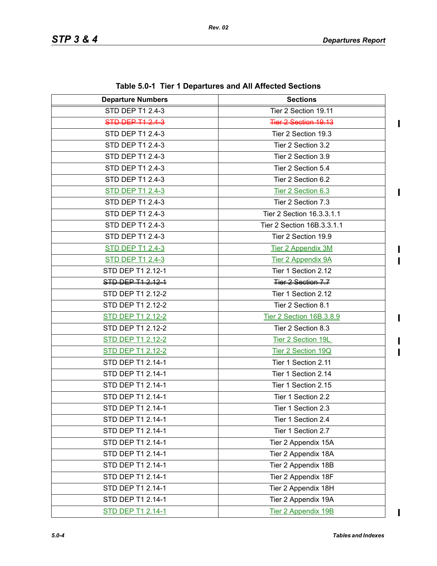$\mathbf I$ 

 $\mathbf I$ 

 $\overline{\mathbf{I}}$  $\overline{\mathbf{I}}$ 

 $\mathbf{I}$ 

 $\begin{array}{c} \rule{0pt}{2.5ex} \rule{0pt}{2.5ex} \rule{0pt}{2.5ex} \rule{0pt}{2.5ex} \rule{0pt}{2.5ex} \rule{0pt}{2.5ex} \rule{0pt}{2.5ex} \rule{0pt}{2.5ex} \rule{0pt}{2.5ex} \rule{0pt}{2.5ex} \rule{0pt}{2.5ex} \rule{0pt}{2.5ex} \rule{0pt}{2.5ex} \rule{0pt}{2.5ex} \rule{0pt}{2.5ex} \rule{0pt}{2.5ex} \rule{0pt}{2.5ex} \rule{0pt}{2.5ex} \rule{0pt}{2.5ex} \rule{0$  $\blacksquare$ 

 $\overline{\phantom{a}}$ 

| <b>Departure Numbers</b> | <b>Sections</b>            |
|--------------------------|----------------------------|
| STD DEP T1 2.4-3         | Tier 2 Section 19.11       |
| <b>STD DEP T1 2.4-3</b>  | Tier 2 Section 19.13       |
| STD DEP T1 2.4-3         | Tier 2 Section 19.3        |
| STD DEP T1 2.4-3         | Tier 2 Section 3.2         |
| STD DEP T1 2.4-3         | Tier 2 Section 3.9         |
| STD DEP T1 2.4-3         | Tier 2 Section 5.4         |
| STD DEP T1 2.4-3         | Tier 2 Section 6.2         |
| <b>STD DEP T1 2.4-3</b>  | Tier 2 Section 6.3         |
| STD DEP T1 2.4-3         | Tier 2 Section 7.3         |
| STD DEP T1 2.4-3         | Tier 2 Section 16.3.3.1.1  |
| STD DEP T1 2.4-3         | Tier 2 Section 16B.3.3.1.1 |
| STD DEP T1 2.4-3         | Tier 2 Section 19.9        |
| <b>STD DEP T1 2.4-3</b>  | <b>Tier 2 Appendix 3M</b>  |
| <b>STD DEP T1 2.4-3</b>  | Tier 2 Appendix 9A         |
| STD DEP T1 2.12-1        | Tier 1 Section 2.12        |
| STD DEP T1 2.12-1        | Tier 2 Section 7.7         |
| STD DEP T1 2.12-2        | Tier 1 Section 2.12        |
| STD DEP T1 2.12-2        | Tier 2 Section 8.1         |
| STD DEP T1 2.12-2        | Tier 2 Section 16B.3.8.9   |
| STD DEP T1 2.12-2        | Tier 2 Section 8.3         |
| STD DEP T1 2.12-2        | Tier 2 Section 19L         |
| <b>STD DEP T1 2.12-2</b> | Tier 2 Section 19Q         |
| STD DEP T1 2.14-1        | Tier 1 Section 2.11        |
| STD DEP T1 2.14-1        | Tier 1 Section 2.14        |
| STD DEP T1 2.14-1        | Tier 1 Section 2.15        |
| STD DEP T1 2.14-1        | Tier 1 Section 2.2         |
| STD DEP T1 2.14-1        | Tier 1 Section 2.3         |
| STD DEP T1 2.14-1        | Tier 1 Section 2.4         |
| STD DEP T1 2.14-1        | Tier 1 Section 2.7         |
| STD DEP T1 2.14-1        | Tier 2 Appendix 15A        |
| STD DEP T1 2.14-1        | Tier 2 Appendix 18A        |
| STD DEP T1 2.14-1        | Tier 2 Appendix 18B        |
| STD DEP T1 2.14-1        | Tier 2 Appendix 18F        |
| STD DEP T1 2.14-1        | Tier 2 Appendix 18H        |
| STD DEP T1 2.14-1        | Tier 2 Appendix 19A        |
| STD DEP T1 2.14-1        | Tier 2 Appendix 19B        |

**Table 5.0-1 Tier 1 Departures and All Affected Sections**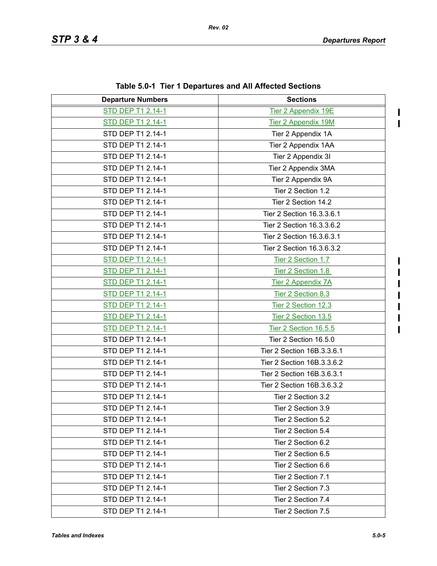$\mathbf I$  $\mathbf{I}$ 

Π

 $\mathbf I$ 

| <b>Departure Numbers</b> | <b>Sections</b>            |
|--------------------------|----------------------------|
| STD DEP T1 2.14-1        | <b>Tier 2 Appendix 19E</b> |
| STD DEP T1 2.14-1        | Tier 2 Appendix 19M        |
| STD DEP T1 2.14-1        | Tier 2 Appendix 1A         |
| STD DEP T1 2.14-1        | Tier 2 Appendix 1AA        |
| STD DEP T1 2.14-1        | Tier 2 Appendix 3I         |
| STD DEP T1 2.14-1        | Tier 2 Appendix 3MA        |
| STD DEP T1 2.14-1        | Tier 2 Appendix 9A         |
| STD DEP T1 2.14-1        | Tier 2 Section 1.2         |
| STD DEP T1 2.14-1        | Tier 2 Section 14.2        |
| STD DEP T1 2.14-1        | Tier 2 Section 16.3.3.6.1  |
| STD DEP T1 2.14-1        | Tier 2 Section 16.3.3.6.2  |
| STD DEP T1 2.14-1        | Tier 2 Section 16.3.6.3.1  |
| STD DEP T1 2.14-1        | Tier 2 Section 16.3.6.3.2  |
| STD DEP T1 2.14-1        | Tier 2 Section 1.7         |
| <b>STD DEP T1 2.14-1</b> | Tier 2 Section 1.8         |
| STD DEP T1 2.14-1        | Tier 2 Appendix 7A         |
| <b>STD DEP T1 2.14-1</b> | Tier 2 Section 8.3         |
| <b>STD DEP T1 2.14-1</b> | Tier 2 Section 12.3        |
| STD DEP T1 2.14-1        | Tier 2 Section 13.5        |
| STD DEP T1 2.14-1        | Tier 2 Section 16.5.5      |
| STD DEP T1 2.14-1        | Tier 2 Section 16.5.0      |
| STD DEP T1 2.14-1        | Tier 2 Section 16B.3.3.6.1 |
| STD DEP T1 2.14-1        | Tier 2 Section 16B.3.3.6.2 |
| STD DEP T1 2.14-1        | Tier 2 Section 16B.3.6.3.1 |
| STD DEP T1 2.14-1        | Tier 2 Section 16B.3.6.3.2 |
| STD DEP T1 2.14-1        | Tier 2 Section 3.2         |
| STD DEP T1 2.14-1        | Tier 2 Section 3.9         |
| STD DEP T1 2.14-1        | Tier 2 Section 5.2         |
| STD DEP T1 2.14-1        | Tier 2 Section 5.4         |
| STD DEP T1 2.14-1        | Tier 2 Section 6.2         |
| STD DEP T1 2.14-1        | Tier 2 Section 6.5         |
| STD DEP T1 2.14-1        | Tier 2 Section 6.6         |
| STD DEP T1 2.14-1        | Tier 2 Section 7.1         |
| STD DEP T1 2.14-1        | Tier 2 Section 7.3         |
| STD DEP T1 2.14-1        | Tier 2 Section 7.4         |
| STD DEP T1 2.14-1        | Tier 2 Section 7.5         |
|                          |                            |

**Table 5.0-1 Tier 1 Departures and All Affected Sections**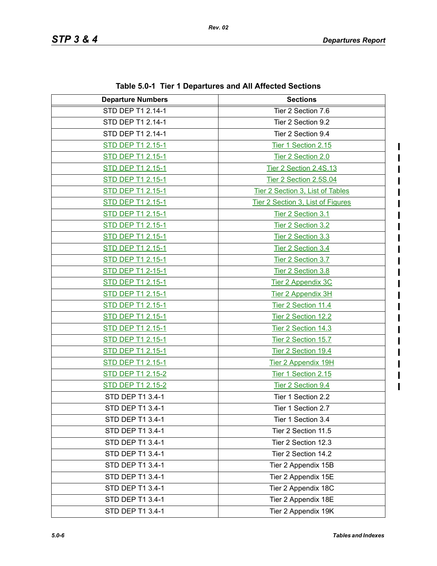| <b>Departure Numbers</b> | <b>Sections</b>                   |
|--------------------------|-----------------------------------|
| STD DEP T1 2.14-1        | Tier 2 Section 7.6                |
| STD DEP T1 2.14-1        | Tier 2 Section 9.2                |
| STD DEP T1 2.14-1        | Tier 2 Section 9.4                |
| STD DEP T1 2.15-1        | Tier 1 Section 2.15               |
| STD DEP T1 2.15-1        | Tier 2 Section 2.0                |
| STD DEP T1 2.15-1        | Tier 2 Section 2.4S.13            |
| STD DEP T1 2.15-1        | Tier 2 Section 2.5S.04            |
| STD DEP T1 2.15-1        | Tier 2 Section 3, List of Tables  |
| <b>STD DEP T1 2.15-1</b> | Tier 2 Section 3, List of Figures |
| <b>STD DEP T1 2.15-1</b> | Tier 2 Section 3.1                |
| STD DEP T1 2.15-1        | Tier 2 Section 3.2                |
| <b>STD DEP T1 2.15-1</b> | Tier 2 Section 3.3                |
| <b>STD DEP T1 2.15-1</b> | Tier 2 Section 3.4                |
| STD DEP T1 2.15-1        | Tier 2 Section 3.7                |
| <b>STD DEP T1 2-15-1</b> | Tier 2 Section 3.8                |
| <b>STD DEP T1 2.15-1</b> | Tier 2 Appendix 3C                |
| STD DEP T1 2.15-1        | Tier 2 Appendix 3H                |
| <b>STD DEP T1 2.15-1</b> | Tier 2 Section 11.4               |
| <b>STD DEP T1 2.15-1</b> | Tier 2 Section 12.2               |
| STD DEP T1 2.15-1        | Tier 2 Section 14.3               |
| <b>STD DEP T1 2.15-1</b> | Tier 2 Section 15.7               |
| <b>STD DEP T1 2.15-1</b> | Tier 2 Section 19.4               |
| STD DEP T1 2.15-1        | <b>Tier 2 Appendix 19H</b>        |
| STD DEP T1 2.15-2        | Tier 1 Section 2.15               |
| <b>STD DEP T1 2.15-2</b> | Tier 2 Section 9.4                |
| STD DEP T1 3.4-1         | Tier 1 Section 2.2                |
| STD DEP T1 3.4-1         | Tier 1 Section 2.7                |
| STD DEP T1 3.4-1         | Tier 1 Section 3.4                |
| STD DEP T1 3.4-1         | Tier 2 Section 11.5               |
| STD DEP T1 3.4-1         | Tier 2 Section 12.3               |
| STD DEP T1 3.4-1         | Tier 2 Section 14.2               |
| STD DEP T1 3.4-1         | Tier 2 Appendix 15B               |
| STD DEP T1 3.4-1         | Tier 2 Appendix 15E               |
| STD DEP T1 3.4-1         | Tier 2 Appendix 18C               |
| STD DEP T1 3.4-1         | Tier 2 Appendix 18E               |
| STD DEP T1 3.4-1         | Tier 2 Appendix 19K               |

**Table 5.0-1 Tier 1 Departures and All Affected Sections**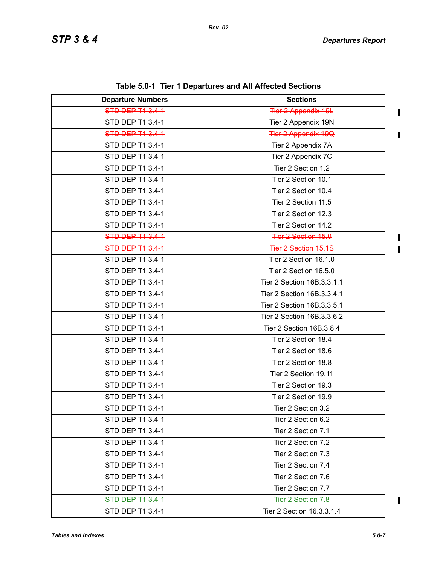$\blacksquare$ 

I  $\mathbf{I}$ 

| <b>Departure Numbers</b> | <b>Sections</b>             |
|--------------------------|-----------------------------|
| <b>STD DEP T1 3.4-1</b>  | <b>Tier 2 Appendix 19L</b>  |
| STD DEP T1 3.4-1         | Tier 2 Appendix 19N         |
| STD DEP T1 3.4-1         | <b>Tier 2 Appendix 19Q</b>  |
| STD DEP T1 3.4-1         | Tier 2 Appendix 7A          |
| STD DEP T1 3.4-1         | Tier 2 Appendix 7C          |
| STD DEP T1 3.4-1         | Tier 2 Section 1.2          |
| STD DEP T1 3.4-1         | Tier 2 Section 10.1         |
| STD DEP T1 3.4-1         | Tier 2 Section 10.4         |
| STD DEP T1 3.4-1         | Tier 2 Section 11.5         |
| STD DEP T1 3.4-1         | Tier 2 Section 12.3         |
| STD DEP T1 3.4-1         | Tier 2 Section 14.2         |
| STD DEP T1 3.4-1         | Tier 2 Section 15.0         |
| STD DEP T1 3.4-1         | <b>Tier 2 Section 15.1S</b> |
| STD DEP T1 3.4-1         | Tier 2 Section 16.1.0       |
| STD DEP T1 3.4-1         | Tier 2 Section 16.5.0       |
| STD DEP T1 3.4-1         | Tier 2 Section 16B.3.3.1.1  |
| STD DEP T1 3.4-1         | Tier 2 Section 16B.3.3.4.1  |
| STD DEP T1 3.4-1         | Tier 2 Section 16B.3.3.5.1  |
| STD DEP T1 3.4-1         | Tier 2 Section 16B.3.3.6.2  |
| STD DEP T1 3.4-1         | Tier 2 Section 16B.3.8.4    |
| STD DEP T1 3.4-1         | Tier 2 Section 18.4         |
| STD DEP T1 3.4-1         | Tier 2 Section 18.6         |
| STD DEP T1 3.4-1         | Tier 2 Section 18.8         |
| STD DEP T1 3.4-1         | Tier 2 Section 19.11        |
| STD DEP T1 3.4-1         | Tier 2 Section 19.3         |
| STD DEP T1 3.4-1         | Tier 2 Section 19.9         |
| STD DEP T1 3.4-1         | Tier 2 Section 3.2          |
| STD DEP T1 3.4-1         | Tier 2 Section 6.2          |
| STD DEP T1 3.4-1         | Tier 2 Section 7.1          |
| STD DEP T1 3.4-1         | Tier 2 Section 7.2          |
| STD DEP T1 3.4-1         | Tier 2 Section 7.3          |
| STD DEP T1 3.4-1         | Tier 2 Section 7.4          |
| STD DEP T1 3.4-1         | Tier 2 Section 7.6          |
| STD DEP T1 3.4-1         | Tier 2 Section 7.7          |
| <b>STD DEP T1 3.4-1</b>  | Tier 2 Section 7.8          |
| STD DEP T1 3.4-1         | Tier 2 Section 16.3.3.1.4   |

**Table 5.0-1 Tier 1 Departures and All Affected Sections**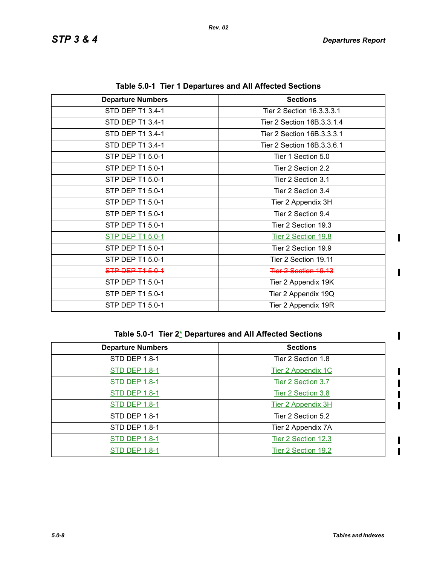$\mathbf{I}$ 

 $\mathbf{I}$ 

 $\blacksquare$ 

 $\mathbf I$ 

| <b>Departure Numbers</b> | <b>Sections</b>            |
|--------------------------|----------------------------|
| STD DEP T1 3.4-1         | Tier 2 Section 16.3.3.3.1  |
| STD DEP T1 3.4-1         | Tier 2 Section 16B.3.3.1.4 |
| STD DEP T1 3.4-1         | Tier 2 Section 16B.3.3.3.1 |
| STD DEP T1 3.4-1         | Tier 2 Section 16B.3.3.6.1 |
| STP DEP T1 5.0-1         | Tier 1 Section 5.0         |
| STP DEP T1 5.0-1         | Tier 2 Section 2.2         |
| STP DEP T1 5.0-1         | Tier 2 Section 3.1         |
| STP DEP T1 5.0-1         | Tier 2 Section 3.4         |
| STP DEP T1 5.0-1         | Tier 2 Appendix 3H         |
| STP DEP T1 5.0-1         | Tier 2 Section 9.4         |
| STP DEP T1 5.0-1         | Tier 2 Section 19.3        |
| <b>STP DEP T1 5.0-1</b>  | Tier 2 Section 19.8        |
| STP DEP T1 5.0-1         | Tier 2 Section 19.9        |
| STP DEP T1 5.0-1         | Tier 2 Section 19.11       |
| STP DEP T1 5.0-1         | Tier 2 Section 19.13       |
| STP DEP T1 5.0-1         | Tier 2 Appendix 19K        |
| STP DEP T1 5.0-1         | Tier 2 Appendix 19Q        |
| STP DEP T1 5.0-1         | Tier 2 Appendix 19R        |

**Table 5.0-1 Tier 1 Departures and All Affected Sections**

|  | Table 5.0-1 Tier 2* Departures and All Affected Sections |  |
|--|----------------------------------------------------------|--|
|--|----------------------------------------------------------|--|

| <b>Departure Numbers</b> | <b>Sections</b>           |
|--------------------------|---------------------------|
| <b>STD DEP 1.8-1</b>     | Tier 2 Section 1.8        |
| <b>STD DEP 1.8-1</b>     | Tier 2 Appendix 1C        |
| <b>STD DEP 1.8-1</b>     | Tier 2 Section 3.7        |
| <b>STD DEP 1.8-1</b>     | Tier 2 Section 3.8        |
| <b>STD DEP 1.8-1</b>     | <b>Tier 2 Appendix 3H</b> |
| STD DEP 1.8-1            | Tier 2 Section 5.2        |
| STD DEP 1.8-1            | Tier 2 Appendix 7A        |
| <b>STD DEP 1.8-1</b>     | Tier 2 Section 12.3       |
| <b>STD DEP 1.8-1</b>     | Tier 2 Section 19.2       |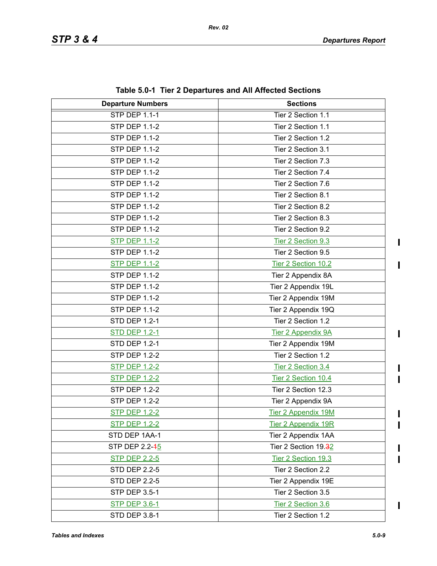| <b>Departure Numbers</b> | <b>Sections</b>            |
|--------------------------|----------------------------|
| <b>STP DEP 1.1-1</b>     | Tier 2 Section 1.1         |
| <b>STP DEP 1.1-2</b>     | Tier 2 Section 1.1         |
| <b>STP DEP 1.1-2</b>     | Tier 2 Section 1.2         |
| <b>STP DEP 1.1-2</b>     | Tier 2 Section 3.1         |
| <b>STP DEP 1.1-2</b>     | Tier 2 Section 7.3         |
| <b>STP DEP 1.1-2</b>     | Tier 2 Section 7.4         |
| <b>STP DEP 1.1-2</b>     | Tier 2 Section 7.6         |
| <b>STP DEP 1.1-2</b>     | Tier 2 Section 8.1         |
| <b>STP DEP 1.1-2</b>     | Tier 2 Section 8.2         |
| <b>STP DEP 1.1-2</b>     | Tier 2 Section 8.3         |
| <b>STP DEP 1.1-2</b>     | Tier 2 Section 9.2         |
| <b>STP DEP 1.1-2</b>     | Tier 2 Section 9.3         |
| <b>STP DEP 1.1-2</b>     | Tier 2 Section 9.5         |
| <b>STP DEP 1.1-2</b>     | Tier 2 Section 10.2        |
| <b>STP DEP 1.1-2</b>     | Tier 2 Appendix 8A         |
| <b>STP DEP 1.1-2</b>     | Tier 2 Appendix 19L        |
| <b>STP DEP 1.1-2</b>     | Tier 2 Appendix 19M        |
| <b>STP DEP 1.1-2</b>     | Tier 2 Appendix 19Q        |
| <b>STD DEP 1.2-1</b>     | Tier 2 Section 1.2         |
| <b>STD DEP 1.2-1</b>     | <b>Tier 2 Appendix 9A</b>  |
| <b>STD DEP 1.2-1</b>     | Tier 2 Appendix 19M        |
| <b>STP DEP 1.2-2</b>     | Tier 2 Section 1.2         |
| <b>STP DEP 1.2-2</b>     | Tier 2 Section 3.4         |
| <b>STP DEP 1.2-2</b>     | Tier 2 Section 10.4        |
| <b>STP DEP 1.2-2</b>     | Tier 2 Section 12.3        |
| <b>STP DEP 1.2-2</b>     | Tier 2 Appendix 9A         |
| <b>STP DEP 1.2-2</b>     | <b>Tier 2 Appendix 19M</b> |
| <b>STP DEP 1.2-2</b>     | <b>Tier 2 Appendix 19R</b> |
| STD DEP 1AA-1            | Tier 2 Appendix 1AA        |
| STP DEP 2.2-45           | Tier 2 Section 19.32       |
| <b>STP DEP 2.2-5</b>     | Tier 2 Section 19.3        |
| <b>STD DEP 2.2-5</b>     | Tier 2 Section 2.2         |
| <b>STD DEP 2.2-5</b>     | Tier 2 Appendix 19E        |
| STP DEP 3.5-1            | Tier 2 Section 3.5         |
| <b>STP DEP 3.6-1</b>     | Tier 2 Section 3.6         |
| STD DEP 3.8-1            | Tier 2 Section 1.2         |

**Table 5.0-1 Tier 2 Departures and All Affected Sections**

 $\mathbf{I}$ 

 $\mathbf{I}$ 

 $\blacksquare$ 

П

 $\mathbf{I}$ 

 $\overline{\mathbf{I}}$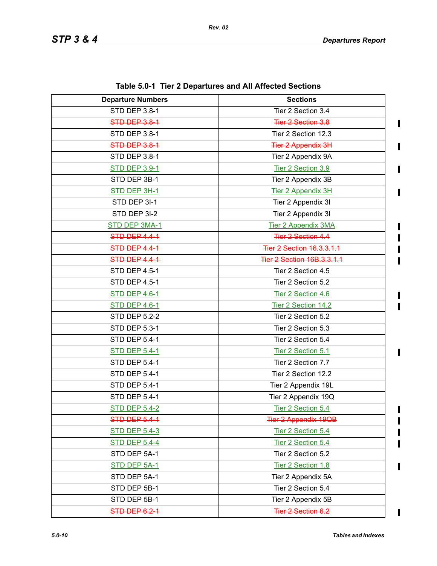$\blacksquare$ 

 $\blacksquare$ 

 $\blacksquare$ 

 $\mathbf I$  $\blacksquare$ 

 $\blacksquare$ 

Π

 $\mathbf I$ 

 $\overline{\mathbf{I}}$ 

| <b>Departure Numbers</b> | <b>Sections</b>                   |
|--------------------------|-----------------------------------|
| STD DEP 3.8-1            | Tier 2 Section 3.4                |
| STD DEP 3.8-1            | <b>Tier 2 Section 3.8</b>         |
| STD DEP 3.8-1            | Tier 2 Section 12.3               |
| STD DEP 3.8-1            | <b>Tier 2 Appendix 3H</b>         |
| STD DEP 3.8-1            | Tier 2 Appendix 9A                |
| <b>STD DEP 3.9-1</b>     | Tier 2 Section 3.9                |
| STD DEP 3B-1             | Tier 2 Appendix 3B                |
| STD DEP 3H-1             | Tier 2 Appendix 3H                |
| STD DEP 3I-1             | Tier 2 Appendix 3I                |
| STD DEP 3I-2             | Tier 2 Appendix 3I                |
| STD DEP 3MA-1            | <b>Tier 2 Appendix 3MA</b>        |
| STD DEP 4.4-1            | <b>Tier 2 Section 4.4</b>         |
| STD DEP 4.4-1            | <b>Tier 2 Section 16.3.3.1.1</b>  |
| <b>STD DEP 4.4-1-</b>    | <b>Tier 2 Section 16B.3.3.1.1</b> |
| <b>STD DEP 4.5-1</b>     | Tier 2 Section 4.5                |
| STD DEP 4.5-1            | Tier 2 Section 5.2                |
| <b>STD DEP 4.6-1</b>     | Tier 2 Section 4.6                |
| <b>STD DEP 4.6-1</b>     | Tier 2 Section 14.2               |
| <b>STD DEP 5.2-2</b>     | Tier 2 Section 5.2                |
| STD DEP 5.3-1            | Tier 2 Section 5.3                |
| <b>STD DEP 5.4-1</b>     | Tier 2 Section 5.4                |
| <b>STD DEP 5.4-1</b>     | Tier 2 Section 5.1                |
| <b>STD DEP 5.4-1</b>     | Tier 2 Section 7.7                |
| <b>STD DEP 5.4-1</b>     | Tier 2 Section 12.2               |
| STD DEP 5.4-1            | Tier 2 Appendix 19L               |
| <b>STD DEP 5.4-1</b>     | Tier 2 Appendix 19Q               |
| <b>STD DEP 5.4-2</b>     | Tier 2 Section 5.4                |
| STD DEP 5.4-1            | <b>Tier 2 Appendix 19QB</b>       |
| <b>STD DEP 5.4-3</b>     | Tier 2 Section 5.4                |
| <b>STD DEP 5.4-4</b>     | Tier 2 Section 5.4                |
| STD DEP 5A-1             | Tier 2 Section 5.2                |
| STD DEP 5A-1             | Tier 2 Section 1.8                |
| STD DEP 5A-1             | Tier 2 Appendix 5A                |
| STD DEP 5B-1             | Tier 2 Section 5.4                |
| STD DEP 5B-1             | Tier 2 Appendix 5B                |
| STD DEP 6.2-1            | Tier 2 Section 6.2                |

**Table 5.0-1 Tier 2 Departures and All Affected Sections**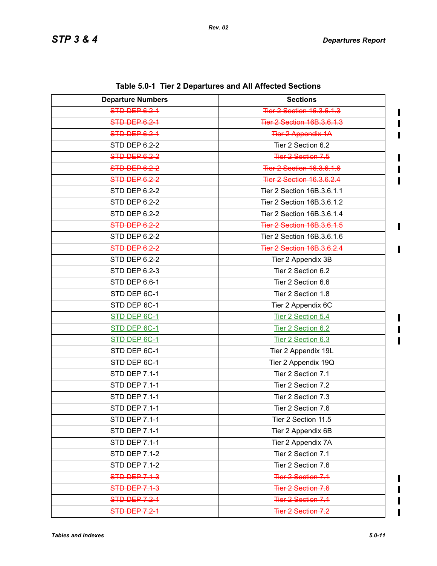$\blacksquare$ 

 $\mathbf I$ 

 $\mathbf{I}$ 

 $\blacksquare$  $\mathbf I$  $\mathbf I$ 

| <b>Departure Numbers</b> | <b>Sections</b>                   |
|--------------------------|-----------------------------------|
| STD DEP 6.2-1            | Tier 2 Section 16.3.6.1.3         |
| STD DEP 6.2-1            | <b>Tier 2 Section 16B.3.6.1.3</b> |
| <b>STD DEP 6.2-1</b>     | <b>Tier 2 Appendix 1A</b>         |
| STD DEP 6.2-2            | Tier 2 Section 6.2                |
| STD DEP 6.2-2            | <b>Tier 2 Section 7.5</b>         |
| STD DEP 6.2-2            | <b>Tier 2 Section 16.3.6.1.6</b>  |
| STD DEP 6.2-2            | <b>Tier 2 Section 16.3.6.2.4</b>  |
| <b>STD DEP 6.2-2</b>     | Tier 2 Section 16B.3.6.1.1        |
| <b>STD DEP 6.2-2</b>     | Tier 2 Section 16B.3.6.1.2        |
| STD DEP 6.2-2            | Tier 2 Section 16B.3.6.1.4        |
| STD DEP 6.2-2            | Tier 2 Section 16B.3.6.1.5        |
| STD DEP 6.2-2            | Tier 2 Section 16B.3.6.1.6        |
| STD DEP 6.2-2            | <b>Tier 2 Section 16B.3.6.2.4</b> |
| STD DEP 6.2-2            | Tier 2 Appendix 3B                |
| STD DEP 6.2-3            | Tier 2 Section 6.2                |
| STD DEP 6.6-1            | Tier 2 Section 6.6                |
| STD DEP 6C-1             | Tier 2 Section 1.8                |
| STD DEP 6C-1             | Tier 2 Appendix 6C                |
| STD DEP 6C-1             | Tier 2 Section 5.4                |
| STD DEP 6C-1             | Tier 2 Section 6.2                |
| STD DEP 6C-1             | Tier 2 Section 6.3                |
| STD DEP 6C-1             | Tier 2 Appendix 19L               |
| STD DEP 6C-1             | Tier 2 Appendix 19Q               |
| <b>STD DEP 7.1-1</b>     | Tier 2 Section 7.1                |
| <b>STD DEP 7.1-1</b>     | Tier 2 Section 7.2                |
| <b>STD DEP 7.1-1</b>     | Tier 2 Section 7.3                |
| <b>STD DEP 7.1-1</b>     | Tier 2 Section 7.6                |
| <b>STD DEP 7.1-1</b>     | Tier 2 Section 11.5               |
| <b>STD DEP 7.1-1</b>     | Tier 2 Appendix 6B                |
| <b>STD DEP 7.1-1</b>     | Tier 2 Appendix 7A                |
| <b>STD DEP 7.1-2</b>     | Tier 2 Section 7.1                |
| <b>STD DEP 7.1-2</b>     | Tier 2 Section 7.6                |
| <b>STD DEP 7.1-3</b>     | <b>Tier 2 Section 7.1</b>         |
| <b>STD DEP 7.1-3</b>     | <b>Tier 2 Section 7.6</b>         |
| <b>STD DEP 7.2-1</b>     | <b>Tier 2 Section 7.1</b>         |
| <b>STD DEP 7.2-1</b>     | <b>Tier 2 Section 7.2</b>         |

**Table 5.0-1 Tier 2 Departures and All Affected Sections**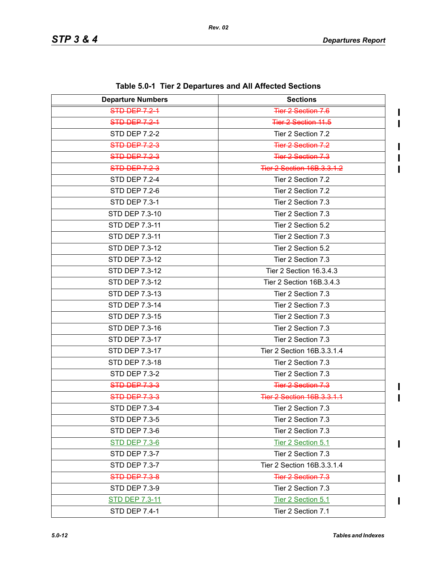$\blacksquare$  $\blacksquare$ 

 $\mathbf I$ 

 $\blacksquare$  $\blacksquare$ 

 $\mathbf{I}$ 

 $\blacksquare$ 

 $\mathbf I$ 

| <b>Departure Numbers</b> | <b>Sections</b>                   |
|--------------------------|-----------------------------------|
| <b>STD DEP 7.2-1</b>     | <b>Tier 2 Section 7.6</b>         |
| <b>STD DEP 7.2-1</b>     | Tier 2 Section 11.5               |
| <b>STD DEP 7.2-2</b>     | Tier 2 Section 7.2                |
| STD-DEP-7.2-3            | <b>Tier 2 Section 7.2</b>         |
| <b>STD DEP 7.2-3</b>     | <b>Tier 2 Section 7.3</b>         |
| <b>STD DEP 7.2-3</b>     | <b>Tier 2 Section 16B.3.3.1.2</b> |
| <b>STD DEP 7.2-4</b>     | Tier 2 Section 7.2                |
| <b>STD DEP 7.2-6</b>     | Tier 2 Section 7.2                |
| <b>STD DEP 7.3-1</b>     | Tier 2 Section 7.3                |
| STD DEP 7.3-10           | Tier 2 Section 7.3                |
| STD DEP 7.3-11           | Tier 2 Section 5.2                |
| STD DEP 7.3-11           | Tier 2 Section 7.3                |
| STD DEP 7.3-12           | Tier 2 Section 5.2                |
| STD DEP 7.3-12           | Tier 2 Section 7.3                |
| STD DEP 7.3-12           | Tier 2 Section 16.3.4.3           |
| STD DEP 7.3-12           | Tier 2 Section 16B.3.4.3          |
| STD DEP 7.3-13           | Tier 2 Section 7.3                |
| STD DEP 7.3-14           | Tier 2 Section 7.3                |
| STD DEP 7.3-15           | Tier 2 Section 7.3                |
| STD DEP 7.3-16           | Tier 2 Section 7.3                |
| STD DEP 7.3-17           | Tier 2 Section 7.3                |
| STD DEP 7.3-17           | Tier 2 Section 16B.3.3.1.4        |
| STD DEP 7.3-18           | Tier 2 Section 7.3                |
| <b>STD DEP 7.3-2</b>     | Tier 2 Section 7.3                |
| <b>STD DEP 7.3-3</b>     | <b>Tier 2 Section 7.3</b>         |
| <b>STD DEP 7.3-3</b>     | <b>Tier 2 Section 16B.3.3.1.1</b> |
| <b>STD DEP 7.3-4</b>     | Tier 2 Section 7.3                |
| STD DEP 7.3-5            | Tier 2 Section 7.3                |
| <b>STD DEP 7.3-6</b>     | Tier 2 Section 7.3                |
| <b>STD DEP 7.3-6</b>     | Tier 2 Section 5.1                |
| STD DEP 7.3-7            | Tier 2 Section 7.3                |
| <b>STD DEP 7.3-7</b>     | Tier 2 Section 16B.3.3.1.4        |
| <b>STD DEP 7.3-8</b>     | Tier 2 Section 7.3                |
| STD DEP 7.3-9            | Tier 2 Section 7.3                |
| <b>STD DEP 7.3-11</b>    | Tier 2 Section 5.1                |
| <b>STD DEP 7.4-1</b>     | Tier 2 Section 7.1                |

**Table 5.0-1 Tier 2 Departures and All Affected Sections**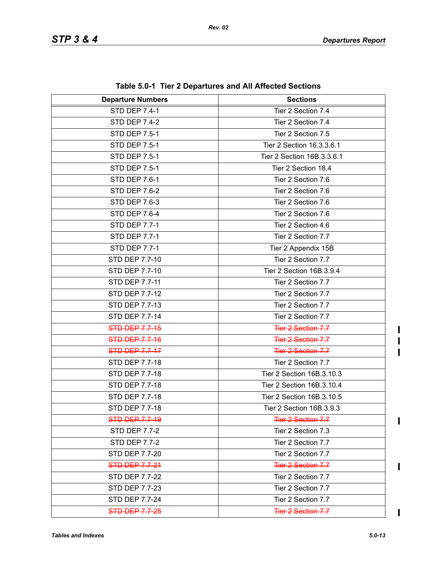| <b>Departure Numbers</b> | <b>Sections</b>            |
|--------------------------|----------------------------|
| <b>STD DEP 7.4-1</b>     | Tier 2 Section 7.4         |
| <b>STD DEP 7.4-2</b>     | Tier 2 Section 7.4         |
| <b>STD DEP 7.5-1</b>     | Tier 2 Section 7.5         |
| <b>STD DEP 7.5-1</b>     | Tier 2 Section 16.3.3.6.1  |
| <b>STD DEP 7.5-1</b>     | Tier 2 Section 16B.3.3.6.1 |
| <b>STD DEP 7.5-1</b>     | Tier 2 Section 18.4        |
| STD DEP 7.6-1            | Tier 2 Section 7.6         |
| <b>STD DEP 7.6-2</b>     | Tier 2 Section 7.6         |
| STD DEP 7.6-3            | Tier 2 Section 7.6         |
| STD DEP 7.6-4            | Tier 2 Section 7.6         |
| <b>STD DEP 7.7-1</b>     | Tier 2 Section 4.6         |
| <b>STD DEP 7.7-1</b>     | Tier 2 Section 7.7         |
| <b>STD DEP 7.7-1</b>     | Tier 2 Appendix 15B        |
| STD DEP 7.7-10           | Tier 2 Section 7.7         |
| STD DEP 7.7-10           | Tier 2 Section 16B.3.9.4   |
| STD DEP 7.7-11           | Tier 2 Section 7.7         |
| STD DEP 7.7-12           | Tier 2 Section 7.7         |
| STD DEP 7.7-13           | Tier 2 Section 7.7         |
| STD DEP 7.7-14           | Tier 2 Section 7.7         |
| <b>STD DEP 7.7-15</b>    | <b>Tier 2 Section 7.7</b>  |
| <b>STD DEP 7.7-16</b>    | Tier 2 Section 7.7         |
| <b>STD DEP 7.7-17</b>    | <b>Tier 2 Section 7.7</b>  |
| STD DEP 7.7-18           | Tier 2 Section 7.7         |
| STD DEP 7.7-18           | Tier 2 Section 16B.3.10.3  |
| STD DEP 7.7-18           | Tier 2 Section 16B.3.10.4  |
| STD DEP 7.7-18           | Tier 2 Section 16B.3.10.5  |
| STD DEP 7.7-18           | Tier 2 Section 16B.3.9.3   |
| STD DEP 7.7-19           | Tier 2 Section 7.7         |
| <b>STD DEP 7.7-2</b>     | Tier 2 Section 7.3         |
| <b>STD DEP 7.7-2</b>     | Tier 2 Section 7.7         |
| <b>STD DEP 7.7-20</b>    | Tier 2 Section 7.7         |
| STD-DEP-7.7-24           | <b>Tier 2 Section 7.7</b>  |
| STD DEP 7.7-22           | Tier 2 Section 7.7         |
| STD DEP 7.7-23           | Tier 2 Section 7.7         |
| STD DEP 7.7-24           | Tier 2 Section 7.7         |
| <b>STD DEP 7.7-25</b>    | Tier 2 Section 7.7         |

**Table 5.0-1 Tier 2 Departures and All Affected Sections**

 $\mathbf{l}$  $\blacksquare$  $\blacksquare$ 

 $\mathbf I$ 

 $\mathbf{I}$ 

 $\overline{\mathbf{I}}$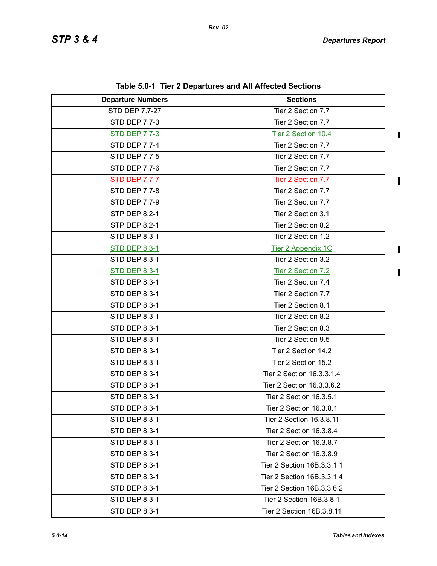$\blacksquare$ 

 $\mathbf{I}$ 

| <b>Departure Numbers</b> | <b>Sections</b>            |
|--------------------------|----------------------------|
| STD DEP 7.7-27           | Tier 2 Section 7.7         |
| <b>STD DEP 7.7-3</b>     | Tier 2 Section 7.7         |
| <b>STD DEP 7.7-3</b>     | Tier 2 Section 10.4        |
| <b>STD DEP 7.7-4</b>     | Tier 2 Section 7.7         |
| <b>STD DEP 7.7-5</b>     | Tier 2 Section 7.7         |
| <b>STD DEP 7.7-6</b>     | Tier 2 Section 7.7         |
| <b>STD DEP 7.7-7</b>     | <b>Tier 2 Section 7.7</b>  |
| <b>STD DEP 7.7-8</b>     | Tier 2 Section 7.7         |
| <b>STD DEP 7.7-9</b>     | Tier 2 Section 7.7         |
| <b>STP DEP 8.2-1</b>     | Tier 2 Section 3.1         |
| <b>STP DEP 8.2-1</b>     | Tier 2 Section 8.2         |
| STD DEP 8.3-1            | Tier 2 Section 1.2         |
| <b>STD DEP 8.3-1</b>     | Tier 2 Appendix 1C         |
| <b>STD DEP 8.3-1</b>     | Tier 2 Section 3.2         |
| <b>STD DEP 8.3-1</b>     | Tier 2 Section 7.2         |
| STD DEP 8.3-1            | Tier 2 Section 7.4         |
| STD DEP 8.3-1            | Tier 2 Section 7.7         |
| STD DEP 8.3-1            | Tier 2 Section 8.1         |
| STD DEP 8.3-1            | Tier 2 Section 8.2         |
| STD DEP 8.3-1            | Tier 2 Section 8.3         |
| STD DEP 8.3-1            | Tier 2 Section 9.5         |
| STD DEP 8.3-1            | Tier 2 Section 14.2        |
| STD DEP 8.3-1            | Tier 2 Section 15.2        |
| STD DEP 8.3-1            | Tier 2 Section 16.3.3.1.4  |
| STD DEP 8.3-1            | Tier 2 Section 16.3.3.6.2  |
| STD DEP 8.3-1            | Tier 2 Section 16.3.5.1    |
| STD DEP 8.3-1            | Tier 2 Section 16.3.8.1    |
| STD DEP 8.3-1            | Tier 2 Section 16.3.8.11   |
| STD DEP 8.3-1            | Tier 2 Section 16.3.8.4    |
| STD DEP 8.3-1            | Tier 2 Section 16.3.8.7    |
| STD DEP 8.3-1            | Tier 2 Section 16.3.8.9    |
| <b>STD DEP 8.3-1</b>     | Tier 2 Section 16B.3.3.1.1 |
| STD DEP 8.3-1            | Tier 2 Section 16B.3.3.1.4 |
| <b>STD DEP 8.3-1</b>     | Tier 2 Section 16B.3.3.6.2 |
| STD DEP 8.3-1            | Tier 2 Section 16B.3.8.1   |
| STD DEP 8.3-1            | Tier 2 Section 16B.3.8.11  |

**Table 5.0-1 Tier 2 Departures and All Affected Sections**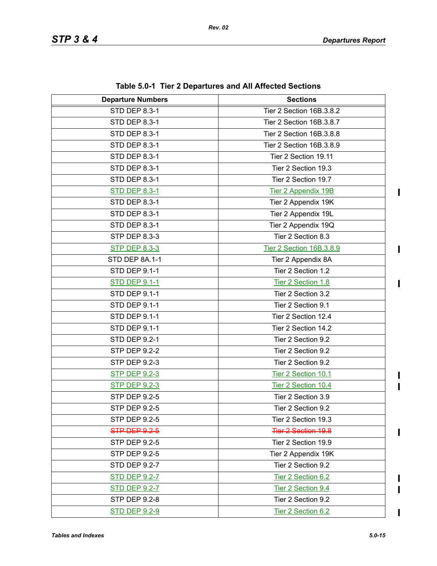$\mathbf{I}$ 

 $\blacksquare$ 

I  $\mathbf{I}$ 

 $\blacksquare$ 

 $\mathbf I$  $\blacksquare$ 

| <b>Departure Numbers</b> | <b>Sections</b>            |
|--------------------------|----------------------------|
| <b>STD DEP 8.3-1</b>     | Tier 2 Section 16B.3.8.2   |
| STD DEP 8.3-1            | Tier 2 Section 16B.3.8.7   |
| STD DEP 8.3-1            | Tier 2 Section 16B.3.8.8   |
| STD DEP 8.3-1            | Tier 2 Section 16B.3.8.9   |
| STD DEP 8.3-1            | Tier 2 Section 19.11       |
| STD DEP 8.3-1            | Tier 2 Section 19.3        |
| STD DEP 8.3-1            | Tier 2 Section 19.7        |
| <b>STD DEP 8.3-1</b>     | Tier 2 Appendix 19B        |
| STD DEP 8.3-1            | Tier 2 Appendix 19K        |
| STD DEP 8.3-1            | Tier 2 Appendix 19L        |
| STD DEP 8.3-1            | Tier 2 Appendix 19Q        |
| STP DEP 8.3-3            | Tier 2 Section 8.3         |
| <b>STP DEP 8.3-3</b>     | Tier 2 Section 16B.3.8.9   |
| STD DEP 8A.1-1           | Tier 2 Appendix 8A         |
| <b>STD DEP 9.1-1</b>     | Tier 2 Section 1.2         |
| <b>STD DEP 9.1-1</b>     | Tier 2 Section 1.8         |
| <b>STD DEP 9.1-1</b>     | Tier 2 Section 3.2         |
| STD DEP 9.1-1            | Tier 2 Section 9.1         |
| STD DEP 9.1-1            | Tier 2 Section 12.4        |
| <b>STD DEP 9.1-1</b>     | Tier 2 Section 14.2        |
| <b>STD DEP 9.2-1</b>     | Tier 2 Section 9.2         |
| <b>STP DEP 9.2-2</b>     | Tier 2 Section 9.2         |
| STP DEP 9.2-3            | Tier 2 Section 9.2         |
| <b>STP DEP 9.2-3</b>     | Tier 2 Section 10.1        |
| <b>STP DEP 9.2-3</b>     | Tier 2 Section 10.4        |
| <b>STP DEP 9.2-5</b>     | Tier 2 Section 3.9         |
| STP DEP 9.2-5            | Tier 2 Section 9.2         |
| STP DEP 9.2-5            | Tier 2 Section 19.3        |
| STP DEP 9.2-5            | <b>Tier 2 Section 19.8</b> |
| STP DEP 9.2-5            | Tier 2 Section 19.9        |
| STP DEP 9.2-5            | Tier 2 Appendix 19K        |
| <b>STD DEP 9.2-7</b>     | Tier 2 Section 9.2         |
| <b>STD DEP 9.2-7</b>     | Tier 2 Section 6.2         |
| <b>STD DEP 9.2-7</b>     | Tier 2 Section 9.4         |
| STP DEP 9.2-8            | Tier 2 Section 9.2         |
| <b>STD DEP 9.2-9</b>     | Tier 2 Section 6.2         |

**Table 5.0-1 Tier 2 Departures and All Affected Sections**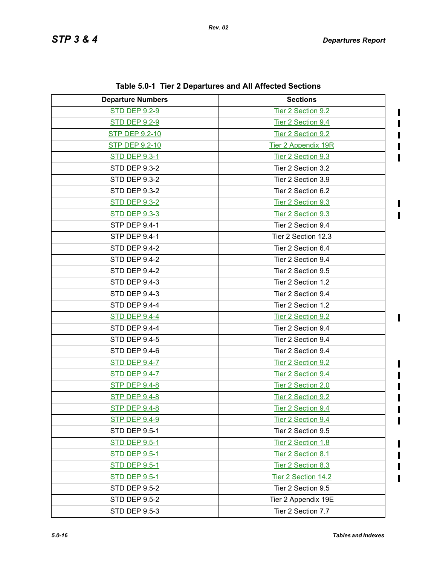$\blacksquare$  $\mathbf{I}$ 

| <b>Departure Numbers</b> | <b>Sections</b>            |
|--------------------------|----------------------------|
| <b>STD DEP 9.2-9</b>     | Tier 2 Section 9.2         |
| <b>STD DEP 9.2-9</b>     | Tier 2 Section 9.4         |
| <b>STP DEP 9.2-10</b>    | Tier 2 Section 9.2         |
| STP DEP 9.2-10           | <b>Tier 2 Appendix 19R</b> |
| <b>STD DEP 9.3-1</b>     | Tier 2 Section 9.3         |
| <b>STD DEP 9.3-2</b>     | Tier 2 Section 3.2         |
| <b>STD DEP 9.3-2</b>     | Tier 2 Section 3.9         |
| <b>STD DEP 9.3-2</b>     | Tier 2 Section 6.2         |
| <b>STD DEP 9.3-2</b>     | Tier 2 Section 9.3         |
| <b>STD DEP 9.3-3</b>     | Tier 2 Section 9.3         |
| STP DEP 9.4-1            | Tier 2 Section 9.4         |
| <b>STP DEP 9.4-1</b>     | Tier 2 Section 12.3        |
| <b>STD DEP 9.4-2</b>     | Tier 2 Section 6.4         |
| <b>STD DEP 9.4-2</b>     | Tier 2 Section 9.4         |
| STD DEP 9.4-2            | Tier 2 Section 9.5         |
| <b>STD DEP 9.4-3</b>     | Tier 2 Section 1.2         |
| <b>STD DEP 9.4-3</b>     | Tier 2 Section 9.4         |
| STD DEP 9.4-4            | Tier 2 Section 1.2         |
| <b>STD DEP 9.4-4</b>     | Tier 2 Section 9.2         |
| STD DEP 9.4-4            | Tier 2 Section 9.4         |
| <b>STD DEP 9.4-5</b>     | Tier 2 Section 9.4         |
| STD DEP 9.4-6            | Tier 2 Section 9.4         |
| <b>STD DEP 9.4-7</b>     | Tier 2 Section 9.2         |
| <b>STD DEP 9.4-7</b>     | Tier 2 Section 9.4         |
| <b>STP DEP 9.4-8</b>     | Tier 2 Section 2.0         |
| <b>STP DEP 9.4-8</b>     | Tier 2 Section 9.2         |
| <b>STP DEP 9.4-8</b>     | Tier 2 Section 9.4         |
| <b>STP DEP 9.4-9</b>     | Tier 2 Section 9.4         |
| <b>STD DEP 9.5-1</b>     | Tier 2 Section 9.5         |
| <b>STD DEP 9.5-1</b>     | Tier 2 Section 1.8         |
| <b>STD DEP 9.5-1</b>     | Tier 2 Section 8.1         |
| <b>STD DEP 9.5-1</b>     | Tier 2 Section 8.3         |
| <b>STD DEP 9.5-1</b>     | Tier 2 Section 14.2        |
| <b>STD DEP 9.5-2</b>     | Tier 2 Section 9.5         |
| <b>STD DEP 9.5-2</b>     | Tier 2 Appendix 19E        |
| STD DEP 9.5-3            | Tier 2 Section 7.7         |

**Table 5.0-1 Tier 2 Departures and All Affected Sections**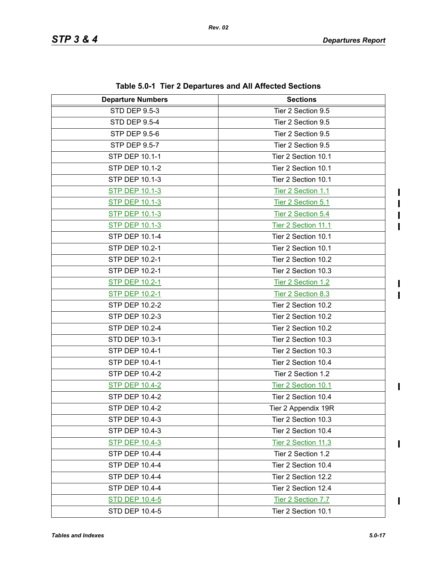$\mathbf I$  $\mathbf{I}$  $\blacksquare$ 

 $\blacksquare$  $\overline{1}$ 

 $\mathbf{I}$ 

 $\mathbf{I}$ 

| <b>Departure Numbers</b> | <b>Sections</b>     |
|--------------------------|---------------------|
| <b>STD DEP 9.5-3</b>     | Tier 2 Section 9.5  |
| <b>STD DEP 9.5-4</b>     | Tier 2 Section 9.5  |
| <b>STP DEP 9.5-6</b>     | Tier 2 Section 9.5  |
| STP DEP 9.5-7            | Tier 2 Section 9.5  |
| STP DEP 10.1-1           | Tier 2 Section 10.1 |
| STP DEP 10.1-2           | Tier 2 Section 10.1 |
| STP DEP 10.1-3           | Tier 2 Section 10.1 |
| <b>STP DEP 10.1-3</b>    | Tier 2 Section 1.1  |
| <b>STP DEP 10.1-3</b>    | Tier 2 Section 5.1  |
| <b>STP DEP 10.1-3</b>    | Tier 2 Section 5.4  |
| <b>STP DEP 10.1-3</b>    | Tier 2 Section 11.1 |
| STP DEP 10.1-4           | Tier 2 Section 10.1 |
| STP DEP 10.2-1           | Tier 2 Section 10.1 |
| STP DEP 10.2-1           | Tier 2 Section 10.2 |
| STP DEP 10.2-1           | Tier 2 Section 10.3 |
| <b>STP DEP 10.2-1</b>    | Tier 2 Section 1.2  |
| <b>STP DEP 10.2-1</b>    | Tier 2 Section 8.3  |
| STP DEP 10.2-2           | Tier 2 Section 10.2 |
| STP DEP 10.2-3           | Tier 2 Section 10.2 |
| <b>STP DEP 10.2-4</b>    | Tier 2 Section 10.2 |
| STD DEP 10.3-1           | Tier 2 Section 10.3 |
| STP DEP 10.4-1           | Tier 2 Section 10.3 |
| STP DEP 10.4-1           | Tier 2 Section 10.4 |
| STP DEP 10.4-2           | Tier 2 Section 1.2  |
| <b>STP DEP 10.4-2</b>    | Tier 2 Section 10.1 |
| STP DEP 10.4-2           | Tier 2 Section 10.4 |
| STP DEP 10.4-2           | Tier 2 Appendix 19R |
| STP DEP 10.4-3           | Tier 2 Section 10.3 |
| STP DEP 10.4-3           | Tier 2 Section 10.4 |
| <b>STP DEP 10.4-3</b>    | Tier 2 Section 11.3 |
| STP DEP 10.4-4           | Tier 2 Section 1.2  |
| STP DEP 10.4-4           | Tier 2 Section 10.4 |
| STP DEP 10.4-4           | Tier 2 Section 12.2 |
| STP DEP 10.4-4           | Tier 2 Section 12.4 |
| <b>STD DEP 10.4-5</b>    | Tier 2 Section 7.7  |
| STD DEP 10.4-5           | Tier 2 Section 10.1 |

**Table 5.0-1 Tier 2 Departures and All Affected Sections**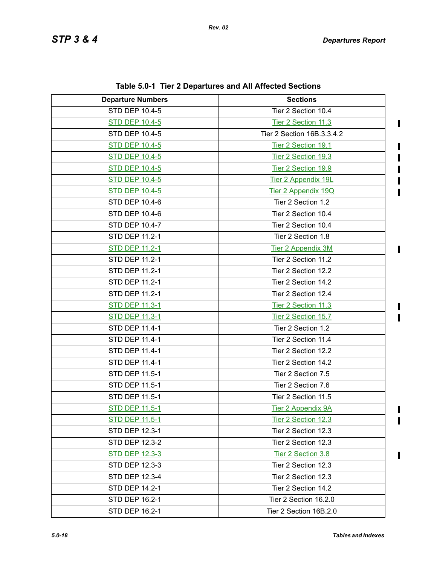$\begin{array}{c} \rule{0pt}{2.5ex} \rule{0pt}{2.5ex} \rule{0pt}{2.5ex} \rule{0pt}{2.5ex} \rule{0pt}{2.5ex} \rule{0pt}{2.5ex} \rule{0pt}{2.5ex} \rule{0pt}{2.5ex} \rule{0pt}{2.5ex} \rule{0pt}{2.5ex} \rule{0pt}{2.5ex} \rule{0pt}{2.5ex} \rule{0pt}{2.5ex} \rule{0pt}{2.5ex} \rule{0pt}{2.5ex} \rule{0pt}{2.5ex} \rule{0pt}{2.5ex} \rule{0pt}{2.5ex} \rule{0pt}{2.5ex} \rule{0$ 

 $\mathbf I$ 

 $\mathbf{I}$ 

 $\mathbf{I}$  $\overline{\phantom{a}}$ 

 $\mathbf I$  $\mathbf{I}$ 

| <b>Departure Numbers</b> | <b>Sections</b>            |
|--------------------------|----------------------------|
| <b>STD DEP 10.4-5</b>    | Tier 2 Section 10.4        |
| <b>STD DEP 10.4-5</b>    | Tier 2 Section 11.3        |
| <b>STD DEP 10.4-5</b>    | Tier 2 Section 16B.3.3.4.2 |
| <b>STD DEP 10.4-5</b>    | Tier 2 Section 19.1        |
| <b>STD DEP 10.4-5</b>    | Tier 2 Section 19.3        |
| <b>STD DEP 10.4-5</b>    | Tier 2 Section 19.9        |
| <b>STD DEP 10.4-5</b>    | Tier 2 Appendix 19L        |
| <b>STD DEP 10.4-5</b>    | Tier 2 Appendix 19Q        |
| <b>STD DEP 10.4-6</b>    | Tier 2 Section 1.2         |
| STD DEP 10.4-6           | Tier 2 Section 10.4        |
| STD DEP 10.4-7           | Tier 2 Section 10.4        |
| <b>STD DEP 11.2-1</b>    | Tier 2 Section 1.8         |
| <b>STD DEP 11.2-1</b>    | <b>Tier 2 Appendix 3M</b>  |
| STD DEP 11.2-1           | Tier 2 Section 11.2        |
| <b>STD DEP 11.2-1</b>    | Tier 2 Section 12.2        |
| STD DEP 11.2-1           | Tier 2 Section 14.2        |
| STD DEP 11.2-1           | Tier 2 Section 12.4        |
| <b>STD DEP 11.3-1</b>    | Tier 2 Section 11.3        |
| <b>STD DEP 11.3-1</b>    | Tier 2 Section 15.7        |
| STD DEP 11.4-1           | Tier 2 Section 1.2         |
| STD DEP 11.4-1           | Tier 2 Section 11.4        |
| STD DEP 11.4-1           | Tier 2 Section 12.2        |
| STD DEP 11.4-1           | Tier 2 Section 14.2        |
| STD DEP 11.5-1           | Tier 2 Section 7.5         |
| STD DEP 11.5-1           | Tier 2 Section 7.6         |
| STD DEP 11.5-1           | Tier 2 Section 11.5        |
| <b>STD DEP 11.5-1</b>    | <b>Tier 2 Appendix 9A</b>  |
| <b>STD DEP 11.5-1</b>    | Tier 2 Section 12.3        |
| STD DEP 12.3-1           | Tier 2 Section 12.3        |
| STD DEP 12.3-2           | Tier 2 Section 12.3        |
| STD DEP 12.3-3           | Tier 2 Section 3.8         |
| STD DEP 12.3-3           | Tier 2 Section 12.3        |
| <b>STD DEP 12.3-4</b>    | Tier 2 Section 12.3        |
| STD DEP 14.2-1           | Tier 2 Section 14.2        |
| STD DEP 16.2-1           | Tier 2 Section 16.2.0      |
| STD DEP 16.2-1           | Tier 2 Section 16B.2.0     |

**Table 5.0-1 Tier 2 Departures and All Affected Sections**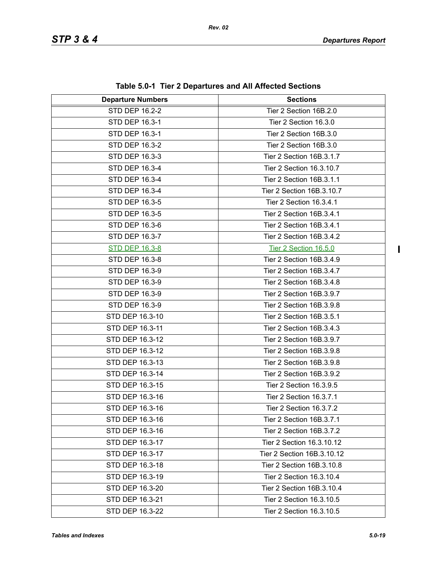| <b>Departure Numbers</b> | <b>Sections</b>            |
|--------------------------|----------------------------|
| <b>STD DEP 16.2-2</b>    | Tier 2 Section 16B.2.0     |
| STD DEP 16.3-1           | Tier 2 Section 16.3.0      |
| STD DEP 16.3-1           | Tier 2 Section 16B.3.0     |
| STD DEP 16.3-2           | Tier 2 Section 16B.3.0     |
| STD DEP 16.3-3           | Tier 2 Section 16B.3.1.7   |
| STD DEP 16.3-4           | Tier 2 Section 16.3.10.7   |
| STD DEP 16.3-4           | Tier 2 Section 16B.3.1.1   |
| STD DEP 16.3-4           | Tier 2 Section 16B.3.10.7  |
| STD DEP 16.3-5           | Tier 2 Section 16.3.4.1    |
| STD DEP 16.3-5           | Tier 2 Section 16B.3.4.1   |
| STD DEP 16.3-6           | Tier 2 Section 16B.3.4.1   |
| STD DEP 16.3-7           | Tier 2 Section 16B.3.4.2   |
| <b>STD DEP 16.3-8</b>    | Tier 2 Section 16.5.0      |
| STD DEP 16.3-8           | Tier 2 Section 16B.3.4.9   |
| STD DEP 16.3-9           | Tier 2 Section 16B.3.4.7   |
| STD DEP 16.3-9           | Tier 2 Section 16B.3.4.8   |
| STD DEP 16.3-9           | Tier 2 Section 16B.3.9.7   |
| STD DEP 16.3-9           | Tier 2 Section 16B.3.9.8   |
| STD DEP 16.3-10          | Tier 2 Section 16B.3.5.1   |
| STD DEP 16.3-11          | Tier 2 Section 16B.3.4.3   |
| STD DEP 16.3-12          | Tier 2 Section 16B.3.9.7   |
| STD DEP 16.3-12          | Tier 2 Section 16B.3.9.8   |
| STD DEP 16.3-13          | Tier 2 Section 16B.3.9.8   |
| STD DEP 16.3-14          | Tier 2 Section 16B.3.9.2   |
| STD DEP 16.3-15          | Tier 2 Section 16.3.9.5    |
| STD DEP 16.3-16          | Tier 2 Section 16.3.7.1    |
| STD DEP 16.3-16          | Tier 2 Section 16.3.7.2    |
| STD DEP 16.3-16          | Tier 2 Section 16B.3.7.1   |
| STD DEP 16.3-16          | Tier 2 Section 16B.3.7.2   |
| STD DEP 16.3-17          | Tier 2 Section 16.3.10.12  |
| STD DEP 16.3-17          | Tier 2 Section 16B.3.10.12 |
| STD DEP 16.3-18          | Tier 2 Section 16B.3.10.8  |
| STD DEP 16.3-19          | Tier 2 Section 16.3.10.4   |
| STD DEP 16.3-20          | Tier 2 Section 16B.3.10.4  |
| STD DEP 16.3-21          | Tier 2 Section 16.3.10.5   |
| STD DEP 16.3-22          | Tier 2 Section 16.3.10.5   |

**Table 5.0-1 Tier 2 Departures and All Affected Sections**

 $\overline{\mathbf{I}}$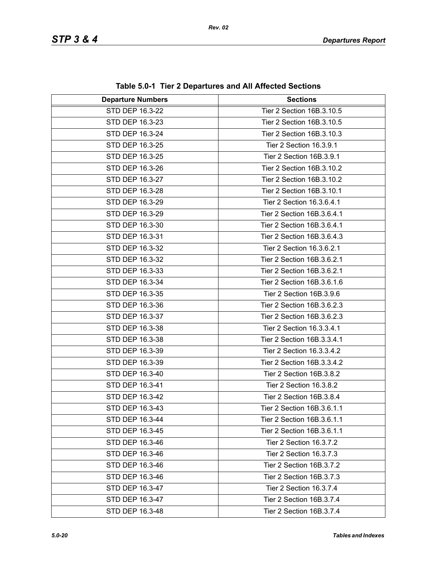| <b>Departure Numbers</b> | <b>Sections</b>            |
|--------------------------|----------------------------|
| STD DEP 16.3-22          | Tier 2 Section 16B.3.10.5  |
| STD DEP 16.3-23          | Tier 2 Section 16B.3.10.5  |
| STD DEP 16.3-24          | Tier 2 Section 16B.3.10.3  |
| STD DEP 16.3-25          | Tier 2 Section 16.3.9.1    |
| STD DEP 16.3-25          | Tier 2 Section 16B.3.9.1   |
| STD DEP 16.3-26          | Tier 2 Section 16B.3.10.2  |
| STD DEP 16.3-27          | Tier 2 Section 16B.3.10.2  |
| STD DEP 16.3-28          | Tier 2 Section 16B.3.10.1  |
| STD DEP 16.3-29          | Tier 2 Section 16.3.6.4.1  |
| STD DEP 16.3-29          | Tier 2 Section 16B.3.6.4.1 |
| STD DEP 16.3-30          | Tier 2 Section 16B.3.6.4.1 |
| STD DEP 16.3-31          | Tier 2 Section 16B.3.6.4.3 |
| STD DEP 16.3-32          | Tier 2 Section 16.3.6.2.1  |
| STD DEP 16.3-32          | Tier 2 Section 16B.3.6.2.1 |
| STD DEP 16.3-33          | Tier 2 Section 16B.3.6.2.1 |
| STD DEP 16.3-34          | Tier 2 Section 16B.3.6.1.6 |
| STD DEP 16.3-35          | Tier 2 Section 16B.3.9.6   |
| STD DEP 16.3-36          | Tier 2 Section 16B.3.6.2.3 |
| STD DEP 16.3-37          | Tier 2 Section 16B.3.6.2.3 |
| STD DEP 16.3-38          | Tier 2 Section 16.3.3.4.1  |
| STD DEP 16.3-38          | Tier 2 Section 16B.3.3.4.1 |
| STD DEP 16.3-39          | Tier 2 Section 16.3.3.4.2  |
| STD DEP 16.3-39          | Tier 2 Section 16B.3.3.4.2 |
| STD DEP 16.3-40          | Tier 2 Section 16B.3.8.2   |
| STD DEP 16.3-41          | Tier 2 Section 16.3.8.2    |
| STD DEP 16.3-42          | Tier 2 Section 16B.3.8.4   |
| STD DEP 16.3-43          | Tier 2 Section 16B.3.6.1.1 |
| STD DEP 16.3-44          | Tier 2 Section 16B.3.6.1.1 |
| STD DEP 16.3-45          | Tier 2 Section 16B.3.6.1.1 |
| STD DEP 16.3-46          | Tier 2 Section 16.3.7.2    |
| STD DEP 16.3-46          | Tier 2 Section 16.3.7.3    |
| STD DEP 16.3-46          | Tier 2 Section 16B.3.7.2   |
| STD DEP 16.3-46          | Tier 2 Section 16B.3.7.3   |
| STD DEP 16.3-47          | Tier 2 Section 16.3.7.4    |
| STD DEP 16.3-47          | Tier 2 Section 16B.3.7.4   |
| STD DEP 16.3-48          | Tier 2 Section 16B.3.7.4   |

**Table 5.0-1 Tier 2 Departures and All Affected Sections**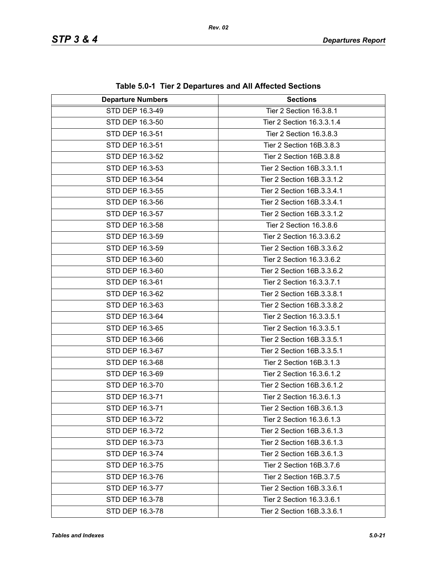| <b>Departure Numbers</b> | <b>Sections</b>            |
|--------------------------|----------------------------|
| STD DEP 16.3-49          | Tier 2 Section 16.3.8.1    |
| STD DEP 16.3-50          | Tier 2 Section 16.3.3.1.4  |
| STD DEP 16.3-51          | Tier 2 Section 16.3.8.3    |
| STD DEP 16.3-51          | Tier 2 Section 16B.3.8.3   |
| STD DEP 16.3-52          | Tier 2 Section 16B.3.8.8   |
| STD DEP 16.3-53          | Tier 2 Section 16B.3.3.1.1 |
| STD DEP 16.3-54          | Tier 2 Section 16B.3.3.1.2 |
| STD DEP 16.3-55          | Tier 2 Section 16B.3.3.4.1 |
| STD DEP 16.3-56          | Tier 2 Section 16B.3.3.4.1 |
| STD DEP 16.3-57          | Tier 2 Section 16B.3.3.1.2 |
| STD DEP 16.3-58          | Tier 2 Section 16.3.8.6    |
| STD DEP 16.3-59          | Tier 2 Section 16.3.3.6.2  |
| STD DEP 16.3-59          | Tier 2 Section 16B.3.3.6.2 |
| STD DEP 16.3-60          | Tier 2 Section 16.3.3.6.2  |
| STD DEP 16.3-60          | Tier 2 Section 16B.3.3.6.2 |
| STD DEP 16.3-61          | Tier 2 Section 16.3.3.7.1  |
| STD DEP 16.3-62          | Tier 2 Section 16B.3.3.8.1 |
| STD DEP 16.3-63          | Tier 2 Section 16B.3.3.8.2 |
| STD DEP 16.3-64          | Tier 2 Section 16.3.3.5.1  |
| STD DEP 16.3-65          | Tier 2 Section 16.3.3.5.1  |
| STD DEP 16.3-66          | Tier 2 Section 16B.3.3.5.1 |
| STD DEP 16.3-67          | Tier 2 Section 16B.3.3.5.1 |
| STD DEP 16.3-68          | Tier 2 Section 16B.3.1.3   |
| STD DEP 16.3-69          | Tier 2 Section 16.3.6.1.2  |
| STD DEP 16.3-70          | Tier 2 Section 16B.3.6.1.2 |
| STD DEP 16.3-71          | Tier 2 Section 16.3.6.1.3  |
| STD DEP 16.3-71          | Tier 2 Section 16B.3.6.1.3 |
| STD DEP 16.3-72          | Tier 2 Section 16.3.6.1.3  |
| STD DEP 16.3-72          | Tier 2 Section 16B.3.6.1.3 |
| STD DEP 16.3-73          | Tier 2 Section 16B.3.6.1.3 |
| STD DEP 16.3-74          | Tier 2 Section 16B.3.6.1.3 |
| STD DEP 16.3-75          | Tier 2 Section 16B.3.7.6   |
| STD DEP 16.3-76          | Tier 2 Section 16B.3.7.5   |
| STD DEP 16.3-77          | Tier 2 Section 16B.3.3.6.1 |
| STD DEP 16.3-78          | Tier 2 Section 16.3.3.6.1  |
| STD DEP 16.3-78          | Tier 2 Section 16B.3.3.6.1 |

**Table 5.0-1 Tier 2 Departures and All Affected Sections**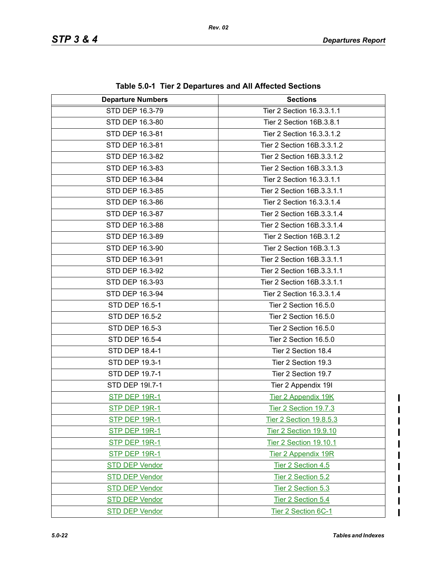| <b>Departure Numbers</b> | <b>Sections</b>            |
|--------------------------|----------------------------|
| STD DEP 16.3-79          | Tier 2 Section 16.3.3.1.1  |
| STD DEP 16.3-80          | Tier 2 Section 16B.3.8.1   |
| STD DEP 16.3-81          | Tier 2 Section 16.3.3.1.2  |
| STD DEP 16.3-81          | Tier 2 Section 16B.3.3.1.2 |
| STD DEP 16.3-82          | Tier 2 Section 16B.3.3.1.2 |
| STD DEP 16.3-83          | Tier 2 Section 16B.3.3.1.3 |
| STD DEP 16.3-84          | Tier 2 Section 16.3.3.1.1  |
| STD DEP 16.3-85          | Tier 2 Section 16B.3.3.1.1 |
| STD DEP 16.3-86          | Tier 2 Section 16.3.3.1.4  |
| STD DEP 16.3-87          | Tier 2 Section 16B.3.3.1.4 |
| STD DEP 16.3-88          | Tier 2 Section 16B.3.3.1.4 |
| STD DEP 16.3-89          | Tier 2 Section 16B.3.1.2   |
| STD DEP 16.3-90          | Tier 2 Section 16B.3.1.3   |
| STD DEP 16.3-91          | Tier 2 Section 16B.3.3.1.1 |
| STD DEP 16.3-92          | Tier 2 Section 16B.3.3.1.1 |
| STD DEP 16.3-93          | Tier 2 Section 16B.3.3.1.1 |
| STD DEP 16.3-94          | Tier 2 Section 16.3.3.1.4  |
| STD DEP 16.5-1           | Tier 2 Section 16.5.0      |
| STD DEP 16.5-2           | Tier 2 Section 16.5.0      |
| STD DEP 16.5-3           | Tier 2 Section 16.5.0      |
| STD DEP 16.5-4           | Tier 2 Section 16.5.0      |
| <b>STD DEP 18.4-1</b>    | Tier 2 Section 18.4        |
| <b>STD DEP 19.3-1</b>    | Tier 2 Section 19.3        |
| STD DEP 19.7-1           | Tier 2 Section 19.7        |
| STD DEP 191.7-1          | Tier 2 Appendix 19I        |
| STP DEP 19R-1            | <b>Tier 2 Appendix 19K</b> |
| <b>STP DEP 19R-1</b>     | Tier 2 Section 19.7.3      |
| <u>STP DEP 19R-1</u>     | Tier 2 Section 19.8.5.3    |
| <b>STP DEP 19R-1</b>     | Tier 2 Section 19.9.10     |
| STP DEP 19R-1            | Tier 2 Section 19.10.1     |
| <b>STP DEP 19R-1</b>     | <b>Tier 2 Appendix 19R</b> |
| <b>STD DEP Vendor</b>    | Tier 2 Section 4.5         |
| <b>STD DEP Vendor</b>    | Tier 2 Section 5.2         |
| <b>STD DEP Vendor</b>    | Tier 2 Section 5.3         |
| <b>STD DEP Vendor</b>    | Tier 2 Section 5.4         |
| <b>STD DEP Vendor</b>    | Tier 2 Section 6C-1        |

**Table 5.0-1 Tier 2 Departures and All Affected Sections**

 $\mathbf I$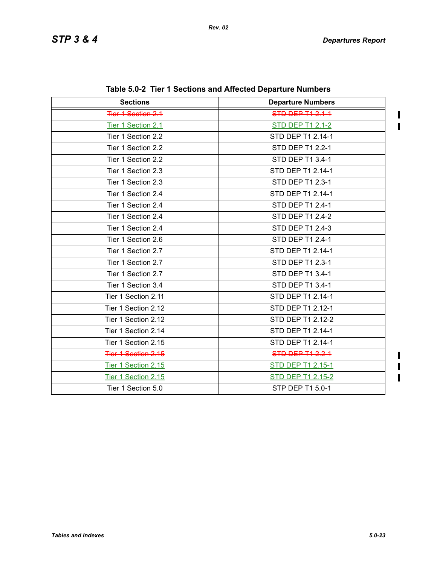$\mathbf I$  $\mathbf{I}$ 

 $\blacksquare$  $\overline{\mathbf{I}}$  $\mathbf{I}$ 

| <b>Sections</b>     | <b>Departure Numbers</b> |
|---------------------|--------------------------|
| Tier 1 Section 2.1  | <b>STD DEP T1 2.1-1</b>  |
| Tier 1 Section 2.1  | <b>STD DEP T1 2.1-2</b>  |
| Tier 1 Section 2.2  | STD DEP T1 2.14-1        |
| Tier 1 Section 2.2  | STD DEP T1 2.2-1         |
| Tier 1 Section 2.2  | STD DEP T1 3.4-1         |
| Tier 1 Section 2.3  | STD DEP T1 2.14-1        |
| Tier 1 Section 2.3  | STD DEP T1 2.3-1         |
| Tier 1 Section 2.4  | STD DEP T1 2.14-1        |
| Tier 1 Section 2.4  | STD DEP T1 2.4-1         |
| Tier 1 Section 2.4  | STD DEP T1 2.4-2         |
| Tier 1 Section 2.4  | STD DEP T1 2.4-3         |
| Tier 1 Section 2.6  | STD DEP T1 2.4-1         |
| Tier 1 Section 2.7  | STD DEP T1 2.14-1        |
| Tier 1 Section 2.7  | STD DEP T1 2.3-1         |
| Tier 1 Section 2.7  | STD DEP T1 3.4-1         |
| Tier 1 Section 3.4  | STD DEP T1 3.4-1         |
| Tier 1 Section 2.11 | STD DEP T1 2.14-1        |
| Tier 1 Section 2.12 | STD DEP T1 2.12-1        |
| Tier 1 Section 2.12 | STD DEP T1 2.12-2        |
| Tier 1 Section 2.14 | STD DEP T1 2.14-1        |
| Tier 1 Section 2.15 | STD DEP T1 2.14-1        |
| Tier 1 Section 2.15 | STD DEP T1 2.2-1         |
| Tier 1 Section 2.15 | <b>STD DEP T1 2.15-1</b> |
| Tier 1 Section 2.15 | STD DEP T1 2.15-2        |
| Tier 1 Section 5.0  | STP DEP T1 5.0-1         |

|  |  | Table 5.0-2 Tier 1 Sections and Affected Departure Numbers |  |  |  |
|--|--|------------------------------------------------------------|--|--|--|
|--|--|------------------------------------------------------------|--|--|--|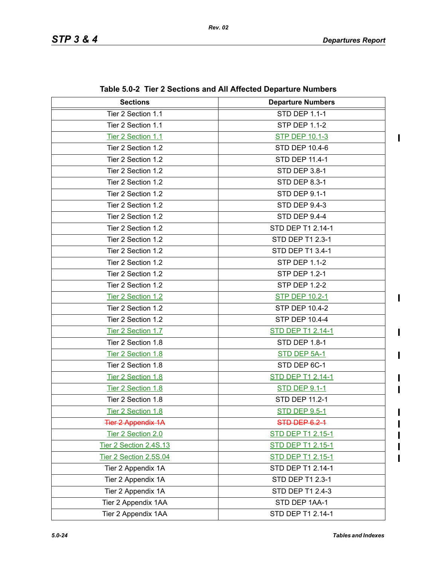$\mathbf{I}$ 

 $\blacksquare$ 

 $\mathbf I$ 

Π

| <b>Sections</b>           | <b>Departure Numbers</b> |  |
|---------------------------|--------------------------|--|
| Tier 2 Section 1.1        | <b>STD DEP 1.1-1</b>     |  |
| Tier 2 Section 1.1        | <b>STP DEP 1.1-2</b>     |  |
| Tier 2 Section 1.1        | <b>STP DEP 10.1-3</b>    |  |
| Tier 2 Section 1.2        | <b>STD DEP 10.4-6</b>    |  |
| Tier 2 Section 1.2        | STD DEP 11.4-1           |  |
| Tier 2 Section 1.2        | <b>STD DEP 3.8-1</b>     |  |
| Tier 2 Section 1.2        | <b>STD DEP 8.3-1</b>     |  |
| Tier 2 Section 1.2        | <b>STD DEP 9.1-1</b>     |  |
| Tier 2 Section 1.2        | <b>STD DEP 9.4-3</b>     |  |
| Tier 2 Section 1.2        | STD DEP 9.4-4            |  |
| Tier 2 Section 1.2        | STD DEP T1 2.14-1        |  |
| Tier 2 Section 1.2        | STD DEP T1 2.3-1         |  |
| Tier 2 Section 1.2        | STD DEP T1 3.4-1         |  |
| Tier 2 Section 1.2        | <b>STP DEP 1.1-2</b>     |  |
| Tier 2 Section 1.2        | <b>STP DEP 1.2-1</b>     |  |
| Tier 2 Section 1.2        | <b>STP DEP 1.2-2</b>     |  |
| Tier 2 Section 1.2        | <b>STP DEP 10.2-1</b>    |  |
| Tier 2 Section 1.2        | <b>STP DEP 10.4-2</b>    |  |
| Tier 2 Section 1.2        | <b>STP DEP 10.4-4</b>    |  |
| Tier 2 Section 1.7        | <b>STD DEP T1 2.14-1</b> |  |
| Tier 2 Section 1.8        | STD DEP 1.8-1            |  |
| Tier 2 Section 1.8        | STD DEP 5A-1             |  |
| Tier 2 Section 1.8        | STD DEP 6C-1             |  |
| Tier 2 Section 1.8        | <b>STD DEP T1 2.14-1</b> |  |
| Tier 2 Section 1.8        | <b>STD DEP 9.1-1</b>     |  |
| Tier 2 Section 1.8        | STD DEP 11.2-1           |  |
| Tier 2 Section 1.8        | <b>STD DEP 9.5-1</b>     |  |
| <b>Tier 2 Appendix 1A</b> | <b>STD DEP 6.2-1</b>     |  |
| Tier 2 Section 2.0        | <b>STD DEP T1 2.15-1</b> |  |
| Tier 2 Section 2.4S.13    | STD DEP T1 2.15-1        |  |
| Tier 2 Section 2.5S.04    | STD DEP T1 2.15-1        |  |
| Tier 2 Appendix 1A        | STD DEP T1 2.14-1        |  |
| Tier 2 Appendix 1A        | STD DEP T1 2.3-1         |  |
| Tier 2 Appendix 1A        | STD DEP T1 2.4-3         |  |
| Tier 2 Appendix 1AA       | STD DEP 1AA-1            |  |
| Tier 2 Appendix 1AA       | STD DEP T1 2.14-1        |  |

**Table 5.0-2 Tier 2 Sections and All Affected Departure Numbers**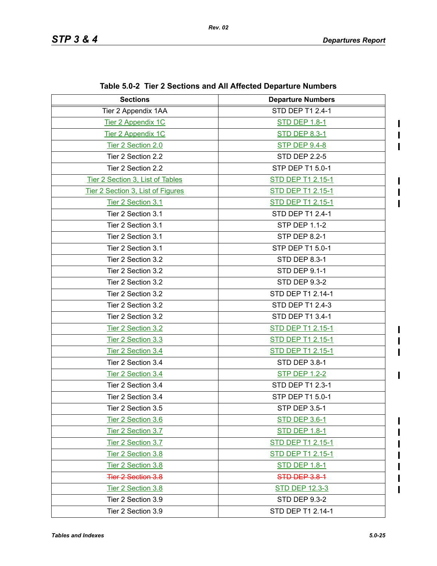$\mathbf I$  $\mathbf I$  $\blacksquare$ 

 $\blacksquare$  $\blacksquare$  $\blacksquare$ 

 $\begin{array}{c} \rule{0pt}{2.5ex} \rule{0pt}{2.5ex} \rule{0pt}{2.5ex} \rule{0pt}{2.5ex} \rule{0pt}{2.5ex} \rule{0pt}{2.5ex} \rule{0pt}{2.5ex} \rule{0pt}{2.5ex} \rule{0pt}{2.5ex} \rule{0pt}{2.5ex} \rule{0pt}{2.5ex} \rule{0pt}{2.5ex} \rule{0pt}{2.5ex} \rule{0pt}{2.5ex} \rule{0pt}{2.5ex} \rule{0pt}{2.5ex} \rule{0pt}{2.5ex} \rule{0pt}{2.5ex} \rule{0pt}{2.5ex} \rule{0$  $\blacksquare$  $\blacksquare$ 

 $\blacksquare$ 

 $\mathbf I$ 

| <b>Sections</b>                   | <b>Departure Numbers</b> |  |
|-----------------------------------|--------------------------|--|
| Tier 2 Appendix 1AA               | STD DEP T1 2.4-1         |  |
| Tier 2 Appendix 1C                | <b>STD DEP 1.8-1</b>     |  |
| Tier 2 Appendix 1C                | <b>STD DEP 8.3-1</b>     |  |
| Tier 2 Section 2.0                | <b>STP DEP 9.4-8</b>     |  |
| Tier 2 Section 2.2                | <b>STD DEP 2.2-5</b>     |  |
| Tier 2 Section 2.2                | STP DEP T1 5.0-1         |  |
| Tier 2 Section 3, List of Tables  | STD DEP T1 2.15-1        |  |
| Tier 2 Section 3, List of Figures | <b>STD DEP T1 2.15-1</b> |  |
| Tier 2 Section 3.1                | <b>STD DEP T1 2.15-1</b> |  |
| Tier 2 Section 3.1                | STD DEP T1 2.4-1         |  |
| Tier 2 Section 3.1                | <b>STP DEP 1.1-2</b>     |  |
| Tier 2 Section 3.1                | <b>STP DEP 8.2-1</b>     |  |
| Tier 2 Section 3.1                | STP DEP T1 5.0-1         |  |
| Tier 2 Section 3.2                | <b>STD DEP 8.3-1</b>     |  |
| Tier 2 Section 3.2                | <b>STD DEP 9.1-1</b>     |  |
| Tier 2 Section 3.2                | <b>STD DEP 9.3-2</b>     |  |
| Tier 2 Section 3.2                | STD DEP T1 2.14-1        |  |
| Tier 2 Section 3.2                | STD DEP T1 2.4-3         |  |
| Tier 2 Section 3.2                | STD DEP T1 3.4-1         |  |
| Tier 2 Section 3.2                | <b>STD DEP T1 2.15-1</b> |  |
| Tier 2 Section 3.3                | <b>STD DEP T1 2.15-1</b> |  |
| Tier 2 Section 3.4                | <b>STD DEP T1 2.15-1</b> |  |
| Tier 2 Section 3.4                | STD DEP 3.8-1            |  |
| Tier 2 Section 3.4                | <b>STP DEP 1.2-2</b>     |  |
| Tier 2 Section 3.4                | STD DEP T1 2.3-1         |  |
| Tier 2 Section 3.4                | STP DEP T1 5.0-1         |  |
| Tier 2 Section 3.5                | STP DEP 3.5-1            |  |
| Tier 2 Section 3.6                | <b>STD DEP 3.6-1</b>     |  |
| Tier 2 Section 3.7                | <b>STD DEP 1.8-1</b>     |  |
| Tier 2 Section 3.7                | STD DEP T1 2.15-1        |  |
| Tier 2 Section 3.8                | STD DEP T1 2.15-1        |  |
| Tier 2 Section 3.8                | <b>STD DEP 1.8-1</b>     |  |
| <b>Tier 2 Section 3.8</b>         | STD DEP 3.8-1            |  |
| Tier 2 Section 3.8                | <b>STD DEP 12.3-3</b>    |  |
| Tier 2 Section 3.9                | <b>STD DEP 9.3-2</b>     |  |
| Tier 2 Section 3.9                | STD DEP T1 2.14-1        |  |

**Table 5.0-2 Tier 2 Sections and All Affected Departure Numbers**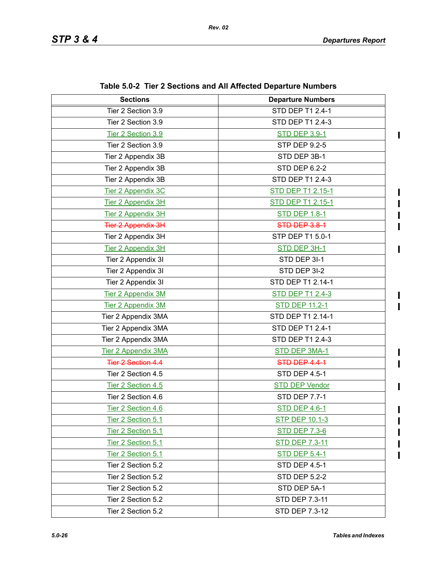$\mathbf I$  $\blacksquare$ 

 $\blacksquare$ 

 $\mathbf I$  $\mathbf{I}$ 

 $\mathbf I$  $\blacksquare$ 

 $\mathbf I$ 

| <b>Sections</b>           | <b>Departure Numbers</b> |  |
|---------------------------|--------------------------|--|
| Tier 2 Section 3.9        | <b>STD DEP T1 2.4-1</b>  |  |
| Tier 2 Section 3.9        | STD DEP T1 2.4-3         |  |
| Tier 2 Section 3.9        | <b>STD DEP 3.9-1</b>     |  |
| Tier 2 Section 3.9        | <b>STP DEP 9.2-5</b>     |  |
| Tier 2 Appendix 3B        | STD DEP 3B-1             |  |
| Tier 2 Appendix 3B        | <b>STD DEP 6.2-2</b>     |  |
| Tier 2 Appendix 3B        | STD DEP T1 2.4-3         |  |
| <b>Tier 2 Appendix 3C</b> | STD DEP T1 2.15-1        |  |
| Tier 2 Appendix 3H        | STD DEP T1 2.15-1        |  |
| Tier 2 Appendix 3H        | <b>STD DEP 1.8-1</b>     |  |
| <b>Tier 2 Appendix 3H</b> | STD DEP 3.8-1            |  |
| Tier 2 Appendix 3H        | STP DEP T1 5.0-1         |  |
| Tier 2 Appendix 3H        | STD DEP 3H-1             |  |
| Tier 2 Appendix 3I        | STD DEP 3I-1             |  |
| Tier 2 Appendix 3I        | STD DEP 3I-2             |  |
| Tier 2 Appendix 3I        | STD DEP T1 2.14-1        |  |
| <b>Tier 2 Appendix 3M</b> | <b>STD DEP T1 2.4-3</b>  |  |
| Tier 2 Appendix 3M        | <b>STD DEP 11.2-1</b>    |  |
| Tier 2 Appendix 3MA       | STD DEP T1 2.14-1        |  |
| Tier 2 Appendix 3MA       | STD DEP T1 2.4-1         |  |
| Tier 2 Appendix 3MA       | STD DEP T1 2.4-3         |  |
| Tier 2 Appendix 3MA       | STD DEP 3MA-1            |  |
| <b>Tier 2 Section 4.4</b> | STD DEP 4.4-1            |  |
| Tier 2 Section 4.5        | STD DEP 4.5-1            |  |
| Tier 2 Section 4.5        | <b>STD DEP Vendor</b>    |  |
| Tier 2 Section 4.6        | <b>STD DEP 7.7-1</b>     |  |
| Tier 2 Section 4.6        | <b>STD DEP 4.6-1</b>     |  |
| Tier 2 Section 5.1        | <b>STP DEP 10.1-3</b>    |  |
| Tier 2 Section 5.1        | <b>STD DEP 7.3-6</b>     |  |
| Tier 2 Section 5.1        | <u>STD DEP 7.3-11</u>    |  |
| Tier 2 Section 5.1        | <b>STD DEP 5.4-1</b>     |  |
| Tier 2 Section 5.2        | <b>STD DEP 4.5-1</b>     |  |
| Tier 2 Section 5.2        | <b>STD DEP 5.2-2</b>     |  |
| Tier 2 Section 5.2        | STD DEP 5A-1             |  |
| Tier 2 Section 5.2        | STD DEP 7.3-11           |  |
| Tier 2 Section 5.2        | STD DEP 7.3-12           |  |

**Table 5.0-2 Tier 2 Sections and All Affected Departure Numbers**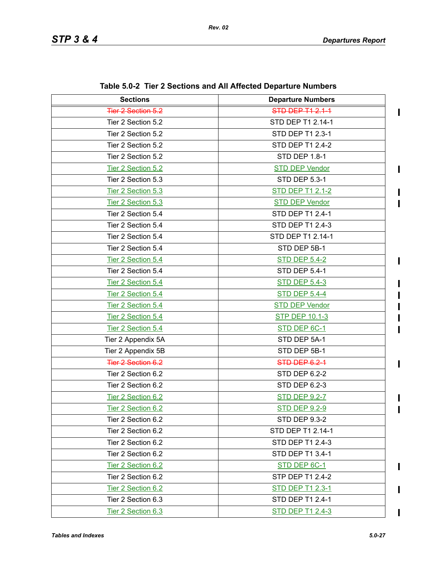| <b>Sections</b>           | <b>Departure Numbers</b> |  |
|---------------------------|--------------------------|--|
| <b>Tier 2 Section 5.2</b> | STD DEP T1 2.1-1         |  |
| Tier 2 Section 5.2        | STD DEP T1 2.14-1        |  |
| Tier 2 Section 5.2        | <b>STD DEP T1 2.3-1</b>  |  |
| Tier 2 Section 5.2        | STD DEP T1 2.4-2         |  |
| Tier 2 Section 5.2        | <b>STD DEP 1.8-1</b>     |  |
| Tier 2 Section 5.2        | <b>STD DEP Vendor</b>    |  |
| Tier 2 Section 5.3        | <b>STD DEP 5.3-1</b>     |  |
| Tier 2 Section 5.3        | <b>STD DEP T1 2.1-2</b>  |  |
| Tier 2 Section 5.3        | <b>STD DEP Vendor</b>    |  |
| Tier 2 Section 5.4        | STD DEP T1 2.4-1         |  |
| Tier 2 Section 5.4        | STD DEP T1 2.4-3         |  |
| Tier 2 Section 5.4        | STD DEP T1 2.14-1        |  |
| Tier 2 Section 5.4        | STD DEP 5B-1             |  |
| Tier 2 Section 5.4        | <b>STD DEP 5.4-2</b>     |  |
| Tier 2 Section 5.4        | <b>STD DEP 5.4-1</b>     |  |
| Tier 2 Section 5.4        | <b>STD DEP 5.4-3</b>     |  |
| Tier 2 Section 5.4        | <b>STD DEP 5.4-4</b>     |  |
| Tier 2 Section 5.4        | <b>STD DEP Vendor</b>    |  |
| Tier 2 Section 5.4        | <b>STP DEP 10.1-3</b>    |  |
| Tier 2 Section 5.4        | STD DEP 6C-1             |  |
| Tier 2 Appendix 5A        | STD DEP 5A-1             |  |
| Tier 2 Appendix 5B        | STD DEP 5B-1             |  |
| <b>Tier 2 Section 6.2</b> | STD DEP 6.2-1            |  |
| Tier 2 Section 6.2        | <b>STD DEP 6.2-2</b>     |  |
| Tier 2 Section 6.2        | STD DEP 6.2-3            |  |
| Tier 2 Section 6.2        | <b>STD DEP 9.2-7</b>     |  |
| Tier 2 Section 6.2        | <b>STD DEP 9.2-9</b>     |  |
| Tier 2 Section 6.2        | STD DEP 9.3-2            |  |
| Tier 2 Section 6.2        | STD DEP T1 2.14-1        |  |
| Tier 2 Section 6.2        | STD DEP T1 2.4-3         |  |
| Tier 2 Section 6.2        | STD DEP T1 3.4-1         |  |
| Tier 2 Section 6.2        | STD DEP 6C-1             |  |
| Tier 2 Section 6.2        | STP DEP T1 2.4-2         |  |
| Tier 2 Section 6.2        | <b>STD DEP T1 2.3-1</b>  |  |
| Tier 2 Section 6.3        | STD DEP T1 2.4-1         |  |
| Tier 2 Section 6.3        | STD DEP T1 2.4-3         |  |

**Table 5.0-2 Tier 2 Sections and All Affected Departure Numbers**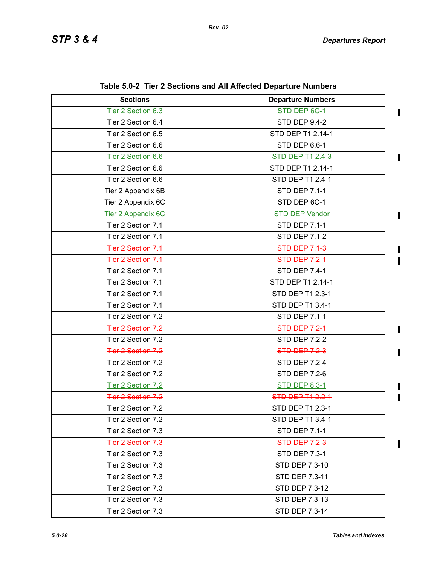| <b>Sections</b>           | <b>Departure Numbers</b> |  |
|---------------------------|--------------------------|--|
| Tier 2 Section 6.3        | STD DEP 6C-1             |  |
| Tier 2 Section 6.4        | <b>STD DEP 9.4-2</b>     |  |
| Tier 2 Section 6.5        | STD DEP T1 2.14-1        |  |
| Tier 2 Section 6.6        | STD DEP 6.6-1            |  |
| Tier 2 Section 6.6        | <b>STD DEP T1 2.4-3</b>  |  |
| Tier 2 Section 6.6        | STD DEP T1 2.14-1        |  |
| Tier 2 Section 6.6        | STD DEP T1 2.4-1         |  |
| Tier 2 Appendix 6B        | <b>STD DEP 7.1-1</b>     |  |
| Tier 2 Appendix 6C        | STD DEP 6C-1             |  |
| Tier 2 Appendix 6C        | <b>STD DEP Vendor</b>    |  |
| Tier 2 Section 7.1        | <b>STD DEP 7.1-1</b>     |  |
| Tier 2 Section 7.1        | <b>STD DEP 7.1-2</b>     |  |
| <b>Tier 2 Section 7.1</b> | <b>STD DEP 7.1-3</b>     |  |
| <b>Tier 2 Section 7.1</b> | <b>STD DEP 7.2-1</b>     |  |
| Tier 2 Section 7.1        | <b>STD DEP 7.4-1</b>     |  |
| Tier 2 Section 7.1        | STD DEP T1 2.14-1        |  |
| Tier 2 Section 7.1        | STD DEP T1 2.3-1         |  |
| Tier 2 Section 7.1        | STD DEP T1 3.4-1         |  |
| Tier 2 Section 7.2        | <b>STD DEP 7.1-1</b>     |  |
| <b>Tier 2 Section 7.2</b> | <b>STD DEP 7.2-1</b>     |  |
| Tier 2 Section 7.2        | <b>STD DEP 7.2-2</b>     |  |
| <b>Tier 2 Section 7.2</b> | <b>STD DEP 7.2-3</b>     |  |
| Tier 2 Section 7.2        | <b>STD DEP 7.2-4</b>     |  |
| Tier 2 Section 7.2        | <b>STD DEP 7.2-6</b>     |  |
| Tier 2 Section 7.2        | <b>STD DEP 8.3-1</b>     |  |
| <b>Tier 2 Section 7.2</b> | <b>STD DEP T1 2.2-1</b>  |  |
| Tier 2 Section 7.2        | STD DEP T1 2.3-1         |  |
| Tier 2 Section 7.2        | STD DEP T1 3.4-1         |  |
| Tier 2 Section 7.3        | <b>STD DEP 7.1-1</b>     |  |
| Tier 2 Section 7.3        | <b>STD DEP 7.2-3</b>     |  |
| Tier 2 Section 7.3        | <b>STD DEP 7.3-1</b>     |  |
| Tier 2 Section 7.3        | STD DEP 7.3-10           |  |
| Tier 2 Section 7.3        | STD DEP 7.3-11           |  |
| Tier 2 Section 7.3        | STD DEP 7.3-12           |  |
| Tier 2 Section 7.3        | STD DEP 7.3-13           |  |
| Tier 2 Section 7.3        | STD DEP 7.3-14           |  |

**Table 5.0-2 Tier 2 Sections and All Affected Departure Numbers**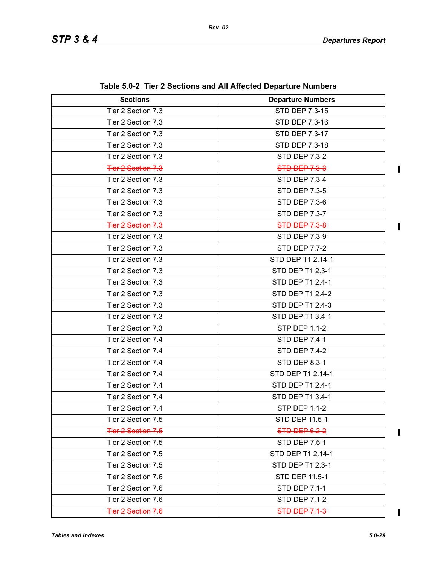$\mathbf I$ 

 $\blacksquare$ 

 $\mathbf{I}$ 

 $\overline{\mathbf{I}}$ 

| <b>Sections</b>           | <b>Departure Numbers</b> |  |
|---------------------------|--------------------------|--|
| Tier 2 Section 7.3        | STD DEP 7.3-15           |  |
| Tier 2 Section 7.3        | STD DEP 7.3-16           |  |
| Tier 2 Section 7.3        | <b>STD DEP 7.3-17</b>    |  |
| Tier 2 Section 7.3        | STD DEP 7.3-18           |  |
| Tier 2 Section 7.3        | <b>STD DEP 7.3-2</b>     |  |
| Tier 2 Section 7.3        | <b>STD DEP 7.3-3</b>     |  |
| Tier 2 Section 7.3        | <b>STD DEP 7.3-4</b>     |  |
| Tier 2 Section 7.3        | <b>STD DEP 7.3-5</b>     |  |
| Tier 2 Section 7.3        | <b>STD DEP 7.3-6</b>     |  |
| Tier 2 Section 7.3        | STD DEP 7.3-7            |  |
| <b>Tier 2 Section 7.3</b> | <b>STD DEP 7.3-8</b>     |  |
| Tier 2 Section 7.3        | <b>STD DEP 7.3-9</b>     |  |
| Tier 2 Section 7.3        | <b>STD DEP 7.7-2</b>     |  |
| Tier 2 Section 7.3        | STD DEP T1 2.14-1        |  |
| Tier 2 Section 7.3        | STD DEP T1 2.3-1         |  |
| Tier 2 Section 7.3        | STD DEP T1 2.4-1         |  |
| Tier 2 Section 7.3        | STD DEP T1 2.4-2         |  |
| Tier 2 Section 7.3        | STD DEP T1 2.4-3         |  |
| Tier 2 Section 7.3        | STD DEP T1 3.4-1         |  |
| Tier 2 Section 7.3        | <b>STP DEP 1.1-2</b>     |  |
| Tier 2 Section 7.4        | <b>STD DEP 7.4-1</b>     |  |
| Tier 2 Section 7.4        | <b>STD DEP 7.4-2</b>     |  |
| Tier 2 Section 7.4        | STD DEP 8.3-1            |  |
| Tier 2 Section 7.4        | STD DEP T1 2.14-1        |  |
| Tier 2 Section 7.4        | STD DEP T1 2.4-1         |  |
| Tier 2 Section 7.4        | STD DEP T1 3.4-1         |  |
| Tier 2 Section 7.4        | <b>STP DEP 1.1-2</b>     |  |
| Tier 2 Section 7.5        | STD DEP 11.5-1           |  |
| <b>Tier 2 Section 7.5</b> | STD DEP 6.2-2            |  |
| Tier 2 Section 7.5        | <b>STD DEP 7.5-1</b>     |  |
| Tier 2 Section 7.5        | STD DEP T1 2.14-1        |  |
| Tier 2 Section 7.5        | STD DEP T1 2.3-1         |  |
| Tier 2 Section 7.6        | STD DEP 11.5-1           |  |
| Tier 2 Section 7.6        | STD DEP 7.1-1            |  |
| Tier 2 Section 7.6        | <b>STD DEP 7.1-2</b>     |  |
| <b>Tier 2 Section 7.6</b> | <b>STD DEP 7.1-3</b>     |  |

| Table 5.0-2 Tier 2 Sections and All Affected Departure Numbers |  |  |  |  |  |
|----------------------------------------------------------------|--|--|--|--|--|
|----------------------------------------------------------------|--|--|--|--|--|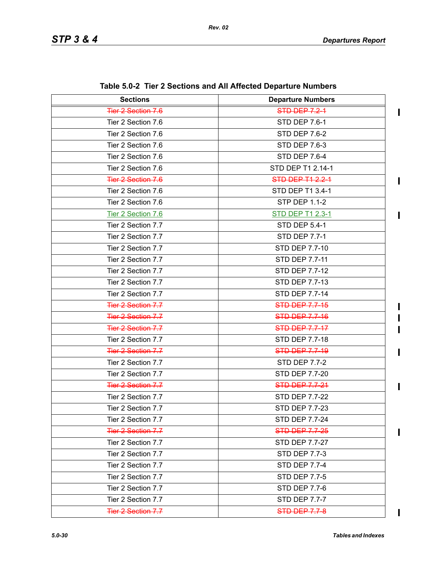| <b>Sections</b>           | <b>Departure Numbers</b> |  |
|---------------------------|--------------------------|--|
| Tier 2 Section 7.6        | <b>STD DEP 7.2-1</b>     |  |
| Tier 2 Section 7.6        | <b>STD DEP 7.6-1</b>     |  |
| Tier 2 Section 7.6        | <b>STD DEP 7.6-2</b>     |  |
| Tier 2 Section 7.6        | <b>STD DEP 7.6-3</b>     |  |
| Tier 2 Section 7.6        | <b>STD DEP 7.6-4</b>     |  |
| Tier 2 Section 7.6        | STD DEP T1 2.14-1        |  |
| Tier 2 Section 7.6        | STD DEP T1 2.2-1         |  |
| Tier 2 Section 7.6        | STD DEP T1 3.4-1         |  |
| Tier 2 Section 7.6        | <b>STP DEP 1.1-2</b>     |  |
| Tier 2 Section 7.6        | <b>STD DEP T1 2.3-1</b>  |  |
| Tier 2 Section 7.7        | <b>STD DEP 5.4-1</b>     |  |
| Tier 2 Section 7.7        | <b>STD DEP 7.7-1</b>     |  |
| Tier 2 Section 7.7        | STD DEP 7.7-10           |  |
| Tier 2 Section 7.7        | STD DEP 7.7-11           |  |
| Tier 2 Section 7.7        | STD DEP 7.7-12           |  |
| Tier 2 Section 7.7        | STD DEP 7.7-13           |  |
| Tier 2 Section 7.7        | <b>STD DEP 7.7-14</b>    |  |
| Tier 2 Section 7.7        | <b>STD DEP 7.7-15</b>    |  |
| <b>Tier 2 Section 7.7</b> | <b>STD-DEP 7.7-16</b>    |  |
| <b>Tier 2 Section 7.7</b> | <b>STD DEP 7.7-17</b>    |  |
| Tier 2 Section 7.7        | STD DEP 7.7-18           |  |
| <b>Tier 2 Section 7.7</b> | STD DEP 7.7-19           |  |
| Tier 2 Section 7.7        | <b>STD DEP 7.7-2</b>     |  |
| Tier 2 Section 7.7        | STD DEP 7.7-20           |  |
| <b>Tier 2 Section 7.7</b> | <b>STD-DEP 7.7-24</b>    |  |
| Tier 2 Section 7.7        | <b>STD DEP 7.7-22</b>    |  |
| Tier 2 Section 7.7        | STD DEP 7.7-23           |  |
| Tier 2 Section 7.7        | STD DEP 7.7-24           |  |
| <b>Tier 2 Section 7.7</b> | <b>STD DEP 7.7-25</b>    |  |
| Tier 2 Section 7.7        | <b>STD DEP 7.7-27</b>    |  |
| Tier 2 Section 7.7        | <b>STD DEP 7.7-3</b>     |  |
| Tier 2 Section 7.7        | <b>STD DEP 7.7-4</b>     |  |
| Tier 2 Section 7.7        | <b>STD DEP 7.7-5</b>     |  |
| Tier 2 Section 7.7        | <b>STD DEP 7.7-6</b>     |  |
| Tier 2 Section 7.7        | <b>STD DEP 7.7-7</b>     |  |
| Tier 2 Section 7.7        | <b>STD DEP 7.7-8</b>     |  |

**Table 5.0-2 Tier 2 Sections and All Affected Departure Numbers**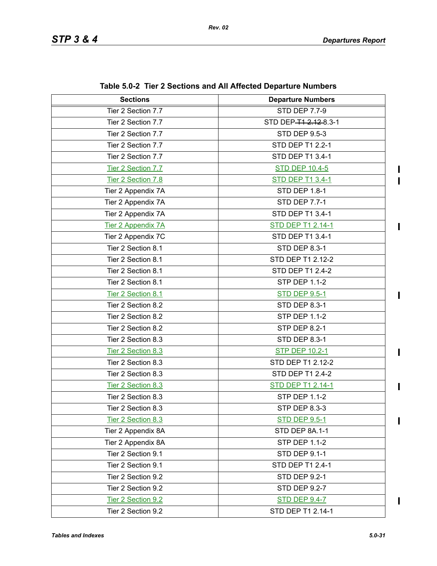$\mathbf I$  $\mathbf{I}$ 

 $\mathbf{I}$ 

 $\begin{array}{c} \hline \end{array}$ 

 $\mathbf I$ 

 $\blacksquare$ 

 $\blacksquare$ 

| <b>Sections</b>           | <b>Departure Numbers</b> |  |
|---------------------------|--------------------------|--|
| Tier 2 Section 7.7        | <b>STD DEP 7.7-9</b>     |  |
| Tier 2 Section 7.7        | STD DEP-T1-2.12-8.3-1    |  |
| Tier 2 Section 7.7        | <b>STD DEP 9.5-3</b>     |  |
| Tier 2 Section 7.7        | STD DEP T1 2.2-1         |  |
| Tier 2 Section 7.7        | STD DEP T1 3.4-1         |  |
| Tier 2 Section 7.7        | <b>STD DEP 10.4-5</b>    |  |
| Tier 2 Section 7.8        | <b>STD DEP T1 3.4-1</b>  |  |
| Tier 2 Appendix 7A        | STD DEP 1.8-1            |  |
| Tier 2 Appendix 7A        | <b>STD DEP 7.7-1</b>     |  |
| Tier 2 Appendix 7A        | STD DEP T1 3.4-1         |  |
| <b>Tier 2 Appendix 7A</b> | <b>STD DEP T1 2.14-1</b> |  |
| Tier 2 Appendix 7C        | STD DEP T1 3.4-1         |  |
| Tier 2 Section 8.1        | STD DEP 8.3-1            |  |
| Tier 2 Section 8.1        | STD DEP T1 2.12-2        |  |
| Tier 2 Section 8.1        | STD DEP T1 2.4-2         |  |
| Tier 2 Section 8.1        | <b>STP DEP 1.1-2</b>     |  |
| Tier 2 Section 8.1        | <b>STD DEP 9.5-1</b>     |  |
| Tier 2 Section 8.2        | <b>STD DEP 8.3-1</b>     |  |
| Tier 2 Section 8.2        | <b>STP DEP 1.1-2</b>     |  |
| Tier 2 Section 8.2        | STP DEP 8.2-1            |  |
| Tier 2 Section 8.3        | <b>STD DEP 8.3-1</b>     |  |
| Tier 2 Section 8.3        | <b>STP DEP 10.2-1</b>    |  |
| Tier 2 Section 8.3        | STD DEP T1 2.12-2        |  |
| Tier 2 Section 8.3        | STD DEP T1 2.4-2         |  |
| Tier 2 Section 8.3        | <b>STD DEP T1 2.14-1</b> |  |
| Tier 2 Section 8.3        | <b>STP DEP 1.1-2</b>     |  |
| Tier 2 Section 8.3        | STP DEP 8.3-3            |  |
| Tier 2 Section 8.3        | <b>STD DEP 9.5-1</b>     |  |
| Tier 2 Appendix 8A        | STD DEP 8A.1-1           |  |
| Tier 2 Appendix 8A        | <b>STP DEP 1.1-2</b>     |  |
| Tier 2 Section 9.1        | <b>STD DEP 9.1-1</b>     |  |
| Tier 2 Section 9.1        | STD DEP T1 2.4-1         |  |
| Tier 2 Section 9.2        | <b>STD DEP 9.2-1</b>     |  |
| Tier 2 Section 9.2        | <b>STD DEP 9.2-7</b>     |  |
| Tier 2 Section 9.2        | <b>STD DEP 9.4-7</b>     |  |
| Tier 2 Section 9.2        | STD DEP T1 2.14-1        |  |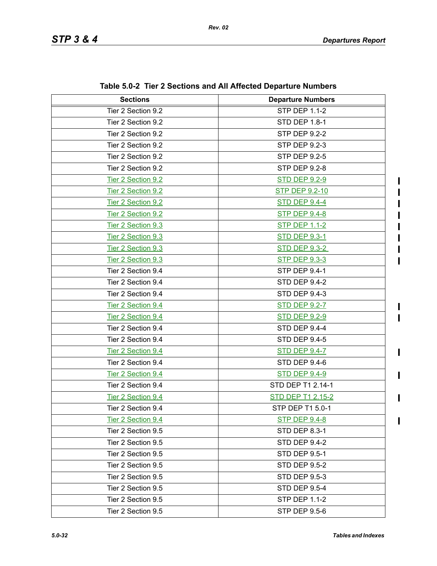$\mathbf I$  $\blacksquare$ 

 $\blacksquare$ 

 $\mathbf I$ 

 $\mathbf I$ 

| <b>Sections</b>    | <b>Departure Numbers</b> |
|--------------------|--------------------------|
| Tier 2 Section 9.2 | <b>STP DEP 1.1-2</b>     |
| Tier 2 Section 9.2 | <b>STD DEP 1.8-1</b>     |
| Tier 2 Section 9.2 | <b>STP DEP 9.2-2</b>     |
| Tier 2 Section 9.2 | <b>STP DEP 9.2-3</b>     |
| Tier 2 Section 9.2 | <b>STP DEP 9.2-5</b>     |
| Tier 2 Section 9.2 | <b>STP DEP 9.2-8</b>     |
| Tier 2 Section 9.2 | <b>STD DEP 9.2-9</b>     |
| Tier 2 Section 9.2 | <b>STP DEP 9.2-10</b>    |
| Tier 2 Section 9.2 | <b>STD DEP 9.4-4</b>     |
| Tier 2 Section 9.2 | <b>STP DEP 9.4-8</b>     |
| Tier 2 Section 9.3 | <b>STP DEP 1.1-2</b>     |
| Tier 2 Section 9.3 | <b>STD DEP 9.3-1</b>     |
| Tier 2 Section 9.3 | <b>STD DEP 9.3-2</b>     |
| Tier 2 Section 9.3 | <b>STP DEP 9.3-3</b>     |
| Tier 2 Section 9.4 | <b>STP DEP 9.4-1</b>     |
| Tier 2 Section 9.4 | <b>STD DEP 9.4-2</b>     |
| Tier 2 Section 9.4 | <b>STD DEP 9.4-3</b>     |
| Tier 2 Section 9.4 | <b>STD DEP 9.2-7</b>     |
| Tier 2 Section 9.4 | <b>STD DEP 9.2-9</b>     |
| Tier 2 Section 9.4 | <b>STD DEP 9.4-4</b>     |
| Tier 2 Section 9.4 | <b>STD DEP 9.4-5</b>     |
| Tier 2 Section 9.4 | <b>STD DEP 9.4-7</b>     |
| Tier 2 Section 9.4 | STD DEP 9.4-6            |
| Tier 2 Section 9.4 | <b>STD DEP 9.4-9</b>     |
| Tier 2 Section 9.4 | STD DEP T1 2.14-1        |
| Tier 2 Section 9.4 | <b>STD DEP T1 2.15-2</b> |
| Tier 2 Section 9.4 | STP DEP T1 5.0-1         |
| Tier 2 Section 9.4 | <b>STP DEP 9.4-8</b>     |
| Tier 2 Section 9.5 | STD DEP 8.3-1            |
| Tier 2 Section 9.5 | STD DEP 9.4-2            |
| Tier 2 Section 9.5 | <b>STD DEP 9.5-1</b>     |
| Tier 2 Section 9.5 | <b>STD DEP 9.5-2</b>     |
| Tier 2 Section 9.5 | <b>STD DEP 9.5-3</b>     |
| Tier 2 Section 9.5 | <b>STD DEP 9.5-4</b>     |
| Tier 2 Section 9.5 | <b>STP DEP 1.1-2</b>     |
| Tier 2 Section 9.5 | STP DEP 9.5-6            |

**Table 5.0-2 Tier 2 Sections and All Affected Departure Numbers**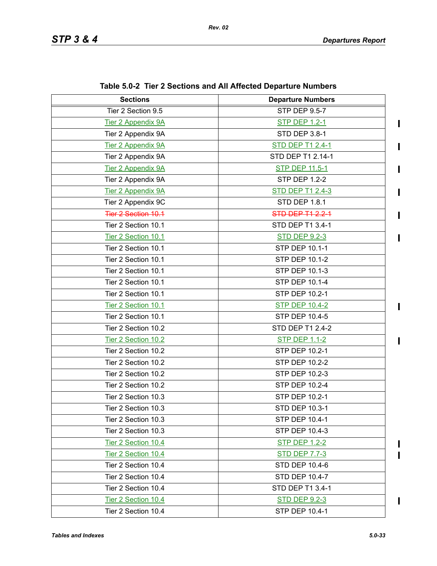$\blacksquare$ 

 $\blacksquare$ 

 $\blacksquare$ 

 $\blacksquare$ 

 $\mathbf I$ 

 $\mathbf{I}$ 

 $\mathbf{I}$ 

 $\mathbf I$ П

| <b>Sections</b>            | <b>Departure Numbers</b> |
|----------------------------|--------------------------|
| Tier 2 Section 9.5         | <b>STP DEP 9.5-7</b>     |
| <b>Tier 2 Appendix 9A</b>  | <b>STP DEP 1.2-1</b>     |
| Tier 2 Appendix 9A         | STD DEP 3.8-1            |
| <b>Tier 2 Appendix 9A</b>  | <b>STD DEP T1 2.4-1</b>  |
| Tier 2 Appendix 9A         | STD DEP T1 2.14-1        |
| <b>Tier 2 Appendix 9A</b>  | <b>STP DEP 11.5-1</b>    |
| Tier 2 Appendix 9A         | <b>STP DEP 1.2-2</b>     |
| Tier 2 Appendix 9A         | <b>STD DEP T1 2.4-3</b>  |
| Tier 2 Appendix 9C         | <b>STD DEP 1.8.1</b>     |
| <b>Tier 2 Section 10.1</b> | <b>STD DEP T1 2.2-1</b>  |
| Tier 2 Section 10.1        | STD DEP T1 3.4-1         |
| Tier 2 Section 10.1        | <b>STD DEP 9.2-3</b>     |
| Tier 2 Section 10.1        | STP DEP 10.1-1           |
| Tier 2 Section 10.1        | STP DEP 10.1-2           |
| Tier 2 Section 10.1        | STP DEP 10.1-3           |
| Tier 2 Section 10.1        | STP DEP 10.1-4           |
| Tier 2 Section 10.1        | STP DEP 10.2-1           |
| Tier 2 Section 10.1        | <b>STP DEP 10.4-2</b>    |
| Tier 2 Section 10.1        | STP DEP 10.4-5           |
| Tier 2 Section 10.2        | STD DEP T1 2.4-2         |
| Tier 2 Section 10.2        | <b>STP DEP 1.1-2</b>     |
| Tier 2 Section 10.2        | STP DEP 10.2-1           |
| Tier 2 Section 10.2        | STP DEP 10.2-2           |
| Tier 2 Section 10.2        | STP DEP 10.2-3           |
| Tier 2 Section 10.2        | STP DEP 10.2-4           |
| Tier 2 Section 10.3        | STP DEP 10.2-1           |
| Tier 2 Section 10.3        | STD DEP 10.3-1           |
| Tier 2 Section 10.3        | STP DEP 10.4-1           |
| Tier 2 Section 10.3        | STP DEP 10.4-3           |
| Tier 2 Section 10.4        | <b>STP DEP 1.2-2</b>     |
| Tier 2 Section 10.4        | <b>STD DEP 7.7-3</b>     |
| Tier 2 Section 10.4        | <b>STD DEP 10.4-6</b>    |
| Tier 2 Section 10.4        | STD DEP 10.4-7           |
| Tier 2 Section 10.4        | STD DEP T1 3.4-1         |
| Tier 2 Section 10.4        | <b>STD DEP 9.2-3</b>     |
| Tier 2 Section 10.4        | STP DEP 10.4-1           |

**Table 5.0-2 Tier 2 Sections and All Affected Departure Numbers**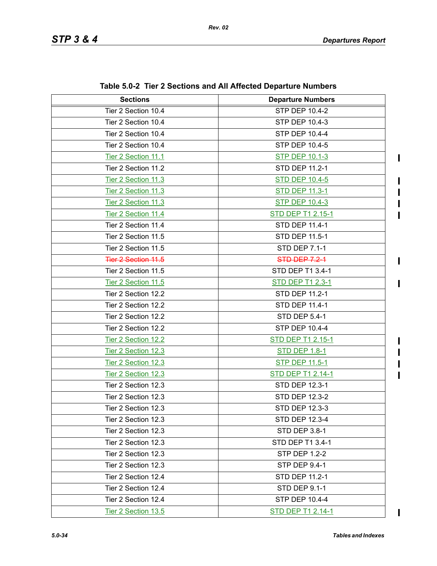$\mathbf I$ 

 $\blacksquare$ 

 $\mathbf I$  $\blacksquare$ 

 $\mathbf I$ 

 $\blacksquare$ 

 $\mathbf I$  $\mathbf I$  $\blacksquare$ 

 $\overline{\mathbf{I}}$ 

| <b>Sections</b>            | <b>Departure Numbers</b> |
|----------------------------|--------------------------|
| Tier 2 Section 10.4        | <b>STP DEP 10.4-2</b>    |
| Tier 2 Section 10.4        | STP DEP 10.4-3           |
| Tier 2 Section 10.4        | <b>STP DEP 10.4-4</b>    |
| Tier 2 Section 10.4        | STP DEP 10.4-5           |
| Tier 2 Section 11.1        | <b>STP DEP 10.1-3</b>    |
| Tier 2 Section 11.2        | <b>STD DEP 11.2-1</b>    |
| Tier 2 Section 11.3        | <b>STD DEP 10.4-5</b>    |
| Tier 2 Section 11.3        | <b>STD DEP 11.3-1</b>    |
| Tier 2 Section 11.3        | <b>STP DEP 10.4-3</b>    |
| Tier 2 Section 11.4        | <b>STD DEP T1 2.15-1</b> |
| Tier 2 Section 11.4        | <b>STD DEP 11.4-1</b>    |
| Tier 2 Section 11.5        | STD DEP 11.5-1           |
| Tier 2 Section 11.5        | <b>STD DEP 7.1-1</b>     |
| <b>Tier 2 Section 11.5</b> | <b>STD-DEP-7.2-1</b>     |
| Tier 2 Section 11.5        | STD DEP T1 3.4-1         |
| Tier 2 Section 11.5        | <b>STD DEP T1 2.3-1</b>  |
| Tier 2 Section 12.2        | STD DEP 11.2-1           |
| Tier 2 Section 12.2        | STD DEP 11.4-1           |
| Tier 2 Section 12.2        | STD DEP 5.4-1            |
| Tier 2 Section 12.2        | STP DEP 10.4-4           |
| Tier 2 Section 12.2        | <b>STD DEP T1 2.15-1</b> |
| Tier 2 Section 12.3        | <b>STD DEP 1.8-1</b>     |
| Tier 2 Section 12.3        | <b>STP DEP 11.5-1</b>    |
| Tier 2 Section 12.3        | <b>STD DEP T1 2.14-1</b> |
| Tier 2 Section 12.3        | STD DEP 12.3-1           |
| Tier 2 Section 12.3        | <b>STD DEP 12.3-2</b>    |
| Tier 2 Section 12.3        | STD DEP 12.3-3           |
| Tier 2 Section 12.3        | STD DEP 12.3-4           |
| Tier 2 Section 12.3        | STD DEP 3.8-1            |
| Tier 2 Section 12.3        | STD DEP T1 3.4-1         |
| Tier 2 Section 12.3        | <b>STP DEP 1.2-2</b>     |
| Tier 2 Section 12.3        | <b>STP DEP 9.4-1</b>     |
| Tier 2 Section 12.4        | STD DEP 11.2-1           |
| Tier 2 Section 12.4        | <b>STD DEP 9.1-1</b>     |
| Tier 2 Section 12.4        | STP DEP 10.4-4           |
| Tier 2 Section 13.5        | <b>STD DEP T1 2.14-1</b> |

*5.0-34 Tables and Indexes*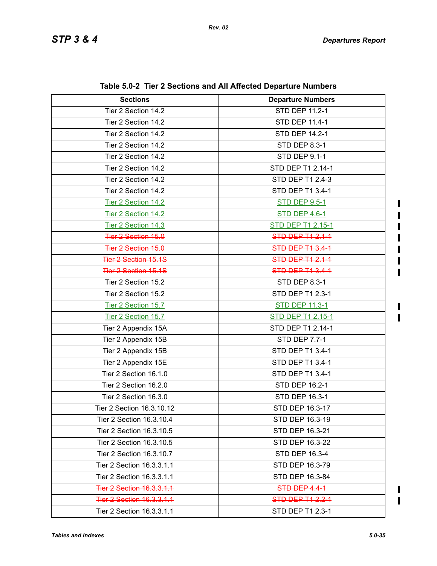$\mathbf I$ 

I  $\mathbf{I}$ 

| <b>Sections</b>                  | <b>Departure Numbers</b> |
|----------------------------------|--------------------------|
| Tier 2 Section 14.2              | <b>STD DEP 11.2-1</b>    |
| Tier 2 Section 14.2              | STD DEP 11.4-1           |
| Tier 2 Section 14.2              | <b>STD DEP 14.2-1</b>    |
| Tier 2 Section 14.2              | <b>STD DEP 8.3-1</b>     |
| Tier 2 Section 14.2              | <b>STD DEP 9.1-1</b>     |
| Tier 2 Section 14.2              | STD DEP T1 2.14-1        |
| Tier 2 Section 14.2              | STD DEP T1 2.4-3         |
| Tier 2 Section 14.2              | STD DEP T1 3.4-1         |
| Tier 2 Section 14.2              | <b>STD DEP 9.5-1</b>     |
| Tier 2 Section 14.2              | <b>STD DEP 4.6-1</b>     |
| Tier 2 Section 14.3              | STD DEP T1 2.15-1        |
| Tier 2 Section 15.0              | <b>STD DEP T1 2.1-1</b>  |
| Tier 2 Section 15.0              | STD DEP T1 3.4-1         |
| <b>Tier 2 Section 15.1S</b>      | <b>STD DEP T1 2.1-1</b>  |
| <b>Tier 2 Section 15.1S</b>      | <b>STD DEP T1 3.4-1</b>  |
| Tier 2 Section 15.2              | STD DEP 8.3-1            |
| Tier 2 Section 15.2              | STD DEP T1 2.3-1         |
| Tier 2 Section 15.7              | <b>STD DEP 11.3-1</b>    |
| Tier 2 Section 15.7              | STD DEP T1 2.15-1        |
| Tier 2 Appendix 15A              | STD DEP T1 2.14-1        |
| Tier 2 Appendix 15B              | <b>STD DEP 7.7-1</b>     |
| Tier 2 Appendix 15B              | STD DEP T1 3.4-1         |
| Tier 2 Appendix 15E              | STD DEP T1 3.4-1         |
| Tier 2 Section 16.1.0            | STD DEP T1 3.4-1         |
| Tier 2 Section 16.2.0            | STD DEP 16.2-1           |
| Tier 2 Section 16.3.0            | STD DEP 16.3-1           |
| Tier 2 Section 16.3.10.12        | STD DEP 16.3-17          |
| Tier 2 Section 16.3.10.4         | STD DEP 16.3-19          |
| Tier 2 Section 16.3.10.5         | STD DEP 16.3-21          |
| Tier 2 Section 16.3.10.5         | STD DEP 16.3-22          |
| Tier 2 Section 16.3.10.7         | STD DEP 16.3-4           |
| Tier 2 Section 16.3.3.1.1        | STD DEP 16.3-79          |
| Tier 2 Section 16.3.3.1.1        | STD DEP 16.3-84          |
| <b>Tier 2 Section 16.3.3.1.1</b> | STD DEP 4.4-1            |
| <b>Tier 2 Section 16.3.3.1.1</b> | <b>STD DEP T1 2.2-1</b>  |
| Tier 2 Section 16.3.3.1.1        | STD DEP T1 2.3-1         |

**Table 5.0-2 Tier 2 Sections and All Affected Departure Numbers**

 $\mathbf I$  $\mathbf{I}$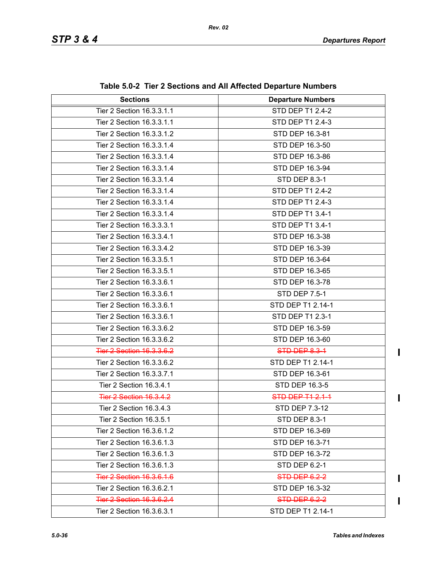| <b>Sections</b>                  | <b>Departure Numbers</b> |
|----------------------------------|--------------------------|
| Tier 2 Section 16.3.3.1.1        | STD DEP T1 2.4-2         |
| Tier 2 Section 16.3.3.1.1        | STD DEP T1 2.4-3         |
| Tier 2 Section 16.3.3.1.2        | STD DEP 16.3-81          |
| Tier 2 Section 16.3.3.1.4        | STD DEP 16.3-50          |
| Tier 2 Section 16.3.3.1.4        | STD DEP 16.3-86          |
| Tier 2 Section 16.3.3.1.4        | STD DEP 16.3-94          |
| Tier 2 Section 16.3.3.1.4        | <b>STD DEP 8.3-1</b>     |
| Tier 2 Section 16.3.3.1.4        | STD DEP T1 2.4-2         |
| Tier 2 Section 16.3.3.1.4        | STD DEP T1 2.4-3         |
| Tier 2 Section 16.3.3.1.4        | STD DEP T1 3.4-1         |
| Tier 2 Section 16.3.3.3.1        | STD DEP T1 3.4-1         |
| Tier 2 Section 16.3.3.4.1        | STD DEP 16.3-38          |
| Tier 2 Section 16.3.3.4.2        | STD DEP 16.3-39          |
| Tier 2 Section 16.3.3.5.1        | STD DEP 16.3-64          |
| Tier 2 Section 16.3.3.5.1        | STD DEP 16.3-65          |
| Tier 2 Section 16.3.3.6.1        | STD DEP 16.3-78          |
| Tier 2 Section 16.3.3.6.1        | STD DEP 7.5-1            |
| Tier 2 Section 16.3.3.6.1        | STD DEP T1 2.14-1        |
| Tier 2 Section 16.3.3.6.1        | STD DEP T1 2.3-1         |
| Tier 2 Section 16.3.3.6.2        | STD DEP 16.3-59          |
| Tier 2 Section 16.3.3.6.2        | STD DEP 16.3-60          |
| <b>Tier 2 Section 16.3.3.6.2</b> | <b>STD DEP 8.3-1</b>     |
| Tier 2 Section 16.3.3.6.2        | STD DEP T1 2.14-1        |
| Tier 2 Section 16.3.3.7.1        | STD DEP 16.3-61          |
| Tier 2 Section 16.3.4.1          | STD DEP 16.3-5           |
| <b>Tier 2 Section 16.3.4.2</b>   | STD DEP T1 2.1-1         |
| Tier 2 Section 16.3.4.3          | STD DEP 7.3-12           |
| Tier 2 Section 16.3.5.1          | STD DEP 8.3-1            |
| Tier 2 Section 16.3.6.1.2        | STD DEP 16.3-69          |
| Tier 2 Section 16.3.6.1.3        | STD DEP 16.3-71          |
| Tier 2 Section 16.3.6.1.3        | STD DEP 16.3-72          |
| Tier 2 Section 16.3.6.1.3        | STD DEP 6.2-1            |
| Tier 2 Section 16.3.6.1.6        | STD DEP 6.2-2            |
| Tier 2 Section 16.3.6.2.1        | STD DEP 16.3-32          |
| Tier 2 Section 16.3.6.2.4        | STD-DEP 6.2-2            |
| Tier 2 Section 16.3.6.3.1        | STD DEP T1 2.14-1        |

 $\begin{array}{c} \rule{0pt}{2.5ex} \rule{0pt}{2.5ex} \rule{0pt}{2.5ex} \rule{0pt}{2.5ex} \rule{0pt}{2.5ex} \rule{0pt}{2.5ex} \rule{0pt}{2.5ex} \rule{0pt}{2.5ex} \rule{0pt}{2.5ex} \rule{0pt}{2.5ex} \rule{0pt}{2.5ex} \rule{0pt}{2.5ex} \rule{0pt}{2.5ex} \rule{0pt}{2.5ex} \rule{0pt}{2.5ex} \rule{0pt}{2.5ex} \rule{0pt}{2.5ex} \rule{0pt}{2.5ex} \rule{0pt}{2.5ex} \rule{0$ 

 $\mathbf{I}$ 

 $\blacksquare$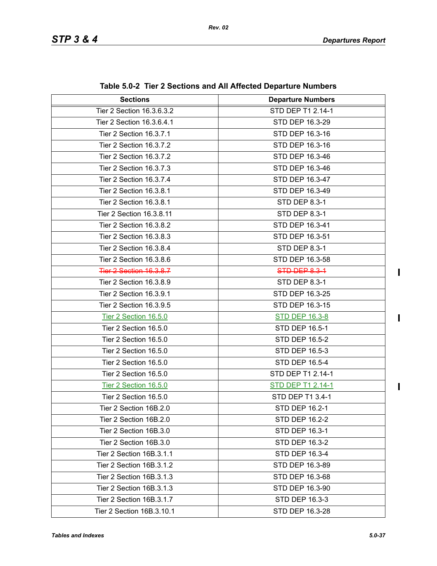| $\frac{1}{2}$ and $\frac{1}{2}$ and $\frac{1}{2}$ and $\frac{1}{2}$ and $\frac{1}{2}$ and $\frac{1}{2}$ are $\frac{1}{2}$ and $\frac{1}{2}$ and $\frac{1}{2}$ |                          |  |  |
|---------------------------------------------------------------------------------------------------------------------------------------------------------------|--------------------------|--|--|
| <b>Sections</b>                                                                                                                                               | <b>Departure Numbers</b> |  |  |
| Tier 2 Section 16.3.6.3.2                                                                                                                                     | STD DEP T1 2.14-1        |  |  |
| Tier 2 Section 16.3.6.4.1                                                                                                                                     | STD DEP 16.3-29          |  |  |
| Tier 2 Section 16.3.7.1                                                                                                                                       | STD DEP 16.3-16          |  |  |
| Tier 2 Section 16.3.7.2                                                                                                                                       | STD DEP 16.3-16          |  |  |
| Tier 2 Section 16.3.7.2                                                                                                                                       | STD DEP 16.3-46          |  |  |
| Tier 2 Section 16.3.7.3                                                                                                                                       | STD DEP 16.3-46          |  |  |
| Tier 2 Section 16.3.7.4                                                                                                                                       | STD DEP 16.3-47          |  |  |
| Tier 2 Section 16.3.8.1                                                                                                                                       | STD DEP 16.3-49          |  |  |
| Tier 2 Section 16.3.8.1                                                                                                                                       | STD DEP 8.3-1            |  |  |
| Tier 2 Section 16.3.8.11                                                                                                                                      | <b>STD DEP 8.3-1</b>     |  |  |
| Tier 2 Section 16.3.8.2                                                                                                                                       | STD DEP 16.3-41          |  |  |
| Tier 2 Section 16.3.8.3                                                                                                                                       | STD DEP 16.3-51          |  |  |
| Tier 2 Section 16.3.8.4                                                                                                                                       | STD DEP 8.3-1            |  |  |
| Tier 2 Section 16.3.8.6                                                                                                                                       | STD DEP 16.3-58          |  |  |
| <b>Tier 2 Section 16.3.8.7</b>                                                                                                                                | <b>STD DEP 8.3-1</b>     |  |  |
| Tier 2 Section 16.3.8.9                                                                                                                                       | STD DEP 8.3-1            |  |  |
| Tier 2 Section 16.3.9.1                                                                                                                                       | STD DEP 16.3-25          |  |  |
| Tier 2 Section 16.3.9.5                                                                                                                                       | STD DEP 16.3-15          |  |  |
| Tier 2 Section 16.5.0                                                                                                                                         | <b>STD DEP 16.3-8</b>    |  |  |
| Tier 2 Section 16.5.0                                                                                                                                         | STD DEP 16.5-1           |  |  |
| Tier 2 Section 16.5.0                                                                                                                                         | STD DEP 16.5-2           |  |  |
| Tier 2 Section 16.5.0                                                                                                                                         | STD DEP 16.5-3           |  |  |
| Tier 2 Section 16.5.0                                                                                                                                         | STD DEP 16.5-4           |  |  |
| Tier 2 Section 16.5.0                                                                                                                                         | STD DEP T1 2.14-1        |  |  |
| Tier 2 Section 16.5.0                                                                                                                                         | STD DEP T1 2.14-1        |  |  |
| Tier 2 Section 16.5.0                                                                                                                                         | STD DEP T1 3.4-1         |  |  |
| Tier 2 Section 16B.2.0                                                                                                                                        | STD DEP 16.2-1           |  |  |
| Tier 2 Section 16B.2.0                                                                                                                                        | <b>STD DEP 16.2-2</b>    |  |  |
| Tier 2 Section 16B.3.0                                                                                                                                        | <b>STD DEP 16.3-1</b>    |  |  |
| Tier 2 Section 16B.3.0                                                                                                                                        | STD DEP 16.3-2           |  |  |
| Tier 2 Section 16B.3.1.1                                                                                                                                      | STD DEP 16.3-4           |  |  |
| Tier 2 Section 16B.3.1.2                                                                                                                                      | STD DEP 16.3-89          |  |  |
| Tier 2 Section 16B.3.1.3                                                                                                                                      | STD DEP 16.3-68          |  |  |
| Tier 2 Section 16B.3.1.3                                                                                                                                      | STD DEP 16.3-90          |  |  |
| Tier 2 Section 16B.3.1.7                                                                                                                                      | STD DEP 16.3-3           |  |  |
| Tier 2 Section 16B.3.10.1                                                                                                                                     | STD DEP 16.3-28          |  |  |

**Table 5.0-2 Tier 2 Sections and All Affected Departure Numbers**

 $\mathbf{I}$ 

 $\mathbf{I}$ 

 $\mathbf{I}$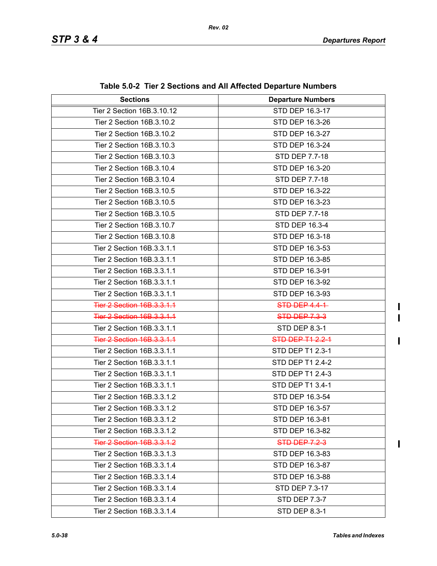| <b>Sections</b>                   | <b>Departure Numbers</b> |  |  |
|-----------------------------------|--------------------------|--|--|
| Tier 2 Section 16B.3.10.12        | STD DEP 16.3-17          |  |  |
| Tier 2 Section 16B.3.10.2         | STD DEP 16.3-26          |  |  |
| Tier 2 Section 16B.3.10.2         | STD DEP 16.3-27          |  |  |
| Tier 2 Section 16B.3.10.3         | STD DEP 16.3-24          |  |  |
| Tier 2 Section 16B.3.10.3         | STD DEP 7.7-18           |  |  |
| Tier 2 Section 16B.3.10.4         | STD DEP 16.3-20          |  |  |
| Tier 2 Section 16B.3.10.4         | STD DEP 7.7-18           |  |  |
| Tier 2 Section 16B.3.10.5         | STD DEP 16.3-22          |  |  |
| Tier 2 Section 16B.3.10.5         | STD DEP 16.3-23          |  |  |
| Tier 2 Section 16B.3.10.5         | STD DEP 7.7-18           |  |  |
| Tier 2 Section 16B.3.10.7         | STD DEP 16.3-4           |  |  |
| Tier 2 Section 16B.3.10.8         | STD DEP 16.3-18          |  |  |
| Tier 2 Section 16B.3.3.1.1        | STD DEP 16.3-53          |  |  |
| Tier 2 Section 16B.3.3.1.1        | STD DEP 16.3-85          |  |  |
| Tier 2 Section 16B.3.3.1.1        | STD DEP 16.3-91          |  |  |
| Tier 2 Section 16B.3.3.1.1        | STD DEP 16.3-92          |  |  |
| Tier 2 Section 16B.3.3.1.1        | STD DEP 16.3-93          |  |  |
| Tier 2 Section 16B.3.3.1.1        | <b>STD DEP 4.4-1</b>     |  |  |
| Tier 2 Section 16B.3.3.1.1        | <b>STD DEP 7.3-3</b>     |  |  |
| Tier 2 Section 16B.3.3.1.1        | STD DEP 8.3-1            |  |  |
| Tier 2 Section 16B.3.3.1.1        | <b>STD DEP T1 2.2-1</b>  |  |  |
| Tier 2 Section 16B.3.3.1.1        | STD DEP T1 2.3-1         |  |  |
| Tier 2 Section 16B.3.3.1.1        | STD DEP T1 2.4-2         |  |  |
| Tier 2 Section 16B.3.3.1.1        | STD DEP T1 2.4-3         |  |  |
| Tier 2 Section 16B.3.3.1.1        | STD DEP T1 3.4-1         |  |  |
| Tier 2 Section 16B.3.3.1.2        | STD DEP 16.3-54          |  |  |
| Tier 2 Section 16B.3.3.1.2        | STD DEP 16.3-57          |  |  |
| Tier 2 Section 16B.3.3.1.2        | STD DEP 16.3-81          |  |  |
| Tier 2 Section 16B.3.3.1.2        | STD DEP 16.3-82          |  |  |
| <b>Tier 2 Section 16B.3.3.1.2</b> | <b>STD DEP 7.2-3</b>     |  |  |
| Tier 2 Section 16B.3.3.1.3        | STD DEP 16.3-83          |  |  |
| Tier 2 Section 16B.3.3.1.4        | STD DEP 16.3-87          |  |  |
| Tier 2 Section 16B.3.3.1.4        | STD DEP 16.3-88          |  |  |
| Tier 2 Section 16B.3.3.1.4        | STD DEP 7.3-17           |  |  |
| Tier 2 Section 16B.3.3.1.4        | STD DEP 7.3-7            |  |  |
| Tier 2 Section 16B.3.3.1.4        | <b>STD DEP 8.3-1</b>     |  |  |

**Table 5.0-2 Tier 2 Sections and All Affected Departure Numbers**

 $\mathbf{I}$  $\overline{\phantom{a}}$ 

 $\mathbf{I}$ 

 $\begin{array}{c} \hline \end{array}$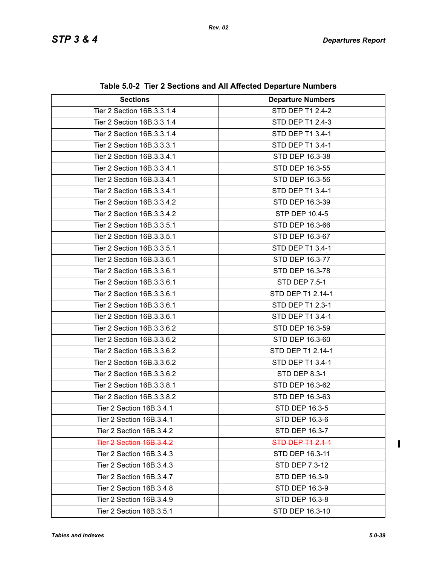| <b>Sections</b>                 | <b>Departure Numbers</b> |  |  |
|---------------------------------|--------------------------|--|--|
| Tier 2 Section 16B.3.3.1.4      | STD DEP T1 2.4-2         |  |  |
| Tier 2 Section 16B.3.3.1.4      | STD DEP T1 2.4-3         |  |  |
| Tier 2 Section 16B.3.3.1.4      | STD DEP T1 3.4-1         |  |  |
| Tier 2 Section 16B.3.3.3.1      | STD DEP T1 3.4-1         |  |  |
| Tier 2 Section 16B.3.3.4.1      | STD DEP 16.3-38          |  |  |
| Tier 2 Section 16B.3.3.4.1      | STD DEP 16.3-55          |  |  |
| Tier 2 Section 16B.3.3.4.1      | STD DEP 16.3-56          |  |  |
| Tier 2 Section 16B.3.3.4.1      | STD DEP T1 3.4-1         |  |  |
| Tier 2 Section 16B.3.3.4.2      | STD DEP 16.3-39          |  |  |
| Tier 2 Section 16B.3.3.4.2      | STP DEP 10.4-5           |  |  |
| Tier 2 Section 16B.3.3.5.1      | STD DEP 16.3-66          |  |  |
| Tier 2 Section 16B.3.3.5.1      | STD DEP 16.3-67          |  |  |
| Tier 2 Section 16B.3.3.5.1      | STD DEP T1 3.4-1         |  |  |
| Tier 2 Section 16B.3.3.6.1      | STD DEP 16.3-77          |  |  |
| Tier 2 Section 16B.3.3.6.1      | STD DEP 16.3-78          |  |  |
| Tier 2 Section 16B.3.3.6.1      | <b>STD DEP 7.5-1</b>     |  |  |
| Tier 2 Section 16B.3.3.6.1      | STD DEP T1 2.14-1        |  |  |
| Tier 2 Section 16B.3.3.6.1      | STD DEP T1 2.3-1         |  |  |
| Tier 2 Section 16B.3.3.6.1      | STD DEP T1 3.4-1         |  |  |
| Tier 2 Section 16B.3.3.6.2      | STD DEP 16.3-59          |  |  |
| Tier 2 Section 16B.3.3.6.2      | STD DEP 16.3-60          |  |  |
| Tier 2 Section 16B.3.3.6.2      | STD DEP T1 2.14-1        |  |  |
| Tier 2 Section 16B.3.3.6.2      | STD DEP T1 3.4-1         |  |  |
| Tier 2 Section 16B.3.3.6.2      | <b>STD DEP 8.3-1</b>     |  |  |
| Tier 2 Section 16B.3.3.8.1      | STD DEP 16.3-62          |  |  |
| Tier 2 Section 16B.3.3.8.2      | STD DEP 16.3-63          |  |  |
| Tier 2 Section 16B.3.4.1        | STD DEP 16.3-5           |  |  |
| Tier 2 Section 16B.3.4.1        | STD DEP 16.3-6           |  |  |
| Tier 2 Section 16B.3.4.2        | STD DEP 16.3-7           |  |  |
| <b>Tier 2 Section 16B.3.4.2</b> | STD DEP T1 2.1-1         |  |  |
| Tier 2 Section 16B.3.4.3        | STD DEP 16.3-11          |  |  |
| Tier 2 Section 16B.3.4.3        | STD DEP 7.3-12           |  |  |
| Tier 2 Section 16B.3.4.7        | STD DEP 16.3-9           |  |  |
| Tier 2 Section 16B.3.4.8        | STD DEP 16.3-9           |  |  |
| Tier 2 Section 16B.3.4.9        | STD DEP 16.3-8           |  |  |
| Tier 2 Section 16B.3.5.1        | STD DEP 16.3-10          |  |  |

 $\mathbf{I}$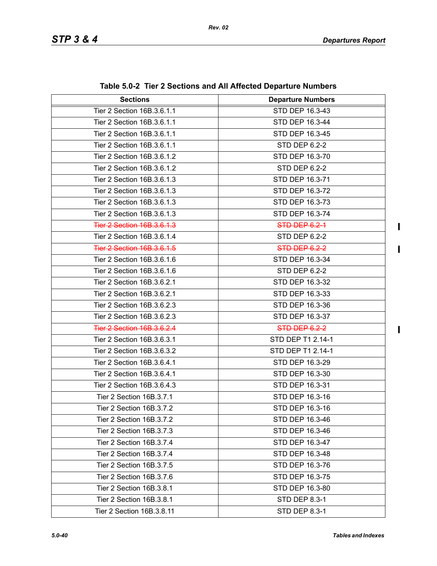$\mathbf{I}$ 

 $\mathbf{I}$ 

 $\mathbf{I}$ 

| <b>Sections</b>            | <b>Departure Numbers</b> |  |  |
|----------------------------|--------------------------|--|--|
| Tier 2 Section 16B.3.6.1.1 | STD DEP 16.3-43          |  |  |
| Tier 2 Section 16B.3.6.1.1 | STD DEP 16.3-44          |  |  |
| Tier 2 Section 16B.3.6.1.1 | STD DEP 16.3-45          |  |  |
| Tier 2 Section 16B.3.6.1.1 | STD DEP 6.2-2            |  |  |
| Tier 2 Section 16B.3.6.1.2 | STD DEP 16.3-70          |  |  |
| Tier 2 Section 16B.3.6.1.2 | STD DEP 6.2-2            |  |  |
| Tier 2 Section 16B.3.6.1.3 | STD DEP 16.3-71          |  |  |
| Tier 2 Section 16B.3.6.1.3 | STD DEP 16.3-72          |  |  |
| Tier 2 Section 16B.3.6.1.3 | STD DEP 16.3-73          |  |  |
| Tier 2 Section 16B.3.6.1.3 | STD DEP 16.3-74          |  |  |
| Tier 2 Section 16B.3.6.1.3 | STD-DEP 6.2-1            |  |  |
| Tier 2 Section 16B.3.6.1.4 | STD DEP 6.2-2            |  |  |
| Tier 2 Section 16B.3.6.1.5 | STD DEP 6.2-2            |  |  |
| Tier 2 Section 16B.3.6.1.6 | STD DEP 16.3-34          |  |  |
| Tier 2 Section 16B.3.6.1.6 | STD DEP 6.2-2            |  |  |
| Tier 2 Section 16B.3.6.2.1 | STD DEP 16.3-32          |  |  |
| Tier 2 Section 16B.3.6.2.1 | STD DEP 16.3-33          |  |  |
| Tier 2 Section 16B.3.6.2.3 | STD DEP 16.3-36          |  |  |
| Tier 2 Section 16B.3.6.2.3 | STD DEP 16.3-37          |  |  |
| Tier 2 Section 16B.3.6.2.4 | STD DEP 6.2-2            |  |  |
| Tier 2 Section 16B.3.6.3.1 | STD DEP T1 2.14-1        |  |  |
| Tier 2 Section 16B.3.6.3.2 | STD DEP T1 2.14-1        |  |  |
| Tier 2 Section 16B.3.6.4.1 | STD DEP 16.3-29          |  |  |
| Tier 2 Section 16B.3.6.4.1 | STD DEP 16.3-30          |  |  |
| Tier 2 Section 16B.3.6.4.3 | STD DEP 16.3-31          |  |  |
| Tier 2 Section 16B.3.7.1   | STD DEP 16.3-16          |  |  |
| Tier 2 Section 16B.3.7.2   | STD DEP 16.3-16          |  |  |
| Tier 2 Section 16B.3.7.2   | STD DEP 16.3-46          |  |  |
| Tier 2 Section 16B.3.7.3   | STD DEP 16.3-46          |  |  |
| Tier 2 Section 16B.3.7.4   | STD DEP 16.3-47          |  |  |
| Tier 2 Section 16B.3.7.4   | STD DEP 16.3-48          |  |  |
| Tier 2 Section 16B.3.7.5   | STD DEP 16.3-76          |  |  |
| Tier 2 Section 16B.3.7.6   | STD DEP 16.3-75          |  |  |
| Tier 2 Section 16B.3.8.1   | STD DEP 16.3-80          |  |  |
| Tier 2 Section 16B.3.8.1   | STD DEP 8.3-1            |  |  |
| Tier 2 Section 16B.3.8.11  | <b>STD DEP 8.3-1</b>     |  |  |

**Table 5.0-2 Tier 2 Sections and All Affected Departure Numbers**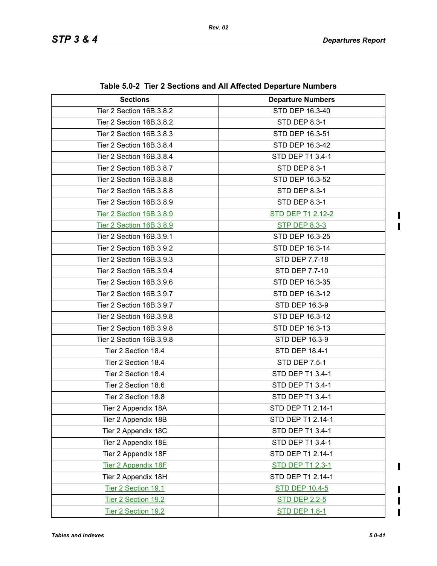$\blacksquare$  $\mathbf{I}$ 

| <b>Sections</b>          | <b>Departure Numbers</b> |  |  |
|--------------------------|--------------------------|--|--|
| Tier 2 Section 16B.3.8.2 | STD DEP 16.3-40          |  |  |
| Tier 2 Section 16B.3.8.2 | STD DEP 8.3-1            |  |  |
| Tier 2 Section 16B.3.8.3 | STD DEP 16.3-51          |  |  |
| Tier 2 Section 16B.3.8.4 | STD DEP 16.3-42          |  |  |
| Tier 2 Section 16B.3.8.4 | STD DEP T1 3.4-1         |  |  |
| Tier 2 Section 16B.3.8.7 | <b>STD DEP 8.3-1</b>     |  |  |
| Tier 2 Section 16B.3.8.8 | STD DEP 16.3-52          |  |  |
| Tier 2 Section 16B.3.8.8 | <b>STD DEP 8.3-1</b>     |  |  |
| Tier 2 Section 16B.3.8.9 | <b>STD DEP 8.3-1</b>     |  |  |
| Tier 2 Section 16B.3.8.9 | <b>STD DEP T1 2.12-2</b> |  |  |
| Tier 2 Section 16B.3.8.9 | <b>STP DEP 8.3-3</b>     |  |  |
| Tier 2 Section 16B.3.9.1 | STD DEP 16.3-25          |  |  |
| Tier 2 Section 16B.3.9.2 | STD DEP 16.3-14          |  |  |
| Tier 2 Section 16B.3.9.3 | STD DEP 7.7-18           |  |  |
| Tier 2 Section 16B.3.9.4 | STD DEP 7.7-10           |  |  |
| Tier 2 Section 16B.3.9.6 | STD DEP 16.3-35          |  |  |
| Tier 2 Section 16B.3.9.7 | STD DEP 16.3-12          |  |  |
| Tier 2 Section 16B.3.9.7 | STD DEP 16.3-9           |  |  |
| Tier 2 Section 16B.3.9.8 | STD DEP 16.3-12          |  |  |
| Tier 2 Section 16B.3.9.8 | STD DEP 16.3-13          |  |  |
| Tier 2 Section 16B.3.9.8 | STD DEP 16.3-9           |  |  |
| Tier 2 Section 18.4      | STD DEP 18.4-1           |  |  |
| Tier 2 Section 18.4      | <b>STD DEP 7.5-1</b>     |  |  |
| Tier 2 Section 18.4      | STD DEP T1 3.4-1         |  |  |
| Tier 2 Section 18.6      | STD DEP T1 3.4-1         |  |  |
| Tier 2 Section 18.8      | STD DEP T1 3.4-1         |  |  |
| Tier 2 Appendix 18A      | STD DEP T1 2.14-1        |  |  |
| Tier 2 Appendix 18B      | STD DEP T1 2.14-1        |  |  |
| Tier 2 Appendix 18C      | STD DEP T1 3.4-1         |  |  |
| Tier 2 Appendix 18E      | STD DEP T1 3.4-1         |  |  |
| Tier 2 Appendix 18F      | STD DEP T1 2.14-1        |  |  |
| Tier 2 Appendix 18F      | <b>STD DEP T1 2.3-1</b>  |  |  |
| Tier 2 Appendix 18H      | STD DEP T1 2.14-1        |  |  |
| Tier 2 Section 19.1      | <b>STD DEP 10.4-5</b>    |  |  |
| Tier 2 Section 19.2      | <b>STD DEP 2.2-5</b>     |  |  |
| Tier 2 Section 19.2      | <b>STD DEP 1.8-1</b>     |  |  |

 $\begin{array}{c} \rule{0pt}{2.5ex} \rule{0pt}{2.5ex} \rule{0pt}{2.5ex} \rule{0pt}{2.5ex} \rule{0pt}{2.5ex} \rule{0pt}{2.5ex} \rule{0pt}{2.5ex} \rule{0pt}{2.5ex} \rule{0pt}{2.5ex} \rule{0pt}{2.5ex} \rule{0pt}{2.5ex} \rule{0pt}{2.5ex} \rule{0pt}{2.5ex} \rule{0pt}{2.5ex} \rule{0pt}{2.5ex} \rule{0pt}{2.5ex} \rule{0pt}{2.5ex} \rule{0pt}{2.5ex} \rule{0pt}{2.5ex} \rule{0$ 

 $\mathbf I$  $\blacksquare$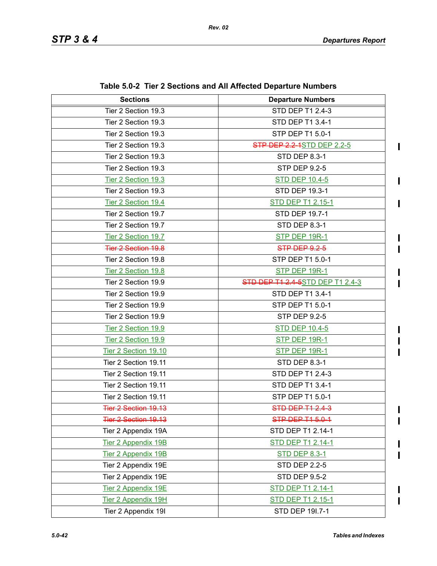$\blacksquare$ 

 $\blacksquare$ 

 $\blacksquare$ 

Π I

 $\mathbf{l}$  $\mathbf I$  $\blacksquare$ 

I  $\blacksquare$ 

 $\blacksquare$ 

| <b>Sections</b>            | <b>Departure Numbers</b>                 |  |  |
|----------------------------|------------------------------------------|--|--|
| Tier 2 Section 19.3        | STD DEP T1 2.4-3                         |  |  |
| Tier 2 Section 19.3        | STD DEP T1 3.4-1                         |  |  |
| Tier 2 Section 19.3        | STP DEP T1 5.0-1                         |  |  |
| Tier 2 Section 19.3        | <b>STP DEP 2.2-1STD DEP 2.2-5</b>        |  |  |
| Tier 2 Section 19.3        | <b>STD DEP 8.3-1</b>                     |  |  |
| Tier 2 Section 19.3        | <b>STP DEP 9.2-5</b>                     |  |  |
| Tier 2 Section 19.3        | <b>STD DEP 10.4-5</b>                    |  |  |
| Tier 2 Section 19.3        | STD DEP 19.3-1                           |  |  |
| Tier 2 Section 19.4        | <b>STD DEP T1 2.15-1</b>                 |  |  |
| Tier 2 Section 19.7        | STD DEP 19.7-1                           |  |  |
| Tier 2 Section 19.7        | <b>STD DEP 8.3-1</b>                     |  |  |
| Tier 2 Section 19.7        | STP DEP 19R-1                            |  |  |
| <b>Tier 2 Section 19.8</b> | STP DEP 9.2-5                            |  |  |
| Tier 2 Section 19.8        | STP DEP T1 5.0-1                         |  |  |
| Tier 2 Section 19.8        | STP DEP 19R-1                            |  |  |
| Tier 2 Section 19.9        | <b>STD DEP T1 2.4 5</b> STD DEP T1 2.4-3 |  |  |
| Tier 2 Section 19.9        | STD DEP T1 3.4-1                         |  |  |
| Tier 2 Section 19.9        | STP DEP T1 5.0-1                         |  |  |
| Tier 2 Section 19.9        | <b>STP DEP 9.2-5</b>                     |  |  |
| Tier 2 Section 19.9        | <b>STD DEP 10.4-5</b>                    |  |  |
| Tier 2 Section 19.9        | STP DEP 19R-1                            |  |  |
| Tier 2 Section 19.10       | STP DEP 19R-1                            |  |  |
| Tier 2 Section 19.11       | STD DEP 8.3-1                            |  |  |
| Tier 2 Section 19.11       | <b>STD DEP T1 2.4-3</b>                  |  |  |
| Tier 2 Section 19.11       | STD DEP T1 3.4-1                         |  |  |
| Tier 2 Section 19.11       | STP DEP T1 5.0-1                         |  |  |
| Tier 2 Section 19.13       | STD DEP T1 2.4-3                         |  |  |
| Tier 2 Section 19.13       | STP DEP T1 5.0-1                         |  |  |
| Tier 2 Appendix 19A        | STD DEP T1 2.14-1                        |  |  |
| Tier 2 Appendix 19B        | STD DEP T1 2.14-1                        |  |  |
| Tier 2 Appendix 19B        | <b>STD DEP 8.3-1</b>                     |  |  |
| Tier 2 Appendix 19E        | <b>STD DEP 2.2-5</b>                     |  |  |
| Tier 2 Appendix 19E        | <b>STD DEP 9.5-2</b>                     |  |  |
| Tier 2 Appendix 19E        | <b>STD DEP T1 2.14-1</b>                 |  |  |
| <b>Tier 2 Appendix 19H</b> | STD DEP T1 2.15-1                        |  |  |
| Tier 2 Appendix 19I        | STD DEP 191.7-1                          |  |  |

**Table 5.0-2 Tier 2 Sections and All Affected Departure Numbers**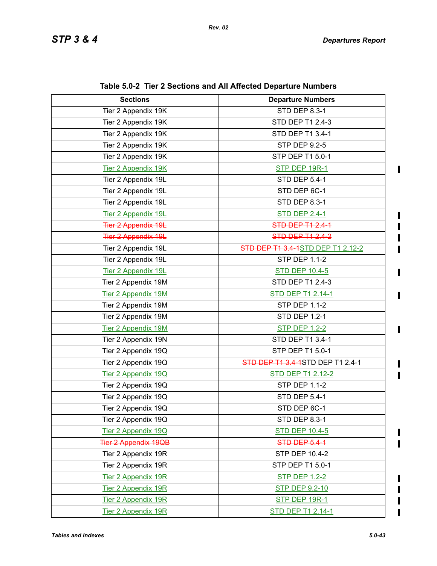$\mathbf{I}$ 

 $\blacksquare$ 

 $\blacksquare$ 

 $\mathbf I$  $\blacksquare$ 

| <b>Sections</b>             | <b>Departure Numbers</b>          |  |  |
|-----------------------------|-----------------------------------|--|--|
| Tier 2 Appendix 19K         | <b>STD DEP 8.3-1</b>              |  |  |
| Tier 2 Appendix 19K         | STD DEP T1 2.4-3                  |  |  |
| Tier 2 Appendix 19K         | STD DEP T1 3.4-1                  |  |  |
| Tier 2 Appendix 19K         | <b>STP DEP 9.2-5</b>              |  |  |
| Tier 2 Appendix 19K         | STP DEP T1 5.0-1                  |  |  |
| <b>Tier 2 Appendix 19K</b>  | STP DEP 19R-1                     |  |  |
| Tier 2 Appendix 19L         | <b>STD DEP 5.4-1</b>              |  |  |
| Tier 2 Appendix 19L         | STD DEP 6C-1                      |  |  |
| Tier 2 Appendix 19L         | STD DEP 8.3-1                     |  |  |
| Tier 2 Appendix 19L         | <b>STD DEP 2.4-1</b>              |  |  |
| <b>Tier 2 Appendix 19L</b>  | <b>STD DEP T1 2.4-1</b>           |  |  |
| <b>Tier 2 Appendix 19L</b>  | STD DEP T1 2.4-2                  |  |  |
| Tier 2 Appendix 19L         | STD DEP T1 3.4-1STD DEP T1 2.12-2 |  |  |
| Tier 2 Appendix 19L         | <b>STP DEP 1.1-2</b>              |  |  |
| Tier 2 Appendix 19L         | <b>STD DEP 10.4-5</b>             |  |  |
| Tier 2 Appendix 19M         | STD DEP T1 2.4-3                  |  |  |
| <b>Tier 2 Appendix 19M</b>  | STD DEP T1 2.14-1                 |  |  |
| Tier 2 Appendix 19M         | <b>STP DEP 1.1-2</b>              |  |  |
| Tier 2 Appendix 19M         | <b>STD DEP 1.2-1</b>              |  |  |
| Tier 2 Appendix 19M         | <b>STP DEP 1.2-2</b>              |  |  |
| Tier 2 Appendix 19N         | STD DEP T1 3.4-1                  |  |  |
| Tier 2 Appendix 19Q         | STP DEP T1 5.0-1                  |  |  |
| Tier 2 Appendix 19Q         | STD DEP T1 3.4-1STD DEP T1 2.4-1  |  |  |
| Tier 2 Appendix 19Q         | <b>STD DEP T1 2.12-2</b>          |  |  |
| Tier 2 Appendix 19Q         | <b>STP DEP 1.1-2</b>              |  |  |
| Tier 2 Appendix 19Q         | <b>STD DEP 5.4-1</b>              |  |  |
| Tier 2 Appendix 19Q         | STD DEP 6C-1                      |  |  |
| Tier 2 Appendix 19Q         | STD DEP 8.3-1                     |  |  |
| Tier 2 Appendix 19Q         | <b>STD DEP 10.4-5</b>             |  |  |
| <b>Tier 2 Appendix 19QB</b> | STD DEP 5.4-1                     |  |  |
| Tier 2 Appendix 19R         | STP DEP 10.4-2                    |  |  |
| Tier 2 Appendix 19R         | STP DEP T1 5.0-1                  |  |  |
| <b>Tier 2 Appendix 19R</b>  | <b>STP DEP 1.2-2</b>              |  |  |
| <b>Tier 2 Appendix 19R</b>  | <b>STP DEP 9.2-10</b>             |  |  |
| Tier 2 Appendix 19R         | STP DEP 19R-1                     |  |  |
| <b>Tier 2 Appendix 19R</b>  | <b>STD DEP T1 2.14-1</b>          |  |  |

**Table 5.0-2 Tier 2 Sections and All Affected Departure Numbers**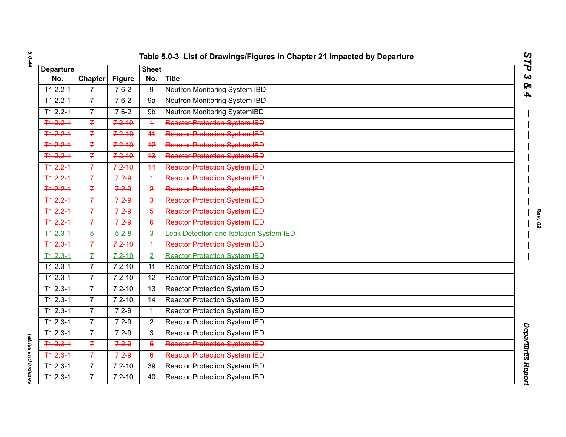| <b>Departure</b>      |                |               | <b>Sheet</b>            |                                         |  |
|-----------------------|----------------|---------------|-------------------------|-----------------------------------------|--|
| No.                   | <b>Chapter</b> | <b>Figure</b> | No.                     | <b>Title</b>                            |  |
| $T12.2 - 1$           | 7              | $7.6 - 2$     | 9                       | <b>Neutron Monitoring System IBD</b>    |  |
| T1 2.2-1              | $\overline{7}$ | $7.6 - 2$     | 9a                      | Neutron Monitoring System IBD           |  |
| T1 2.2-1              | $\overline{7}$ | $7.6 - 2$     | 9b                      | Neutron Monitoring SystemIBD            |  |
| $712.2 - 1$           | $\overline{f}$ | $7.2 - 10$    | $\overline{+}$          | Reactor Protection System IBD           |  |
| 712.21                | $\overline{f}$ | $7.2 - 10$    | 44                      | <b>Reactor Protection System IBD</b>    |  |
| T <sub>1</sub> 2.2-1  | $\overline{f}$ | $7.2 - 10$    | $+2$                    | <b>Reactor Protection System IBD</b>    |  |
| $712.2 - 1$           | $\overline{f}$ | $7.2 - 10$    | 43                      | <b>Reactor Protection System IBD</b>    |  |
| $+42.2 +$             | $\overline{f}$ | $7.2 - 10$    | 44                      | <b>Reactor Protection System IBD</b>    |  |
| 712.21                | $\overline{f}$ | 7.29          | $\overline{+}$          | <b>Reactor Protection System IED</b>    |  |
| $712.2 - 1$           | $\overline{f}$ | $7.2 - 9$     | $\overline{2}$          | Reactor Protection System IED           |  |
| T <sub>1</sub> 2.2-1  | $\overline{f}$ | 7.29          | $\overline{\mathbf{a}}$ | Reactor Protection System IED           |  |
| 712.21                | $\overline{f}$ | 7.29          | $\overline{5}$          | <b>Reactor Protection System IED</b>    |  |
| $712.2 - 1$           | $\overline{f}$ | $7.2 - 9$     | $\epsilon$              | <b>Reactor Protection System IED</b>    |  |
| $T12.3-1$             | $\overline{5}$ | $5.2 - 8$     | $\overline{3}$          | Leak Detection and Isolation System IED |  |
| 712.31                | $\overline{f}$ | $7.2 - 10$    | $\overline{+}$          | <b>Reactor Protection System IBD</b>    |  |
| $T12.3-1$             | $\overline{L}$ | $7.2 - 10$    | $\overline{2}$          | <b>Reactor Protection System IBD</b>    |  |
| T1 2.3-1              | $\overline{7}$ | $7.2 - 10$    | 11                      | Reactor Protection System IBD           |  |
| T1 2.3-1              | $\overline{7}$ | $7.2 - 10$    | 12                      | <b>Reactor Protection System IBD</b>    |  |
| $T12.3-1$             | $\overline{7}$ | $7.2 - 10$    | 13                      | Reactor Protection System IBD           |  |
| $\overline{T1}$ 2.3-1 | $\overline{7}$ | $7.2 - 10$    | 14                      | <b>Reactor Protection System IBD</b>    |  |
| T1 2.3-1              | $\overline{7}$ | $7.2 - 9$     | $\mathbf{1}$            | Reactor Protection System IED           |  |
| $T12.3-1$             | $\overline{7}$ | $7.2 - 9$     | $\overline{2}$          | Reactor Protection System IED           |  |
| T1 2.3-1              | $\overline{7}$ | $7.2 - 9$     | 3                       | Reactor Protection System IED           |  |
| T <sub>1</sub> 2.3-1  | $\overline{f}$ | 7.29          | $\overline{5}$          | <b>Reactor Protection System IED</b>    |  |
| $712.3 - 1$           | $\overline{f}$ | $7.2 - 9$     | $6^{\circ}$             | <b>Reactor Protection System IED</b>    |  |
| $\overline{1}1$ 2.3-1 | $\overline{7}$ | $7.2 - 10$    | 39                      | Reactor Protection System IBD           |  |
| T1 2.3-1              | $\overline{7}$ | $7.2 - 10$    | 40                      | Reactor Protection System IBD           |  |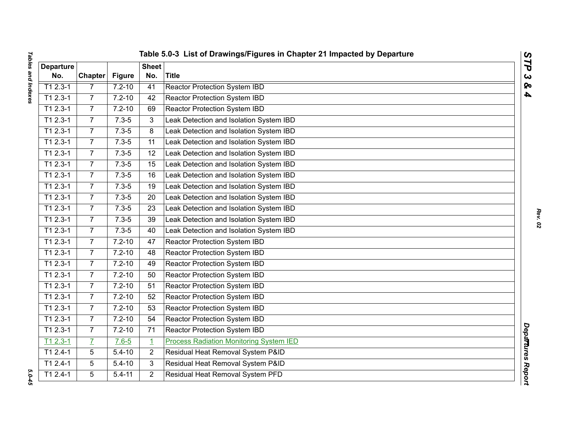| I<br><b>DOVORALLE PLIP DOLOR</b><br>֖֚֚֚֬ |  |
|-------------------------------------------|--|
|                                           |  |
|                                           |  |
|                                           |  |
|                                           |  |
|                                           |  |
|                                           |  |
| $\overline{a}$<br>í<br>Ĺ                  |  |

|                         |                 |               |                     | Table 5.0-3 List of Drawings/Figures in Chapter 21 Impacted by Departure | $\overline{\phantom{a}}$     |
|-------------------------|-----------------|---------------|---------------------|--------------------------------------------------------------------------|------------------------------|
| <b>Departure</b><br>No. | <b>Chapter</b>  | <b>Figure</b> | <b>Sheet</b><br>No. | <b>Title</b>                                                             | $\mathbf{r}$<br>$\mathbf{C}$ |
| $T12.3-1$               | 7               | $7.2 - 10$    | 41                  | <b>Reactor Protection System IBD</b>                                     | ହ                            |
| $T12.3-1$               | $\overline{7}$  | $7.2 - 10$    | 42                  | Reactor Protection System IBD                                            | 4                            |
| $T12.3-1$               | $\overline{7}$  | $7.2 - 10$    | 69                  | <b>Reactor Protection System IBD</b>                                     |                              |
| $T12.3-1$               | $\overline{7}$  | $7.3 - 5$     | 3                   | Leak Detection and Isolation System IBD                                  |                              |
| T1 2.3-1                | $\overline{7}$  | $7.3 - 5$     | 8                   | Leak Detection and Isolation System IBD                                  |                              |
| $T12.3-1$               | $\overline{7}$  | $7.3 - 5$     | $\overline{11}$     | Leak Detection and Isolation System IBD                                  |                              |
| T1 2.3-1                | $\overline{7}$  | $7.3 - 5$     | 12                  | Leak Detection and Isolation System IBD                                  |                              |
| $T12.3-1$               | $\overline{7}$  | $7.3 - 5$     | 15                  | Leak Detection and Isolation System IBD                                  |                              |
| $T12.3-1$               | $\overline{7}$  | $7.3 - 5$     | 16                  | Leak Detection and Isolation System IBD                                  |                              |
| $T12.3-1$               | $\overline{7}$  | $7.3 - 5$     | 19                  | Leak Detection and Isolation System IBD                                  |                              |
| $T12.3-1$               | $7\overline{ }$ | $7.3 - 5$     | 20                  | Leak Detection and Isolation System IBD                                  |                              |
| $T12.3-1$               | $\overline{7}$  | $7.3 - 5$     | 23                  | Leak Detection and Isolation System IBD                                  |                              |
| $T12.3-1$               | $\overline{7}$  | $7.3 - 5$     | 39                  | Leak Detection and Isolation System IBD                                  |                              |
| $T12.3-1$               | $\overline{7}$  | $7.3 - 5$     | 40                  | Leak Detection and Isolation System IBD                                  |                              |
| $T12.3-1$               | $\overline{7}$  | $7.2 - 10$    | 47                  | Reactor Protection System IBD                                            |                              |
| T1 2.3-1                | $\overline{7}$  | $7.2 - 10$    | 48                  | <b>Reactor Protection System IBD</b>                                     |                              |
| $T12.3-1$               | $\overline{7}$  | $7.2 - 10$    | 49                  | <b>Reactor Protection System IBD</b>                                     |                              |
| $T12.3-1$               | $\overline{7}$  | $7.2 - 10$    | 50                  | <b>Reactor Protection System IBD</b>                                     |                              |
| $T12.3-1$               | $\overline{7}$  | $7.2 - 10$    | 51                  | <b>Reactor Protection System IBD</b>                                     |                              |
| T1 2.3-1                | $\overline{7}$  | $7.2 - 10$    | 52                  | <b>Reactor Protection System IBD</b>                                     |                              |
| $T12.3-1$               | $\overline{7}$  | $7.2 - 10$    | 53                  | Reactor Protection System IBD                                            |                              |
| T1 2.3-1                | $\overline{7}$  | $7.2 - 10$    | 54                  | <b>Reactor Protection System IBD</b>                                     |                              |
| T1 2.3-1                | $\overline{7}$  | $7.2 - 10$    | 71                  | Reactor Protection System IBD                                            |                              |
| $T12.3-1$               | $\overline{L}$  | $7.6 - 5$     | $\mathbf 1$         | <b>Process Radiation Monitoring System IED</b>                           |                              |
| $T12.4-1$               | 5               | $5.4 - 10$    | $\overline{2}$      | Residual Heat Removal System P&ID                                        |                              |
| $T12.4-1$               | 5               | $5.4 - 10$    | 3                   | Residual Heat Removal System P&ID                                        |                              |
| $T12.4-1$               | 5               | $5.4 - 11$    | $\overline{2}$      | Residual Heat Removal System PFD                                         | Departures Report            |

 $5.0 - 45$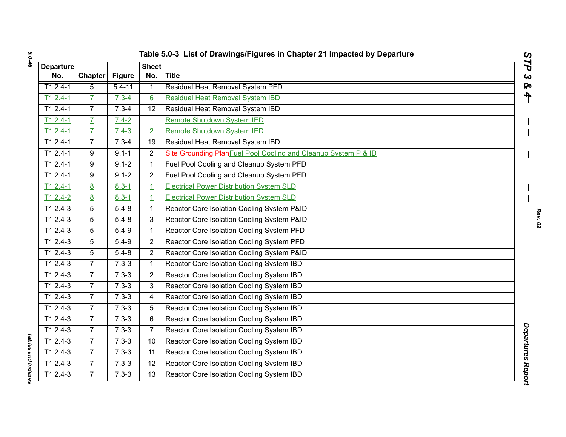| <b>Departure</b><br>No. | <b>Chapter</b> | <b>Figure</b> | <b>Sheet</b><br>No. | <b>Title</b>                                                    | STP<br>$\boldsymbol{\omega}$ |
|-------------------------|----------------|---------------|---------------------|-----------------------------------------------------------------|------------------------------|
| $T12.4-1$               | 5              | $5.4 - 11$    | 1                   | Residual Heat Removal System PFD                                | <b>S</b>                     |
| $T12.4-1$               | $\overline{L}$ | $7.3 - 4$     | $6 \overline{6}$    | <b>Residual Heat Removal System IBD</b>                         | ት                            |
| $T12.4-1$               | $\overline{7}$ | $7.3 - 4$     | 12                  | Residual Heat Removal System IBD                                |                              |
| $T12.4-1$               | $\overline{L}$ | $7.4 - 2$     |                     | <b>Remote Shutdown System IED</b>                               |                              |
| $T12.4-1$               | $\overline{L}$ | $7.4 - 3$     | $\overline{2}$      | Remote Shutdown System IED                                      |                              |
| $T12.4-1$               | $\overline{7}$ | $7.3 - 4$     | 19                  | Residual Heat Removal System IBD                                |                              |
| $T12.4-1$               | 9              | $9.1 - 1$     | $\overline{2}$      | Site Grounding Plan Fuel Pool Cooling and Cleanup System P & ID |                              |
| $T12.4-1$               | 9              | $9.1 - 2$     | $\mathbf{1}$        | Fuel Pool Cooling and Cleanup System PFD                        |                              |
| $T12.4-1$               | 9              | $9.1 - 2$     | $\overline{2}$      | Fuel Pool Cooling and Cleanup System PFD                        |                              |
| $T12.4-1$               | 8              | $8.3 - 1$     | $\overline{1}$      | <b>Electrical Power Distribution System SLD</b>                 |                              |
| $T12.4-2$               | 8              | $8.3 - 1$     | $\overline{1}$      | <b>Electrical Power Distribution System SLD</b>                 |                              |
| $T12.4-3$               | 5              | $5.4 - 8$     | 1                   | Reactor Core Isolation Cooling System P&ID                      |                              |
| $T12.4-3$               | 5              | $5.4 - 8$     | 3                   | Reactor Core Isolation Cooling System P&ID                      |                              |
| T1 2.4-3                | 5              | $5.4 - 9$     | 1                   | Reactor Core Isolation Cooling System PFD                       |                              |
| $T12.4-3$               | 5              | $5.4 - 9$     | $\overline{2}$      | Reactor Core Isolation Cooling System PFD                       |                              |
| T1 2.4-3                | 5              | $5.4 - 8$     | 2                   | Reactor Core Isolation Cooling System P&ID                      |                              |
| $T12.4-3$               | $\overline{7}$ | $7.3 - 3$     | $\mathbf{1}$        | Reactor Core Isolation Cooling System IBD                       |                              |
| T1 2.4-3                | $\overline{7}$ | $7.3 - 3$     | 2                   | Reactor Core Isolation Cooling System IBD                       |                              |
| $\overline{11}$ 2.4-3   | $\overline{7}$ | $7.3 - 3$     | 3                   | Reactor Core Isolation Cooling System IBD                       |                              |
| T1 2.4-3                | $\overline{7}$ | $7.3 - 3$     | 4                   | Reactor Core Isolation Cooling System IBD                       |                              |
| $T12.4-3$               | $\overline{7}$ | $7.3 - 3$     | 5                   | Reactor Core Isolation Cooling System IBD                       |                              |
| T1 2.4-3                | $\overline{7}$ | $7.3 - 3$     | 6                   | Reactor Core Isolation Cooling System IBD                       |                              |
| T1 2.4-3                | $\overline{7}$ | $7.3 - 3$     | $\overline{7}$      | Reactor Core Isolation Cooling System IBD                       |                              |
| $T12.4-3$               | $\overline{7}$ | $7.3 - 3$     | 10                  | Reactor Core Isolation Cooling System IBD                       | <b>Departures Report</b>     |
| T1 2.4-3                | $\overline{7}$ | $7.3 - 3$     | 11                  | Reactor Core Isolation Cooling System IBD                       |                              |
| $T12.4-3$               | $\overline{7}$ | $7.3 - 3$     | 12                  | Reactor Core Isolation Cooling System IBD                       |                              |
| $T12.4-3$               | $\overline{7}$ | $7.3 - 3$     | 13                  | Reactor Core Isolation Cooling System IBD                       |                              |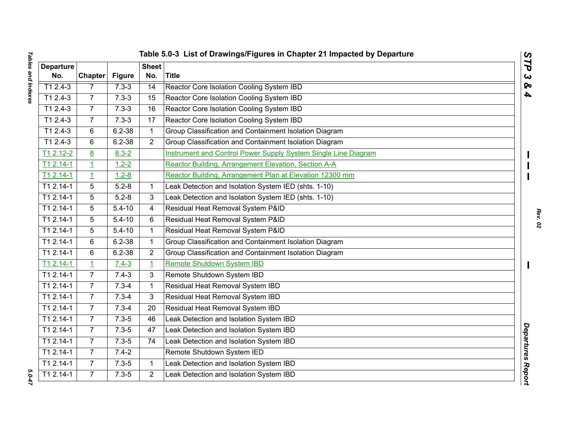| I<br><b>מחומס מווח וווחבעבס</b><br>in the contract of the contract of the contract of the contract of the contract of the contract of the contract of the contract of the contract of the contract of the contract of the contract of the contract of the contrac |  |
|-------------------------------------------------------------------------------------------------------------------------------------------------------------------------------------------------------------------------------------------------------------------|--|
|                                                                                                                                                                                                                                                                   |  |
|                                                                                                                                                                                                                                                                   |  |
|                                                                                                                                                                                                                                                                   |  |
|                                                                                                                                                                                                                                                                   |  |
|                                                                                                                                                                                                                                                                   |  |
| $\overline{1}$<br>i                                                                                                                                                                                                                                               |  |

|                  |                 |               |                | Table 5.0-3 List of Drawings/Figures in Chapter 21 Impacted by Departure | $\mathbf{C}$<br>∽        |
|------------------|-----------------|---------------|----------------|--------------------------------------------------------------------------|--------------------------|
| <b>Departure</b> |                 |               | <b>Sheet</b>   |                                                                          | ٦                        |
| No.              | <b>Chapter</b>  | <b>Figure</b> | No.            | <b>Title</b>                                                             | $\alpha$                 |
| $T12.4-3$        | $\overline{7}$  | $7.3 - 3$     | 14             | Reactor Core Isolation Cooling System IBD                                | ହ                        |
| $T12.4-3$        | $\overline{7}$  | $7.3 - 3$     | 15             | Reactor Core Isolation Cooling System IBD                                | 4                        |
| $T12.4-3$        | $\overline{7}$  | $7.3 - 3$     | 16             | Reactor Core Isolation Cooling System IBD                                |                          |
| $T12.4-3$        | $\overline{7}$  | $7.3 - 3$     | 17             | Reactor Core Isolation Cooling System IBD                                |                          |
| $T12.4-3$        | 6               | $6.2 - 38$    | $\mathbf{1}$   | Group Classification and Containment Isolation Diagram                   |                          |
| $T12.4-3$        | 6               | $6.2 - 38$    | 2              | Group Classification and Containment Isolation Diagram                   |                          |
| T1 2.12-2        | 8               | $8.3 - 2$     |                | Instrument and Control Power Supply System Single Line Diagram           |                          |
| T1 2.14-1        | $\overline{1}$  | $1.2 - 2$     |                | Reactor Building, Arrangement Elevation, Section A-A                     |                          |
| $T12.14-1$       | $\overline{1}$  | $1.2 - 8$     |                | Reactor Building, Arrangement Plan at Elevation 12300 mm                 |                          |
| T1 2.14-1        | 5               | $5.2 - 8$     | $\mathbf 1$    | Leak Detection and Isolation System IED (shts. 1-10)                     |                          |
| $T12.14-1$       | $\overline{5}$  | $5.2 - 8$     | 3              | Leak Detection and Isolation System IED (shts. 1-10)                     |                          |
| T1 2.14-1        | 5               | $5.4 - 10$    | 4              | Residual Heat Removal System P&ID                                        |                          |
| $T12.14-1$       | $5\phantom{.0}$ | $5.4 - 10$    | 6              | Residual Heat Removal System P&ID                                        |                          |
| T1 2.14-1        | 5               | $5.4 - 10$    | 1              | Residual Heat Removal System P&ID                                        |                          |
| $T12.14-1$       | 6               | $6.2 - 38$    | $\mathbf{1}$   | Group Classification and Containment Isolation Diagram                   |                          |
| T1 2.14-1        | $6\phantom{1}$  | $6.2 - 38$    | $\overline{2}$ | Group Classification and Containment Isolation Diagram                   |                          |
| $T12.14-1$       | $\mathbf{1}$    | $7.4 - 3$     | $\overline{1}$ | Remote Shutdown System IBD                                               |                          |
| $T12.14-1$       | $\overline{7}$  | $7.4 - 3$     | 3              | Remote Shutdown System IBD                                               |                          |
| T1 2.14-1        | $\overline{7}$  | $7.3 - 4$     | $\mathbf{1}$   | Residual Heat Removal System IBD                                         |                          |
| T1 2.14-1        | $\overline{7}$  | $7.3 - 4$     | 3              | Residual Heat Removal System IBD                                         |                          |
| $T12.14-1$       | $\overline{7}$  | $7.3 - 4$     | 20             | Residual Heat Removal System IBD                                         |                          |
| T1 2.14-1        | $\overline{7}$  | $7.3 - 5$     | 46             | Leak Detection and Isolation System IBD                                  |                          |
| T1 2.14-1        | $\overline{7}$  | $7.3 - 5$     | 47             | Leak Detection and Isolation System IBD                                  |                          |
| $T12.14-1$       | $\overline{7}$  | $7.3 - 5$     | 74             | Leak Detection and Isolation System IBD                                  |                          |
| T1 2.14-1        | $\overline{7}$  | $7.4 - 2$     |                | Remote Shutdown System IED                                               |                          |
| $T12.14-1$       | $\overline{7}$  | $7.3 - 5$     | $\mathbf{1}$   | Leak Detection and Isolation System IBD                                  |                          |
| $T12.14-1$       | $\overline{7}$  | $7.3 - 5$     | $\overline{2}$ | Leak Detection and Isolation System IBD                                  | <b>Departures Report</b> |
|                  |                 |               |                |                                                                          |                          |

*STP 3 & 4*

5.0-47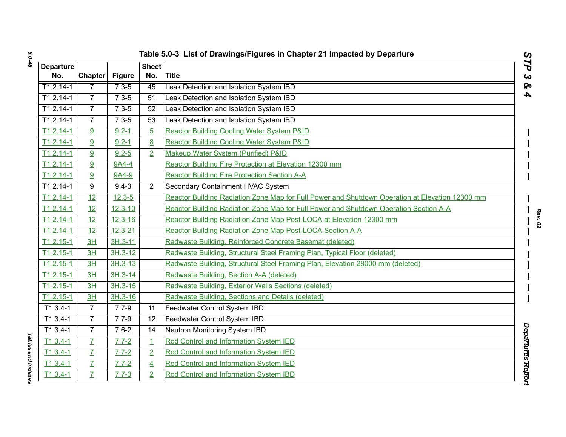|                         | Table 5.0-3 List of Drawings/Figures in Chapter 21 Impacted by Departure<br>STP |               |                         |                                                                                                 |                       |  |  |
|-------------------------|---------------------------------------------------------------------------------|---------------|-------------------------|-------------------------------------------------------------------------------------------------|-----------------------|--|--|
| <b>Departure</b><br>No. | <b>Chapter</b>                                                                  | <b>Figure</b> | <b>Sheet</b><br>No.     | Title                                                                                           | $\boldsymbol{\omega}$ |  |  |
| $T12.14-1$              | $\overline{7}$                                                                  | $7.3 - 5$     | 45                      | Leak Detection and Isolation System IBD                                                         |                       |  |  |
| $T12.14-1$              | $\overline{7}$                                                                  | $7.3 - 5$     | 51                      | Leak Detection and Isolation System IBD                                                         |                       |  |  |
| $T12.14-1$              | $\overline{7}$                                                                  | $7.3 - 5$     | 52                      | Leak Detection and Isolation System IBD                                                         |                       |  |  |
| T1 2.14-1               | $\overline{7}$                                                                  | $7.3 - 5$     | 53                      | Leak Detection and Isolation System IBD                                                         |                       |  |  |
| T1 2.14-1               | 9                                                                               | $9.2 - 1$     | $\overline{5}$          | Reactor Building Cooling Water System P&ID                                                      |                       |  |  |
| $T12.14-1$              | 9                                                                               | $9.2 - 1$     | 8                       | <b>Reactor Building Cooling Water System P&amp;ID</b>                                           |                       |  |  |
| T1 2.14-1               | 9                                                                               | $9.2 - 5$     | $\overline{2}$          | Makeup Water System (Purified) P&ID                                                             |                       |  |  |
| T1 2.14-1               | 9                                                                               | 9A4-4         |                         | Reactor Building Fire Protection at Elevation 12300 mm                                          |                       |  |  |
| T1 2.14-1               | 9                                                                               | 9A4-9         |                         | <b>Reactor Building Fire Protection Section A-A</b>                                             |                       |  |  |
| T1 2.14-1               | 9                                                                               | $9.4 - 3$     | $\overline{2}$          | Secondary Containment HVAC System                                                               |                       |  |  |
| $T12.14-1$              | 12                                                                              | $12.3 - 5$    |                         | Reactor Building Radiation Zone Map for Full Power and Shutdown Operation at Elevation 12300 mm |                       |  |  |
| $T12.14-1$              | $\overline{12}$                                                                 | $12.3 - 10$   |                         | Reactor Building Radiation Zone Map for Full Power and Shutdown Operation Section A-A           |                       |  |  |
| $T12.14-1$              | 12                                                                              | $12.3 - 16$   |                         | Reactor Building Radiation Zone Map Post-LOCA at Elevation 12300 mm                             |                       |  |  |
| T <sub>1</sub> 2.14-1   | 12                                                                              | $12.3 - 21$   |                         | Reactor Building Radiation Zone Map Post-LOCA Section A-A                                       |                       |  |  |
| $T12.15-1$              | 3H                                                                              | $3H.3-11$     |                         | Radwaste Building, Reinforced Concrete Basemat (deleted)                                        |                       |  |  |
| $T12.15-1$              | 3H                                                                              | 3H.3-12       |                         | Radwaste Building, Structural Steel Framing Plan, Typical Floor (deleted)                       |                       |  |  |
| $T12.15-1$              | 3H                                                                              | $3H.3 - 13$   |                         | Radwaste Building, Structural Steel Framing Plan, Elevation 28000 mm (deleted)                  |                       |  |  |
| $T12.15-1$              | 3H                                                                              | $3H.3 - 14$   |                         | Radwaste Building, Section A-A (deleted)                                                        |                       |  |  |
| $T12.15-1$              | 3H                                                                              | $3H.3-15$     |                         | Radwaste Building, Exterior Walls Sections (deleted)                                            |                       |  |  |
| $T12.15-1$              | 3H                                                                              | 3H.3-16       |                         | Radwaste Building, Sections and Details (deleted)                                               |                       |  |  |
| T1 3.4-1                | $\overline{7}$                                                                  | $7.7 - 9$     | 11                      | Feedwater Control System IBD                                                                    |                       |  |  |
| T1 3.4-1                | $\overline{7}$                                                                  | $7.7 - 9$     | 12                      | Feedwater Control System IBD                                                                    |                       |  |  |
| T1 3.4-1                | $\overline{7}$                                                                  | $7.6 - 2$     | 14                      | Neutron Monitoring System IBD                                                                   |                       |  |  |
| $T13.4-1$               | $\overline{L}$                                                                  | $7.7 - 2$     | $\mathbf{1}$            | Rod Control and Information System IED                                                          | Departures Report     |  |  |
| $T13.4-1$               | $\overline{I}$                                                                  | $7.7 - 2$     | $\overline{2}$          | Rod Control and Information System IED                                                          |                       |  |  |
| $T_1$ 3.4-1             | $\overline{I}$                                                                  | $7.7 - 2$     | $\overline{\mathbf{4}}$ | Rod Control and Information System IED                                                          |                       |  |  |
| $T13.4-1$               | $\overline{I}$                                                                  | $7.7 - 3$     | $\overline{2}$          | Rod Control and Information System IBD                                                          |                       |  |  |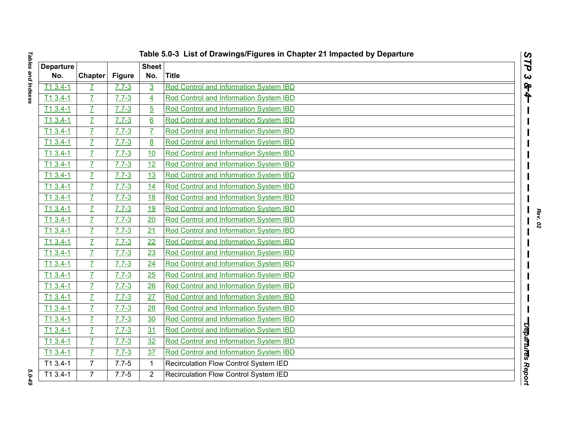| ו<br>ו<br>CAVADULI DUID CALOR<br>i<br>š<br>j<br>)<br>)<br>)<br>)<br>)<br>į |  |
|----------------------------------------------------------------------------|--|
|                                                                            |  |
|                                                                            |  |
|                                                                            |  |
|                                                                            |  |
| :<br>;<br>ī                                                                |  |

|                         | Table 5.0-3 List of Drawings/Figures in Chapter 21 Impacted by Departure |               |                     |                                        |                              |  |  |  |
|-------------------------|--------------------------------------------------------------------------|---------------|---------------------|----------------------------------------|------------------------------|--|--|--|
| <b>Departure</b><br>No. | <b>Chapter</b>                                                           | <b>Figure</b> | <b>Sheet</b><br>No. | <b>Title</b>                           | STP<br>$\boldsymbol{\omega}$ |  |  |  |
| $T13.4-1$               | Z                                                                        | $7.7 - 3$     | $\overline{3}$      | Rod Control and Information System IBD | 84                           |  |  |  |
| $T13.4-1$               | $\overline{L}$                                                           | $7.7 - 3$     | $\overline{4}$      | Rod Control and Information System IBD |                              |  |  |  |
| $T13.4-1$               | $\overline{I}$                                                           | $7.7 - 3$     | $\overline{5}$      | Rod Control and Information System IBD |                              |  |  |  |
| $T13.4-1$               | $\overline{I}$                                                           | $7.7 - 3$     | 6                   | Rod Control and Information System IBD |                              |  |  |  |
| $T13.4-1$               | $\overline{L}$                                                           | $7.7 - 3$     | $\overline{I}$      | Rod Control and Information System IBD |                              |  |  |  |
| $T13.4-1$               | $\overline{L}$                                                           | $7.7 - 3$     | 8                   | Rod Control and Information System IBD |                              |  |  |  |
| $T13.4-1$               | $\overline{L}$                                                           | $7.7 - 3$     | 10                  | Rod Control and Information System IBD |                              |  |  |  |
| $T13.4-1$               | $\overline{L}$                                                           | $7.7 - 3$     | 12                  | Rod Control and Information System IBD |                              |  |  |  |
| $T13.4-1$               | $\overline{I}$                                                           | $7.7 - 3$     | 13                  | Rod Control and Information System IBD |                              |  |  |  |
| $T13.4-1$               | $\overline{L}$                                                           | $7.7 - 3$     | 14                  | Rod Control and Information System IBD |                              |  |  |  |
| $T13.4-1$               | $\overline{L}$                                                           | $7.7 - 3$     | 18                  | Rod Control and Information System IBD |                              |  |  |  |
| $T13.4-1$               | $\overline{L}$                                                           | $7.7 - 3$     | 19                  | Rod Control and Information System IBD |                              |  |  |  |
| $T13.4-1$               | $\overline{L}$                                                           | $7.7 - 3$     | 20                  | Rod Control and Information System IBD |                              |  |  |  |
| $T13.4-1$               | $\overline{L}$                                                           | $7.7 - 3$     | 21                  | Rod Control and Information System IBD |                              |  |  |  |
| $T13.4-1$               | $\overline{I}$                                                           | $7.7 - 3$     | $\overline{22}$     | Rod Control and Information System IBD |                              |  |  |  |
| $T13.4-1$               | $\overline{L}$                                                           | $7.7 - 3$     | 23                  | Rod Control and Information System IBD |                              |  |  |  |
| $T13.4-1$               | $\overline{I}$                                                           | $7.7 - 3$     | 24                  | Rod Control and Information System IBD |                              |  |  |  |
| $T13.4-1$               | $\overline{L}$                                                           | $7.7 - 3$     | 25                  | Rod Control and Information System IBD |                              |  |  |  |
| $T13.4-1$               | $\overline{L}$                                                           | $7.7 - 3$     | 26                  | Rod Control and Information System IBD |                              |  |  |  |
| $T13.4-1$               | $\overline{L}$                                                           | $7.7 - 3$     | 27                  | Rod Control and Information System IBD |                              |  |  |  |
| $T13.4-1$               | $\overline{I}$                                                           | $7.7 - 3$     | 28                  | Rod Control and Information System IBD |                              |  |  |  |
| $T13.4-1$               | $\overline{L}$                                                           | $7.7 - 3$     | 30                  | Rod Control and Information System IBD |                              |  |  |  |
| $T13.4-1$               | $\overline{L}$                                                           | $7.7 - 3$     | 31                  | Rod Control and Information System IBD |                              |  |  |  |
| $T13.4-1$               | $\overline{L}$                                                           | $7.7 - 3$     | 32                  | Rod Control and Information System IBD |                              |  |  |  |
| $T13.4-1$               | $\overline{L}$                                                           | $7.7 - 3$     | 37                  | Rod Control and Information System IBD |                              |  |  |  |
| $T13.4-1$               | $\overline{7}$                                                           | $7.7 - 5$     | 1                   | Recirculation Flow Control System IED  |                              |  |  |  |
| $T13.4-1$               | $\overline{7}$                                                           | $7.7 - 5$     | $\overline{2}$      | Recirculation Flow Control System IED  | Departures Report            |  |  |  |

 $5.0 - 49$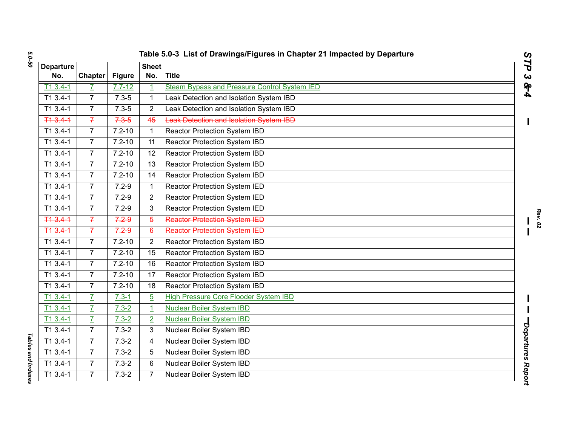*5.0-50*

| <b>Departure</b> |                |               | <b>Sheet</b>   | Table 5.0-3 List of Drawings/Figures in Chapter 21 Impacted by Departure | $\mathbf{C}$<br>N        |
|------------------|----------------|---------------|----------------|--------------------------------------------------------------------------|--------------------------|
| No.              | <b>Chapter</b> | <b>Figure</b> | No.            | <b>Title</b>                                                             | ٦<br>$\mathbf{C}$        |
| $T13.4-1$        | Z              | $7.7 - 12$    | 1              | Steam Bypass and Pressure Control System IED                             | <b>844</b>               |
| T1 3.4-1         | $\overline{7}$ | $7.3 - 5$     | 1              | Leak Detection and Isolation System IBD                                  |                          |
| $T13.4-1$        | $\overline{7}$ | $7.3 - 5$     | $\overline{2}$ | Leak Detection and Isolation System IBD                                  |                          |
| $+43.41$         | $\overline{f}$ | $7.3 - 5$     | 45             | Leak Detection and Isolation System IBD                                  |                          |
| T1 3.4-1         | $\overline{7}$ | $7.2 - 10$    | $\mathbf{1}$   | Reactor Protection System IBD                                            |                          |
| T1 3.4-1         | $\overline{7}$ | $7.2 - 10$    | 11             | Reactor Protection System IBD                                            |                          |
| T1 3.4-1         | $\overline{7}$ | $7.2 - 10$    | 12             | <b>Reactor Protection System IBD</b>                                     |                          |
| $T13.4-1$        | $\overline{7}$ | $7.2 - 10$    | 13             | Reactor Protection System IBD                                            |                          |
| $T13.4-1$        | $\overline{7}$ | $7.2 - 10$    | 14             | Reactor Protection System IBD                                            |                          |
| $T13.4-1$        | $\overline{7}$ | $7.2 - 9$     | 1              | Reactor Protection System IED                                            |                          |
| $T13.4-1$        | $\overline{7}$ | $7.2 - 9$     | $\overline{2}$ | Reactor Protection System IED                                            |                          |
| $T13.4-1$        | $\overline{7}$ | $7.2 - 9$     | 3              | Reactor Protection System IED                                            |                          |
| T13.41           | $\overline{f}$ | 7.29          | 5              | <b>Reactor Protection System IED</b>                                     |                          |
| 713.41           | $\overline{f}$ | 7.29          | 6              | <b>Reactor Protection System IED</b>                                     |                          |
| $T13.4-1$        | $\overline{7}$ | $7.2 - 10$    | $\overline{2}$ | Reactor Protection System IBD                                            |                          |
| $T13.4-1$        | $\overline{7}$ | $7.2 - 10$    | 15             | Reactor Protection System IBD                                            |                          |
| T1 3.4-1         | $\overline{7}$ | $7.2 - 10$    | 16             | Reactor Protection System IBD                                            |                          |
| $T13.4-1$        | $\overline{7}$ | $7.2 - 10$    | 17             | <b>Reactor Protection System IBD</b>                                     |                          |
| $T13.4-1$        | $\overline{7}$ | $7.2 - 10$    | 18             | Reactor Protection System IBD                                            |                          |
| $T13.4-1$        | $\overline{I}$ | $7.3 - 1$     | $\overline{5}$ | <b>High Pressure Core Flooder System IBD</b>                             |                          |
| $T13.4-1$        | $\overline{I}$ | $7.3 - 2$     | $\overline{1}$ | <b>Nuclear Boiler System IBD</b>                                         |                          |
| $T13.4-1$        | $\overline{I}$ | $7.3 - 2$     | $\overline{2}$ | <b>Nuclear Boiler System IBD</b>                                         |                          |
| T1 3.4-1         | $\overline{7}$ | $7.3 - 2$     | 3              | Nuclear Boiler System IBD                                                |                          |
| $T13.4-1$        | $\overline{7}$ | $7.3 - 2$     | 4              | Nuclear Boiler System IBD                                                |                          |
| T1 3.4-1         | $\overline{7}$ | $7.3 - 2$     | 5              | Nuclear Boiler System IBD                                                | <b>Departures Report</b> |
| T1 3.4-1         | $\overline{7}$ | $7.3 - 2$     | 6              | Nuclear Boiler System IBD                                                |                          |
| $T13.4-1$        | $\overline{7}$ | $7.3 - 2$     | 7              | Nuclear Boiler System IBD                                                |                          |

*STP 3 & 4*

**Tables and Indexes** *Tables and Indexes*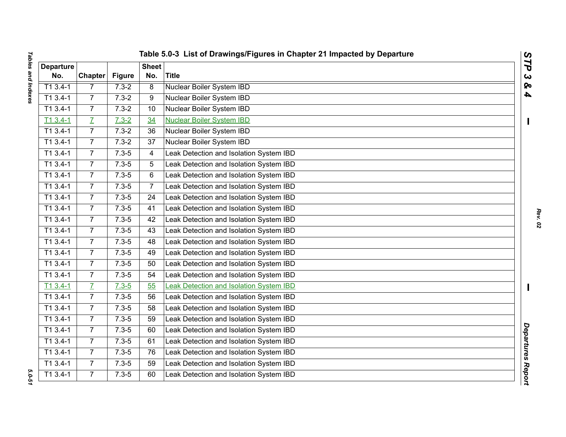| I<br><b>DOVOMILI BILIP DOLOR</b><br>֖֚֚֚֬ |  |
|-------------------------------------------|--|
|                                           |  |
|                                           |  |
|                                           |  |
|                                           |  |
|                                           |  |
| $\overline{1}$                            |  |
| $\ddot{\phantom{a}}$<br>ı                 |  |

|                  |                 |               |                 | Table 5.0-3 List of Drawings/Figures in Chapter 21 Impacted by Departure | $\mathbf{C}$            |
|------------------|-----------------|---------------|-----------------|--------------------------------------------------------------------------|-------------------------|
| <b>Departure</b> |                 |               | <b>Sheet</b>    |                                                                          | $\overline{\mathbf{r}}$ |
| No.              | <b>Chapter</b>  | <b>Figure</b> | No.             | <b>Title</b>                                                             | $\alpha$                |
| $T13.4-1$        | 7               | $7.3 - 2$     | $\overline{8}$  | <b>Nuclear Boiler System IBD</b>                                         | ହ<br>4                  |
| T1 3.4-1         | $\overline{7}$  | $7.3 - 2$     | 9               | Nuclear Boiler System IBD                                                |                         |
| $T13.4-1$        | $\overline{7}$  | $7.3 - 2$     | 10              | Nuclear Boiler System IBD                                                |                         |
| $T13.4-1$        | $\overline{I}$  | $7.3 - 2$     | 34              | <b>Nuclear Boiler System IBD</b>                                         | Ш                       |
| T1 3.4-1         | $\overline{7}$  | $7.3 - 2$     | 36              | Nuclear Boiler System IBD                                                |                         |
| $T13.4-1$        | $\overline{7}$  | $7.3 - 2$     | 37              | Nuclear Boiler System IBD                                                |                         |
| T1 3.4-1         | $7\overline{ }$ | $7.3 - 5$     | 4               | Leak Detection and Isolation System IBD                                  |                         |
| $T13.4-1$        | 7 <sup>1</sup>  | $7.3 - 5$     | 5               | Leak Detection and Isolation System IBD                                  |                         |
| $T13.4-1$        | $\overline{7}$  | $7.3 - 5$     | 6               | Leak Detection and Isolation System IBD                                  |                         |
| T1 3.4-1         | $\overline{7}$  | $7.3 - 5$     | $\overline{7}$  | Leak Detection and Isolation System IBD                                  |                         |
| T1 3.4-1         | $\overline{7}$  | $7.3 - 5$     | 24              | Leak Detection and Isolation System IBD                                  |                         |
| $T13.4-1$        | $\overline{7}$  | $7.3 - 5$     | 41              | Leak Detection and Isolation System IBD                                  |                         |
| $T13.4-1$        | $\overline{7}$  | $7.3 - 5$     | 42              | Leak Detection and Isolation System IBD                                  |                         |
| T1 3.4-1         | $\overline{7}$  | $7.3 - 5$     | 43              | Leak Detection and Isolation System IBD                                  |                         |
| $T13.4-1$        | $\overline{7}$  | $7.3 - 5$     | 48              | Leak Detection and Isolation System IBD                                  |                         |
| T1 3.4-1         | $7\overline{ }$ | $7.3 - 5$     | 49              | Leak Detection and Isolation System IBD                                  |                         |
| $T13.4-1$        | $\overline{7}$  | $7.3 - 5$     | 50              | Leak Detection and Isolation System IBD                                  |                         |
| $T13.4-1$        | $\overline{7}$  | $7.3 - 5$     | 54              | Leak Detection and Isolation System IBD                                  |                         |
| $T13.4-1$        | $\overline{L}$  | $7.3 - 5$     | 55              | Leak Detection and Isolation System IBD                                  |                         |
| $T13.4-1$        | $\overline{7}$  | $7.3 - 5$     | 56              | Leak Detection and Isolation System IBD                                  |                         |
| $T13.4-1$        | $\overline{7}$  | $7.3 - 5$     | $\overline{58}$ | Leak Detection and Isolation System IBD                                  |                         |
| $T13.4-1$        | $\overline{7}$  | $7.3 - 5$     | 59              | Leak Detection and Isolation System IBD                                  |                         |
| T1 3.4-1         | 7 <sup>1</sup>  | $7.3 - 5$     | 60              | Leak Detection and Isolation System IBD                                  |                         |
| $T13.4-1$        | $7\overline{ }$ | $7.3 - 5$     | 61              | Leak Detection and Isolation System IBD                                  |                         |
| $T13.4-1$        | $\overline{7}$  | $7.3 - 5$     | 76              | Leak Detection and Isolation System IBD                                  |                         |
| $T13.4-1$        | $\overline{7}$  | $7.3 - 5$     | 59              | Leak Detection and Isolation System IBD                                  |                         |
| $T13.4-1$        | $\overline{7}$  | $7.3 - 5$     | 60              | Leak Detection and Isolation System IBD                                  | Departures Report       |
|                  |                 |               |                 |                                                                          |                         |

5.0-51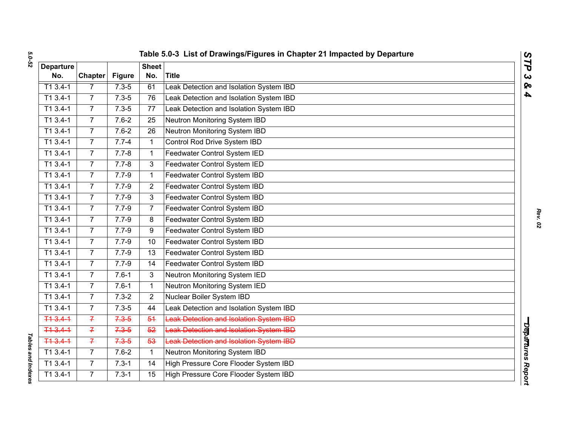*5.0-52*

| <b>Departure</b><br>No.<br>$T13.4-1$<br>$\overline{11}$ 3.4-1<br>$T13.4-1$<br>$T13.4-1$ | <b>Chapter</b><br>$\overline{7}$<br>$\overline{7}$<br>$\overline{7}$<br>$\overline{7}$<br>$\overline{7}$ | <b>Figure</b><br>$7.3 - 5$<br>$7.3 - 5$<br>$7.3 - 5$<br>$7.6 - 2$ | <b>Sheet</b><br>No.<br>61<br>76<br>77 | <b>Title</b><br>Leak Detection and Isolation System IBD<br>Leak Detection and Isolation System IBD | N<br>٦<br>$\mathbf{C}$<br>ହ<br>4 |
|-----------------------------------------------------------------------------------------|----------------------------------------------------------------------------------------------------------|-------------------------------------------------------------------|---------------------------------------|----------------------------------------------------------------------------------------------------|----------------------------------|
|                                                                                         |                                                                                                          |                                                                   |                                       |                                                                                                    |                                  |
|                                                                                         |                                                                                                          |                                                                   |                                       |                                                                                                    |                                  |
|                                                                                         |                                                                                                          |                                                                   |                                       |                                                                                                    |                                  |
|                                                                                         |                                                                                                          |                                                                   |                                       |                                                                                                    |                                  |
|                                                                                         |                                                                                                          |                                                                   |                                       | Leak Detection and Isolation System IBD                                                            |                                  |
|                                                                                         |                                                                                                          |                                                                   | 25                                    | Neutron Monitoring System IBD                                                                      |                                  |
| $T13.4-1$                                                                               |                                                                                                          | $7.6 - 2$                                                         | 26                                    | Neutron Monitoring System IBD                                                                      |                                  |
| $T13.4-1$                                                                               | $\overline{7}$                                                                                           | $7.7 - 4$                                                         | 1                                     | Control Rod Drive System IBD                                                                       |                                  |
| $T13.4-1$                                                                               | $\overline{7}$                                                                                           | $7.7 - 8$                                                         | $\mathbf{1}$                          | Feedwater Control System IED                                                                       |                                  |
| $T13.4-1$                                                                               | $\overline{7}$                                                                                           | $7.7 - 8$                                                         | 3                                     | Feedwater Control System IED                                                                       |                                  |
| $T13.4-1$                                                                               | $\overline{7}$                                                                                           | $7.7 - 9$                                                         | $\mathbf 1$                           | Feedwater Control System IBD                                                                       |                                  |
| T1 3.4-1                                                                                | $\overline{7}$                                                                                           | $7.7 - 9$                                                         | $\overline{2}$                        | Feedwater Control System IBD                                                                       |                                  |
| $T13.4-1$                                                                               | $\overline{7}$                                                                                           | $7.7 - 9$                                                         | 3                                     | Feedwater Control System IBD                                                                       |                                  |
| $T13.4-1$                                                                               | $\overline{7}$                                                                                           | $7.7 - 9$                                                         | 7                                     | Feedwater Control System IBD                                                                       |                                  |
| $T13.4-1$                                                                               | $\overline{7}$                                                                                           | $7.7 - 9$                                                         | 8                                     | Feedwater Control System IBD                                                                       |                                  |
| $T13.4-1$                                                                               | $\overline{7}$                                                                                           | $7.7 - 9$                                                         | 9                                     | Feedwater Control System IBD                                                                       |                                  |
| $T13.4-1$                                                                               | $\overline{7}$                                                                                           | $7.7 - 9$                                                         | 10                                    | Feedwater Control System IBD                                                                       |                                  |
| T1 3.4-1                                                                                | $\overline{7}$                                                                                           | $7.7 - 9$                                                         | 13                                    | Feedwater Control System IBD                                                                       |                                  |
| $T13.4-1$                                                                               | $\overline{7}$                                                                                           | $7.7 - 9$                                                         | 14                                    | Feedwater Control System IBD                                                                       |                                  |
| $T13.4-1$                                                                               | $\overline{7}$                                                                                           | $7.6 - 1$                                                         | 3                                     | Neutron Monitoring System IED                                                                      |                                  |
| $T13.4-1$                                                                               | $\overline{7}$                                                                                           | $7.6 - 1$                                                         | $\mathbf{1}$                          | Neutron Monitoring System IED                                                                      |                                  |
| $T13.4-1$                                                                               | $\overline{7}$                                                                                           | $7.3 - 2$                                                         | $\overline{2}$                        | Nuclear Boiler System IBD                                                                          |                                  |
| $T13.4-1$                                                                               | $\overline{7}$                                                                                           | $7.3 - 5$                                                         | $\overline{44}$                       | Leak Detection and Isolation System IBD                                                            |                                  |
| T13.41                                                                                  | $\overline{f}$                                                                                           | $7.3 - 5$                                                         | 54                                    | Leak Detection and Isolation System IBD                                                            |                                  |
| 713.41                                                                                  | $\overline{f}$                                                                                           | $7.3 - 5$                                                         | 52                                    | <b>Leak Detection and Isolation System IBD</b>                                                     |                                  |
| $T13.4-1$                                                                               | $\overline{f}$                                                                                           | $7.3 - 5$                                                         | 53                                    | <b>Leak Detection and Isolation System IBD</b>                                                     |                                  |
| T1 3.4-1                                                                                | $\overline{7}$                                                                                           | $7.6 - 2$                                                         | $\mathbf{1}$                          | Neutron Monitoring System IBD                                                                      | <b>Departures Report</b>         |
| $T13.4-1$                                                                               | $\overline{7}$                                                                                           | $7.3 - 1$                                                         | 14                                    | High Pressure Core Flooder System IBD                                                              |                                  |
| $T13.4-1$                                                                               | $\overline{7}$                                                                                           | $7.3 - 1$                                                         | 15                                    | High Pressure Core Flooder System IBD                                                              |                                  |

**Tables and Indexes** *Tables and Indexes*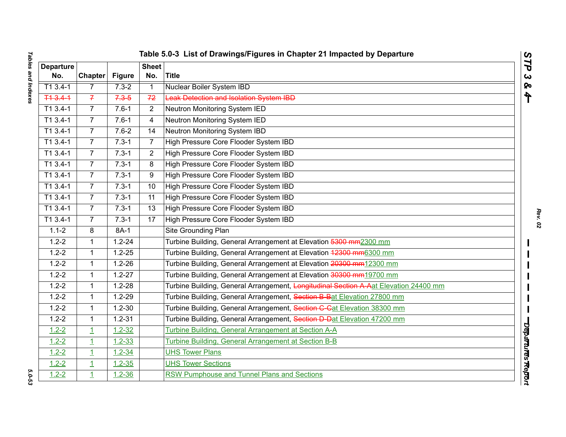| <b>Departure</b><br>No. | <b>Chapter</b> | <b>Figure</b> | <b>Sheet</b><br>No. | <b>Title</b>                                                                         |  |
|-------------------------|----------------|---------------|---------------------|--------------------------------------------------------------------------------------|--|
| $T13.4-1$               | $\overline{7}$ | $7.3 - 2$     | $\mathbf{1}$        | <b>Nuclear Boiler System IBD</b>                                                     |  |
| T13.41                  | $\overline{f}$ | $7.3 - 5$     | 72                  | <b>Leak Detection and Isolation System IBD</b>                                       |  |
| $T13.4-1$               | $\overline{7}$ | $7.6 - 1$     | $\overline{2}$      | Neutron Monitoring System IED                                                        |  |
| $\overline{1}13.4-1$    | $\overline{7}$ | $7.6 - 1$     | 4                   | Neutron Monitoring System IED                                                        |  |
| $T13.4-1$               | $\overline{7}$ | $7.6 - 2$     | 14                  | Neutron Monitoring System IBD                                                        |  |
| $\overline{113.4} - 1$  | $\overline{7}$ | $7.3 - 1$     | $\overline{7}$      | High Pressure Core Flooder System IBD                                                |  |
| $T13.4-1$               | $\overline{7}$ | $7.3 - 1$     | $\overline{2}$      | High Pressure Core Flooder System IBD                                                |  |
| T1 3.4-1                | $\overline{7}$ | $7.3 - 1$     | 8                   | High Pressure Core Flooder System IBD                                                |  |
| $T13.4-1$               | $\overline{7}$ | $7.3 - 1$     | 9                   | High Pressure Core Flooder System IBD                                                |  |
| T1 3.4-1                | $\overline{7}$ | $7.3 - 1$     | 10                  | High Pressure Core Flooder System IBD                                                |  |
| T1 3.4-1                | $\overline{7}$ | $7.3 - 1$     | 11                  | High Pressure Core Flooder System IBD                                                |  |
| T1 3.4-1                | $\overline{7}$ | $7.3 - 1$     | 13                  | High Pressure Core Flooder System IBD                                                |  |
| $T13.4-1$               | $\overline{7}$ | $7.3 - 1$     | 17                  | High Pressure Core Flooder System IBD                                                |  |
| $1.1 - 2$               | 8              | 8A-1          |                     | Site Grounding Plan                                                                  |  |
| $1.2 - 2$               | $\mathbf{1}$   | $1.2 - 24$    |                     | Turbine Building, General Arrangement at Elevation 5300 mm2300 mm                    |  |
| $1.2 - 2$               | 1              | $1.2 - 25$    |                     | Turbine Building, General Arrangement at Elevation 42300 mm6300 mm                   |  |
| $1.2 - 2$               | $\mathbf{1}$   | $1.2 - 26$    |                     | Turbine Building, General Arrangement at Elevation 20300 mm12300 mm                  |  |
| $1.2 - 2$               | 1              | $1.2 - 27$    |                     | Turbine Building, General Arrangement at Elevation 30300 mm19700 mm                  |  |
| $1.2 - 2$               | $\mathbf{1}$   | $1.2 - 28$    |                     | Turbine Building, General Arrangement, Longitudinal Section A Aat Elevation 24400 mm |  |
| $1.2 - 2$               | $\mathbf{1}$   | $1.2 - 29$    |                     | Turbine Building, General Arrangement, Section B Bat Elevation 27800 mm              |  |
| $1.2 - 2$               | $\mathbf{1}$   | $1.2 - 30$    |                     | Turbine Building, General Arrangement, Section C-Cat Elevation 38300 mm              |  |
| $1.2 - 2$               | $\mathbf{1}$   | $1.2 - 31$    |                     | Turbine Building, General Arrangement, Section D Dat Elevation 47200 mm              |  |
| $1.2 - 2$               | $\overline{1}$ | $1.2 - 32$    |                     | Turbine Building, General Arrangement at Section A-A                                 |  |
| $1.2 - 2$               | $\overline{1}$ | $1.2 - 33$    |                     | Turbine Building, General Arrangement at Section B-B                                 |  |
| $1.2 - 2$               | $\overline{1}$ | $1.2 - 34$    |                     | <b>UHS Tower Plans</b>                                                               |  |
| $1.2 - 2$               | $\overline{1}$ | $1.2 - 35$    |                     | <b>UHS Tower Sections</b>                                                            |  |
| $1.2 - 2$               | $\overline{1}$ | $1.2 - 36$    |                     | RSW Pumphouse and Tunnel Plans and Sections                                          |  |

| ļ<br><b><i><u>Fables</u></i></b> and Indexes |
|----------------------------------------------|
|                                              |
|                                              |
|                                              |
|                                              |
| $\frac{1}{2}$<br>֕<br>ა<br>ვ                 |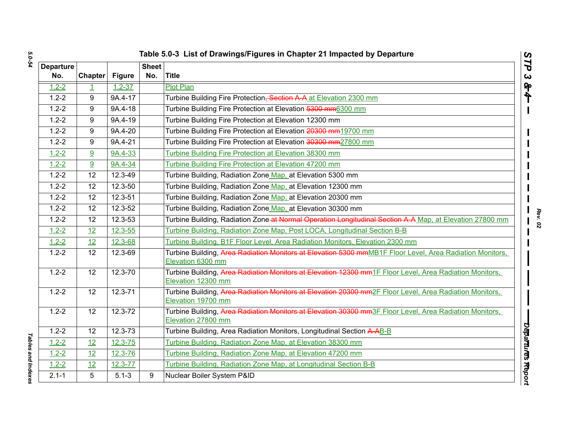| ပာ |
|----|
|    |
|    |
|    |
| L  |
|    |
|    |

| Table 5.0-3 List of Drawings/Figures in Chapter 21 Impacted by Departure<br>$\boldsymbol{\omega}$<br>ĽP |                 |               |                     |                                                                                                                               |  |  |
|---------------------------------------------------------------------------------------------------------|-----------------|---------------|---------------------|-------------------------------------------------------------------------------------------------------------------------------|--|--|
| <b>Departure</b><br>No.                                                                                 | Chapter         | <b>Figure</b> | <b>Sheet</b><br>No. | Title                                                                                                                         |  |  |
| $1.2 - 2$                                                                                               | $\mathbf{1}$    | $1.2 - 37$    |                     | <b>Plot Plan</b>                                                                                                              |  |  |
| $1.2 - 2$                                                                                               | 9               | 9A.4-17       |                     | Turbine Building Fire Protection, Section A A at Elevation 2300 mm                                                            |  |  |
| $1.2 - 2$                                                                                               | 9               | 9A.4-18       |                     | Turbine Building Fire Protection at Elevation 5300 mm6300 mm                                                                  |  |  |
| $1.2 - 2$                                                                                               | 9               | 9A.4-19       |                     | Turbine Building Fire Protection at Elevation 12300 mm                                                                        |  |  |
| $1.2 - 2$                                                                                               | 9               | 9A.4-20       |                     | Turbine Building Fire Protection at Elevation 20300 mm19700 mm                                                                |  |  |
| $1.2 - 2$                                                                                               | 9               | $9A.4 - 21$   |                     | Turbine Building Fire Protection at Elevation 30300 mm27800 mm                                                                |  |  |
| $1.2 - 2$                                                                                               | 9               | 9A.4-33       |                     | Turbine Building Fire Protection at Elevation 38300 mm                                                                        |  |  |
| $1.2 - 2$                                                                                               | 9               | 9A.4-34       |                     | Turbine Building Fire Protection at Elevation 47200 mm                                                                        |  |  |
| $1.2 - 2$                                                                                               | 12              | $12.3 - 49$   |                     | Turbine Building, Radiation Zone Map, at Elevation 5300 mm                                                                    |  |  |
| $1.2 - 2$                                                                                               | 12              | 12.3-50       |                     | Turbine Building, Radiation Zone Map, at Elevation 12300 mm                                                                   |  |  |
| $1.2 - 2$                                                                                               | 12              | 12.3-51       |                     | Turbine Building, Radiation Zone Map, at Elevation 20300 mm                                                                   |  |  |
| $1.2 - 2$                                                                                               | $\overline{12}$ | $12.3 - 52$   |                     | Turbine Building, Radiation Zone Map, at Elevation 30300 mm                                                                   |  |  |
| $1.2 - 2$                                                                                               | 12              | $12.3 - 53$   |                     | Turbine Building, Radiation Zone-at Normal Operation Longitudinal Section A-A Map, at Elevation 27800 mm                      |  |  |
| $1.2 - 2$                                                                                               | 12              | $12.3 - 55$   |                     | Turbine Building, Radiation Zone Map, Post LOCA, Longitudinal Section B-B                                                     |  |  |
| $1.2 - 2$                                                                                               | 12              | 12.3-68       |                     | Turbine Building, B1F Floor Level, Area Radiation Monitors, Elevation 2300 mm                                                 |  |  |
| $1.2 - 2$                                                                                               | 12              | 12.3-69       |                     | Turbine Building, Area Radiation Monitors at Elevation 5300 mmMB1F Floor Level, Area Radiation Monitors,<br>Elevation 6300 mm |  |  |
| $1.2 - 2$                                                                                               | 12              | 12.3-70       |                     | Turbine Building, Area Radiation Monitors at Elevation 12300 mm1F Floor Level, Area Radiation Monitors,<br>Elevation 12300 mm |  |  |
| $1.2 - 2$                                                                                               | $\overline{12}$ | $12.3 - 71$   |                     | Turbine Building, Area Radiation Monitors at Elevation 20300 mm2F Floor Level, Area Radiation Monitors,<br>Elevation 19700 mm |  |  |
| $1.2 - 2$                                                                                               | 12              | 12.3-72       |                     | Turbine Building, Area Radiation Monitors at Elevation 30300 mm3F Floor Level, Area Radiation Monitors,<br>Elevation 27800 mm |  |  |
| $1.2 - 2$                                                                                               | 12              | $12.3 - 73$   |                     | Turbine Building, Area Radiation Monitors, Longitudinal Section A-AB-B                                                        |  |  |
| $1.2 - 2$                                                                                               | 12              | $12.3 - 75$   |                     | Turbine Building, Radiation Zone Map, at Elevation 38300 mm                                                                   |  |  |
| $1.2 - 2$                                                                                               | 12              | $12.3 - 76$   |                     | Turbine Building, Radiation Zone Map, at Elevation 47200 mm                                                                   |  |  |
| $1.2 - 2$                                                                                               | 12              | 12.3-77       |                     | Turbine Building, Radiation Zone Map, at Longitudinal Section B-B                                                             |  |  |
| $2.1 - 1$                                                                                               | $\overline{5}$  | $5.1 - 3$     | 9                   | Nuclear Boiler System P&ID                                                                                                    |  |  |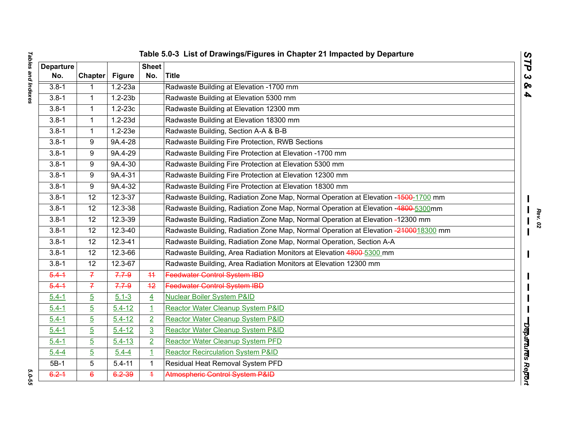| <b>Departure</b> |                |               | <b>Sheet</b>   |                                                                                     |  |
|------------------|----------------|---------------|----------------|-------------------------------------------------------------------------------------|--|
| No.              | <b>Chapter</b> | <b>Figure</b> | No.            | <b>Title</b>                                                                        |  |
| $3.8 - 1$        | 1              | $1.2 - 23a$   |                | Radwaste Building at Elevation -1700 rnm                                            |  |
| $3.8 - 1$        | 1              | $1.2 - 23b$   |                | Radwaste Building at Elevation 5300 rnm                                             |  |
| $3.8 - 1$        | 1              | $1.2 - 23c$   |                | Radwaste Building at Elevation 12300 mm                                             |  |
| $3.8 - 1$        | 1              | $1.2 - 23d$   |                | Radwaste Building at Elevation 18300 mm                                             |  |
| $3.8 - 1$        | $\mathbf{1}$   | $1.2 - 23e$   |                | Radwaste Building, Section A-A & B-B                                                |  |
| $3.8 - 1$        | 9              | 9A.4-28       |                | Radwaste Building Fire Protection, RWB Sections                                     |  |
| $3.8 - 1$        | 9              | 9A.4-29       |                | Radwaste Building Fire Protection at Elevation -1700 mm                             |  |
| $3.8 - 1$        | 9              | 9A.4-30       |                | Radwaste Building Fire Protection at Elevation 5300 mm                              |  |
| $3.8 - 1$        | 9              | 9A.4-31       |                | Radwaste Building Fire Protection at Elevation 12300 mm                             |  |
| $3.8 - 1$        | 9              | 9A.4-32       |                | Radwaste Building Fire Protection at Elevation 18300 mm                             |  |
| $3.8 - 1$        | 12             | 12.3-37       |                | Radwaste Building, Radiation Zone Map, Normal Operation at Elevation -4500-1700 mm  |  |
| $3.8 - 1$        | 12             | 12.3-38       |                | Radwaste Building, Radiation Zone Map, Normal Operation at Elevation -4800-5300mm   |  |
| $3.8 - 1$        | 12             | $12.3 - 39$   |                | Radwaste Building, Radiation Zone Map, Normal Operation at Elevation -12300 mm      |  |
| $3.8 - 1$        | 12             | 12.3-40       |                | Radwaste Building, Radiation Zone Map, Normal Operation at Elevation -2100018300 mm |  |
| $3.8 - 1$        | 12             | $12.3 - 41$   |                | Radwaste Building, Radiation Zone Map, Normal Operation, Section A-A                |  |
| $3.8 - 1$        | 12             | 12.3-66       |                | Radwaste Building, Area Radiation Monitors at Elevation 4800-5300 mm                |  |
| $3.8 - 1$        | 12             | 12.3-67       |                | Radwaste Building, Area Radiation Monitors at Elevation 12300 mm                    |  |
| $5.4 - 1$        | $\mathcal{I}$  | $7.7 - 9$     | 44             | <b>Feedwater Control System IBD</b>                                                 |  |
| $5.4 - 1$        | $\overline{f}$ | 7.79          | $+2$           | <b>Feedwater Control System IBD</b>                                                 |  |
| $5.4 - 1$        | $\overline{5}$ | $5.1 - 3$     | $\overline{4}$ | <b>Nuclear Boiler System P&amp;ID</b>                                               |  |
| $5.4 - 1$        | $\overline{5}$ | $5.4 - 12$    | $\mathbf{1}$   | Reactor Water Cleanup System P&ID                                                   |  |
| $5.4 - 1$        | $\overline{5}$ | $5.4 - 12$    | $\overline{2}$ | Reactor Water Cleanup System P&ID                                                   |  |
| $5.4 - 1$        | $\overline{5}$ | $5.4 - 12$    | $\overline{3}$ | Reactor Water Cleanup System P&ID                                                   |  |
| $5.4 - 1$        | $\overline{5}$ | $5.4 - 13$    | $\overline{2}$ | <b>Reactor Water Cleanup System PFD</b>                                             |  |
| $5.4 - 4$        | $\overline{5}$ | $5.4 - 4$     | $\overline{1}$ | <b>Reactor Recirculation System P&amp;ID</b>                                        |  |
| $5B-1$           | 5              | $5.4 - 11$    | $\mathbf{1}$   | Residual Heat Removal System PFD                                                    |  |
| $6.2 - 1$        | $\epsilon$     | 6.2-39        | $\overline{4}$ | Atmospheric Control System P&ID                                                     |  |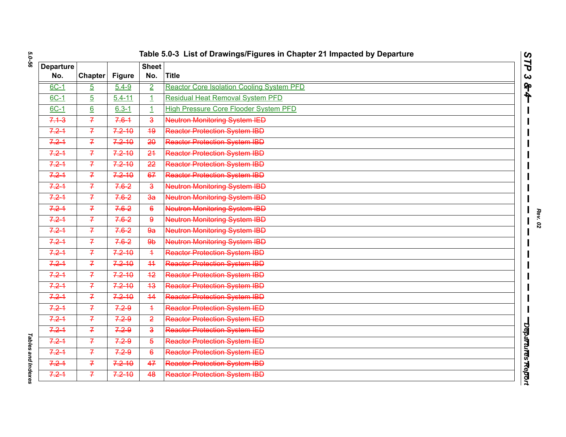| Table 5.0-3 List of Drawings/Figures in Chapter 21 Impacted by Departure |  |  |
|--------------------------------------------------------------------------|--|--|
|                                                                          |  |  |

| <b>Departure</b> |                 |               | <b>Sheet</b>            |                                                  |                       |
|------------------|-----------------|---------------|-------------------------|--------------------------------------------------|-----------------------|
| No.              | Chapter         | <b>Figure</b> | No.                     | <b>Title</b>                                     | $\boldsymbol{\omega}$ |
| $6C-1$           | $\overline{5}$  | $5.4 - 9$     | $\overline{2}$          | <b>Reactor Core Isolation Cooling System PFD</b> | ရှ                    |
| $6C-1$           | $\overline{5}$  | $5.4 - 11$    | $\overline{1}$          | <b>Residual Heat Removal System PFD</b>          |                       |
| $6C-1$           | $\underline{6}$ | $6.3 - 1$     | $\mathbf{1}$            | <b>High Pressure Core Flooder System PFD</b>     |                       |
| $7.1 - 3$        | $\overline{f}$  | $7.6 - 1$     | $\overline{\mathbf{3}}$ | Neutron Monitoring System IED                    |                       |
| $7.2 - 1$        | $\overline{f}$  | $7.2 - 10$    | 49                      | <b>Reactor Protection System IBD</b>             |                       |
| $7.2 - 1$        | $\overline{f}$  | $7.2 - 10$    | 20                      | <b>Reactor Protection System IBD</b>             |                       |
| $7.2 - 1$        | $\overline{f}$  | $7.2 - 10$    | 24                      | <b>Reactor Protection System IBD</b>             |                       |
| $7.2 - 1$        | $\overline{f}$  | $7.2 - 10$    | 22                      | <b>Reactor Protection System IBD</b>             |                       |
| $7.2 - 1$        | $\overline{f}$  | $7.2 - 10$    | 67                      | <b>Reactor Protection System IBD</b>             |                       |
| $7.2 - 1$        | $\overline{f}$  | $7.6 - 2$     | $\overline{\mathbf{3}}$ | <b>Neutron Monitoring System IBD</b>             |                       |
| $7.2 - 1$        | $\overline{f}$  | $7.6 - 2$     | $\overline{3a}$         | <b>Neutron Monitoring System IBD</b>             |                       |
| $7.2 - 1$        | $\overline{f}$  | $7.6 - 2$     | $6^{\circ}$             | <b>Neutron Monitoring System IBD</b>             |                       |
| $7.2 - 1$        | $\overline{f}$  | $7.6 - 2$     | $\boldsymbol{9}$        | <b>Neutron Monitoring System IBD</b>             |                       |
| $7.2 - 1$        | $\overline{f}$  | $7.6 - 2$     | 9a                      | <b>Neutron Monitoring System IBD</b>             |                       |
| $7.2 - 1$        | $\overline{f}$  | $7.6 - 2$     | 9 <sub>b</sub>          | <b>Neutron Monitoring System IBD</b>             |                       |
| $7.2 - 1$        | $\overline{f}$  | $7.2 - 10$    | $\overline{1}$          | <b>Reactor Protection System IBD</b>             |                       |
| $7.2 - 1$        | $\overline{f}$  | $7.2 - 10$    | 44                      | <b>Reactor Protection System IBD</b>             |                       |
| $7.2 - 1$        | $\overline{f}$  | $7.2 - 10$    | 42                      | <b>Reactor Protection System IBD</b>             |                       |
| $7.2 - 1$        | $\overline{f}$  | $7.2 - 10$    | 43                      | <b>Reactor Protection System IBD</b>             |                       |
| $7.2 - 1$        | $\overline{f}$  | $7.2 - 10$    | 44                      | <b>Reactor Protection System IBD</b>             |                       |
| $7.2 - 1$        | $\overline{f}$  | $7.2 - 9$     | $\overline{1}$          | <b>Reactor Protection System IED</b>             |                       |
| $7.2 - 1$        | $\overline{f}$  | 7.29          | $\overline{2}$          | <b>Reactor Protection System IED</b>             |                       |
| $7.2 - 1$        | $\overline{f}$  | 7.29          | $\overline{\mathbf{3}}$ | <b>Reactor Protection System IED</b>             |                       |
| $7.2 - 1$        | $\overline{f}$  | $7.2 - 9$     | $\overline{6}$          | <b>Reactor Protection System IED</b>             |                       |
| $7.2 - 1$        | $\overline{f}$  | 7.29          | $6\overline{6}$         | <b>Reactor Protection System IED</b>             | Departures Repon      |
| $7.2 - 1$        | $\overline{f}$  | $7.2 - 10$    | 47                      | <b>Reactor Protection System IBD</b>             |                       |
| $7.2 - 1$        | $\overline{f}$  | $7.2 - 10$    | 48                      | <b>Reactor Protection System IBD</b>             |                       |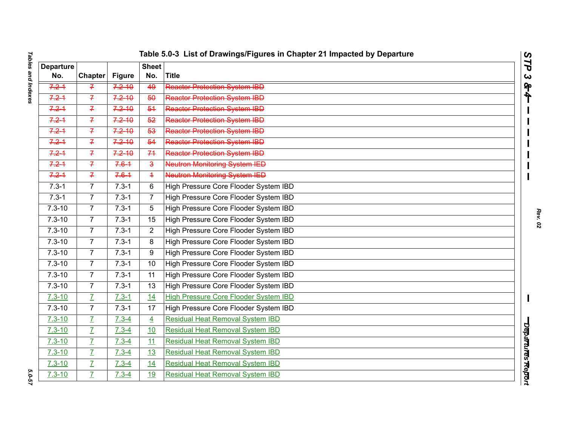| ł<br>פאבוות ווותכעבס<br>$\vdots$      |  |
|---------------------------------------|--|
|                                       |  |
|                                       |  |
|                                       |  |
|                                       |  |
|                                       |  |
|                                       |  |
| $\vdots$<br>$\ddot{\phantom{0}}$<br>ı |  |

|                         |                |                             |                         | Table 5.0-3  List of Drawings/Figures in Chapter 21 Impacted by Departure | $\mathbf{C}$<br>∽ |
|-------------------------|----------------|-----------------------------|-------------------------|---------------------------------------------------------------------------|-------------------|
| <b>Departure</b><br>No. | <b>Chapter</b> |                             | <b>Sheet</b><br>No.     | Title                                                                     | ٦                 |
| $7.2 - 1$               |                | <b>Figure</b><br>$7.2 - 10$ | 49                      |                                                                           | $\mathbf{C}$      |
|                         | $\mathcal{F}$  |                             |                         | <b>Reactor Protection System IBD</b>                                      | タチ                |
| $7.2 - 1$               | $\overline{f}$ | $7.2 - 10$                  | 50                      | <b>Reactor Protection System IBD</b>                                      |                   |
| $7.2 - 1$               | $\overline{f}$ | $7.2 - 10$                  | 54                      | <b>Reactor Protection System IBD</b>                                      |                   |
| $7.2 - 1$               | $\overline{f}$ | $7.2 - 10$                  | 52                      | <b>Reactor Protection System IBD</b>                                      |                   |
| $7.2 - 1$               | $\overline{f}$ | $7.2 - 10$                  | 53                      | <b>Reactor Protection System IBD</b>                                      |                   |
| $7.2 - 1$               | $\overline{f}$ | $7.2 - 10$                  | 54                      | <b>Reactor Protection System IBD</b>                                      |                   |
| $7.2 - 1$               | $\overline{f}$ | $7.2 - 10$                  | 74                      | <b>Reactor Protection System IBD</b>                                      |                   |
| $7.2 - 1$               | $\overline{f}$ | $7.6 - 1$                   | $\overline{\mathbf{3}}$ | <b>Neutron Monitoring System IED</b>                                      |                   |
| $7.2 - 1$               | $\overline{f}$ | $7.6 - 1$                   | $\overline{1}$          | <b>Neutron Monitoring System IED</b>                                      |                   |
| $7.3 - 1$               | $\overline{7}$ | $7.3 - 1$                   | 6                       | High Pressure Core Flooder System IBD                                     |                   |
| $7.3 - 1$               | 7 <sup>1</sup> | $7.3 - 1$                   | $\overline{7}$          | High Pressure Core Flooder System IBD                                     |                   |
| $7.3 - 10$              | $\overline{7}$ | $7.3 - 1$                   | 5                       | High Pressure Core Flooder System IBD                                     |                   |
| $7.3 - 10$              | $\overline{7}$ | $7.3 - 1$                   | 15                      | High Pressure Core Flooder System IBD                                     |                   |
| $7.3 - 10$              | $\overline{7}$ | $7.3 - 1$                   | $\overline{2}$          | High Pressure Core Flooder System IBD                                     |                   |
| $7.3 - 10$              | $\overline{7}$ | $7.3 - 1$                   | 8                       | High Pressure Core Flooder System IBD                                     |                   |
| $7.3 - 10$              | $\overline{7}$ | $7.3 - 1$                   | 9                       | High Pressure Core Flooder System IBD                                     |                   |
| $7.3 - 10$              | $\overline{7}$ | $7.3 - 1$                   | 10                      | High Pressure Core Flooder System IBD                                     |                   |
| $7.3 - 10$              | $\overline{7}$ | $7.3 - 1$                   | 11                      | High Pressure Core Flooder System IBD                                     |                   |
| $7.3 - 10$              | $\overline{7}$ | $7.3 - 1$                   | 13                      | High Pressure Core Flooder System IBD                                     |                   |
| $7.3 - 10$              | $\overline{I}$ | $7.3 - 1$                   | 14                      | <b>High Pressure Core Flooder System IBD</b>                              | Ш                 |
| $7.3 - 10$              | $\overline{7}$ | $7.3 - 1$                   | $\overline{17}$         | High Pressure Core Flooder System IBD                                     |                   |
| $7.3 - 10$              | $\overline{L}$ | $7.3 - 4$                   | $\overline{4}$          | <b>Residual Heat Removal System IBD</b>                                   |                   |
| $7.3 - 10$              | $\overline{L}$ | $7.3 - 4$                   | 10                      | <b>Residual Heat Removal System IBD</b>                                   |                   |
| $7.3 - 10$              | $\overline{L}$ | $7.3 - 4$                   | 11                      | <b>Residual Heat Removal System IBD</b>                                   |                   |
| $7.3 - 10$              | $\overline{L}$ | $7.3 - 4$                   | 13                      | <b>Residual Heat Removal System IBD</b>                                   | Departures Report |
| $7.3 - 10$              | $\overline{L}$ | $7.3 - 4$                   | 14                      | <b>Residual Heat Removal System IBD</b>                                   |                   |
| $7.3 - 10$              | $\overline{I}$ | $7.3 - 4$                   | 19                      | <b>Residual Heat Removal System IBD</b>                                   |                   |
|                         |                |                             |                         |                                                                           |                   |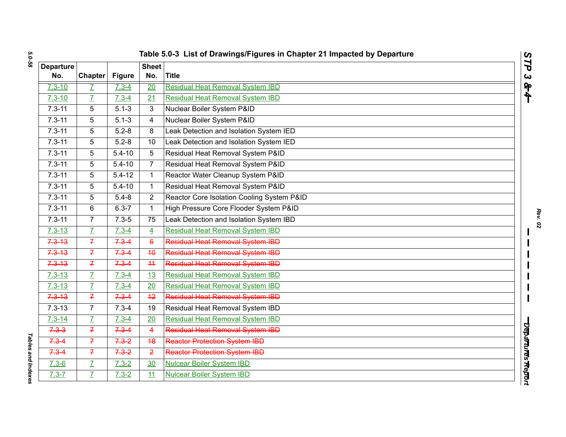|                  |                |               |                | Table 5.0-3 List of Drawings/Figures in Chapter 21 Impacted by Departure | $\mathbf{C}$<br>N |
|------------------|----------------|---------------|----------------|--------------------------------------------------------------------------|-------------------|
| <b>Departure</b> |                |               | <b>Sheet</b>   |                                                                          | ٦                 |
| No.              | <b>Chapter</b> | <b>Figure</b> | No.            | <b>Title</b>                                                             | $\mathbf{C}$      |
| $7.3 - 10$       | $\overline{I}$ | $7.3 - 4$     | 20             | <b>Residual Heat Removal System IBD</b>                                  | タチ                |
| $7.3 - 10$       | $\overline{I}$ | $7.3 - 4$     | 21             | <b>Residual Heat Removal System IBD</b>                                  |                   |
| $7.3 - 11$       | 5              | $5.1 - 3$     | 3              | Nuclear Boiler System P&ID                                               |                   |
| $7.3 - 11$       | 5              | $5.1 - 3$     | 4              | Nuclear Boiler System P&ID                                               |                   |
| $7.3 - 11$       | 5              | $5.2 - 8$     | 8              | Leak Detection and Isolation System IED                                  |                   |
| $7.3 - 11$       | 5              | $5.2 - 8$     | 10             | Leak Detection and Isolation System IED                                  |                   |
| $7.3 - 11$       | 5              | $5.4 - 10$    | 5              | Residual Heat Removal System P&ID                                        |                   |
| $7.3 - 11$       | 5              | $5.4 - 10$    | $\overline{7}$ | Residual Heat Removal System P&ID                                        |                   |
| $7.3 - 11$       | 5              | $5.4 - 12$    | $\mathbf{1}$   | Reactor Water Cleanup System P&ID                                        |                   |
| $7.3 - 11$       | 5              | $5.4 - 10$    | 1              | Residual Heat Removal System P&ID                                        |                   |
| $7.3 - 11$       | 5              | $5.4 - 8$     | $\overline{2}$ | Reactor Core Isolation Cooling System P&ID                               |                   |
| $7.3 - 11$       | 6              | $6.3 - 7$     | $\mathbf{1}$   | High Pressure Core Flooder System P&ID                                   |                   |
| $7.3 - 11$       | $\overline{7}$ | $7.3 - 5$     | 75             | Leak Detection and Isolation System IBD                                  |                   |
| $7.3 - 13$       | $\overline{I}$ | $7.3 - 4$     | $\overline{4}$ | <b>Residual Heat Removal System IBD</b>                                  |                   |
| $7.3 - 13$       | $\overline{f}$ | $7.3 - 4$     | $6^{\circ}$    | Residual Heat Removal System IBD                                         |                   |
| $7.3 - 13$       | $\overline{f}$ | $7.3 - 4$     | 40             | <b>Residual Heat Removal System IBD</b>                                  |                   |
| $7.3 - 13$       | $\overline{f}$ | $7.3 - 4$     | 44             | Residual Heat Removal System IBD                                         |                   |
| $7.3 - 13$       | $\overline{I}$ | $7.3 - 4$     | 13             | <b>Residual Heat Removal System IBD</b>                                  |                   |
| $7.3 - 13$       | $\overline{L}$ | $7.3 - 4$     | 20             | <b>Residual Heat Removal System IBD</b>                                  |                   |
| $7.3 - 13$       | $\overline{f}$ | $7.3 - 4$     | $+2$           | Residual Heat Removal System IBD                                         |                   |
| $7.3 - 13$       | $\overline{7}$ | $7.3 - 4$     | 19             | Residual Heat Removal System IBD                                         |                   |
| $7.3 - 14$       | $\overline{L}$ | $7.3 - 4$     | 20             | <b>Residual Heat Removal System IBD</b>                                  |                   |
| $7.3 - 3$        | $\overline{f}$ | $7.3 - 4$     | 4              | Residual Heat Removal System IBD                                         |                   |
| $7.3 - 4$        | $\overline{f}$ | $7.3 - 2$     | 48             | <b>Reactor Protection System IBD</b>                                     |                   |
| $7.3 - 4$        | $\overline{f}$ | $7.3 - 2$     | $\overline{2}$ | <b>Reactor Protection System IBD</b>                                     | Departures Report |
| $7.3 - 6$        | $\overline{L}$ | $7.3 - 2$     | 30             | <b>Nulcear Boiler System IBD</b>                                         |                   |
| $7.3 - 7$        | $\overline{L}$ | $7.3 - 2$     | 11             | <b>Nulcear Boiler System IBD</b>                                         |                   |
|                  |                |               |                |                                                                          |                   |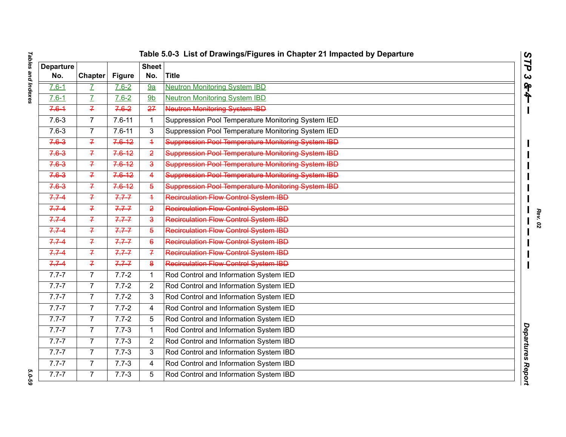| <b>Departure</b><br>No. | <b>Chapter</b> | <b>Figure</b> | <b>Sheet</b><br>No.     | <b>Title</b>                                       |  |
|-------------------------|----------------|---------------|-------------------------|----------------------------------------------------|--|
| $7.6 - 1$               | Z              | $7.6 - 2$     | 9a                      | <b>Neutron Monitoring System IBD</b>               |  |
| $7.6 - 1$               | $\overline{I}$ | $7.6 - 2$     | 9 <sub>b</sub>          | <b>Neutron Monitoring System IBD</b>               |  |
| $7.6 - 1$               | $\overline{7}$ | $7.6 - 2$     | 27                      | <b>Neutron Monitoring System IBD</b>               |  |
| $7.6 - 3$               | $\overline{7}$ | $7.6 - 11$    | $\mathbf 1$             | Suppression Pool Temperature Monitoring System IED |  |
| $7.6 - 3$               | $\overline{7}$ | $7.6 - 11$    | 3                       | Suppression Pool Temperature Monitoring System IED |  |
| $7.6 - 3$               | $\overline{f}$ | $7.6 - 12$    | $\overline{+}$          | Suppression Pool Temperature Monitoring System IBD |  |
| 7.63                    | $\overline{f}$ | $7.6 - 12$    | $\overline{2}$          | Suppression Pool Temperature Monitoring System IBD |  |
| $7.6 - 3$               | $\overline{f}$ | $7.6 - 12$    | $\overline{\mathbf{a}}$ | Suppression Pool Temperature Monitoring System IBD |  |
| $7.6 - 3$               | $\overline{f}$ | $7.6 - 12$    | $\overline{4}$          | Suppression Pool Temperature Monitoring System IBD |  |
| $7.6 - 3$               | $\overline{f}$ | $7.6 - 12$    | $\overline{5}$          | Suppression Pool Temperature Monitoring System IBD |  |
| $7.7 - 4$               | $\overline{f}$ | $7.7 - 7$     | $\overline{4}$          | <b>Recirculation Flow Control System IBD</b>       |  |
| $7.7 - 4$               | $\mathcal{I}$  | $7.7 - 7$     | $\overline{2}$          | Recirculation Flow Control System IBD              |  |
| 7.74                    | $\overline{f}$ | $7.7 - 7$     | $\overline{\mathbf{3}}$ | <b>Recirculation Flow Control System IBD</b>       |  |
| $7.7 - 4$               | $\overline{f}$ | $7.7 - 7$     | $\overline{5}$          | Recirculation Flow Control System IBD              |  |
| $7.7 - 4$               | $\overline{7}$ | $7.7 - 7$     | $6\overline{6}$         | <b>Recirculation Flow Control System IBD</b>       |  |
| $7.7 - 4$               | $\overline{f}$ | $7.7 - 7$     | $\overline{f}$          | Recirculation Flow Control System IBD              |  |
| $7.7 - 4$               | $\overline{f}$ | $7.7 - 7$     | $\boldsymbol{8}$        | <b>Recirculation Flow Control System IBD</b>       |  |
| $7.7 - 7$               | $\overline{7}$ | $7.7 - 2$     | $\mathbf 1$             | Rod Control and Information System IED             |  |
| $7.7 - 7$               | $\overline{7}$ | $7.7 - 2$     | $\overline{2}$          | Rod Control and Information System IED             |  |
| $7.7 - 7$               | $\overline{7}$ | $7.7 - 2$     | 3                       | Rod Control and Information System IED             |  |
| $7.7 - 7$               | $\overline{7}$ | $7.7 - 2$     | 4                       | Rod Control and Information System IED             |  |
| $7.7 - 7$               | $\overline{7}$ | $7.7 - 2$     | 5                       | Rod Control and Information System IED             |  |
| $7.7 - 7$               | $\overline{7}$ | $7.7 - 3$     | $\mathbf{1}$            | Rod Control and Information System IBD             |  |
| $7.7 - 7$               | $\overline{7}$ | $7.7 - 3$     | $\overline{2}$          | Rod Control and Information System IBD             |  |
| $7.7 - 7$               | $\overline{7}$ | $7.7 - 3$     | 3                       | Rod Control and Information System IBD             |  |
| $7.7 - 7$               | $\overline{7}$ | $7.7 - 3$     | 4                       | Rod Control and Information System IBD             |  |
| $7.7 - 7$               | $\overline{7}$ | $7.7 - 3$     | 5                       | Rod Control and Information System IBD             |  |

5.0-59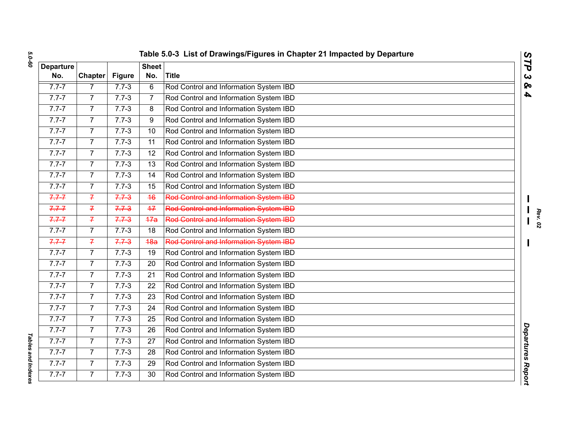| <b>Departure</b><br>No. | <b>Chapter</b> | <b>Figure</b> | <b>Sheet</b><br>No. | <b>Title</b>                                  |  |
|-------------------------|----------------|---------------|---------------------|-----------------------------------------------|--|
| $7.7 - 7$               | $\overline{7}$ | $7.7 - 3$     | $\overline{6}$      | Rod Control and Information System IBD        |  |
| $7.7 - 7$               | $\overline{7}$ | $7.7 - 3$     | 7                   | Rod Control and Information System IBD        |  |
| $7.7 - 7$               | $\overline{7}$ | $7.7 - 3$     | 8                   | Rod Control and Information System IBD        |  |
| $7.7 - 7$               | $\overline{7}$ | $7.7 - 3$     | 9                   | Rod Control and Information System IBD        |  |
| $7.7 - 7$               | $\overline{7}$ | $7.7 - 3$     | 10                  | Rod Control and Information System IBD        |  |
| $7.7 - 7$               | $\overline{7}$ | $7.7 - 3$     | 11                  | Rod Control and Information System IBD        |  |
| $7.7 - 7$               | $\overline{7}$ | $7.7 - 3$     | 12                  | Rod Control and Information System IBD        |  |
| $7.7 - 7$               | $\overline{7}$ | $7.7 - 3$     | 13                  | Rod Control and Information System IBD        |  |
| $7.7 - 7$               | $\overline{7}$ | $7.7 - 3$     | 14                  | Rod Control and Information System IBD        |  |
| $7.7 - 7$               | $\overline{7}$ | $7.7 - 3$     | 15                  | Rod Control and Information System IBD        |  |
| $7.7 - 7$               | $\overline{f}$ | $7.7 - 3$     | 46                  | <b>Rod Control and Information System IBD</b> |  |
| $7.7 - 7$               | $\overline{f}$ | $7.7 - 3$     | 47                  | <b>Rod Control and Information System IBD</b> |  |
| $7.7 - 7$               | $\overline{f}$ | $7.7 - 3$     | 47a                 | <b>Rod Control and Information System IBD</b> |  |
| $7.7 - 7$               | $\overline{7}$ | $7.7 - 3$     | 18                  | Rod Control and Information System IBD        |  |
| $7.7 - 7$               | $\overline{7}$ | $7.7 - 3$     | 48a                 | Rod Control and Information System IBD        |  |
| $7.7 - 7$               | 7              | $7.7 - 3$     | 19                  | Rod Control and Information System IBD        |  |
| $7.7 - 7$               | $\overline{7}$ | $7.7 - 3$     | 20                  | Rod Control and Information System IBD        |  |
| $7.7 - 7$               | $\overline{7}$ | $7.7 - 3$     | 21                  | Rod Control and Information System IBD        |  |
| $7.7 - 7$               | $\overline{7}$ | $7.7 - 3$     | 22                  | Rod Control and Information System IBD        |  |
| $7.7 - 7$               | $\overline{7}$ | $7.7 - 3$     | 23                  | Rod Control and Information System IBD        |  |
| $7.7 - 7$               | $\overline{7}$ | $7.7 - 3$     | $\overline{24}$     | Rod Control and Information System IBD        |  |
| $7.7 - 7$               | $\overline{7}$ | $7.7 - 3$     | 25                  | Rod Control and Information System IBD        |  |
| $7.7 - 7$               | $\overline{7}$ | $7.7 - 3$     | 26                  | Rod Control and Information System IBD        |  |
| $7.7 - 7$               | $\overline{7}$ | $7.7 - 3$     | 27                  | Rod Control and Information System IBD        |  |
| $7.7 - 7$               | $\overline{7}$ | $7.7 - 3$     | 28                  | Rod Control and Information System IBD        |  |
| $7.7 - 7$               | $\overline{7}$ | $7.7 - 3$     | 29                  | Rod Control and Information System IBD        |  |
| $7.7 - 7$               | $\overline{7}$ | $7.7 - 3$     | 30                  | Rod Control and Information System IBD        |  |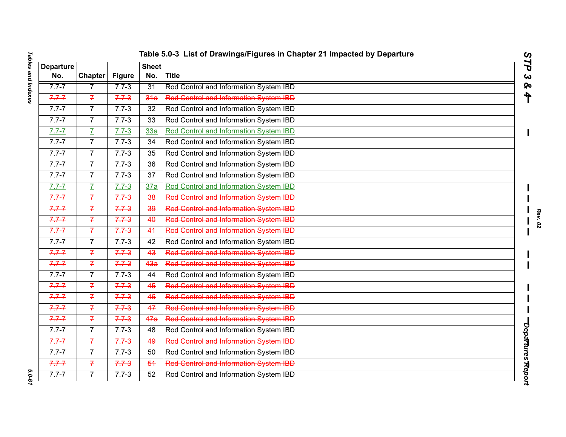|     | Table 5.0-3 List of Drawings/Figures in Chapter 21 Impacted by Departure |                  |                |                                               |  |  |
|-----|--------------------------------------------------------------------------|------------------|----------------|-----------------------------------------------|--|--|
| ure |                                                                          |                  | <b>Sheet</b> ' |                                               |  |  |
|     | <b>Chapter</b>                                                           | Figure           | No.            | lTitle                                        |  |  |
|     |                                                                          | $7.7 - 3$        | 31             | Rod Control and Information System IBD        |  |  |
|     |                                                                          | <del>7.7 3</del> | 34a            | <b>Red Centrel and Information System IBD</b> |  |  |
|     |                                                                          | $7.7 - 3$        | 32             | Rod Control and Information System IBD        |  |  |

|                         | Table 5.0-3 List of Drawings/Figures in Chapter 21 Impacted by Departure<br>STP |               |                     |                                               |                   |  |  |
|-------------------------|---------------------------------------------------------------------------------|---------------|---------------------|-----------------------------------------------|-------------------|--|--|
| <b>Departure</b><br>No. | <b>Chapter</b>                                                                  | <b>Figure</b> | <b>Sheet</b><br>No. | <b>Title</b>                                  |                   |  |  |
| $7.7 - 7$               | 7                                                                               | $7.7 - 3$     | 31                  | Rod Control and Information System IBD        |                   |  |  |
| $7.7 - 7$               | $\overline{f}$                                                                  | $7.7 - 3$     | 34a                 | Rod Control and Information System IBD        |                   |  |  |
| $7.7 - 7$               | $\overline{7}$                                                                  | $7.7 - 3$     | 32                  | Rod Control and Information System IBD        |                   |  |  |
| $7.7 - 7$               | $\overline{7}$                                                                  | $7.7 - 3$     | 33                  | Rod Control and Information System IBD        |                   |  |  |
| $7.7 - 7$               | $\overline{I}$                                                                  | $7.7 - 3$     | 33a                 | Rod Control and Information System IBD        |                   |  |  |
| $7.7 - 7$               | $\overline{7}$                                                                  | $7.7 - 3$     | 34                  | Rod Control and Information System IBD        |                   |  |  |
| $7.7 - 7$               | $\overline{7}$                                                                  | $7.7 - 3$     | 35                  | Rod Control and Information System IBD        |                   |  |  |
| $7.7 - 7$               | $\overline{7}$                                                                  | $7.7 - 3$     | 36                  | Rod Control and Information System IBD        |                   |  |  |
| $7.7 - 7$               | $\overline{7}$                                                                  | $7.7 - 3$     | 37                  | Rod Control and Information System IBD        |                   |  |  |
| $7.7 - 7$               | $\overline{L}$                                                                  | $7.7 - 3$     | 37a                 | Rod Control and Information System IBD        |                   |  |  |
| $7.7 - 7$               | $\overline{7}$                                                                  | $7.7 - 3$     | 38                  | <b>Rod Control and Information System IBD</b> |                   |  |  |
| $7.7 - 7$               | $\overline{f}$                                                                  | $7.7 - 3$     | 39                  | <b>Red Centrol and Information System IBD</b> |                   |  |  |
| $7.7 - 7$               | $\overline{f}$                                                                  | $7.7 - 3$     | 40                  | Rod Control and Information System IBD        |                   |  |  |
| $7.7 - 7$               | $\overline{f}$                                                                  | $7.7 - 3$     | 44                  | Rod Control and Information System IBD        |                   |  |  |
| $7.7 - 7$               | $\overline{7}$                                                                  | $7.7 - 3$     | 42                  | Rod Control and Information System IBD        |                   |  |  |
| $7.7 - 7$               | $\overline{f}$                                                                  | $7.7 - 3$     | 43                  | Rod Control and Information System IBD        |                   |  |  |
| $7.7 - 7$               | $\overline{f}$                                                                  | $7.7 - 3$     | 4 <sub>3a</sub>     | Rod Control and Information System IBD        |                   |  |  |
| $\overline{7}.7 - 7$    | $\overline{7}$                                                                  | $7.7 - 3$     | 44                  | Rod Control and Information System IBD        |                   |  |  |
| $7.7 - 7$               | $\overline{f}$                                                                  | $7.7 - 3$     | 45                  | <b>Rod Control and Information System IBD</b> |                   |  |  |
| $7.7 - 7$               | $\overline{f}$                                                                  | $7.7 - 3$     | 46                  | Rod Control and Information System IBD        |                   |  |  |
| $7.7 - 7$               | $\overline{f}$                                                                  | $7.7 - 3$     | 47                  | Red Control and Information System IBD        |                   |  |  |
| $7.7 - 7$               | $\overline{f}$                                                                  | $7.7 - 3$     | 47a                 | <b>Rod Control and Information System IBD</b> |                   |  |  |
| $7.7 - 7$               | $\overline{7}$                                                                  | $7.7 - 3$     | 48                  | Rod Control and Information System IBD        | Departures Report |  |  |
| $7.7 - 7$               | $\overline{7}$                                                                  | $7.7 - 3$     | 49                  | Rod Control and Information System IBD        |                   |  |  |
| $7.7 - 7$               | 7                                                                               | $7.7 - 3$     | 50                  | Rod Control and Information System IBD        |                   |  |  |
| $7.7 - 7$               | $\overline{f}$                                                                  | $7.7 - 3$     | 54                  | <b>Rod Control and Information System IBD</b> |                   |  |  |
| $7.7 - 7$               | $\overline{7}$                                                                  | $7.7 - 3$     | 52                  | Rod Control and Information System IBD        |                   |  |  |

# **Tables and Indexes** *Tables and Indexes 5.0-61*

5.0-61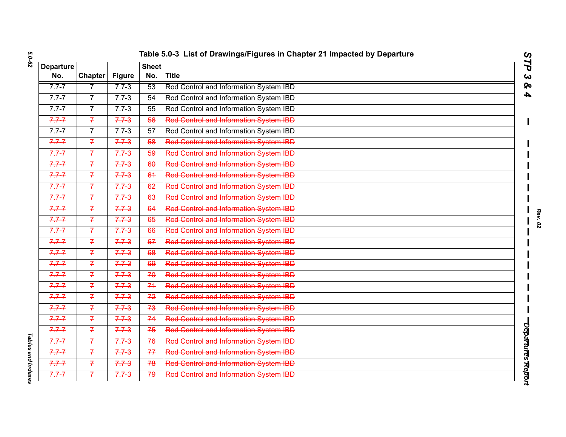|                  | Table 5.0-3 List of Drawings/Figures in Chapter 21 Impacted by Departure<br>$\boldsymbol{\omega}$<br>$\vec{r}$ |               |              |                                               |                       |  |  |
|------------------|----------------------------------------------------------------------------------------------------------------|---------------|--------------|-----------------------------------------------|-----------------------|--|--|
| <b>Departure</b> |                                                                                                                |               | <b>Sheet</b> |                                               |                       |  |  |
| No.              | <b>Chapter</b>                                                                                                 | <b>Figure</b> | No.          | Title                                         | $\boldsymbol{\omega}$ |  |  |
| $7.7 - 7$        | $\overline{7}$                                                                                                 | $7.7 - 3$     | 53           | Rod Control and Information System IBD        | ବ                     |  |  |
| $7.7 - 7$        | $\overline{7}$                                                                                                 | $7.7 - 3$     | 54           | Rod Control and Information System IBD        | $\blacktriangle$      |  |  |
| $7.7 - 7$        | $\overline{7}$                                                                                                 | $7.7 - 3$     | 55           | Rod Control and Information System IBD        |                       |  |  |
| $7.7 - 7$        | $\overline{f}$                                                                                                 | $7.7 - 3$     | 56           | Rod Control and Information System IBD        |                       |  |  |
| $7.7 - 7$        | $\overline{7}$                                                                                                 | $7.7 - 3$     | 57           | Rod Control and Information System IBD        |                       |  |  |
| $7.7 - 7$        | $\overline{f}$                                                                                                 | $7.7 - 3$     | 58           | Rod Control and Information System IBD        |                       |  |  |
| $7.7 - 7$        | $\overline{f}$                                                                                                 | $7.7 - 3$     | 59           | <b>Red Centrol and Information System IBD</b> |                       |  |  |
| $7.7 - 7$        | $\overline{f}$                                                                                                 | $7.7 - 3$     | 60           | Rod Control and Information System IBD        |                       |  |  |
| $7.7 - 7$        | $\overline{f}$                                                                                                 | $7.7 - 3$     | 64           | <b>Rod Control and Information System IBD</b> |                       |  |  |
| $7.7 - 7$        | $\overline{f}$                                                                                                 | $7.7 - 3$     | 62           | Rod Control and Information System IBD        |                       |  |  |
| $7.7 - 7$        | $\overline{f}$                                                                                                 | $7.7 - 3$     | 63           | Rod Control and Information System IBD        |                       |  |  |
| $7.7 - 7$        | $\overline{f}$                                                                                                 | $7.7 - 3$     | 64           | <b>Rod Control and Information System IBD</b> |                       |  |  |
| $7.7 - 7$        | $\overline{f}$                                                                                                 | $7.7 - 3$     | 65           | Rod Control and Information System IBD        |                       |  |  |
| $7.7 - 7$        | $\overline{f}$                                                                                                 | $7.7 - 3$     | 66           | <b>Red Centrel and Information System IBD</b> |                       |  |  |
| $7.7 - 7$        | $\overline{f}$                                                                                                 | $7.7 - 3$     | 67           | Rod Control and Information System IBD        |                       |  |  |
| $7.7 - 7$        | $\overline{f}$                                                                                                 | $7.7 - 3$     | 68           | <b>Red Centrel and Information System IBD</b> |                       |  |  |
| $7.7 - 7$        | $\overline{f}$                                                                                                 | $7.7 - 3$     | 69           | <b>Red Centrel and Information System IBD</b> |                       |  |  |
| $7.7 - 7$        | $\overline{f}$                                                                                                 | $7.7 - 3$     | 70           | <b>Rod Control and Information System IBD</b> |                       |  |  |
| $7.7 - 7$        | $\overline{f}$                                                                                                 | $7.7 - 3$     | 74           | <b>Red Centrel and Information System IBD</b> |                       |  |  |
| $7.7 - 7$        | $\overline{f}$                                                                                                 | $7.7 - 3$     | 72           | Rod Control and Information System IBD        |                       |  |  |
| $7.7 - 7$        | $\overline{f}$                                                                                                 | $7.7 - 3$     | 73           | <b>Red Centrol and Information System IBD</b> |                       |  |  |
| $7.7 - 7$        | $\overline{f}$                                                                                                 | $7.7 - 3$     | 74           | Rod Control and Information System IBD        |                       |  |  |
| $7.7 - 7$        | $\overline{f}$                                                                                                 | $7.7 - 3$     | 75           | Rod Control and Information System IBD        |                       |  |  |
| $7.7 - 7$        | $\overline{f}$                                                                                                 | $7.7 - 3$     | 76           | <b>Red Centrel and Information System IBD</b> |                       |  |  |
| $7.7 - 7$        | $\overline{f}$                                                                                                 | $7.7 - 3$     | 77           | <b>Red Centrel and Information System IBD</b> | Departures Report     |  |  |
| $7.7 - 7$        | $\overline{f}$                                                                                                 | $7.7 - 3$     | 78           | Rod Control and Information System IBD        |                       |  |  |
| $7.7 - 7$        | $\overline{f}$                                                                                                 | $7.7 - 3$     | 79           | <b>Red Centrel and Information System IBD</b> |                       |  |  |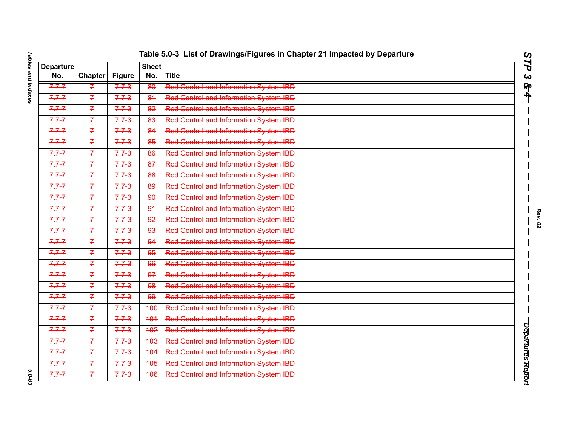| Tables and Indexes        |  |
|---------------------------|--|
|                           |  |
|                           |  |
|                           |  |
|                           |  |
|                           |  |
| <b>م-ט-טי</b> ס<br>.<br>د |  |

| <b>Departure</b><br><b>Sheet</b><br><b>Title</b><br>Chapter<br><b>Figure</b><br>No.<br>No.<br>$\boldsymbol{\omega}$<br>ရှာ<br>Rod Control and Information System IBD<br>$7.7 - 7$<br>$7.7 - 3$<br>80<br>$\mathcal{F}$<br>ት<br>Rod Control and Information System IBD<br>$7.7 - 7$<br>$7.7 - 3$<br>$\overline{f}$<br>84<br><b>Red Centrel and Information System IBD</b><br>$7.7 - 7$<br>$\overline{f}$<br>$7.7 - 3$<br>$\overline{82}$<br><b>Red Centrel and Information System IBD</b><br>$7.7 - 7$<br>$\overline{f}$<br>$7.7 - 3$<br>83<br>Rod Control and Information System IBD<br>$7.7 - 7$<br>$\overline{f}$<br>$7.7 - 3$<br>84<br><b>Red Centrel and Information System IBD</b><br>$7.7 - 7$<br>$\overline{7}$<br>$7.7 - 3$<br>85<br>Rod Control and Information System IBD<br>$\overline{f}$<br>$7.7 - 7$<br>$7.7 - 3$<br>86<br><b>Red Centrol and Information System IBD</b><br>$7.7 - 7$<br>$\overline{f}$<br>$7.7 - 3$<br>87<br>Rod Control and Information System IBD<br>$7.7 - 7$<br>$\overline{f}$<br>$7.7 - 3$<br>88<br>Rod Control and Information System IBD<br>$7.7 - 7$<br>$\overline{f}$<br>$7.7 - 3$<br>89<br>Rod Control and Information System IBD<br>$7.7 - 7$<br>$\overline{f}$<br>$7.7 - 3$<br>90<br><b>Rod Control and Information System IBD</b><br>$7.7 - 7$<br>$\overline{f}$<br>$7.7 - 3$<br>$\overline{94}$<br><b>Red Centrel and Information System IBD</b><br>$7.7 - 7$<br>$\overline{f}$<br>$7.7 - 3$<br>92<br><b>Red Centrol and Information System IBD</b><br>$7.7 - 7$<br>$\overline{f}$<br>$7.7 - 3$<br>93<br><b>Red Centrel and Information System IBD</b><br>$7.7 - 7$<br>$\overline{f}$<br>$7.7 - 3$<br>94<br>Rod Control and Information System IBD<br>$7.7 - 7$<br>$\mathcal{F}$<br>$7.7 - 3$<br>95<br><b>Red Centrel and Information System IBD</b><br>$7.7 - 7$<br>$\overline{7}$<br>$7.7 - 3$<br>96<br>Rod Control and Information System IBD<br>$7.7 - 7$<br>$\overline{f}$<br>$7.7 - 3$<br>97<br>Rod Control and Information System IBD<br>$7.7 - 7$<br>$7.7 - 3$<br>$\overline{f}$<br>98<br>Rod Control and Information System IBD<br>$7.7 - 7$<br>$\mathcal{F}$<br>$7.7 - 3$<br>99<br>Rod Control and Information System IBD<br>$7.7 - 7$<br>$\overline{f}$<br>$7.7 - 3$<br>400<br>Rod Control and Information System IBD<br>$7.7 - 7$<br>$\overline{f}$<br>$7.7 - 3$<br>404<br>Departures Report<br>Rod Control and Information System IBD<br>$7.7 - 7$<br>$\overline{7}$<br>$7.7 - 3$<br>402<br><b>Red Centrel and Information System IBD</b><br>$7.7 - 7$<br>$\overline{f}$<br>$7.7 - 3$<br>403<br><b>Red Control and Information System IBD</b><br>$7.7 - 7$<br>$\overline{f}$<br>$7.7 - 3$<br>404<br><b>Red Centrol and Information System IBD</b><br>$7.7 - 7$<br>$\overline{f}$<br>$7.7 - 3$<br>405<br><b>Rod Control and Information System IBD</b><br>$7.7 - 7$<br>$\overline{f}$<br>$7.7 - 3$<br>406 |  |  | Table 5.0-3 List of Drawings/Figures in Chapter 21 Impacted by Departure |     |
|-------------------------------------------------------------------------------------------------------------------------------------------------------------------------------------------------------------------------------------------------------------------------------------------------------------------------------------------------------------------------------------------------------------------------------------------------------------------------------------------------------------------------------------------------------------------------------------------------------------------------------------------------------------------------------------------------------------------------------------------------------------------------------------------------------------------------------------------------------------------------------------------------------------------------------------------------------------------------------------------------------------------------------------------------------------------------------------------------------------------------------------------------------------------------------------------------------------------------------------------------------------------------------------------------------------------------------------------------------------------------------------------------------------------------------------------------------------------------------------------------------------------------------------------------------------------------------------------------------------------------------------------------------------------------------------------------------------------------------------------------------------------------------------------------------------------------------------------------------------------------------------------------------------------------------------------------------------------------------------------------------------------------------------------------------------------------------------------------------------------------------------------------------------------------------------------------------------------------------------------------------------------------------------------------------------------------------------------------------------------------------------------------------------------------------------------------------------------------------------------------------------------------------------------------------------------------------------------------------------------------------------------------------------------------------------------------------------------------------------------------------------------------------------------------------------------------------------------------------------------|--|--|--------------------------------------------------------------------------|-----|
|                                                                                                                                                                                                                                                                                                                                                                                                                                                                                                                                                                                                                                                                                                                                                                                                                                                                                                                                                                                                                                                                                                                                                                                                                                                                                                                                                                                                                                                                                                                                                                                                                                                                                                                                                                                                                                                                                                                                                                                                                                                                                                                                                                                                                                                                                                                                                                                                                                                                                                                                                                                                                                                                                                                                                                                                                                                                   |  |  |                                                                          | STP |
|                                                                                                                                                                                                                                                                                                                                                                                                                                                                                                                                                                                                                                                                                                                                                                                                                                                                                                                                                                                                                                                                                                                                                                                                                                                                                                                                                                                                                                                                                                                                                                                                                                                                                                                                                                                                                                                                                                                                                                                                                                                                                                                                                                                                                                                                                                                                                                                                                                                                                                                                                                                                                                                                                                                                                                                                                                                                   |  |  |                                                                          |     |
|                                                                                                                                                                                                                                                                                                                                                                                                                                                                                                                                                                                                                                                                                                                                                                                                                                                                                                                                                                                                                                                                                                                                                                                                                                                                                                                                                                                                                                                                                                                                                                                                                                                                                                                                                                                                                                                                                                                                                                                                                                                                                                                                                                                                                                                                                                                                                                                                                                                                                                                                                                                                                                                                                                                                                                                                                                                                   |  |  |                                                                          |     |
|                                                                                                                                                                                                                                                                                                                                                                                                                                                                                                                                                                                                                                                                                                                                                                                                                                                                                                                                                                                                                                                                                                                                                                                                                                                                                                                                                                                                                                                                                                                                                                                                                                                                                                                                                                                                                                                                                                                                                                                                                                                                                                                                                                                                                                                                                                                                                                                                                                                                                                                                                                                                                                                                                                                                                                                                                                                                   |  |  |                                                                          |     |
|                                                                                                                                                                                                                                                                                                                                                                                                                                                                                                                                                                                                                                                                                                                                                                                                                                                                                                                                                                                                                                                                                                                                                                                                                                                                                                                                                                                                                                                                                                                                                                                                                                                                                                                                                                                                                                                                                                                                                                                                                                                                                                                                                                                                                                                                                                                                                                                                                                                                                                                                                                                                                                                                                                                                                                                                                                                                   |  |  |                                                                          |     |
|                                                                                                                                                                                                                                                                                                                                                                                                                                                                                                                                                                                                                                                                                                                                                                                                                                                                                                                                                                                                                                                                                                                                                                                                                                                                                                                                                                                                                                                                                                                                                                                                                                                                                                                                                                                                                                                                                                                                                                                                                                                                                                                                                                                                                                                                                                                                                                                                                                                                                                                                                                                                                                                                                                                                                                                                                                                                   |  |  |                                                                          |     |
|                                                                                                                                                                                                                                                                                                                                                                                                                                                                                                                                                                                                                                                                                                                                                                                                                                                                                                                                                                                                                                                                                                                                                                                                                                                                                                                                                                                                                                                                                                                                                                                                                                                                                                                                                                                                                                                                                                                                                                                                                                                                                                                                                                                                                                                                                                                                                                                                                                                                                                                                                                                                                                                                                                                                                                                                                                                                   |  |  |                                                                          |     |
|                                                                                                                                                                                                                                                                                                                                                                                                                                                                                                                                                                                                                                                                                                                                                                                                                                                                                                                                                                                                                                                                                                                                                                                                                                                                                                                                                                                                                                                                                                                                                                                                                                                                                                                                                                                                                                                                                                                                                                                                                                                                                                                                                                                                                                                                                                                                                                                                                                                                                                                                                                                                                                                                                                                                                                                                                                                                   |  |  |                                                                          |     |
|                                                                                                                                                                                                                                                                                                                                                                                                                                                                                                                                                                                                                                                                                                                                                                                                                                                                                                                                                                                                                                                                                                                                                                                                                                                                                                                                                                                                                                                                                                                                                                                                                                                                                                                                                                                                                                                                                                                                                                                                                                                                                                                                                                                                                                                                                                                                                                                                                                                                                                                                                                                                                                                                                                                                                                                                                                                                   |  |  |                                                                          |     |
|                                                                                                                                                                                                                                                                                                                                                                                                                                                                                                                                                                                                                                                                                                                                                                                                                                                                                                                                                                                                                                                                                                                                                                                                                                                                                                                                                                                                                                                                                                                                                                                                                                                                                                                                                                                                                                                                                                                                                                                                                                                                                                                                                                                                                                                                                                                                                                                                                                                                                                                                                                                                                                                                                                                                                                                                                                                                   |  |  |                                                                          |     |
|                                                                                                                                                                                                                                                                                                                                                                                                                                                                                                                                                                                                                                                                                                                                                                                                                                                                                                                                                                                                                                                                                                                                                                                                                                                                                                                                                                                                                                                                                                                                                                                                                                                                                                                                                                                                                                                                                                                                                                                                                                                                                                                                                                                                                                                                                                                                                                                                                                                                                                                                                                                                                                                                                                                                                                                                                                                                   |  |  |                                                                          |     |
|                                                                                                                                                                                                                                                                                                                                                                                                                                                                                                                                                                                                                                                                                                                                                                                                                                                                                                                                                                                                                                                                                                                                                                                                                                                                                                                                                                                                                                                                                                                                                                                                                                                                                                                                                                                                                                                                                                                                                                                                                                                                                                                                                                                                                                                                                                                                                                                                                                                                                                                                                                                                                                                                                                                                                                                                                                                                   |  |  |                                                                          |     |
|                                                                                                                                                                                                                                                                                                                                                                                                                                                                                                                                                                                                                                                                                                                                                                                                                                                                                                                                                                                                                                                                                                                                                                                                                                                                                                                                                                                                                                                                                                                                                                                                                                                                                                                                                                                                                                                                                                                                                                                                                                                                                                                                                                                                                                                                                                                                                                                                                                                                                                                                                                                                                                                                                                                                                                                                                                                                   |  |  |                                                                          |     |
|                                                                                                                                                                                                                                                                                                                                                                                                                                                                                                                                                                                                                                                                                                                                                                                                                                                                                                                                                                                                                                                                                                                                                                                                                                                                                                                                                                                                                                                                                                                                                                                                                                                                                                                                                                                                                                                                                                                                                                                                                                                                                                                                                                                                                                                                                                                                                                                                                                                                                                                                                                                                                                                                                                                                                                                                                                                                   |  |  |                                                                          |     |
|                                                                                                                                                                                                                                                                                                                                                                                                                                                                                                                                                                                                                                                                                                                                                                                                                                                                                                                                                                                                                                                                                                                                                                                                                                                                                                                                                                                                                                                                                                                                                                                                                                                                                                                                                                                                                                                                                                                                                                                                                                                                                                                                                                                                                                                                                                                                                                                                                                                                                                                                                                                                                                                                                                                                                                                                                                                                   |  |  |                                                                          |     |
|                                                                                                                                                                                                                                                                                                                                                                                                                                                                                                                                                                                                                                                                                                                                                                                                                                                                                                                                                                                                                                                                                                                                                                                                                                                                                                                                                                                                                                                                                                                                                                                                                                                                                                                                                                                                                                                                                                                                                                                                                                                                                                                                                                                                                                                                                                                                                                                                                                                                                                                                                                                                                                                                                                                                                                                                                                                                   |  |  |                                                                          |     |
|                                                                                                                                                                                                                                                                                                                                                                                                                                                                                                                                                                                                                                                                                                                                                                                                                                                                                                                                                                                                                                                                                                                                                                                                                                                                                                                                                                                                                                                                                                                                                                                                                                                                                                                                                                                                                                                                                                                                                                                                                                                                                                                                                                                                                                                                                                                                                                                                                                                                                                                                                                                                                                                                                                                                                                                                                                                                   |  |  |                                                                          |     |
|                                                                                                                                                                                                                                                                                                                                                                                                                                                                                                                                                                                                                                                                                                                                                                                                                                                                                                                                                                                                                                                                                                                                                                                                                                                                                                                                                                                                                                                                                                                                                                                                                                                                                                                                                                                                                                                                                                                                                                                                                                                                                                                                                                                                                                                                                                                                                                                                                                                                                                                                                                                                                                                                                                                                                                                                                                                                   |  |  |                                                                          |     |
|                                                                                                                                                                                                                                                                                                                                                                                                                                                                                                                                                                                                                                                                                                                                                                                                                                                                                                                                                                                                                                                                                                                                                                                                                                                                                                                                                                                                                                                                                                                                                                                                                                                                                                                                                                                                                                                                                                                                                                                                                                                                                                                                                                                                                                                                                                                                                                                                                                                                                                                                                                                                                                                                                                                                                                                                                                                                   |  |  |                                                                          |     |
|                                                                                                                                                                                                                                                                                                                                                                                                                                                                                                                                                                                                                                                                                                                                                                                                                                                                                                                                                                                                                                                                                                                                                                                                                                                                                                                                                                                                                                                                                                                                                                                                                                                                                                                                                                                                                                                                                                                                                                                                                                                                                                                                                                                                                                                                                                                                                                                                                                                                                                                                                                                                                                                                                                                                                                                                                                                                   |  |  |                                                                          |     |
|                                                                                                                                                                                                                                                                                                                                                                                                                                                                                                                                                                                                                                                                                                                                                                                                                                                                                                                                                                                                                                                                                                                                                                                                                                                                                                                                                                                                                                                                                                                                                                                                                                                                                                                                                                                                                                                                                                                                                                                                                                                                                                                                                                                                                                                                                                                                                                                                                                                                                                                                                                                                                                                                                                                                                                                                                                                                   |  |  |                                                                          |     |
|                                                                                                                                                                                                                                                                                                                                                                                                                                                                                                                                                                                                                                                                                                                                                                                                                                                                                                                                                                                                                                                                                                                                                                                                                                                                                                                                                                                                                                                                                                                                                                                                                                                                                                                                                                                                                                                                                                                                                                                                                                                                                                                                                                                                                                                                                                                                                                                                                                                                                                                                                                                                                                                                                                                                                                                                                                                                   |  |  |                                                                          |     |
|                                                                                                                                                                                                                                                                                                                                                                                                                                                                                                                                                                                                                                                                                                                                                                                                                                                                                                                                                                                                                                                                                                                                                                                                                                                                                                                                                                                                                                                                                                                                                                                                                                                                                                                                                                                                                                                                                                                                                                                                                                                                                                                                                                                                                                                                                                                                                                                                                                                                                                                                                                                                                                                                                                                                                                                                                                                                   |  |  |                                                                          |     |
|                                                                                                                                                                                                                                                                                                                                                                                                                                                                                                                                                                                                                                                                                                                                                                                                                                                                                                                                                                                                                                                                                                                                                                                                                                                                                                                                                                                                                                                                                                                                                                                                                                                                                                                                                                                                                                                                                                                                                                                                                                                                                                                                                                                                                                                                                                                                                                                                                                                                                                                                                                                                                                                                                                                                                                                                                                                                   |  |  |                                                                          |     |
|                                                                                                                                                                                                                                                                                                                                                                                                                                                                                                                                                                                                                                                                                                                                                                                                                                                                                                                                                                                                                                                                                                                                                                                                                                                                                                                                                                                                                                                                                                                                                                                                                                                                                                                                                                                                                                                                                                                                                                                                                                                                                                                                                                                                                                                                                                                                                                                                                                                                                                                                                                                                                                                                                                                                                                                                                                                                   |  |  |                                                                          |     |
|                                                                                                                                                                                                                                                                                                                                                                                                                                                                                                                                                                                                                                                                                                                                                                                                                                                                                                                                                                                                                                                                                                                                                                                                                                                                                                                                                                                                                                                                                                                                                                                                                                                                                                                                                                                                                                                                                                                                                                                                                                                                                                                                                                                                                                                                                                                                                                                                                                                                                                                                                                                                                                                                                                                                                                                                                                                                   |  |  |                                                                          |     |
|                                                                                                                                                                                                                                                                                                                                                                                                                                                                                                                                                                                                                                                                                                                                                                                                                                                                                                                                                                                                                                                                                                                                                                                                                                                                                                                                                                                                                                                                                                                                                                                                                                                                                                                                                                                                                                                                                                                                                                                                                                                                                                                                                                                                                                                                                                                                                                                                                                                                                                                                                                                                                                                                                                                                                                                                                                                                   |  |  |                                                                          |     |
|                                                                                                                                                                                                                                                                                                                                                                                                                                                                                                                                                                                                                                                                                                                                                                                                                                                                                                                                                                                                                                                                                                                                                                                                                                                                                                                                                                                                                                                                                                                                                                                                                                                                                                                                                                                                                                                                                                                                                                                                                                                                                                                                                                                                                                                                                                                                                                                                                                                                                                                                                                                                                                                                                                                                                                                                                                                                   |  |  |                                                                          |     |

5.0-63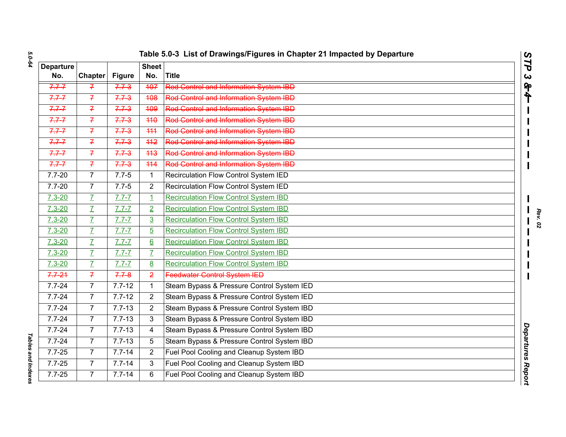| Table 5.0-3 List of Drawings/Figures in Chapter 21 Impacted by Departure |  |  |
|--------------------------------------------------------------------------|--|--|
|                                                                          |  |  |

| 5.0-64             |                  |                |               |                  | Table 5.0-3 List of Drawings/Figures in Chapter 21 Impacted by Departure |                       |
|--------------------|------------------|----------------|---------------|------------------|--------------------------------------------------------------------------|-----------------------|
|                    | <b>Departure</b> |                |               | <b>Sheet</b>     |                                                                          | STP                   |
|                    | No.              | <b>Chapter</b> | <b>Figure</b> | No.              | <b>Title</b>                                                             | $\boldsymbol{\omega}$ |
|                    | $7.7 - 7$        | $\overline{f}$ | $7.7 - 3$     | 407              | <b>Rod Control and Information System IBD</b>                            | <b>&amp;4</b>         |
|                    | $7.7 - 7$        | $\overline{f}$ | $7.7 - 3$     | 408              | <b>Rod Control and Information System IBD</b>                            |                       |
|                    | $7.7 - 7$        | $\overline{f}$ | $7.7 - 3$     | 409              | <b>Rod Control and Information System IBD</b>                            |                       |
|                    | $7.7 - 7$        | $\overline{f}$ | $7.7 - 3$     | 440              | <b>Red Centrel and Information System IBD</b>                            |                       |
|                    | $7.7 - 7$        | $\overline{f}$ | $7.7 - 3$     | 444              | <b>Red Control and Information System IBD</b>                            |                       |
|                    | $7.7 - 7$        | $\overline{f}$ | $7.7 - 3$     | $\overline{442}$ | Rod Control and Information System IBD                                   |                       |
|                    | $7.7 - 7$        | $\overline{f}$ | $7.7 - 3$     | 443              | Rod Control and Information System IBD                                   |                       |
|                    | $7.7 - 7$        | $\overline{f}$ | 7.73          | 444              | <b>Rod Control and Information System IBD</b>                            |                       |
|                    | $7.7 - 20$       | $\overline{7}$ | $7.7 - 5$     | $\mathbf{1}$     | Recirculation Flow Control System IED                                    |                       |
|                    | $7.7 - 20$       | $\overline{7}$ | $7.7 - 5$     | $\overline{2}$   | Recirculation Flow Control System IED                                    |                       |
|                    | $7.3 - 20$       | $\overline{I}$ | $7.7 - 7$     | $\overline{1}$   | <b>Recirculation Flow Control System IBD</b>                             |                       |
|                    | $7.3 - 20$       | $\overline{I}$ | $7.7 - 7$     | $\overline{2}$   | <b>Recirculation Flow Control System IBD</b>                             |                       |
|                    | $7.3 - 20$       | $\overline{I}$ | $7.7 - 7$     | $\overline{3}$   | <b>Recirculation Flow Control System IBD</b>                             |                       |
|                    | $7.3 - 20$       | $\overline{L}$ | $7.7 - 7$     | $\overline{5}$   | <b>Recirculation Flow Control System IBD</b>                             |                       |
|                    | $7.3 - 20$       | $\overline{I}$ | $7.7 - 7$     | 6                | <b>Recirculation Flow Control System IBD</b>                             |                       |
|                    | $7.3 - 20$       | $\overline{L}$ | $7.7 - 7$     | $\overline{I}$   | <b>Recirculation Flow Control System IBD</b>                             |                       |
|                    | $7.3 - 20$       | $\overline{I}$ | $7.7 - 7$     | 8                | <b>Recirculation Flow Control System IBD</b>                             |                       |
|                    | $7.7 - 21$       | $\overline{f}$ | $7.7 - 8$     | $\overline{2}$   | <b>Feedwater Control System IED</b>                                      |                       |
|                    | $7.7 - 24$       | $\overline{7}$ | $7.7 - 12$    | $\mathbf{1}$     | Steam Bypass & Pressure Control System IED                               |                       |
|                    | $7.7 - 24$       | $\overline{7}$ | $7.7 - 12$    | $\overline{2}$   | Steam Bypass & Pressure Control System IED                               |                       |
|                    | $7.7 - 24$       | $\overline{7}$ | $7.7 - 13$    | $\overline{2}$   | Steam Bypass & Pressure Control System IBD                               |                       |
|                    | $7.7 - 24$       | $\overline{7}$ | $7.7 - 13$    | 3                | Steam Bypass & Pressure Control System IBD                               |                       |
|                    | $7.7 - 24$       | $\overline{7}$ | $7.7 - 13$    | $\overline{4}$   | Steam Bypass & Pressure Control System IBD                               | Departures Report     |
|                    | $7.7 - 24$       | $\overline{7}$ | $7.7 - 13$    | 5                | Steam Bypass & Pressure Control System IBD                               |                       |
|                    | $7.7 - 25$       | $\overline{7}$ | $7.7 - 14$    | $\overline{2}$   | Fuel Pool Cooling and Cleanup System IBD                                 |                       |
| Tables and Indexes | $7.7 - 25$       | $\overline{7}$ | $7.7 - 14$    | 3                | Fuel Pool Cooling and Cleanup System IBD                                 |                       |
|                    | $7.7 - 25$       | $\overline{7}$ | $7.7 - 14$    | 6                | Fuel Pool Cooling and Cleanup System IBD                                 |                       |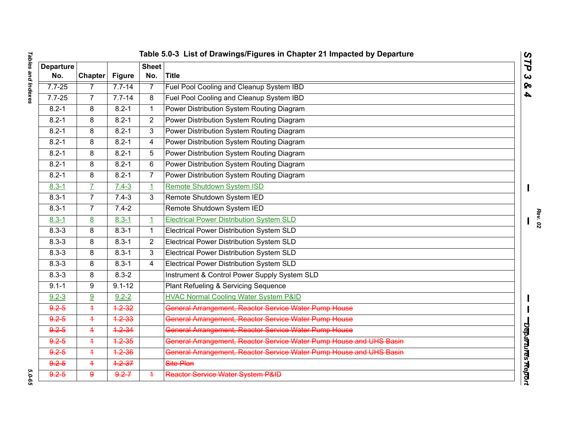| ;<br>aures and muexes<br>יש וששט אט | l<br>$\ddot{\phantom{0}}$<br>ׅ֖֖֖֖ׅ֖֖ׅׅ֪ׅ֖ׅ֖ׅ֖ׅ֖ׅ֖ׅ֖ׅ֖ׅ֖֪ׅ֖֧֖֪ׅׅ֧֖֧֪֪֪ׅ֧֖ׅ֖֚֚֚֚֚֚֚֚֚֚֚֚֚֚֚֚֚֚֚֡֬֝֝֝֬֝֝֝֞֞֞֞֝֞֝֞֞֝֞֝֞֞֝֬֝֝֞֞֝֝֬ |
|-------------------------------------|--------------------------------------------------------------------------------------------------------------------------------|
|                                     |                                                                                                                                |
|                                     |                                                                                                                                |
|                                     |                                                                                                                                |
|                                     |                                                                                                                                |
|                                     |                                                                                                                                |
| ֞֟                                  | $\overline{1}$<br>$\blacksquare$                                                                                               |

| Table 5.0-3 List of Drawings/Figures in Chapter 21 Impacted by Departure<br>$\tilde{\mathbf{z}}$ |                |               |                     |                                                                     |                  |
|--------------------------------------------------------------------------------------------------|----------------|---------------|---------------------|---------------------------------------------------------------------|------------------|
| <b>Departure</b><br>No.                                                                          | <b>Chapter</b> | <b>Figure</b> | <b>Sheet</b><br>No. | Title                                                               | ٦<br>$\alpha$    |
| $7.7 - 25$                                                                                       | 7              | $7.7 - 14$    | $\overline{7}$      | Fuel Pool Cooling and Cleanup System IBD                            | ହ                |
| $7.7 - 25$                                                                                       | $\overline{7}$ | $7.7 - 14$    | 8                   | Fuel Pool Cooling and Cleanup System IBD                            | 4                |
| $8.2 - 1$                                                                                        | 8              | $8.2 - 1$     | $\mathbf 1$         | Power Distribution System Routing Diagram                           |                  |
| $8.2 - 1$                                                                                        | 8              | $8.2 - 1$     | $\overline{2}$      | Power Distribution System Routing Diagram                           |                  |
| $8.2 - 1$                                                                                        | 8              | $8.2 - 1$     | 3                   | Power Distribution System Routing Diagram                           |                  |
| $8.2 - 1$                                                                                        | 8              | $8.2 - 1$     | 4                   | Power Distribution System Routing Diagram                           |                  |
| $8.2 - 1$                                                                                        | 8              | $8.2 - 1$     | 5                   | Power Distribution System Routing Diagram                           |                  |
| $8.2 - 1$                                                                                        | 8              | $8.2 - 1$     | 6                   | Power Distribution System Routing Diagram                           |                  |
| $8.2 - 1$                                                                                        | 8              | $8.2 - 1$     | 7                   | Power Distribution System Routing Diagram                           |                  |
| $8.3 - 1$                                                                                        | $\mathbf{Z}$   | $7.4 - 3$     | $\overline{1}$      | Remote Shutdown System ISD                                          |                  |
| $8.3 - 1$                                                                                        | $\overline{7}$ | $7.4 - 3$     | 3                   | Remote Shutdown System IED                                          |                  |
| $8.3 - 1$                                                                                        | $\overline{7}$ | $7.4 - 2$     |                     | Remote Shutdown System IED                                          |                  |
| $8.3 - 1$                                                                                        | 8              | $8.3 - 1$     | $\overline{1}$      | <b>Electrical Power Distribution System SLD</b>                     |                  |
| $8.3 - 3$                                                                                        | 8              | $8.3 - 1$     | $\mathbf{1}$        | Electrical Power Distribution System SLD                            |                  |
| $8.3 - 3$                                                                                        | 8              | $8.3 - 1$     | $\overline{2}$      | <b>Electrical Power Distribution System SLD</b>                     |                  |
| $8.3 - 3$                                                                                        | 8              | $8.3 - 1$     | 3                   | Electrical Power Distribution System SLD                            |                  |
| $8.3 - 3$                                                                                        | 8              | $8.3 - 1$     | 4                   | Electrical Power Distribution System SLD                            |                  |
| $8.3 - 3$                                                                                        | 8              | $8.3 - 2$     |                     | Instrument & Control Power Supply System SLD                        |                  |
| $9.1 - 1$                                                                                        | 9              | $9.1 - 12$    |                     | Plant Refueling & Servicing Sequence                                |                  |
| $9.2 - 3$                                                                                        | 9              | $9.2 - 2$     |                     | <b>HVAC Normal Cooling Water System P&amp;ID</b>                    |                  |
| $9.2 - 5$                                                                                        | $\overline{+}$ | $4.2 - 32$    |                     | General Arrangement, Reactor Service Water Pump House               |                  |
| $9.2 - 5$                                                                                        | $\overline{+}$ | $4.2 - 33$    |                     | General Arrangement, Reactor Service Water Pump House               |                  |
| $9.2 - 5$                                                                                        | $\overline{+}$ | $4.2 - 34$    |                     | General Arrangement, Reactor Service Water Pump House               |                  |
| $9.2 - 5$                                                                                        | $\overline{4}$ | $4.2 - 35$    |                     | General Arrangement, Reactor Service Water Pump House and UHS Basin | Deparures Report |
| $9.2 - 5$                                                                                        | $\ddagger$     | $4.2 - 36$    |                     | General Arrangement, Reactor Service Water Pump House and UHS Basin |                  |
| $9.2 - 5$                                                                                        | $\ddagger$     | $4.2 - 37$    |                     | Site Plan                                                           |                  |
| $9.2 - 5$                                                                                        | $\mathbf{Q}$   | $9.2 - 7$     | $\overline{+}$      | Reactor Service Water System P&ID                                   |                  |

*Rev. 02*

5.0-65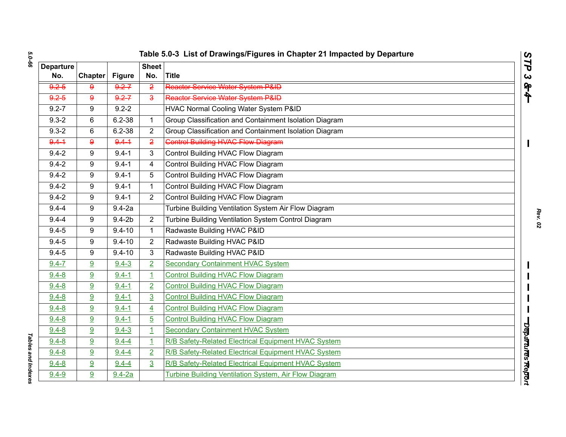| ပာ |
|----|
|    |
| ٠  |
|    |
| с  |
|    |
|    |

|                  | Table 5.0-3 List of Drawings/Figures in Chapter 21 Impacted by Departure<br>STP |               |                |                                                        |                   |  |
|------------------|---------------------------------------------------------------------------------|---------------|----------------|--------------------------------------------------------|-------------------|--|
| <b>Departure</b> |                                                                                 |               | <b>Sheet</b>   |                                                        |                   |  |
| No.              | <b>Chapter</b>                                                                  | <b>Figure</b> | No.            | Title                                                  | ς                 |  |
| $9.2 - 5$        | 9                                                                               | $9.2 - 7$     | $\overline{2}$ | Reactor Service Water System P&ID                      | $\frac{1}{2}$     |  |
| $9.2 - 5$        | $\overline{9}$                                                                  | $9.2 - 7$     | $\overline{3}$ | Reactor Service Water System P&ID                      |                   |  |
| $9.2 - 7$        | 9                                                                               | $9.2 - 2$     |                | <b>HVAC Normal Cooling Water System P&amp;ID</b>       |                   |  |
| $9.3 - 2$        | 6                                                                               | $6.2 - 38$    | $\mathbf{1}$   | Group Classification and Containment Isolation Diagram |                   |  |
| $9.3 - 2$        | 6                                                                               | $6.2 - 38$    | 2              | Group Classification and Containment Isolation Diagram |                   |  |
| $9.4 - 1$        | $\overline{9}$                                                                  | $9.4 - 1$     | $\overline{2}$ | <b>Control Building HVAC Flow Diagram</b>              |                   |  |
| $9.4 - 2$        | 9                                                                               | $9.4 - 1$     | 3              | Control Building HVAC Flow Diagram                     |                   |  |
| $9.4 - 2$        | 9                                                                               | $9.4 - 1$     | $\overline{4}$ | Control Building HVAC Flow Diagram                     |                   |  |
| $9.4 - 2$        | 9                                                                               | $9.4 - 1$     | 5              | Control Building HVAC Flow Diagram                     |                   |  |
| $9.4 - 2$        | 9                                                                               | $9.4 - 1$     | $\mathbf{1}$   | Control Building HVAC Flow Diagram                     |                   |  |
| $9.4 - 2$        | 9                                                                               | $9.4 - 1$     | $\overline{2}$ | Control Building HVAC Flow Diagram                     |                   |  |
| $9.4 - 4$        | 9                                                                               | $9.4 - 2a$    |                | Turbine Building Ventilation System Air Flow Diagram   |                   |  |
| $9.4 - 4$        | 9                                                                               | $9.4 - 2b$    | $\overline{2}$ | Turbine Building Ventilation System Control Diagram    |                   |  |
| $9.4 - 5$        | 9                                                                               | $9.4 - 10$    | $\mathbf 1$    | Radwaste Building HVAC P&ID                            |                   |  |
| $9.4 - 5$        | 9                                                                               | $9.4 - 10$    | $\overline{2}$ | Radwaste Building HVAC P&ID                            |                   |  |
| $9.4 - 5$        | 9                                                                               | $9.4 - 10$    | 3              | Radwaste Building HVAC P&ID                            |                   |  |
| $9.4 - 7$        | 9                                                                               | $9.4 - 3$     | $\overline{2}$ | <b>Secondary Containment HVAC System</b>               |                   |  |
| $9.4 - 8$        | 9                                                                               | $9.4 - 1$     | $\overline{1}$ | <b>Control Building HVAC Flow Diagram</b>              |                   |  |
| $9.4 - 8$        | 9                                                                               | $9.4 - 1$     | $\overline{2}$ | <b>Control Building HVAC Flow Diagram</b>              |                   |  |
| $9.4 - 8$        | 9                                                                               | $9.4 - 1$     | $\overline{3}$ | <b>Control Building HVAC Flow Diagram</b>              |                   |  |
| $9.4 - 8$        | 9                                                                               | $9.4 - 1$     | $\overline{4}$ | <b>Control Building HVAC Flow Diagram</b>              |                   |  |
| $9.4 - 8$        | 9                                                                               | $9.4 - 1$     | $\overline{5}$ | <b>Control Building HVAC Flow Diagram</b>              |                   |  |
| $9.4 - 8$        | 9                                                                               | $9.4 - 3$     | $\mathbf{1}$   | <b>Secondary Containment HVAC System</b>               |                   |  |
| $9.4 - 8$        | 9                                                                               | $9.4 - 4$     | $\overline{1}$ | R/B Safety-Related Electrical Equipment HVAC System    |                   |  |
| $9.4 - 8$        | 9                                                                               | $9.4 - 4$     | $\overline{2}$ | R/B Safety-Related Electrical Equipment HVAC System    | Departures Report |  |
| $9.4 - 8$        | 9                                                                               | $9.4 - 4$     | 3              | R/B Safety-Related Electrical Equipment HVAC System    |                   |  |
| $9.4 - 9$        | 9                                                                               | $9.4 - 2a$    |                | Turbine Building Ventilation System, Air Flow Diagram  |                   |  |

**Tables and Indexes** *Tables and Indexes*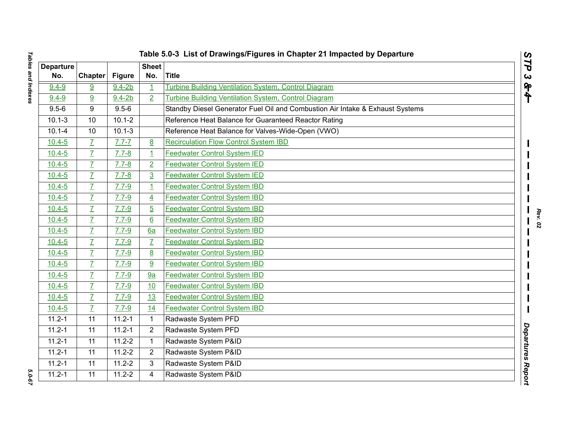|  | Table 5.0-3 List of Drawings/Figures in Chapter 21 Impacted by Departure |  |  |  |
|--|--------------------------------------------------------------------------|--|--|--|
|--|--------------------------------------------------------------------------|--|--|--|

|                         |                 |               |                     | Table 5.0-3 List of Drawings/Figures in Chapter 21 Impacted by Departure      |                              |
|-------------------------|-----------------|---------------|---------------------|-------------------------------------------------------------------------------|------------------------------|
| <b>Departure</b><br>No. | Chapter         | <b>Figure</b> | <b>Sheet</b><br>No. | <b>Title</b>                                                                  | STP<br>$\boldsymbol{\omega}$ |
| $9.4 - 9$               | 9               | $9.4 - 2b$    | $\mathbf{1}$        | Turbine Building Ventilation System, Control Diagram                          | $\frac{1}{2}$                |
| $9.4 - 9$               | 9               | $9.4 - 2b$    | $\overline{2}$      | Turbine Building Ventilation System, Control Diagram                          |                              |
| $9.5 - 6$               | 9               | $9.5 - 6$     |                     | Standby Diesel Generator Fuel Oil and Combustion Air Intake & Exhaust Systems |                              |
| $10.1 - 3$              | 10              | $10.1 - 2$    |                     | Reference Heat Balance for Guaranteed Reactor Rating                          |                              |
| $10.1 - 4$              | 10              | $10.1 - 3$    |                     | Reference Heat Balance for Valves-Wide-Open (VWO)                             |                              |
| $10.4 - 5$              | $\overline{I}$  | $7.7 - 7$     | 8                   | <b>Recirculation Flow Control System IBD</b>                                  |                              |
| $10.4 - 5$              | $\overline{L}$  | $7.7 - 8$     | $\mathbf{1}$        | <b>Feedwater Control System IED</b>                                           |                              |
| $10.4 - 5$              | $\overline{I}$  | $7.7 - 8$     | $\overline{2}$      | <b>Feedwater Control System IED</b>                                           |                              |
| $10.4 - 5$              | $\overline{L}$  | $7.7 - 8$     | $\overline{3}$      | <b>Feedwater Control System IED</b>                                           |                              |
| $10.4 - 5$              | $\overline{L}$  | $7.7 - 9$     | $\overline{1}$      | <b>Feedwater Control System IBD</b>                                           |                              |
| $10.4 - 5$              | $\overline{L}$  | $7.7 - 9$     | $\overline{4}$      | <b>Feedwater Control System IBD</b>                                           |                              |
| $10.4 - 5$              | $\overline{L}$  | $7.7 - 9$     | $\overline{5}$      | <b>Feedwater Control System IBD</b>                                           |                              |
| $10.4 - 5$              | $\overline{L}$  | $7.7 - 9$     | $6 \overline{6}$    | <b>Feedwater Control System IBD</b>                                           |                              |
| $10.4 - 5$              | $\overline{L}$  | $7.7 - 9$     | 6a                  | <b>Feedwater Control System IBD</b>                                           |                              |
| $10.4 - 5$              | $\overline{L}$  | $7.7 - 9$     | $\overline{L}$      | <b>Feedwater Control System IBD</b>                                           |                              |
| $10.4 - 5$              | $\overline{L}$  | $7.7 - 9$     | 8                   | <b>Feedwater Control System IBD</b>                                           |                              |
| $10.4 - 5$              | $\overline{L}$  | $7.7 - 9$     | 9                   | <b>Feedwater Control System IBD</b>                                           |                              |
| $10.4 - 5$              | $\overline{I}$  | $7.7 - 9$     | 9a                  | <b>Feedwater Control System IBD</b>                                           |                              |
| $10.4 - 5$              | $\overline{I}$  | $7.7 - 9$     | 10                  | <b>Feedwater Control System IBD</b>                                           |                              |
| $10.4 - 5$              | $\overline{L}$  | $7.7 - 9$     | 13                  | <b>Feedwater Control System IBD</b>                                           |                              |
| $10.4 - 5$              | $\overline{I}$  | $7.7 - 9$     | 14                  | <b>Feedwater Control System IBD</b>                                           |                              |
| $11.2 - 1$              | 11              | $11.2 - 1$    |                     | Radwaste System PFD                                                           |                              |
| $11.2 - 1$              | 11              | $11.2 - 1$    | $\overline{2}$      | Radwaste System PFD                                                           | Departures                   |
| $11.2 - 1$              | $\overline{11}$ | $11.2 - 2$    | 1                   | Radwaste System P&ID                                                          |                              |
| $11.2 - 1$              | 11              | $11.2 - 2$    | $\overline{2}$      | Radwaste System P&ID                                                          |                              |
| $11.2 - 1$              | 11              | $11.2 - 2$    | 3                   | Radwaste System P&ID                                                          |                              |
| $11.2 - 1$              | $\overline{11}$ | $11.2 - 2$    | 4                   | Radwaste System P&ID                                                          | Report                       |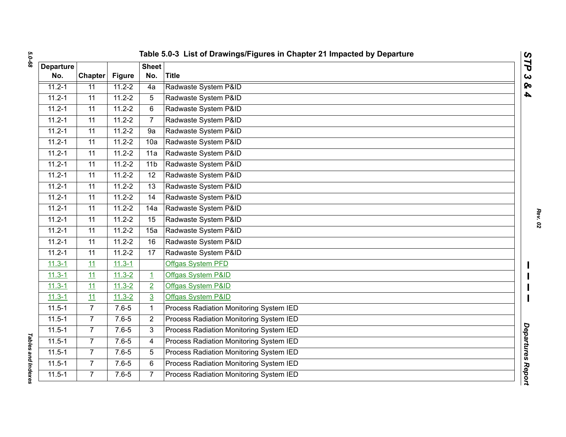| <b>Departure</b> |                |               | <b>Sheet</b>            |                                         |  |
|------------------|----------------|---------------|-------------------------|-----------------------------------------|--|
| No.              | <b>Chapter</b> | <b>Figure</b> | No.                     | <b>Title</b>                            |  |
| $11.2 - 1$       | 11             | $11.2 - 2$    | 4a                      | Radwaste System P&ID                    |  |
| $11.2 - 1$       | 11             | $11.2 - 2$    | 5                       | Radwaste System P&ID                    |  |
| $11.2 - 1$       | 11             | $11.2 - 2$    | 6                       | Radwaste System P&ID                    |  |
| $11.2 - 1$       | 11             | $11.2 - 2$    | $\overline{7}$          | Radwaste System P&ID                    |  |
| $11.2 - 1$       | 11             | $11.2 - 2$    | 9a                      | Radwaste System P&ID                    |  |
| $11.2 - 1$       | 11             | $11.2 - 2$    | 10a                     | Radwaste System P&ID                    |  |
| $11.2 - 1$       | 11             | $11.2 - 2$    | 11a                     | Radwaste System P&ID                    |  |
| $11.2 - 1$       | 11             | $11.2 - 2$    | 11 <sub>b</sub>         | Radwaste System P&ID                    |  |
| $11.2 - 1$       | 11             | $11.2 - 2$    | 12                      | Radwaste System P&ID                    |  |
| $11.2 - 1$       | 11             | $11.2 - 2$    | 13                      | Radwaste System P&ID                    |  |
| $11.2 - 1$       | 11             | $11.2 - 2$    | 14                      | Radwaste System P&ID                    |  |
| $11.2 - 1$       | 11             | $11.2 - 2$    | 14a                     | Radwaste System P&ID                    |  |
| $11.2 - 1$       | 11             | $11.2 - 2$    | 15                      | Radwaste System P&ID                    |  |
| $11.2 - 1$       | 11             | $11.2 - 2$    | 15a                     | Radwaste System P&ID                    |  |
| $11.2 - 1$       | 11             | $11.2 - 2$    | 16                      | Radwaste System P&ID                    |  |
| $11.2 - 1$       | 11             | $11.2 - 2$    | 17                      | Radwaste System P&ID                    |  |
| $11.3 - 1$       | 11             | $11.3 - 1$    |                         | Offgas System PFD                       |  |
| $11.3 - 1$       | 11             | $11.3 - 2$    | $\overline{\mathbf{1}}$ | Offgas System P&ID                      |  |
| $11.3 - 1$       | 11             | $11.3 - 2$    | $\overline{2}$          | Offgas System P&ID                      |  |
| $11.3 - 1$       | 11             | $11.3 - 2$    | $\overline{3}$          | Offgas System P&ID                      |  |
| $11.5 - 1$       | $\overline{7}$ | $7.6 - 5$     | $\mathbf{1}$            | Process Radiation Monitoring System IED |  |
| $11.5 - 1$       | $\overline{7}$ | $7.6 - 5$     | $\overline{2}$          | Process Radiation Monitoring System IED |  |
| $11.5 - 1$       | $\overline{7}$ | $7.6 - 5$     | 3                       | Process Radiation Monitoring System IED |  |
| $11.5 - 1$       | $\overline{7}$ | $7.6 - 5$     | 4                       | Process Radiation Monitoring System IED |  |
| $11.5 - 1$       | $\overline{7}$ | $7.6 - 5$     | 5                       | Process Radiation Monitoring System IED |  |
| $11.5 - 1$       | $\overline{7}$ | $7.6 - 5$     | 6                       | Process Radiation Monitoring System IED |  |
| $11.5 - 1$       | $\overline{7}$ | $7.6 - 5$     | $\overline{7}$          | Process Radiation Monitoring System IED |  |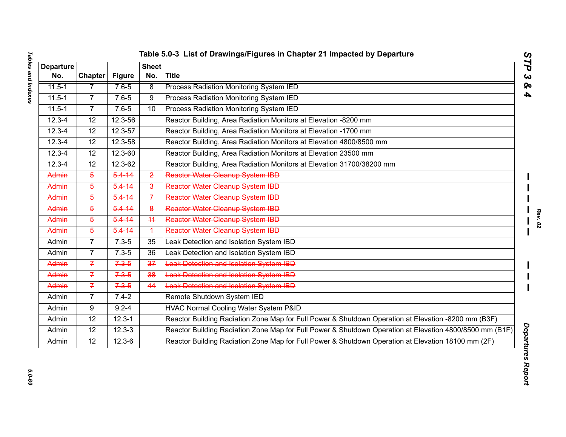| <b>Departure</b><br>No. | <b>Chapter</b> | <b>Figure</b> | <b>Sheet</b><br>No.     | <b>Title</b>                                                                                            |
|-------------------------|----------------|---------------|-------------------------|---------------------------------------------------------------------------------------------------------|
| $11.5 - 1$              | $\overline{7}$ | $7.6 - 5$     | $\overline{8}$          | <b>Process Radiation Monitoring System IED</b>                                                          |
| $11.5 - 1$              | $\overline{7}$ | $7.6 - 5$     | 9                       | Process Radiation Monitoring System IED                                                                 |
| $11.5 - 1$              | $\overline{7}$ | $7.6 - 5$     | 10                      | Process Radiation Monitoring System IED                                                                 |
| $12.3 - 4$              | 12             | 12.3-56       |                         | Reactor Building, Area Radiation Monitors at Elevation -8200 mm                                         |
| $12.3 - 4$              | 12             | 12.3-57       |                         | Reactor Building, Area Radiation Monitors at Elevation -1700 mm                                         |
| $12.3 - 4$              | 12             | 12.3-58       |                         | Reactor Building, Area Radiation Monitors at Elevation 4800/8500 mm                                     |
| $12.3 - 4$              | 12             | $12.3 - 60$   |                         | Reactor Building, Area Radiation Monitors at Elevation 23500 mm                                         |
| $12.3 - 4$              | 12             | 12.3-62       |                         | Reactor Building, Area Radiation Monitors at Elevation 31700/38200 mm                                   |
| Admin                   | $\overline{5}$ | $5.4 - 14$    | $\overline{2}$          | Reactor Water Cleanup System IBD                                                                        |
| Admin                   | $\overline{5}$ | $5.4 - 14$    | $\overline{\mathbf{a}}$ | Reactor Water Cleanup System IBD                                                                        |
| Admin                   | $\overline{5}$ | $5.4 - 14$    | $\overline{f}$          | Reactor Water Cleanup System IBD                                                                        |
| Admin                   | $\overline{5}$ | $5.4 - 14$    | 8                       | Reactor Water Cleanup System IBD                                                                        |
| Admin                   | $\overline{5}$ | $5.4 - 14$    | 44                      | Reactor Water Cleanup System IBD                                                                        |
| Admin                   | $\overline{5}$ | $5.4 - 14$    | $\ddagger$              | Reactor Water Cleanup System IBD                                                                        |
| Admin                   | $\overline{7}$ | $7.3 - 5$     | 35                      | Leak Detection and Isolation System IBD                                                                 |
| Admin                   | 7              | $7.3 - 5$     | 36                      | Leak Detection and Isolation System IBD                                                                 |
| Admin                   | $\overline{f}$ | $7.3 - 5$     | 37                      | Leak Detection and Isolation System IBD                                                                 |
| Admin                   | $\overline{f}$ | $7.3 - 5$     | 38                      | Leak Detection and Isolation System IBD                                                                 |
| Admin                   | $\overline{f}$ | $7.3 - 5$     | 44                      | <b>Leak Detection and Isolation System IBD</b>                                                          |
| Admin                   | $\overline{7}$ | $7.4 - 2$     |                         | Remote Shutdown System IED                                                                              |
| Admin                   | 9              | $9.2 - 4$     |                         | HVAC Normal Cooling Water System P&ID                                                                   |
| Admin                   | 12             | $12.3 - 1$    |                         | Reactor Building Radiation Zone Map for Full Power & Shutdown Operation at Elevation -8200 mm (B3F)     |
| Admin                   | 12             | $12.3 - 3$    |                         | Reactor Building Radiation Zone Map for Full Power & Shutdown Operation at Elevation 4800/8500 mm (B1F) |
| Admin                   | 12             | $12.3 - 6$    |                         | Reactor Building Radiation Zone Map for Full Power & Shutdown Operation at Elevation 18100 mm (2F)      |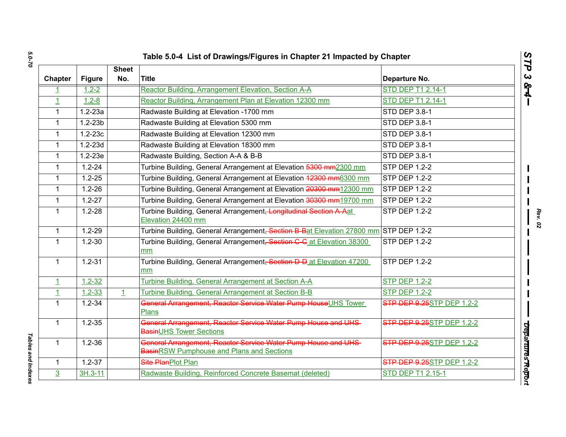|                |               |                     | Table 5.0-4 List of Drawings/Figures in Chapter 21 Impacted by Chapter                                      |                                   |
|----------------|---------------|---------------------|-------------------------------------------------------------------------------------------------------------|-----------------------------------|
| Chapter        | <b>Figure</b> | <b>Sheet</b><br>No. | <b>Title</b>                                                                                                | Departure No.                     |
| $\mathbf{1}$   | $1.2 - 2$     |                     | Reactor Building, Arrangement Elevation, Section A-A                                                        | <b>STD DEP T1 2.14-1</b>          |
| $\overline{1}$ | $1.2 - 8$     |                     | Reactor Building, Arrangement Plan at Elevation 12300 mm                                                    | STD DEP T1 2.14-1                 |
| $\mathbf{1}$   | $1.2 - 23a$   |                     | Radwaste Building at Elevation -1700 rnm                                                                    | STD DEP 3.8-1                     |
| $\mathbf{1}$   | $1.2 - 23b$   |                     | Radwaste Building at Elevation 5300 rnm                                                                     | STD DEP 3.8-1                     |
| $\mathbf{1}$   | $1.2 - 23c$   |                     | Radwaste Building at Elevation 12300 mm                                                                     | STD DEP 3.8-1                     |
| $\mathbf{1}$   | $1.2 - 23d$   |                     | Radwaste Building at Elevation 18300 mm                                                                     | STD DEP 3.8-1                     |
| $\mathbf{1}$   | $1.2 - 23e$   |                     | Radwaste Building, Section A-A & B-B                                                                        | <b>STD DEP 3.8-1</b>              |
| $\mathbf{1}$   | $1.2 - 24$    |                     | Turbine Building, General Arrangement at Elevation 5300 mm2300 mm                                           | <b>STP DEP 1.2-2</b>              |
| $\mathbf{1}$   | $1.2 - 25$    |                     | Turbine Building, General Arrangement at Elevation 42300 mm6300 mm                                          | <b>STP DEP 1.2-2</b>              |
| $\mathbf{1}$   | $1.2 - 26$    |                     | Turbine Building, General Arrangement at Elevation 20300 mm12300 mm                                         | STP DEP 1.2-2                     |
| $\mathbf{1}$   | $1.2 - 27$    |                     | Turbine Building, General Arrangement at Elevation 30300 mm19700 mm                                         | <b>STP DEP 1.2-2</b>              |
| $\mathbf{1}$   | $1.2 - 28$    |                     | Turbine Building, General Arrangement <del>, Longitudinal Section A Aat</del><br>Elevation 24400 mm         | <b>STP DEP 1.2-2</b>              |
| $\mathbf{1}$   | $1.2 - 29$    |                     | Turbine Building, General Arrangement <del>, Section B-B</del> at Elevation 27800 mm STP DEP 1.2-2          |                                   |
| $\mathbf{1}$   | $1.2 - 30$    |                     | Turbine Building, General Arrangement <del>, Section C C</del> at Elevation 38300<br>mm                     | <b>STP DEP 1.2-2</b>              |
| $\mathbf{1}$   | $1.2 - 31$    |                     | Turbine Building, General Arrangement <del>, Section D-D</del> at Elevation 47200<br>mm                     | <b>STP DEP 1.2-2</b>              |
| $\mathbf{1}$   | $1.2 - 32$    |                     | Turbine Building, General Arrangement at Section A-A                                                        | <b>STP DEP 1.2-2</b>              |
| $\overline{1}$ | $1.2 - 33$    | $\perp$             | <b>Turbine Building, General Arrangement at Section B-B</b>                                                 | <b>STP DEP 1.2-2</b>              |
| $\mathbf{1}$   | $1.2 - 34$    |                     | General Arrangement, Reactor Service Water Pump HouseUHS Tower<br><b>Plans</b>                              | <b>STP DEP 9.25STP DEP 1.2-2</b>  |
| $\overline{1}$ | $1.2 - 35$    |                     | General Arrangement, Reactor Service Water Pump House and UHS-<br><b>BasinUHS Tower Sections</b>            | <b>STP DEP 9.25</b> STP DEP 1.2-2 |
| $\mathbf{1}$   | $1.2 - 36$    |                     | General Arrangement, Reactor Service Water Pump House and UHS-<br>BasinRSW Pumphouse and Plans and Sections | <b>STP DEP 9.25STP DEP 1.2-2</b>  |
| $\mathbf{1}$   | $1.2 - 37$    |                     | Site PlanPlot Plan                                                                                          | <b>STP DEP 9.25</b> STP DEP 1.2-2 |
| $\overline{3}$ | 3H.3-11       |                     | Radwaste Building, Reinforced Concrete Basemat (deleted)                                                    | STD DEP T1 2.15-1                 |

Tables and Indexes *Tables and Indexes*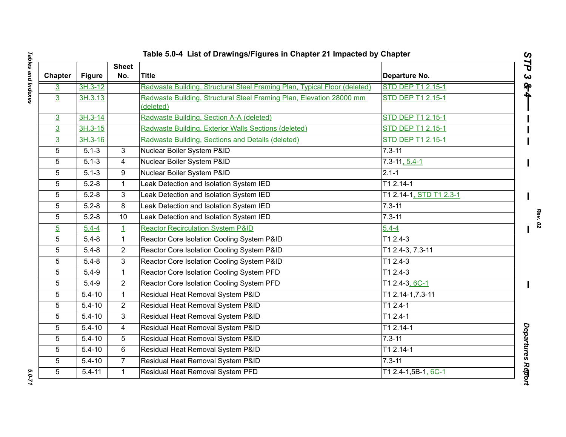| Table 5.0-4 List of Drawings/Figures in Chapter 21 Impacted by Chapter<br>STP |               |                     |                                                                                   |                          |  |  |
|-------------------------------------------------------------------------------|---------------|---------------------|-----------------------------------------------------------------------------------|--------------------------|--|--|
| Chapter                                                                       | <b>Figure</b> | <b>Sheet</b><br>No. | <b>Title</b>                                                                      | Departure No.            |  |  |
| $\overline{3}$                                                                | $3H.3-12$     |                     | Radwaste Building, Structural Steel Framing Plan, Typical Floor (deleted)         | <b>STD DEP T1 2.15-1</b> |  |  |
| $\overline{3}$                                                                | 3H.3.13       |                     | Radwaste Building, Structural Steel Framing Plan, Elevation 28000 mm<br>(deleted) | STD DEP T1 2.15-1        |  |  |
| $\overline{3}$                                                                | $3H.3-14$     |                     | Radwaste Building, Section A-A (deleted)                                          | STD DEP T1 2.15-1        |  |  |
| $\overline{3}$                                                                | $3H.3 - 15$   |                     | Radwaste Building, Exterior Walls Sections (deleted)                              | <b>STD DEP T1 2.15-1</b> |  |  |
| $\overline{3}$                                                                | $3H.3-16$     |                     | Radwaste Building, Sections and Details (deleted)                                 | <b>STD DEP T1 2.15-1</b> |  |  |
| 5                                                                             | $5.1 - 3$     | $\overline{\omega}$ | Nuclear Boiler System P&ID                                                        | $7.3 - 11$               |  |  |
| 5                                                                             | $5.1 - 3$     | 4                   | Nuclear Boiler System P&ID                                                        | $7.3 - 11, 5.4 - 1$      |  |  |
| 5                                                                             | $5.1 - 3$     | 9                   | Nuclear Boiler System P&ID                                                        | $2.1 - 1$                |  |  |
| 5                                                                             | $5.2 - 8$     | 1                   | Leak Detection and Isolation System IED                                           | $T12.14-1$               |  |  |
| 5                                                                             | $5.2 - 8$     | 3                   | Leak Detection and Isolation System IED                                           | T1 2.14-1, STD T1 2.3-1  |  |  |
| 5                                                                             | $5.2 - 8$     | 8                   | Leak Detection and Isolation System IED                                           | $7.3 - 11$               |  |  |
| 5                                                                             | $5.2 - 8$     | 10                  | Leak Detection and Isolation System IED                                           | $7.3 - 11$               |  |  |
| $\overline{5}$                                                                | $5.4 - 4$     | $\perp$             | <b>Reactor Recirculation System P&amp;ID</b>                                      | $5.4 - 4$                |  |  |
| 5                                                                             | $5.4 - 8$     | $\mathbf{1}$        | Reactor Core Isolation Cooling System P&ID                                        | $T12.4-3$                |  |  |
| 5                                                                             | $5.4 - 8$     | $\overline{2}$      | Reactor Core Isolation Cooling System P&ID                                        | T1 2.4-3, 7.3-11         |  |  |
| 5                                                                             | $5.4 - 8$     | 3                   | Reactor Core Isolation Cooling System P&ID                                        | $T12.4-3$                |  |  |
| 5                                                                             | $5.4 - 9$     | $\mathbf{1}$        | Reactor Core Isolation Cooling System PFD                                         | $T12.4-3$                |  |  |
| 5                                                                             | $5.4 - 9$     | $\overline{2}$      | Reactor Core Isolation Cooling System PFD                                         | T1 2.4-3, 6C-1           |  |  |
| 5                                                                             | $5.4 - 10$    | $\mathbf{1}$        | Residual Heat Removal System P&ID                                                 | T1 2.14-1,7.3-11         |  |  |
| 5                                                                             | $5.4 - 10$    | $\overline{2}$      | Residual Heat Removal System P&ID                                                 | $T12.4-1$                |  |  |
| 5                                                                             | $5.4 - 10$    | 3                   | Residual Heat Removal System P&ID                                                 | $T12.4-1$                |  |  |
| 5                                                                             | $5.4 - 10$    | 4                   | Residual Heat Removal System P&ID                                                 | T1 2.14-1                |  |  |
| 5                                                                             | $5.4 - 10$    | 5                   | Residual Heat Removal System P&ID                                                 | $7.3 - 11$               |  |  |
| 5                                                                             | $5.4 - 10$    | 6                   | Residual Heat Removal System P&ID                                                 | $T12.14-1$               |  |  |
| 5                                                                             | $5.4 - 10$    | $\overline{7}$      | Residual Heat Removal System P&ID                                                 | $7.3 - 11$               |  |  |
| 5                                                                             | $5.4 - 11$    | 1                   | Residual Heat Removal System PFD                                                  | T1 2.4-1,5B-1, 6C-1      |  |  |

5.0-71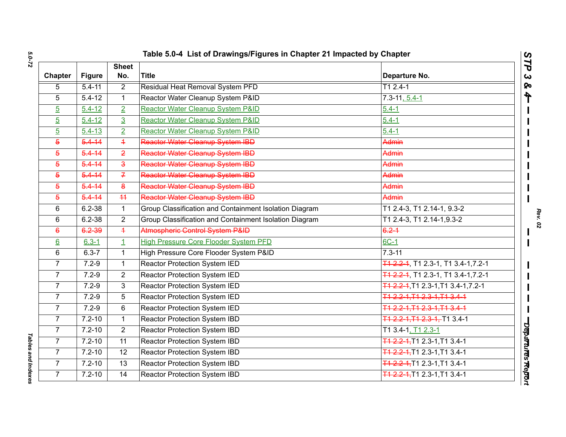| Table 5.0-4 List of Drawings/Figures in Chapter 21 Impacted by Chapter |               |                         |                                                        |                                           |
|------------------------------------------------------------------------|---------------|-------------------------|--------------------------------------------------------|-------------------------------------------|
| Chapter                                                                | <b>Figure</b> | <b>Sheet</b><br>No.     | <b>Title</b>                                           | Departure No.                             |
| 5                                                                      | $5.4 - 11$    | $\overline{2}$          | <b>Residual Heat Removal System PFD</b>                | $T12.4-1$                                 |
| 5                                                                      | $5.4 - 12$    | $\mathbf{1}$            | Reactor Water Cleanup System P&ID                      | $7.3 - 11, 5.4 - 1$                       |
| $\overline{5}$                                                         | $5.4 - 12$    | $\overline{2}$          | Reactor Water Cleanup System P&ID                      | $5.4 - 1$                                 |
| $\overline{5}$                                                         | $5.4 - 12$    | $\overline{3}$          | Reactor Water Cleanup System P&ID                      | $5.4 - 1$                                 |
| $\overline{5}$                                                         | $5.4 - 13$    | $\overline{2}$          | Reactor Water Cleanup System P&ID                      | $5.4 - 1$                                 |
| $\overline{5}$                                                         | $5.4 - 14$    | $\overline{4}$          | Reactor Water Cleanup System IBD                       | Admin                                     |
| $\overline{5}$                                                         | $5.4 - 14$    | $\overline{2}$          | Reactor Water Cleanup System IBD                       | Admin                                     |
| $\overline{5}$                                                         | $5.4 - 14$    | $\overline{\mathbf{3}}$ | Reactor Water Cleanup System IBD                       | Admin                                     |
| $\overline{5}$                                                         | $5.4 - 14$    | $\overline{f}$          | Reactor Water Cleanup System IBD                       | Admin                                     |
| $\overline{5}$                                                         | $5.4 - 14$    | $\bf{8}$                | Reactor Water Cleanup System IBD                       | Admin                                     |
| $\overline{5}$                                                         | $5.4 - 14$    | 44                      | Reactor Water Cleanup System IBD                       | Admin                                     |
| 6                                                                      | $6.2 - 38$    | $\mathbf{1}$            | Group Classification and Containment Isolation Diagram | T1 2.4-3, T1 2.14-1, 9.3-2                |
| 6                                                                      | $6.2 - 38$    | $\overline{2}$          | Group Classification and Containment Isolation Diagram | T1 2.4-3, T1 2.14-1, 9.3-2                |
| $\epsilon$                                                             | 6.2 39        | $\overline{+}$          | Atmospheric Control System P&ID                        | $6.2 - 1$                                 |
| $6 \overline{6}$                                                       | $6.3 - 1$     | $\mathbf{1}$            | <b>High Pressure Core Flooder System PFD</b>           | 6C-1                                      |
| 6                                                                      | $6.3 - 7$     | $\mathbf{1}$            | High Pressure Core Flooder System P&ID                 | $7.3 - 11$                                |
| $\overline{7}$                                                         | $7.2 - 9$     | $\mathbf{1}$            | Reactor Protection System IED                          | T1 2.2-1, T1 2.3-1, T1 3.4-1, 7.2-1       |
| $\overline{7}$                                                         | $7.2 - 9$     | $\overline{2}$          | Reactor Protection System IED                          | T1 2.2-1, T1 2.3-1, T1 3.4-1, 7.2-1       |
| $\overline{7}$                                                         | $7.2 - 9$     | $\mathbf{3}$            | <b>Reactor Protection System IED</b>                   | T1 2.2 4, T1 2.3 - 1, T1 3.4 - 1, 7.2 - 1 |
| 7                                                                      | $7.2 - 9$     | 5                       | Reactor Protection System IED                          | T1 2.2 1, T1 2.3 1, T1 3.4 1              |
| $\overline{7}$                                                         | $7.2 - 9$     | 6                       | Reactor Protection System IED                          | T1 2.2-1.T1 2.3-1.T1 3.4-1                |
| $\overline{7}$                                                         | $7.2 - 10$    | $\mathbf{1}$            | Reactor Protection System IBD                          | T1 2.2 1, T1 2.3 1, T1 3.4-1              |
| $\overline{7}$                                                         | $7.2 - 10$    | $\overline{2}$          | Reactor Protection System IBD                          | T1 3.4-1, T1 2.3-1                        |
| $\overline{7}$                                                         | $7.2 - 10$    | 11                      | Reactor Protection System IBD                          | T1 2.2-1, T1 2.3-1, T1 3.4-1              |
| $\overline{7}$                                                         | $7.2 - 10$    | 12                      | <b>Reactor Protection System IBD</b>                   | T1 2.2-1, T1 2.3-1, T1 3.4-1              |
| $\overline{7}$                                                         | $7.2 - 10$    | 13                      | <b>Reactor Protection System IBD</b>                   | T1 2.2 1, T1 2.3 - 1, T1 3.4 - 1          |
| $\overline{7}$                                                         | $7.2 - 10$    | $\overline{14}$         | Reactor Protection System IBD                          | T1 2.2-1, T1 2.3-1, T1 3.4-1              |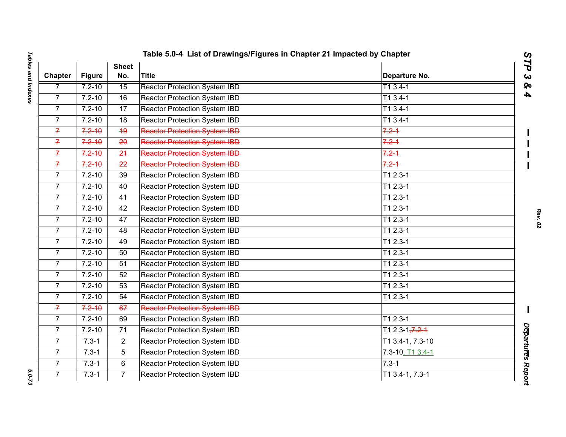|                | Table 5.0-4 List of Drawings/Figures in Chapter 21 Impacted by Chapter |                     |                                       |                     |                              |  |
|----------------|------------------------------------------------------------------------|---------------------|---------------------------------------|---------------------|------------------------------|--|
| <b>Chapter</b> | <b>Figure</b>                                                          | <b>Sheet</b><br>No. | <b>Title</b>                          | Departure No.       | STP<br>$\boldsymbol{\omega}$ |  |
| $\overline{7}$ | $7.2 - 10$                                                             | 15                  | <b>Reactor Protection System IBD</b>  | $T13.4-1$           | <b>So</b>                    |  |
| $\overline{7}$ | $7.2 - 10$                                                             | 16                  | Reactor Protection System IBD         | $T13.4-1$           | $\boldsymbol{4}$             |  |
| $\overline{7}$ | $7.2 - 10$                                                             | 17                  | <b>Reactor Protection System IBD</b>  | $T13.4-1$           |                              |  |
| $\overline{7}$ | $7.2 - 10$                                                             | 18                  | Reactor Protection System IBD         | $T13.4-1$           |                              |  |
| $\overline{f}$ | $7.2 - 10$                                                             | 49                  | <b>Reactor Protection System IBD</b>  | $7.2 - 1$           |                              |  |
| $\overline{f}$ | $7.2 - 10$                                                             | $\overline{20}$     | <b>Reactor Protection System IBD</b>  | $7.2 - 1$           |                              |  |
| $\overline{f}$ | $7.2 - 10$                                                             | 24                  | <b>Reactor Protection System IBD-</b> | $7.2 - 1$           |                              |  |
| $\overline{f}$ | $7.2 - 10$                                                             | 22                  | <b>Reactor Protection System IBD</b>  | $7.2 - 1$           |                              |  |
| $\overline{7}$ | $7.2 - 10$                                                             | 39                  | Reactor Protection System IBD         | $T12.3-1$           |                              |  |
| $\overline{7}$ | $7.2 - 10$                                                             | 40                  | Reactor Protection System IBD         | $T12.3-1$           |                              |  |
| $\overline{7}$ | $7.2 - 10$                                                             | 41                  | Reactor Protection System IBD         | $T12.3-1$           |                              |  |
| $\overline{7}$ | $7.2 - 10$                                                             | 42                  | <b>Reactor Protection System IBD</b>  | $T12.3-1$           |                              |  |
| $\overline{7}$ | $7.2 - 10$                                                             | 47                  | Reactor Protection System IBD         | $T12.3-1$           |                              |  |
| $\overline{7}$ | $7.2 - 10$                                                             | 48                  | Reactor Protection System IBD         | $T12.3-1$           |                              |  |
| $\overline{7}$ | $7.2 - 10$                                                             | 49                  | Reactor Protection System IBD         | $T12.3-1$           |                              |  |
| $\overline{7}$ | $7.2 - 10$                                                             | 50                  | Reactor Protection System IBD         | $T12.3-1$           |                              |  |
| $\overline{7}$ | $7.2 - 10$                                                             | 51                  | Reactor Protection System IBD         | $T12.3-1$           |                              |  |
| $\overline{7}$ | $7.2 - 10$                                                             | 52                  | Reactor Protection System IBD         | $T12.3-1$           |                              |  |
| $\overline{7}$ | $7.2 - 10$                                                             | 53                  | <b>Reactor Protection System IBD</b>  | $T12.3-1$           |                              |  |
| $\overline{7}$ | $7.2 - 10$                                                             | 54                  | Reactor Protection System IBD         | $T12.3-1$           |                              |  |
| $\overline{f}$ | $7.2 - 10$                                                             | 67                  | <b>Reactor Protection System IBD</b>  |                     |                              |  |
| $\overline{7}$ | $7.2 - 10$                                                             | 69                  | Reactor Protection System IBD         | $T12.3-1$           |                              |  |
| $\overline{7}$ | $7.2 - 10$                                                             | 71                  | Reactor Protection System IBD         | T1 2.3-1, $7.2 - 1$ |                              |  |
| $\overline{7}$ | $7.3 - 1$                                                              | $\overline{2}$      | Reactor Protection System IBD         | T1 3.4-1, 7.3-10    |                              |  |
| $\overline{7}$ | $7.3 - 1$                                                              | 5                   | Reactor Protection System IBD         | 7.3-10, 11 3.4-1    | Departures Report            |  |
| $\overline{7}$ | $7.3 - 1$                                                              | 6                   | Reactor Protection System IBD         | $7.3 - 1$           |                              |  |
| $\overline{7}$ | $7.3 - 1$                                                              | $\overline{7}$      | <b>Reactor Protection System IBD</b>  | $T1$ 3.4-1, 7.3-1   |                              |  |

 $5.0 - 73$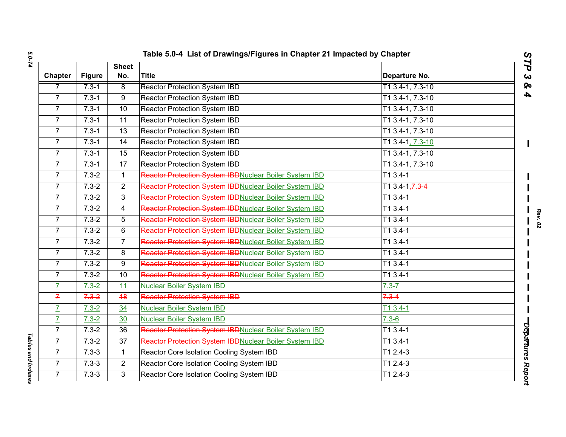| Chapter        | <b>Figure</b> | <b>Sheet</b><br>No. | <b>Title</b>                                           | Departure No.               |  |
|----------------|---------------|---------------------|--------------------------------------------------------|-----------------------------|--|
| 7              | $7.3 - 1$     | $\infty$            | <b>Reactor Protection System IBD</b>                   | T1 3.4-1, 7.3-10            |  |
| $\overline{7}$ | $7.3 - 1$     | 9                   | Reactor Protection System IBD                          | T1 3.4-1, 7.3-10            |  |
| $\overline{7}$ | $7.3 - 1$     | 10                  | Reactor Protection System IBD                          | $T1$ 3.4-1, 7.3-10          |  |
| $\overline{7}$ | $7.3 - 1$     | 11                  | Reactor Protection System IBD                          | T1 3.4-1, 7.3-10            |  |
| $\overline{7}$ | $7.3 - 1$     | 13                  | Reactor Protection System IBD                          | T1 3.4-1, 7.3-10            |  |
| $\overline{7}$ | $7.3 - 1$     | $\overline{14}$     | <b>Reactor Protection System IBD</b>                   | T1 3.4-1, 7.3-10            |  |
| $\overline{7}$ | $7.3 - 1$     | 15                  | Reactor Protection System IBD                          | T1 3.4-1, 7.3-10            |  |
| 7 <sup>1</sup> | $7.3 - 1$     | 17                  | Reactor Protection System IBD                          | T1 3.4-1, 7.3-10            |  |
| $\overline{7}$ | $7.3 - 2$     | $\mathbf{1}$        | Reactor Protection System IBDNuclear Boiler System IBD | $T13.4-1$                   |  |
| $\overline{7}$ | $7.3 - 2$     | $\overline{2}$      | Reactor Protection System IBDNuclear Boiler System IBD | T1 3.4-1 <del>, 7.3 4</del> |  |
| $\overline{7}$ | $7.3 - 2$     | 3                   | Reactor Protection System IBDNuclear Boiler System IBD | $T13.4-1$                   |  |
| $\overline{7}$ | $7.3 - 2$     | 4                   | Reactor Protection System IBDNuclear Boiler System IBD | $T13.4-1$                   |  |
| $\overline{7}$ | $7.3 - 2$     | 5                   | Reactor Protection System IBDNuclear Boiler System IBD | $T13.4-1$                   |  |
| $\overline{7}$ | $7.3 - 2$     | 6                   | Reactor Protection System IBDNuclear Boiler System IBD | $T13.4-1$                   |  |
| $\overline{7}$ | $7.3 - 2$     | $\overline{7}$      | Reactor Protection System IBDNuclear Boiler System IBD | $T13.4-1$                   |  |
| $\overline{7}$ | $7.3 - 2$     | 8                   | Reactor Protection System IBDNuclear Boiler System IBD | $T13.4-1$                   |  |
| $\overline{7}$ | $7.3 - 2$     | 9                   | Reactor Protection System IBDNuclear Boiler System IBD | $T13.4-1$                   |  |
| $\overline{7}$ | $7.3 - 2$     | 10                  | Reactor Protection System IBDNuclear Boiler System IBD | $T13.4-1$                   |  |
| $\overline{L}$ | $7.3 - 2$     | 11                  | <b>Nuclear Boiler System IBD</b>                       | $7.3 - 7$                   |  |
| $\overline{f}$ | $7.3 - 2$     | 48                  | <b>Reactor Protection System IBD</b>                   | $7.3 - 4$                   |  |
| $\overline{I}$ | $7.3 - 2$     | 34                  | <b>Nuclear Boiler System IBD</b>                       | $T13.4-1$                   |  |
| $\overline{I}$ | $7.3 - 2$     | 30                  | <b>Nuclear Boiler System IBD</b>                       | $7.3 - 6$                   |  |
| $\overline{7}$ | $7.3 - 2$     | 36                  | Reactor Protection System IBDNuclear Boiler System IBD | $T13.4-1$                   |  |
| $\overline{7}$ | $7.3 - 2$     | 37                  | Reactor Protection System IBDNuclear Boiler System IBD | $T13.4-1$                   |  |
| 7 <sup>1</sup> | $7.3 - 3$     | $\mathbf{1}$        | Reactor Core Isolation Cooling System IBD              | $T12.4-3$                   |  |
| $\overline{7}$ | $7.3 - 3$     | $\overline{2}$      | Reactor Core Isolation Cooling System IBD              | $T12.4-3$                   |  |
| $\overline{7}$ | $7.3 - 3$     | 3                   | Reactor Core Isolation Cooling System IBD              | $T12.4-3$                   |  |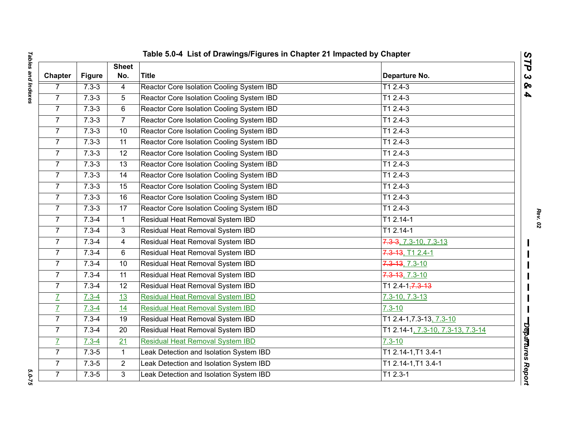| Chapter        | <b>Figure</b> | <b>Sheet</b><br>No. | <b>Title</b>                              | Departure No.                       |
|----------------|---------------|---------------------|-------------------------------------------|-------------------------------------|
| $\overline{7}$ | $7.3 - 3$     | $\overline{4}$      | Reactor Core Isolation Cooling System IBD | $T12.4-3$                           |
| $\overline{7}$ | $7.3 - 3$     | 5                   | Reactor Core Isolation Cooling System IBD | $T12.4-3$                           |
| $\overline{7}$ | $7.3 - 3$     | $\,6\,$             | Reactor Core Isolation Cooling System IBD | $T12.4-3$                           |
| $\overline{7}$ | $7.3 - 3$     | $\overline{7}$      | Reactor Core Isolation Cooling System IBD | $T12.4-3$                           |
| $\overline{7}$ | $7.3 - 3$     | 10                  | Reactor Core Isolation Cooling System IBD | T1 2.4-3                            |
| $\overline{7}$ | $7.3 - 3$     | $\overline{11}$     | Reactor Core Isolation Cooling System IBD | $T12.4-3$                           |
| $\overline{7}$ | $7.3 - 3$     | 12                  | Reactor Core Isolation Cooling System IBD | $T12.4-3$                           |
| $\overline{7}$ | $7.3 - 3$     | 13                  | Reactor Core Isolation Cooling System IBD | T1 2.4-3                            |
| $\overline{7}$ | $7.3 - 3$     | 14                  | Reactor Core Isolation Cooling System IBD | $T12.4-3$                           |
| 7 <sup>1</sup> | $7.3 - 3$     | 15                  | Reactor Core Isolation Cooling System IBD | T1 2.4-3                            |
| $\overline{7}$ | $7.3 - 3$     | 16                  | Reactor Core Isolation Cooling System IBD | $T12.4-3$                           |
| $\overline{7}$ | $7.3 - 3$     | 17                  | Reactor Core Isolation Cooling System IBD | $T12.4-3$                           |
| $\overline{7}$ | $7.3 - 4$     | $\mathbf{1}$        | Residual Heat Removal System IBD          | $T12.14-1$                          |
| $\overline{7}$ | $7.3 - 4$     | 3                   | Residual Heat Removal System IBD          | T1 2.14-1                           |
| $\overline{7}$ | $7.3 - 4$     | 4                   | Residual Heat Removal System IBD          | $7.3 - 3$ , $7.3 - 10$ , $7.3 - 13$ |
| $\overline{7}$ | $7.3 - 4$     | 6                   | Residual Heat Removal System IBD          | 7.3-13, T1 2.4-1                    |
| $\overline{7}$ | $7.3 - 4$     | 10                  | Residual Heat Removal System IBD          | 7.3-13, 7.3-10                      |
| $\overline{7}$ | $7.3 - 4$     | 11                  | Residual Heat Removal System IBD          | $7.3 - 13, 7.3 - 10$                |
| $\overline{7}$ | $7.3 - 4$     | 12                  | Residual Heat Removal System IBD          | T1 2.4-1 <del>, 7.3-13</del>        |
| $\overline{I}$ | $7.3 - 4$     | 13                  | <b>Residual Heat Removal System IBD</b>   | $7.3 - 10, 7.3 - 13$                |
| $\overline{L}$ | $7.3 - 4$     | 14                  | <b>Residual Heat Removal System IBD</b>   | $7.3 - 10$                          |
| $\overline{7}$ | $7.3 - 4$     | 19                  | Residual Heat Removal System IBD          | T1 2.4-1, 7.3-13, 7.3-10            |
| $\overline{7}$ | $7.3 - 4$     | 20                  | Residual Heat Removal System IBD          | T1 2.14-1, 7.3-10, 7.3-13, 7.3-14   |
| $\overline{L}$ | $7.3 - 4$     | $\overline{21}$     | <b>Residual Heat Removal System IBD</b>   | $7.3 - 10$                          |
| $\overline{7}$ | $7.3 - 5$     | $\mathbf{1}$        | Leak Detection and Isolation System IBD   | T1 2.14-1, T1 3.4-1                 |
| $\overline{7}$ | $7.3 - 5$     | $\overline{2}$      | Leak Detection and Isolation System IBD   | T1 2.14-1, T1 3.4-1                 |
| $\overline{7}$ | $7.3 - 5$     | 3                   | Leak Detection and Isolation System IBD   | $T12.3-1$                           |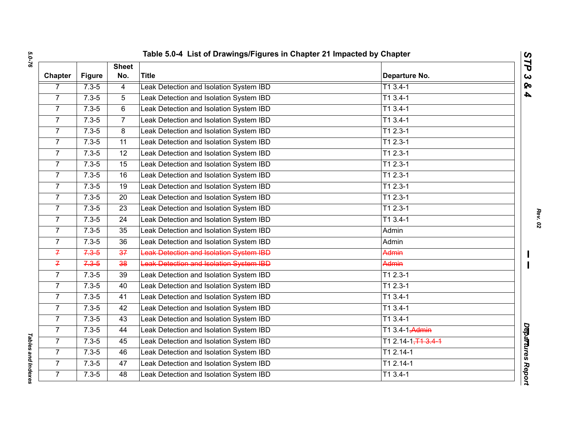| <b>Chapter</b>  | <b>Figure</b> | <b>Sheet</b><br>No. | <b>Title</b>                                   | Departure No.               |  |
|-----------------|---------------|---------------------|------------------------------------------------|-----------------------------|--|
| $\overline{7}$  | $7.3 - 5$     | $\overline{4}$      | Leak Detection and Isolation System IBD        | $T13.4-1$                   |  |
| $\overline{7}$  | $7.3 - 5$     | 5                   | Leak Detection and Isolation System IBD        | $T13.4-1$                   |  |
| $\overline{7}$  | $7.3 - 5$     | $\overline{6}$      | Leak Detection and Isolation System IBD        | $T13.4-1$                   |  |
| 7 <sup>1</sup>  | $7.3 - 5$     | $\overline{7}$      | Leak Detection and Isolation System IBD        | $T13.4-1$                   |  |
| $\overline{7}$  | $7.3 - 5$     | 8                   | Leak Detection and Isolation System IBD        | $T12.3-1$                   |  |
| $7\overline{ }$ | $7.3 - 5$     | 11                  | Leak Detection and Isolation System IBD        | $T12.3-1$                   |  |
| $\overline{7}$  | $7.3 - 5$     | $\overline{12}$     | Leak Detection and Isolation System IBD        | $T12.3-1$                   |  |
| 7 <sup>1</sup>  | $7.3 - 5$     | 15                  | Leak Detection and Isolation System IBD        | $T12.3-1$                   |  |
| $\overline{7}$  | $7.3 - 5$     | 16                  | Leak Detection and Isolation System IBD        | $T12.3-1$                   |  |
| 7 <sup>1</sup>  | $7.3 - 5$     | 19                  | Leak Detection and Isolation System IBD        | $T12.3-1$                   |  |
| $\overline{7}$  | $7.3 - 5$     | 20                  | Leak Detection and Isolation System IBD        | $T12.3-1$                   |  |
| $\overline{7}$  | $7.3 - 5$     | 23                  | Leak Detection and Isolation System IBD        | $T12.3-1$                   |  |
| $\overline{7}$  | $7.3 - 5$     | $\overline{24}$     | Leak Detection and Isolation System IBD        | $T13.4-1$                   |  |
| $7\overline{ }$ | $7.3 - 5$     | 35                  | Leak Detection and Isolation System IBD        | Admin                       |  |
| $\overline{7}$  | $7.3 - 5$     | $\overline{36}$     | Leak Detection and Isolation System IBD        | Admin                       |  |
| $\overline{f}$  | $7.3 - 5$     | 37                  | <b>Leak Detection and Isolation System IBD</b> | Admin                       |  |
| $\overline{f}$  | $7.3 - 5$     | 38                  | <b>Leak Detection and Isolation System IBD</b> | Admin                       |  |
| $\overline{7}$  | $7.3 - 5$     | $\overline{39}$     | Leak Detection and Isolation System IBD        | $T12.3-1$                   |  |
| $\overline{7}$  | $7.3 - 5$     | 40                  | Leak Detection and Isolation System IBD        | $T12.3-1$                   |  |
| 7 <sup>1</sup>  | $7.3 - 5$     | 41                  | Leak Detection and Isolation System IBD        | $T13.4-1$                   |  |
| $\overline{7}$  | $7.3 - 5$     | 42                  | Leak Detection and Isolation System IBD        | $T13.4-1$                   |  |
| 7 <sup>1</sup>  | $7.3 - 5$     | 43                  | Leak Detection and Isolation System IBD        | $T13.4-1$                   |  |
| $\overline{7}$  | $7.3 - 5$     | 44                  | Leak Detection and Isolation System IBD        | T1 3.4-1 <del>, Admin</del> |  |
| $\overline{7}$  | $7.3 - 5$     | 45                  | Leak Detection and Isolation System IBD        | $T12.14 - 1, T13.4 - 1$     |  |
| $\overline{7}$  | $7.3 - 5$     | 46                  | Leak Detection and Isolation System IBD        | $T12.14-1$                  |  |
| $\overline{7}$  | $7.3 - 5$     | 47                  | Leak Detection and Isolation System IBD        | $T12.14-1$                  |  |
| $\overline{7}$  | $7.3 - 5$     | $\overline{48}$     | Leak Detection and Isolation System IBD        | $T13.4-1$                   |  |

*Tables and Indexes* 

**Tables and Indexes**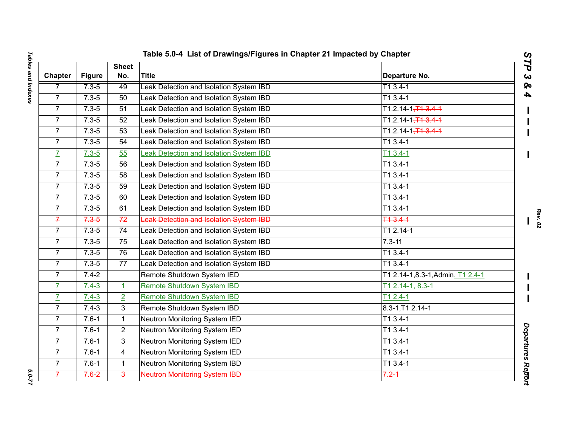|                |               |                     | Table 5.0-4 List of Drawings/Figures in Chapter 21 Impacted by Chapter |                                  |
|----------------|---------------|---------------------|------------------------------------------------------------------------|----------------------------------|
| Chapter        | <b>Figure</b> | <b>Sheet</b><br>No. | <b>Title</b>                                                           | Departure No.                    |
| 7              | $7.3 - 5$     | 49                  | Leak Detection and Isolation System IBD                                | $T13.4-1$                        |
| $\overline{7}$ | $7.3 - 5$     | 50                  | Leak Detection and Isolation System IBD                                | $T13.4-1$                        |
| $\overline{7}$ | $7.3 - 5$     | 51                  | Leak Detection and Isolation System IBD                                | $T1.2.14 - 1, T1.3.4 - 1$        |
| $\overline{7}$ | $7.3 - 5$     | 52                  | Leak Detection and Isolation System IBD                                | $T1.2.14 - 1, T1.3.4 - 1$        |
| $\overline{7}$ | $7.3 - 5$     | 53                  | Leak Detection and Isolation System IBD                                | $T1.2.14 - 1, T1.3.4 - 1$        |
| $\overline{7}$ | $7.3 - 5$     | 54                  | Leak Detection and Isolation System IBD                                | $T13.4-1$                        |
| $\overline{I}$ | $7.3 - 5$     | 55                  | Leak Detection and Isolation System IBD                                | $T13.4-1$                        |
| $\overline{7}$ | $7.3 - 5$     | 56                  | Leak Detection and Isolation System IBD                                | $T13.4-1$                        |
| $\overline{7}$ | $7.3 - 5$     | 58                  | Leak Detection and Isolation System IBD                                | $T13.4-1$                        |
| $\overline{7}$ | $7.3 - 5$     | 59                  | Leak Detection and Isolation System IBD                                | $T13.4-1$                        |
| $\overline{7}$ | $7.3 - 5$     | 60                  | Leak Detection and Isolation System IBD                                | $T13.4-1$                        |
| $\overline{7}$ | $7.3 - 5$     | 61                  | Leak Detection and Isolation System IBD                                | $T13.4-1$                        |
| $\overline{f}$ | $7.3 - 5$     | 72                  | Leak Detection and Isolation System IBD                                | 713.41                           |
| $\overline{7}$ | $7.3 - 5$     | 74                  | Leak Detection and Isolation System IBD                                | T1 2.14-1                        |
| $\overline{7}$ | $7.3 - 5$     | 75                  | Leak Detection and Isolation System IBD                                | $7.3 - 11$                       |
| $\overline{7}$ | $7.3 - 5$     | 76                  | Leak Detection and Isolation System IBD                                | $T13.4-1$                        |
| $\overline{7}$ | $7.3 - 5$     | 77                  | Leak Detection and Isolation System IBD                                | $T13.4-1$                        |
| $\overline{7}$ | $7.4 - 2$     |                     | Remote Shutdown System IED                                             | T1 2.14-1,8.3-1, Admin, T1 2.4-1 |
| $\overline{L}$ | $7.4 - 3$     | $\overline{1}$      | Remote Shutdown System IBD                                             | T1 2.14-1, 8.3-1                 |
| $\overline{I}$ | $7.4 - 3$     | $\overline{2}$      | Remote Shutdown System IBD                                             | $T12.4-1$                        |
| $\overline{7}$ | $7.4 - 3$     | 3                   | Remote Shutdown System IBD                                             | $8.3 - 1, T12.14 - 1$            |
| $\overline{7}$ | $7.6 - 1$     | $\mathbf{1}$        | Neutron Monitoring System IED                                          | T1 3.4-1                         |
| $\overline{7}$ | $7.6 - 1$     | $\overline{2}$      | Neutron Monitoring System IED                                          | T1 3.4-1                         |
| $\overline{7}$ | $7.6 - 1$     | 3                   | Neutron Monitoring System IED                                          | $T13.4-1$                        |
| $\overline{7}$ | $7.6 - 1$     | $\overline{4}$      | Neutron Monitoring System IED                                          | $T13.4-1$                        |
| $\overline{7}$ | $7.6 - 1$     | $\mathbf{1}$        | Neutron Monitoring System IBD                                          | $T13.4-1$                        |
| $\overline{f}$ | $7.6 - 2$     | $\overline{3}$      | Neutron Monitoring System IBD                                          | $7.2 - 1$                        |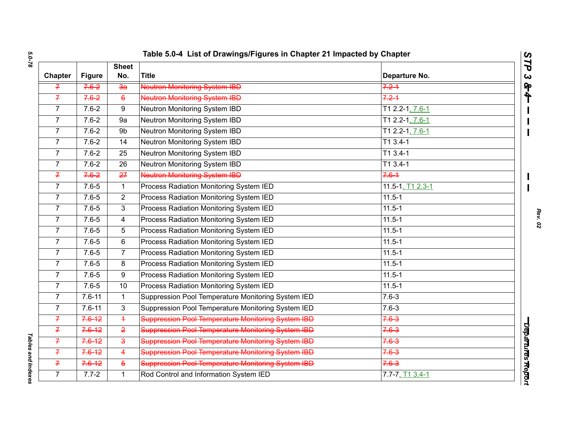|                |               | <b>Sheet</b>    |                                                           |                      |  |
|----------------|---------------|-----------------|-----------------------------------------------------------|----------------------|--|
| <b>Chapter</b> | <b>Figure</b> | No.             | <b>Title</b>                                              | Departure No.        |  |
| Ŧ.             | $7.6 - 2$     | $\overline{3a}$ | <b>Neutron Monitoring System IBD</b>                      | $7.2 - 1$            |  |
| $\overline{f}$ | $7.6 - 2$     | $6\overline{6}$ | <b>Neutron Monitoring System IBD</b>                      | $7.2 - 1$            |  |
| $\overline{7}$ | $7.6 - 2$     | 9               | Neutron Monitoring System IBD                             | T1 2.2-1, 7.6-1      |  |
| $\overline{7}$ | $7.6 - 2$     | 9a              | Neutron Monitoring System IBD                             | T1 2.2-1, 7.6-1      |  |
| $\overline{7}$ | $7.6 - 2$     | 9b              | Neutron Monitoring System IBD                             | $T12.2 - 1, 7.6 - 1$ |  |
| $\overline{7}$ | $7.6 - 2$     | 14              | Neutron Monitoring System IBD                             | $T13.4-1$            |  |
| $\overline{7}$ | $7.6 - 2$     | 25              | Neutron Monitoring System IBD                             | T1 3.4-1             |  |
| $\overline{7}$ | $7.6 - 2$     | 26              | Neutron Monitoring System IBD                             | $T13.4-1$            |  |
| $\overline{f}$ | $7.6 - 2$     | 27              | <b>Neutron Monitoring System IBD</b>                      | $7.6 - 1$            |  |
| $\overline{7}$ | $7.6 - 5$     | $\mathbf{1}$    | Process Radiation Monitoring System IED                   | 11.5-1, T1 2.3-1     |  |
| $\overline{7}$ | $7.6 - 5$     | $\overline{2}$  | Process Radiation Monitoring System IED                   | $11.5 - 1$           |  |
| $\overline{7}$ | $7.6 - 5$     | 3               | <b>Process Radiation Monitoring System IED</b>            | $11.5 - 1$           |  |
| $\overline{7}$ | $7.6 - 5$     | $\overline{4}$  | <b>Process Radiation Monitoring System IED</b>            | $11.5 - 1$           |  |
| $\overline{7}$ | $7.6 - 5$     | 5               | Process Radiation Monitoring System IED                   | $11.5 - 1$           |  |
| $\overline{7}$ | $7.6 - 5$     | 6               | <b>Process Radiation Monitoring System IED</b>            | $11.5 - 1$           |  |
| $\overline{7}$ | $7.6 - 5$     | $\overline{7}$  | Process Radiation Monitoring System IED                   | $11.5 - 1$           |  |
| $\overline{7}$ | $7.6 - 5$     | 8               | Process Radiation Monitoring System IED                   | $11.5 - 1$           |  |
| $\overline{7}$ | $7.6 - 5$     | 9               | Process Radiation Monitoring System IED                   | $11.5 - 1$           |  |
| $\overline{7}$ | $7.6 - 5$     | 10              | Process Radiation Monitoring System IED                   | $11.5 - 1$           |  |
| 7              | $7.6 - 11$    | $\mathbf 1$     | Suppression Pool Temperature Monitoring System IED        | $7.6 - 3$            |  |
| $\overline{7}$ | $7.6 - 11$    | $\overline{3}$  | Suppression Pool Temperature Monitoring System IED        | $7.6 - 3$            |  |
| $\mathcal{F}$  | $7.6 - 12$    | $\overline{+}$  | <b>Suppression Pool Temperature Monitoring System IBD</b> | $7.6 - 3$            |  |
| $\overline{f}$ | $7.6 - 12$    | $\overline{2}$  | <b>Suppression Pool Temperature Monitoring System IBD</b> | $7.6 - 3$            |  |
| 7              | $7.6 - 12$    | $\mathbf{3}$    | Suppression Pool Temperature Monitoring System IBD        | $7.6 - 3$            |  |
| 7              | $7.6 - 12$    | $\overline{4}$  | <b>Suppression Pool Temperature Monitoring System IBD</b> | $7.6 - 3$            |  |
| $\overline{f}$ | $7.6 - 12$    | $\overline{5}$  | <b>Suppression Pool Temperature Monitoring System IBD</b> | $7.6 - 3$            |  |
| $\overline{7}$ | $7.7 - 2$     | $\mathbf{1}$    | Rod Control and Information System IED                    | $7.7 - 7, T13.4 - 1$ |  |

*Tables and Indexes* 

Tables and Indexes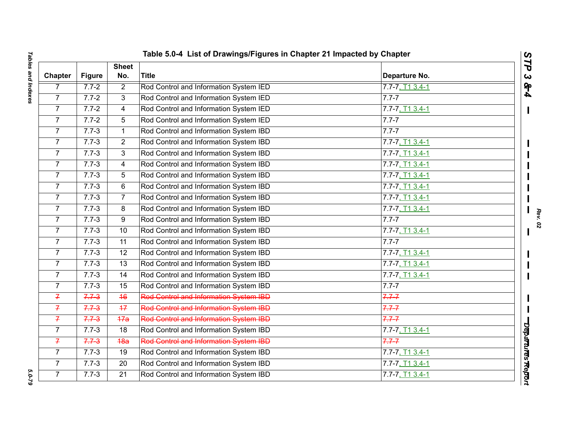|                |               |                     | Table 5.0-4 List of Drawings/Figures in Chapter 21 Impacted by Chapter |                      |
|----------------|---------------|---------------------|------------------------------------------------------------------------|----------------------|
| Chapter        | <b>Figure</b> | <b>Sheet</b><br>No. | <b>Title</b>                                                           | Departure No.        |
| 7              | $7.7 - 2$     | $\overline{2}$      | Rod Control and Information System IED                                 | $7.7 - 7, T13.4 - 1$ |
| $\overline{7}$ | $7.7 - 2$     | $\mathbf{3}$        | Rod Control and Information System IED                                 | $7.7 - 7$            |
| $\overline{7}$ | $7.7 - 2$     | 4                   | Rod Control and Information System IED                                 | $7.7 - 7, T13.4 - 1$ |
| $\overline{7}$ | $7.7 - 2$     | 5                   | Rod Control and Information System IED                                 | $7.7 - 7$            |
| $\overline{7}$ | $7.7 - 3$     | $\mathbf{1}$        | Rod Control and Information System IBD                                 | $7.7 - 7$            |
| $\overline{7}$ | $7.7 - 3$     | $\overline{2}$      | Rod Control and Information System IBD                                 | $7.7 - 7, T13.4 - 1$ |
| $\overline{7}$ | $7.7 - 3$     | 3                   | Rod Control and Information System IBD                                 | $7.7 - 7, T13.4 - 1$ |
| $\overline{7}$ | $7.7 - 3$     | 4                   | Rod Control and Information System IBD                                 | 7.7-7, T1 3.4-1      |
| $\overline{7}$ | $7.7 - 3$     | 5                   | Rod Control and Information System IBD                                 | $7.7 - 7, T13.4 - 1$ |
| $\overline{7}$ | $7.7 - 3$     | 6                   | Rod Control and Information System IBD                                 | $7.7 - 7, T13.4 - 1$ |
| $\overline{7}$ | $7.7 - 3$     | $\overline{7}$      | Rod Control and Information System IBD                                 | $7.7 - 7, T13.4 - 1$ |
| $\overline{7}$ | $7.7 - 3$     | 8                   | Rod Control and Information System IBD                                 | $7.7 - 7, T13.4 - 1$ |
| $\overline{7}$ | $7.7 - 3$     | 9                   | Rod Control and Information System IBD                                 | $7.7 - 7$            |
| $\overline{7}$ | $7.7 - 3$     | 10                  | Rod Control and Information System IBD                                 | $7.7 - 7, T13.4 - 1$ |
| $\overline{7}$ | $7.7 - 3$     | $\overline{11}$     | Rod Control and Information System IBD                                 | $7.7 - 7$            |
| $\overline{7}$ | $7.7 - 3$     | 12                  | Rod Control and Information System IBD                                 | $7.7 - 7, T13.4 - 1$ |
| $\overline{7}$ | $7.7 - 3$     | 13                  | Rod Control and Information System IBD                                 | $7.7 - 7, T13.4 - 1$ |
| $\overline{7}$ | $7.7 - 3$     | 14                  | Rod Control and Information System IBD                                 | $7.7 - 7, T13.4 - 1$ |
| $\overline{7}$ | $7.7 - 3$     | 15                  | Rod Control and Information System IBD                                 | $7.7 - 7$            |
| $\overline{f}$ | $7.7 - 3$     | 46                  | Rod Control and Information System IBD                                 | $7.7 - 7$            |
| $\overline{f}$ | $7.7 - 3$     | $\overline{17}$     | Rod Control and Information System IBD                                 | $7.7 - 7$            |
| $\overline{f}$ | $7.7 - 3$     | 47a                 | Rod Control and Information System IBD                                 | $7.7 - 7$            |
| $\overline{7}$ | $7.7 - 3$     | 18                  | Rod Control and Information System IBD                                 | 7.7-7, T1 3.4-1      |
| $\overline{f}$ | $7.7 - 3$     | 48a                 | Rod Control and Information System IBD                                 | $7.7 - 7$            |
| $\overline{7}$ | $7.7 - 3$     | 19                  | Rod Control and Information System IBD                                 | 7.7-7, T1 3.4-1      |
| $\overline{7}$ | $7.7 - 3$     | 20                  | Rod Control and Information System IBD                                 | 7.7-7, T1 3.4-1      |
| $\overline{7}$ | $7.7 - 3$     | $\overline{21}$     | Rod Control and Information System IBD                                 | $7.7 - 7, T13.4 - 1$ |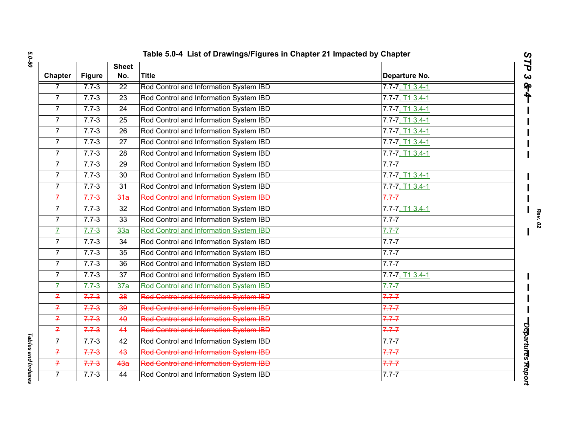|                |               | Table 5.0-4 List of Drawings/Figures in Chapter 21 Impacted by Chapter |                                               |                      |
|----------------|---------------|------------------------------------------------------------------------|-----------------------------------------------|----------------------|
| <b>Chapter</b> | <b>Figure</b> | <b>Sheet</b><br>No.                                                    | <b>Title</b>                                  | Departure No.        |
| 7              | $7.7 - 3$     | 22                                                                     | Rod Control and Information System IBD        | $7.7 - 7, T13.4 - 1$ |
| $\overline{7}$ | $7.7 - 3$     | 23                                                                     | Rod Control and Information System IBD        | 7.7-7, T1 3.4-1      |
| $\overline{7}$ | $7.7 - 3$     | $\overline{24}$                                                        | Rod Control and Information System IBD        | $7.7 - 7, T13.4 - 1$ |
| $\overline{7}$ | $7.7 - 3$     | 25                                                                     | Rod Control and Information System IBD        | $7.7 - 7, T13.4 - 1$ |
| $\overline{7}$ | $7.7 - 3$     | 26                                                                     | Rod Control and Information System IBD        | $7.7 - 7, T13.4 - 1$ |
| $\overline{7}$ | $7.7 - 3$     | 27                                                                     | Rod Control and Information System IBD        | $7.7 - 7, T13.4 - 1$ |
| $\overline{7}$ | $7.7 - 3$     | 28                                                                     | Rod Control and Information System IBD        | $7.7 - 7, T13.4 - 1$ |
| $\overline{7}$ | $7.7 - 3$     | 29                                                                     | Rod Control and Information System IBD        | $7.7 - 7$            |
| $\overline{7}$ | $7.7 - 3$     | 30                                                                     | Rod Control and Information System IBD        | $7.7 - 7, T13.4 - 1$ |
| $\overline{7}$ | $7.7 - 3$     | 31                                                                     | Rod Control and Information System IBD        | $7.7 - 7, T13.4 - 1$ |
| $\overline{f}$ | $7.7 - 3$     | 34a                                                                    | Rod Control and Information System IBD        | $7.7 - 7$            |
| $\overline{7}$ | $7.7 - 3$     | 32                                                                     | Rod Control and Information System IBD        | 7.7-7, T1 3.4-1      |
| $\overline{7}$ | $7.7 - 3$     | 33                                                                     | Rod Control and Information System IBD        | $7.7 - 7$            |
| $\overline{L}$ | $7.7 - 3$     | 33a                                                                    | Rod Control and Information System IBD        | $7.7 - 7$            |
| $\overline{7}$ | $7.7 - 3$     | 34                                                                     | Rod Control and Information System IBD        | $7.7 - 7$            |
| $\overline{7}$ | $7.7 - 3$     | 35                                                                     | Rod Control and Information System IBD        | $7.7 - 7$            |
| $\overline{7}$ | $7.7 - 3$     | 36                                                                     | Rod Control and Information System IBD        | $7.7 - 7$            |
| $\overline{7}$ | $7.7 - 3$     | 37                                                                     | Rod Control and Information System IBD        | $7.7 - 7, T13.4 - 1$ |
| $\overline{L}$ | $7.7 - 3$     | 37a                                                                    | Rod Control and Information System IBD        | $7.7 - 7$            |
| $\overline{f}$ | $7.7 - 3$     | 38                                                                     | Rod Control and Information System IBD        | $7.7 - 7$            |
| $\overline{f}$ | $7.7 - 3$     | $\overline{39}$                                                        | Rod Control and Information System IBD        | $7.7 - 7$            |
| $\overline{f}$ | $7.7 - 3$     | 40                                                                     | Rod Control and Information System IBD        | $7.7 - 7$            |
| $\overline{f}$ | $7.7 - 3$     | 44                                                                     | <b>Rod Control and Information System IBD</b> | $7.7 - 7$            |
| $\overline{7}$ | $7.7 - 3$     | 42                                                                     | Rod Control and Information System IBD        | $7.7 - 7$            |
| $\overline{f}$ | $7.7 - 3$     | 43                                                                     | Rod Control and Information System IBD        | $7.7 - 7$            |
| $\overline{f}$ | $7.7 - 3$     | 4 <sub>3a</sub>                                                        | <b>Rod Control and Information System IBD</b> | $7.7 - 7$            |
| $\overline{7}$ | $7.7 - 3$     | 44                                                                     | Rod Control and Information System IBD        | $7.7 - 7$            |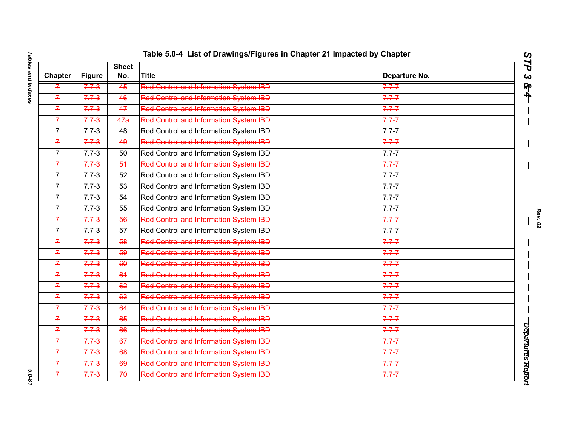| Table 5.0-4 List of Drawings/Figures in Chapter 21 Impacted by Chapter |               |                     |                                               |               |  |
|------------------------------------------------------------------------|---------------|---------------------|-----------------------------------------------|---------------|--|
| <b>Chapter</b>                                                         | <b>Figure</b> | <b>Sheet</b><br>No. | <b>Title</b>                                  | Departure No. |  |
| $\mathcal{F}$                                                          | $7.7 - 3$     | 45                  | <b>Rod Control and Information System IBD</b> | $7.7 - 7$     |  |
| $\overline{f}$                                                         | $7.7 - 3$     | 46                  | Rod Control and Information System IBD        | $7.7 - 7$     |  |
| $\mathcal{I}$                                                          | $7.7 - 3$     | 47                  | Rod Control and Information System IBD        | $7.7 - 7$     |  |
| $\overline{f}$                                                         | $7.7 - 3$     | 47a                 | Rod Control and Information System IBD        | $7.7 - 7$     |  |
| $\overline{7}$                                                         | $7.7 - 3$     | 48                  | Rod Control and Information System IBD        | $7.7 - 7$     |  |
| $\overline{f}$                                                         | $7.7 - 3$     | 49                  | Rod Control and Information System IBD        | $7.7 - 7$     |  |
| $\overline{7}$                                                         | $7.7 - 3$     | 50                  | Rod Control and Information System IBD        | $7.7 - 7$     |  |
| $\overline{f}$                                                         | $7.7 - 3$     | 54                  | <b>Red Centrel and Information System IBD</b> | $7.7 - 7$     |  |
| $\overline{7}$                                                         | $7.7 - 3$     | 52                  | Rod Control and Information System IBD        | $7.7 - 7$     |  |
| $\overline{7}$                                                         | $7.7 - 3$     | 53                  | Rod Control and Information System IBD        | $7.7 - 7$     |  |
| $\overline{7}$                                                         | $7.7 - 3$     | 54                  | Rod Control and Information System IBD        | $7.7 - 7$     |  |
| $\overline{7}$                                                         | $7.7 - 3$     | 55                  | Rod Control and Information System IBD        | $7.7 - 7$     |  |
| $\overline{f}$                                                         | $7.7 - 3$     | 56                  | <b>Rod Control and Information System IBD</b> | $7.7 - 7$     |  |
| $\overline{7}$                                                         | $7.7 - 3$     | 57                  | Rod Control and Information System IBD        | $7.7 - 7$     |  |
| $\overline{f}$                                                         | $7.7 - 3$     | $\overline{58}$     | Rod Control and Information System IBD        | $7.7 - 7$     |  |
| $\overline{f}$                                                         | $7.7 - 3$     | 59                  | Rod Control and Information System IBD        | $7.7 - 7$     |  |
| $\overline{f}$                                                         | $7.7 - 3$     | 60                  | Rod Control and Information System IBD        | $7.7 - 7$     |  |
| $\overline{f}$                                                         | $7.7 - 3$     | 64                  | Rod Control and Information System IBD        | $7.7 - 7$     |  |
| $\overline{7}$                                                         | $7.7 - 3$     | 62                  | Rod Control and Information System IBD        | $7.7 - 7$     |  |
| $\overline{f}$                                                         | $7.7 - 3$     | 63                  | Red Control and Information System IBD        | $7.7 - 7$     |  |
| $\overline{f}$                                                         | $7.7 - 3$     | 64                  | Red Control and Information System IBD        | $7.7 - 7$     |  |
| $\overline{f}$                                                         | $7.7 - 3$     | 65                  | Rod Control and Information System IBD        | $7.7 - 7$     |  |
| $\overline{f}$                                                         | $7.7 - 3$     | 66                  | <b>Red Centrol and Information System IBD</b> | $7.7 - 7$     |  |
| $\overline{f}$                                                         | $7.7 - 3$     | 67                  | Rod Control and Information System IBD        | $7.7 - 7$     |  |
| $\overline{f}$                                                         | $7.7 - 3$     | 68                  | Rod Control and Information System IBD        | $7.7 - 7$     |  |
| $\overline{f}$                                                         | $7.7 - 3$     | 69                  | <b>Rod Control and Information System IBD</b> | $7.7 - 7$     |  |
| $\overline{f}$                                                         | $7.7 - 3$     | 70                  | <b>Rod Control and Information System IBD</b> | $7.7 - 7$     |  |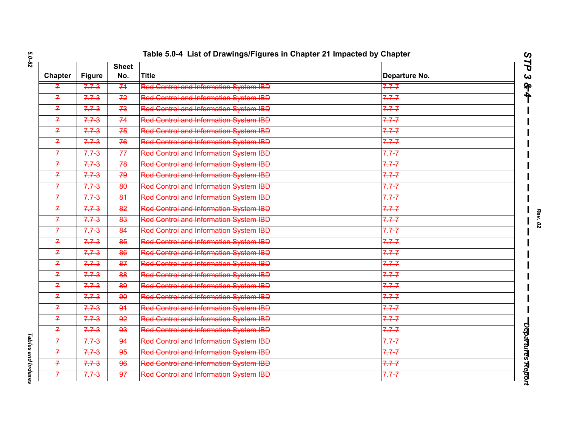|                |               | <b>Sheet</b>    | <b>Title</b>                                  |               |  |
|----------------|---------------|-----------------|-----------------------------------------------|---------------|--|
| <b>Chapter</b> | <b>Figure</b> | No.             |                                               | Departure No. |  |
| $\mathcal{F}$  | $7.7 - 3$     | 74              | <b>Rod Control and Information System IBD</b> | $7.7 - 7$     |  |
| $\overline{f}$ | $7.7 - 3$     | 72              | Rod Control and Information System IBD        | $7.7 - 7$     |  |
| $\overline{f}$ | $7.7 - 3$     | 73              | <b>Red Centrel and Information System IBD</b> | $7.7 - 7$     |  |
| $\overline{f}$ | $7.7 - 3$     | 74              | Rod Control and Information System IBD        | $7.7 - 7$     |  |
| $\overline{f}$ | $7.7 - 3$     | 75              | Rod Control and Information System IBD        | $7.7 - 7$     |  |
| $\mathcal{I}$  | $7.7 - 3$     | 76              | <b>Red Centrel and Information System IBD</b> | $7.7 - 7$     |  |
| $\overline{f}$ | $7.7 - 3$     | 77              | Red Control and Information System IBD        | $7.7 - 7$     |  |
| $\mathcal{F}$  | $7.7 - 3$     | 78              | <b>Rod Control and Information System IBD</b> | $7.7 - 7$     |  |
| $\mathcal{I}$  | $7.7 - 3$     | 79              | <b>Rod Control and Information System IBD</b> | $7.7 - 7$     |  |
| $\overline{f}$ | $7.7 - 3$     | 80              | <b>Rod Control and Information System IBD</b> | $7.7 - 7$     |  |
| $\overline{f}$ | $7.7 - 3$     | 84              | Rod Control and Information System IBD        | $7.7 - 7$     |  |
| $\mathcal{I}$  | $7.7 - 3$     | 82              | Rod Control and Information System IBD        | $7.7 - 7$     |  |
| $\overline{f}$ | $7.7 - 3$     | 83              | Rod Control and Information System IBD        | $7.7 - 7$     |  |
| $\overline{f}$ | $7.7 - 3$     | 84              | <b>Rod Control and Information System IBD</b> | $7.7 - 7$     |  |
| $\overline{f}$ | $7.7 - 3$     | $\overline{85}$ | Rod Control and Information System IBD        | $7.7 - 7$     |  |
| $\overline{f}$ | $7.7 - 3$     | 86              | Rod Control and Information System IBD        | $7.7 - 7$     |  |
| $\overline{f}$ | $7.7 - 3$     | 87              | Rod Control and Information System IBD        | $7.7 - 7$     |  |
| $\overline{f}$ | $7.7 - 3$     | 88              | Rod Control and Information System IBD        | $7.7 - 7$     |  |
| $\overline{f}$ | $7.7 - 3$     | 89              | Rod Control and Information System IBD        | $7.7 - 7$     |  |
| $\overline{f}$ | $7.7 - 3$     | 90              | <b>Rod Control and Information System IBD</b> | $7.7 - 7$     |  |
| $\mathcal{F}$  | $7.7 - 3$     | 91              | <b>Red Centrol and Information System IBD</b> | $7.7 - 7$     |  |
| $\overline{f}$ | $7.7 - 3$     | 92              | Rod Control and Information System IBD        | $7.7 - 7$     |  |
| $\overline{f}$ | $7.7 - 3$     | 93              | Rod Control and Information System IBD        | $7.7 - 7$     |  |
| $\mathcal{F}$  | $7.7 - 3$     | 94              | Rod Control and Information System IBD        | $7.7 - 7$     |  |
| $\mathcal{F}$  | $7.7 - 3$     | 95              | <b>Red Centrol and Information System IBD</b> | $7.7 - 7$     |  |
| $\overline{f}$ | $7.7 - 3$     | 96              | Rod Control and Information System IBD        | $7.7 - 7$     |  |
| $\overline{f}$ | $7.7 - 3$     | $\overline{97}$ | <b>Rod Control and Information System IBD</b> | $7.7 - 7$     |  |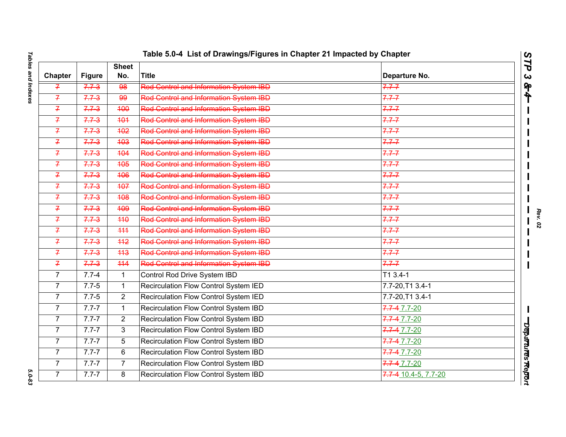| <b>Sheet</b>   |               |                  |                                               |                      |
|----------------|---------------|------------------|-----------------------------------------------|----------------------|
| <b>Chapter</b> | <b>Figure</b> | No.              | <b>Title</b>                                  | Departure No.        |
| $\mathcal{I}$  | $7.7 - 3$     | 98               | <b>Rod Control and Information System IBD</b> | $7.7 - 7$            |
| $\overline{f}$ | $7.7 - 3$     | 99               | Rod Control and Information System IBD        | $7.7 - 7$            |
| $\mathcal{I}$  | $7.7 - 3$     | $\frac{1}{2}$    | Rod Control and Information System IBD        | $7.7 - 7$            |
| $\overline{f}$ | $7.7 - 3$     | 404              | <b>Rod Control and Information System IBD</b> | $7.7 - 7$            |
| $\overline{f}$ | $7.7 - 3$     | 402              | Rod Control and Information System IBD        | $7.7 - 7$            |
| $\overline{f}$ | $7.7 - 3$     | 403              | <b>Rod Control and Information System IBD</b> | $7.7 - 7$            |
| $\overline{f}$ | $7.7 - 3$     | 404              | <b>Rod Control and Information System IBD</b> | $7.7 - 7$            |
| $\overline{f}$ | $7.7 - 3$     | 405              | Rod Control and Information System IBD        | $7.7 - 7$            |
| $\overline{f}$ | $7.7 - 3$     | 406              | Red Control and Information System IBD        | $7.7 - 7$            |
| $\overline{f}$ | $7.7 - 3$     | 407              | <b>Rod Control and Information System IBD</b> | $7.7 - 7$            |
| $\overline{f}$ | $7.7 - 3$     | 408              | Rod Control and Information System IBD        | $7.7 - 7$            |
| $\mathcal{I}$  | $7.7 - 3$     | 409              | Red Centrol and Information System IBD        | $7.7 - 7$            |
| $\overline{f}$ | $7.7 - 3$     | 440              | <b>Rod Control and Information System IBD</b> | $7.7 - 7$            |
| $\overline{f}$ | $7.7 - 3$     | 444              | <b>Rod Control and Information System IBD</b> | $7.7 - 7$            |
| $\overline{f}$ | $7.7 - 3$     | $\overline{442}$ | Rod Control and Information System IBD        | $7.7 - 7$            |
| $\mathcal{F}$  | $7.7 - 3$     | 443              | Rod Control and Information System IBD        | $7.7 - 7$            |
| $\overline{f}$ | $7.7 - 3$     | 444              | Rod Control and Information System IBD        | $7.7 - 7$            |
| $\overline{7}$ | $7.7 - 4$     | $\mathbf{1}$     | Control Rod Drive System IBD                  | $T13.4-1$            |
| $\overline{7}$ | $7.7 - 5$     | $\mathbf{1}$     | Recirculation Flow Control System IED         | 7.7-20, T1 3.4-1     |
| 7              | $7.7 - 5$     | $\overline{2}$   | Recirculation Flow Control System IED         | 7.7-20, T1 3.4-1     |
| $\overline{7}$ | $7.7 - 7$     | $\mathbf 1$      | Recirculation Flow Control System IBD         | 7.7-4 7.7-20         |
| $\overline{7}$ | $7.7 - 7$     | $\overline{2}$   | Recirculation Flow Control System IBD         | 7.7-4 7.7-20         |
| $\overline{7}$ | $7.7 - 7$     | $\mathbf{3}$     | Recirculation Flow Control System IBD         | 7.7-4 7.7-20         |
| $\overline{7}$ | $7.7 - 7$     | 5                | Recirculation Flow Control System IBD         | $7.7 - 4.7 - 7.20$   |
| $\overline{7}$ | $7.7 - 7$     | 6                | Recirculation Flow Control System IBD         | 7.7-4 7.7-20         |
| $\overline{7}$ | $7.7 - 7$     | $\overline{7}$   | Recirculation Flow Control System IBD         | $7.7 - 4 7.7 - 20$   |
| $\overline{7}$ | $7.7 - 7$     | 8                | Recirculation Flow Control System IBD         | 7.7-4 10.4-5, 7.7-20 |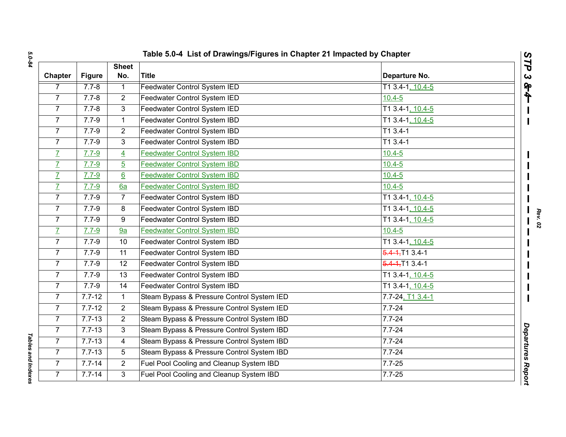| Chapter        | <b>Figure</b> | <b>Sheet</b><br>No. | <b>Title</b>                               | Departure No.                   |  |
|----------------|---------------|---------------------|--------------------------------------------|---------------------------------|--|
| 7              | $7.7 - 8$     | $\mathbf{1}$        | <b>Feedwater Control System IED</b>        | T1 3.4-1, 10.4-5                |  |
| $\overline{7}$ | $7.7 - 8$     | $\overline{2}$      | Feedwater Control System IED               | $10.4 - 5$                      |  |
| $\overline{7}$ | $7.7 - 8$     | 3                   | Feedwater Control System IED               | T1 3.4-1, 10.4-5                |  |
| $\overline{7}$ | $7.7 - 9$     | $\mathbf{1}$        | Feedwater Control System IBD               | T1 3.4-1, 10.4-5                |  |
| $\overline{7}$ | $7.7 - 9$     | $\overline{c}$      | Feedwater Control System IBD               | $T13.4-1$                       |  |
| $\overline{7}$ | $7.7 - 9$     | 3                   | Feedwater Control System IBD               | $T13.4-1$                       |  |
| $\overline{L}$ | $7.7 - 9$     | $\overline{4}$      | <b>Feedwater Control System IBD</b>        | $10.4 - 5$                      |  |
| $\overline{L}$ | $7.7 - 9$     | $\overline{5}$      | <b>Feedwater Control System IBD</b>        | $10.4 - 5$                      |  |
| $\overline{I}$ | $7.7 - 9$     | $6 \overline{6}$    | <b>Feedwater Control System IBD</b>        | $10.4 - 5$                      |  |
| $\overline{L}$ | $7.7 - 9$     | 6a                  | <b>Feedwater Control System IBD</b>        | $10.4 - 5$                      |  |
| $\overline{7}$ | $7.7 - 9$     | $\overline{7}$      | Feedwater Control System IBD               | T1 3.4-1, 10.4-5                |  |
| $\overline{7}$ | $7.7 - 9$     | 8                   | Feedwater Control System IBD               | T1 3.4-1, 10.4-5                |  |
| $\overline{7}$ | $7.7 - 9$     | 9                   | Feedwater Control System IBD               | T1 3.4-1, 10.4-5                |  |
| $\overline{L}$ | $7.7 - 9$     | 9a                  | <b>Feedwater Control System IBD</b>        | $10.4 - 5$                      |  |
| $\overline{7}$ | $7.7 - 9$     | $\overline{10}$     | Feedwater Control System IBD               | T1 3.4-1, 10.4-5                |  |
| $\overline{7}$ | $7.7 - 9$     | 11                  | Feedwater Control System IBD               | 5.4 - 4, T <sub>1</sub> 3.4 - 1 |  |
| $\overline{7}$ | $7.7 - 9$     | 12                  | Feedwater Control System IBD               | $5.4 - 1.713.4 - 1$             |  |
| $\overline{7}$ | $7.7 - 9$     | 13                  | Feedwater Control System IBD               | T1 3.4-1, 10.4-5                |  |
| $\overline{7}$ | $7.7 - 9$     | 14                  | Feedwater Control System IBD               | T1 3.4-1, 10.4-5                |  |
| $\overline{7}$ | $7.7 - 12$    | $\mathbf{1}$        | Steam Bypass & Pressure Control System IED | 7.7-24, T1 3.4-1                |  |
| $\overline{7}$ | $7.7 - 12$    | $\overline{2}$      | Steam Bypass & Pressure Control System IED | $7.7 - 24$                      |  |
| $\overline{7}$ | $7.7 - 13$    | $\overline{c}$      | Steam Bypass & Pressure Control System IBD | $7.7 - 24$                      |  |
| $\overline{7}$ | $7.7 - 13$    | 3                   | Steam Bypass & Pressure Control System IBD | $7.7 - 24$                      |  |
| $\overline{7}$ | $7.7 - 13$    | 4                   | Steam Bypass & Pressure Control System IBD | $7.7 - 24$                      |  |
| $\overline{7}$ | $7.7 - 13$    | 5                   | Steam Bypass & Pressure Control System IBD | $7.7 - 24$                      |  |
| $\overline{7}$ | $7.7 - 14$    | $\overline{2}$      | Fuel Pool Cooling and Cleanup System IBD   | $7.7 - 25$                      |  |
| $\overline{7}$ | $7.7 - 14$    | 3                   | Fuel Pool Cooling and Cleanup System IBD   | $7.7 - 25$                      |  |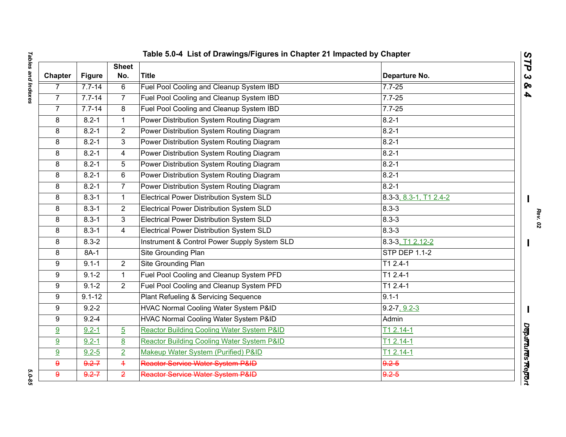| Table 5.0-4 List of Drawings/Figures in Chapter 21 Impacted by Chapter |               |                     |                                                       |                        |                   |  |
|------------------------------------------------------------------------|---------------|---------------------|-------------------------------------------------------|------------------------|-------------------|--|
| <b>Chapter</b>                                                         | <b>Figure</b> | <b>Sheet</b><br>No. | <b>Title</b>                                          | Departure No.          | STP<br>ట          |  |
| $\overline{7}$                                                         | $7.7 - 14$    | 6                   | Fuel Pool Cooling and Cleanup System IBD              | $7.7 - 25$             | <b>So</b>         |  |
| $\overline{7}$                                                         | $7.7 - 14$    | $\overline{7}$      | Fuel Pool Cooling and Cleanup System IBD              | $7.7 - 25$             | 4                 |  |
| $\overline{7}$                                                         | $7.7 - 14$    | 8                   | Fuel Pool Cooling and Cleanup System IBD              | $7.7 - 25$             |                   |  |
| 8                                                                      | $8.2 - 1$     | $\mathbf{1}$        | Power Distribution System Routing Diagram             | $8.2 - 1$              |                   |  |
| 8                                                                      | $8.2 - 1$     | $\overline{2}$      | Power Distribution System Routing Diagram             | $8.2 - 1$              |                   |  |
| 8                                                                      | $8.2 - 1$     | 3                   | Power Distribution System Routing Diagram             | $8.2 - 1$              |                   |  |
| 8                                                                      | $8.2 - 1$     | 4                   | Power Distribution System Routing Diagram             | $8.2 - 1$              |                   |  |
| 8                                                                      | $8.2 - 1$     | 5                   | Power Distribution System Routing Diagram             | $8.2 - 1$              |                   |  |
| 8                                                                      | $8.2 - 1$     | 6                   | Power Distribution System Routing Diagram             | $8.2 - 1$              |                   |  |
| 8                                                                      | $8.2 - 1$     | $\overline{7}$      | Power Distribution System Routing Diagram             | $8.2 - 1$              |                   |  |
| 8                                                                      | $8.3 - 1$     | $\mathbf{1}$        | <b>Electrical Power Distribution System SLD</b>       | 8.3-3, 8.3-1, T1 2.4-2 |                   |  |
| 8                                                                      | $8.3 - 1$     | $\overline{2}$      | <b>Electrical Power Distribution System SLD</b>       | $8.3 - 3$              |                   |  |
| 8                                                                      | $8.3 - 1$     | 3                   | <b>Electrical Power Distribution System SLD</b>       | $8.3 - 3$              |                   |  |
| 8                                                                      | $8.3 - 1$     | 4                   | <b>Electrical Power Distribution System SLD</b>       | $8.3 - 3$              |                   |  |
| 8                                                                      | $8.3 - 2$     |                     | Instrument & Control Power Supply System SLD          | 8.3-3, T1 2.12-2       |                   |  |
| 8                                                                      | 8A-1          |                     | Site Grounding Plan                                   | <b>STP DEP 1.1-2</b>   |                   |  |
| 9                                                                      | $9.1 - 1$     | $2^{\circ}$         | <b>Site Grounding Plan</b>                            | $T12.4-1$              |                   |  |
| 9                                                                      | $9.1 - 2$     | $\mathbf 1$         | Fuel Pool Cooling and Cleanup System PFD              | T1 2.4-1               |                   |  |
| 9                                                                      | $9.1 - 2$     | $2^{\circ}$         | Fuel Pool Cooling and Cleanup System PFD              | $T12.4-1$              |                   |  |
| 9                                                                      | $9.1 - 12$    |                     | Plant Refueling & Servicing Sequence                  | $9.1 - 1$              |                   |  |
| 9                                                                      | $9.2 - 2$     |                     | HVAC Normal Cooling Water System P&ID                 | $9.2 - 7, 9.2 - 3$     |                   |  |
| 9                                                                      | $9.2 - 4$     |                     | <b>HVAC Normal Cooling Water System P&amp;ID</b>      | Admin                  |                   |  |
| 9                                                                      | $9.2 - 1$     | $\overline{5}$      | <b>Reactor Building Cooling Water System P&amp;ID</b> | $T12.14-1$             |                   |  |
| 9                                                                      | $9.2 - 1$     | 8                   | <b>Reactor Building Cooling Water System P&amp;ID</b> | $T12.14-1$             |                   |  |
| 9                                                                      | $9.2 - 5$     | $\overline{2}$      | Makeup Water System (Purified) P&ID                   | $T12.14-1$             | Departures Report |  |
| $\mathbf{9}$                                                           | $9.2 - 7$     | $\overline{+}$      | Reactor Service Water System P&ID                     | $9.2 - 5$              |                   |  |
| $\mathbf{Q}$                                                           | $9.2 - 7$     | $\overline{2}$      | Reactor Service Water System P&ID                     | $9.2 - 5$              |                   |  |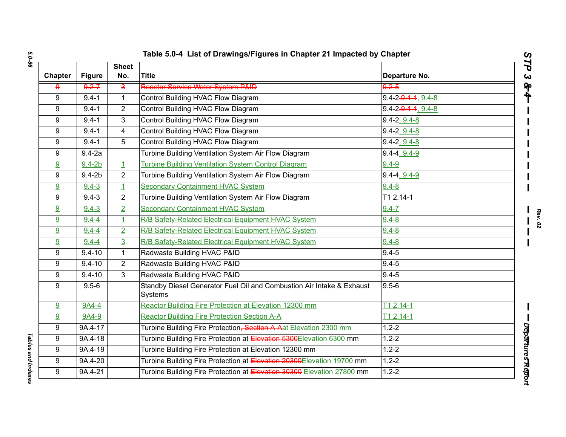| Table 5.0-4 List of Drawings/Figures in Chapter 21 Impacted by Chapter |               |                     |                                                                                  |                                  |  |  |
|------------------------------------------------------------------------|---------------|---------------------|----------------------------------------------------------------------------------|----------------------------------|--|--|
| Chapter                                                                | <b>Figure</b> | <b>Sheet</b><br>No. | <b>Title</b>                                                                     | Departure No.                    |  |  |
| 9                                                                      | $9.2 - 7$     | ده                  | Reactor Service Water System P&ID                                                | $9.2 - 5$                        |  |  |
| 9                                                                      | $9.4 - 1$     | $\mathbf{1}$        | Control Building HVAC Flow Diagram                                               | 9.4-2 <del>, 9.4-1</del> , 9.4-8 |  |  |
| 9                                                                      | $9.4 - 1$     | $\overline{2}$      | Control Building HVAC Flow Diagram                                               | $9.4 - 2,9.4 - 4,9.4 - 8$        |  |  |
| 9                                                                      | $9.4 - 1$     | 3                   | Control Building HVAC Flow Diagram                                               | $9.4 - 2, 9.4 - 8$               |  |  |
| 9                                                                      | $9.4 - 1$     | 4                   | Control Building HVAC Flow Diagram                                               | $9.4 - 2, 9.4 - 8$               |  |  |
| 9                                                                      | $9.4 - 1$     | 5                   | Control Building HVAC Flow Diagram                                               | $9.4 - 2, 9.4 - 8$               |  |  |
| 9                                                                      | $9.4-2a$      |                     | Turbine Building Ventilation System Air Flow Diagram                             | $9.4 - 4, 9.4 - 9$               |  |  |
| <u>9</u>                                                               | $9.4 - 2b$    | $\mathbf{1}$        | <b>Turbine Building Ventilation System Control Diagram</b>                       | $9.4 - 9$                        |  |  |
| 9                                                                      | $9.4-2b$      | $\overline{2}$      | Turbine Building Ventilation System Air Flow Diagram                             | $9.4 - 4, 9.4 - 9$               |  |  |
| 9                                                                      | $9.4 - 3$     | $\overline{1}$      | <b>Secondary Containment HVAC System</b>                                         | $9.4 - 8$                        |  |  |
| 9                                                                      | $9.4 - 3$     | $\overline{2}$      | Turbine Building Ventilation System Air Flow Diagram                             | T1 2.14-1                        |  |  |
| 9                                                                      | $9.4 - 3$     | $\overline{2}$      | <b>Secondary Containment HVAC System</b>                                         | $9.4 - 7$                        |  |  |
| 9                                                                      | $9.4 - 4$     | $\overline{1}$      | R/B Safety-Related Electrical Equipment HVAC System                              | $9.4 - 8$                        |  |  |
| 9                                                                      | $9.4 - 4$     | $\overline{2}$      | R/B Safety-Related Electrical Equipment HVAC System                              | $9.4 - 8$                        |  |  |
| 9                                                                      | $9.4 - 4$     | $\overline{3}$      | R/B Safety-Related Electrical Equipment HVAC System                              | $9.4 - 8$                        |  |  |
| 9                                                                      | $9.4 - 10$    | $\mathbf{1}$        | Radwaste Building HVAC P&ID                                                      | $9.4 - 5$                        |  |  |
| 9                                                                      | $9.4 - 10$    | $\overline{2}$      | Radwaste Building HVAC P&ID                                                      | $9.4 - 5$                        |  |  |
| 9                                                                      | $9.4 - 10$    | 3                   | Radwaste Building HVAC P&ID                                                      | $9.4 - 5$                        |  |  |
| 9                                                                      | $9.5 - 6$     |                     | Standby Diesel Generator Fuel Oil and Combustion Air Intake & Exhaust<br>Systems | $9.5 - 6$                        |  |  |
| 9                                                                      | 9A4-4         |                     | Reactor Building Fire Protection at Elevation 12300 mm                           | $T12.14-1$                       |  |  |
| 9                                                                      | 9A4-9         |                     | <b>Reactor Building Fire Protection Section A-A</b>                              | $T12.14-1$                       |  |  |
| 9                                                                      | 9A.4-17       |                     | Turbine Building Fire Protection, Section A Aat Elevation 2300 mm                | $1.2 - 2$                        |  |  |
| 9                                                                      | 9A.4-18       |                     | Turbine Building Fire Protection at Elevation 5300Elevation 6300 mm              | $1.2 - 2$                        |  |  |
| 9                                                                      | 9A.4-19       |                     | Turbine Building Fire Protection at Elevation 12300 mm                           | $1.2 - 2$                        |  |  |
| 9                                                                      | 9A.4-20       |                     | Turbine Building Fire Protection at Elevation 20300Elevation 19700 mm            | $1.2 - 2$                        |  |  |
| 9                                                                      | 9A.4-21       |                     | Turbine Building Fire Protection at Elevation 30300 Elevation 27800 mm           | $1.2 - 2$                        |  |  |

Tables and Indexes *Tables and Indexes*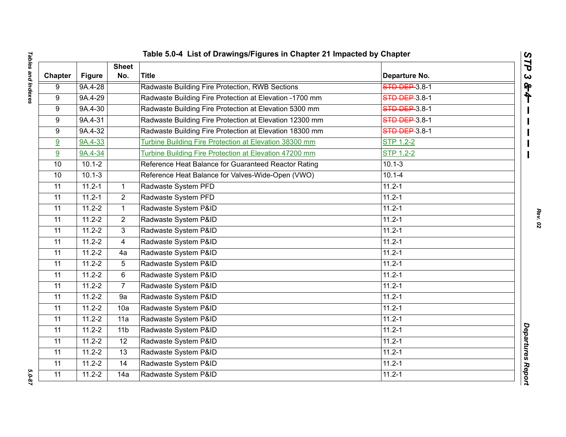| Table 5.0-4 List of Drawings/Figures in Chapter 21 Impacted by Chapter |               |                     |                                                         |                      |                                               |  |  |
|------------------------------------------------------------------------|---------------|---------------------|---------------------------------------------------------|----------------------|-----------------------------------------------|--|--|
| Chapter                                                                | <b>Figure</b> | <b>Sheet</b><br>No. | <b>Title</b>                                            | Departure No.        | $\overline{\phantom{a}}$<br>٦<br>$\mathbf{C}$ |  |  |
| 9                                                                      | 9A.4-28       |                     | Radwaste Building Fire Protection, RWB Sections         | <b>STD DEP</b> 3.8-1 | $\mathbf{r}$                                  |  |  |
| 9                                                                      | 9A.4-29       |                     | Radwaste Building Fire Protection at Elevation -1700 mm | <b>STD DEP 3.8-1</b> | ት                                             |  |  |
| 9                                                                      | 9A.4-30       |                     | Radwaste Building Fire Protection at Elevation 5300 mm  | <b>STD DEP 3.8-1</b> |                                               |  |  |
| 9                                                                      | 9A.4-31       |                     | Radwaste Building Fire Protection at Elevation 12300 mm | STD DEP 3.8-1        |                                               |  |  |
| 9                                                                      | 9A.4-32       |                     | Radwaste Building Fire Protection at Elevation 18300 mm | <b>STD DEP 3.8-1</b> |                                               |  |  |
| 9                                                                      | $9A.4 - 33$   |                     | Turbine Building Fire Protection at Elevation 38300 mm  | <b>STP 1.2-2</b>     |                                               |  |  |
| 9                                                                      | 9A.4-34       |                     | Turbine Building Fire Protection at Elevation 47200 mm  | <b>STP 1.2-2</b>     |                                               |  |  |
| 10                                                                     | $10.1 - 2$    |                     | Reference Heat Balance for Guaranteed Reactor Rating    | $10.1 - 3$           |                                               |  |  |
| 10                                                                     | $10.1 - 3$    |                     | Reference Heat Balance for Valves-Wide-Open (VWO)       | $10.1 - 4$           |                                               |  |  |
| 11                                                                     | $11.2 - 1$    | $\mathbf{1}$        | Radwaste System PFD                                     | $11.2 - 1$           |                                               |  |  |
| 11                                                                     | $11.2 - 1$    | $\overline{2}$      | Radwaste System PFD                                     | $11.2 - 1$           |                                               |  |  |
| 11                                                                     | $11.2 - 2$    | $\mathbf 1$         | Radwaste System P&ID                                    | $11.2 - 1$           |                                               |  |  |
| 11                                                                     | $11.2 - 2$    | $\overline{2}$      | Radwaste System P&ID                                    | $11.2 - 1$           |                                               |  |  |
| 11                                                                     | $11.2 - 2$    | 3                   | Radwaste System P&ID                                    | $11.2 - 1$           |                                               |  |  |
| 11                                                                     | $11.2 - 2$    | $\overline{4}$      | Radwaste System P&ID                                    | $11.2 - 1$           |                                               |  |  |
| 11                                                                     | $11.2 - 2$    | 4a                  | Radwaste System P&ID                                    | $11.2 - 1$           |                                               |  |  |
| 11                                                                     | $11.2 - 2$    | 5                   | Radwaste System P&ID                                    | $11.2 - 1$           |                                               |  |  |
| 11                                                                     | $11.2 - 2$    | 6                   | Radwaste System P&ID                                    | $11.2 - 1$           |                                               |  |  |
| 11                                                                     | $11.2 - 2$    | $\overline{7}$      | Radwaste System P&ID                                    | $11.2 - 1$           |                                               |  |  |
| 11                                                                     | $11.2 - 2$    | 9a                  | Radwaste System P&ID                                    | $11.2 - 1$           |                                               |  |  |
| 11                                                                     | $11.2 - 2$    | 10a                 | Radwaste System P&ID                                    | $11.2 - 1$           |                                               |  |  |
| 11                                                                     | $11.2 - 2$    | 11a                 | Radwaste System P&ID                                    | $11.2 - 1$           |                                               |  |  |
| 11                                                                     | $11.2 - 2$    | 11 <sub>b</sub>     | Radwaste System P&ID                                    | $11.2 - 1$           |                                               |  |  |
| 11                                                                     | $11.2 - 2$    | $\overline{12}$     | Radwaste System P&ID                                    | $11.2 - 1$           |                                               |  |  |
| 11                                                                     | $11.2 - 2$    | 13                  | Radwaste System P&ID                                    | $11.2 - 1$           |                                               |  |  |
| 11                                                                     | $11.2 - 2$    | 14                  | Radwaste System P&ID                                    | $11.2 - 1$           |                                               |  |  |
| 11                                                                     | $11.2 - 2$    | 14a                 | Radwaste System P&ID                                    | $11.2 - 1$           | Departures Report                             |  |  |

*STP 3 & 4*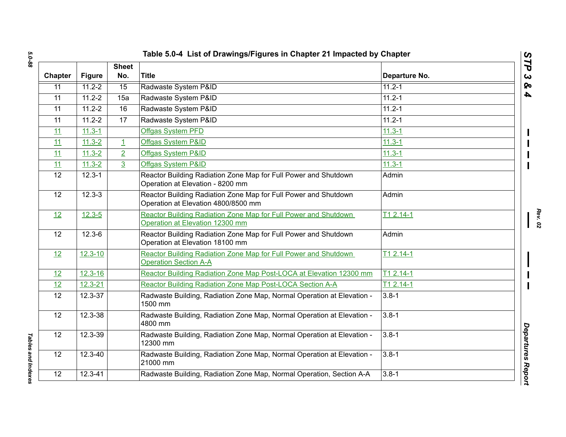| Chapter         | <b>Figure</b> | <b>Sheet</b><br>No. | <b>Title</b>                                                                                           | Departure No. |
|-----------------|---------------|---------------------|--------------------------------------------------------------------------------------------------------|---------------|
| 11              | $11.2 - 2$    | 15                  | Radwaste System P&ID                                                                                   | $11.2 - 1$    |
| 11              | $11.2 - 2$    | 15a                 | Radwaste System P&ID                                                                                   | $11.2 - 1$    |
| 11              | $11.2 - 2$    | 16                  | Radwaste System P&ID                                                                                   | $11.2 - 1$    |
| 11              | $11.2 - 2$    | 17                  | Radwaste System P&ID                                                                                   | 11.2-1        |
| 11              | $11.3 - 1$    |                     | Offgas System PFD                                                                                      | $11.3 - 1$    |
| 11              | $11.3 - 2$    | $\perp$             | Offgas System P&ID                                                                                     | $11.3 - 1$    |
| 11              | $11.3 - 2$    | $\overline{2}$      | Offgas System P&ID                                                                                     | $11.3 - 1$    |
| 11              | $11.3 - 2$    | $\overline{3}$      | Offgas System P&ID                                                                                     | $11.3 - 1$    |
| $\overline{12}$ | $12.3 - 1$    |                     | Reactor Building Radiation Zone Map for Full Power and Shutdown<br>Operation at Elevation - 8200 mm    | Admin         |
| 12              | $12.3 - 3$    |                     | Reactor Building Radiation Zone Map for Full Power and Shutdown<br>Operation at Elevation 4800/8500 mm | Admin         |
| 12              | $12.3 - 5$    |                     | Reactor Building Radiation Zone Map for Full Power and Shutdown<br>Operation at Elevation 12300 mm     | T1 2.14-1     |
| 12              | $12.3 - 6$    |                     | Reactor Building Radiation Zone Map for Full Power and Shutdown<br>Operation at Elevation 18100 mm     | Admin         |
| 12              | $12.3 - 10$   |                     | Reactor Building Radiation Zone Map for Full Power and Shutdown<br><b>Operation Section A-A</b>        | $T12.14-1$    |
| 12              | $12.3 - 16$   |                     | Reactor Building Radiation Zone Map Post-LOCA at Elevation 12300 mm                                    | T1 2.14-1     |
| 12              | $12.3 - 21$   |                     | Reactor Building Radiation Zone Map Post-LOCA Section A-A                                              | T1 2.14-1     |
| 12              | 12.3-37       |                     | Radwaste Building, Radiation Zone Map, Normal Operation at Elevation -<br>1500 mm                      | $3.8 - 1$     |
| 12              | 12.3-38       |                     | Radwaste Building, Radiation Zone Map, Normal Operation at Elevation -<br>4800 mm                      | $3.8 - 1$     |
| 12              | $12.3 - 39$   |                     | Radwaste Building, Radiation Zone Map, Normal Operation at Elevation -<br>12300 mm                     | $3.8 - 1$     |
| 12              | 12.3-40       |                     | Radwaste Building, Radiation Zone Map, Normal Operation at Elevation -<br>21000 mm                     | $3.8 - 1$     |
| 12              | $12.3 - 41$   |                     | Radwaste Building, Radiation Zone Map, Normal Operation, Section A-A                                   | $3.8 - 1$     |

*Tables and Indexes* 

Tables and Indexes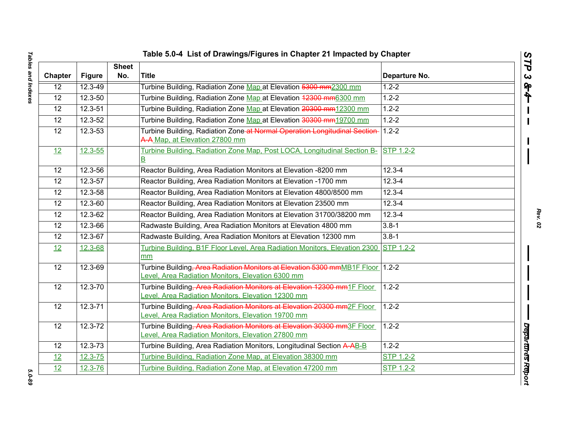| <b>Chapter</b>  | <b>Figure</b> | <b>Sheet</b><br>No. | Title                                                                                                                                      | Departure No.    |
|-----------------|---------------|---------------------|--------------------------------------------------------------------------------------------------------------------------------------------|------------------|
| $\overline{12}$ | $12.3 - 49$   |                     | Turbine Building, Radiation Zone Map at Elevation 5300 mm2300 mm                                                                           | $1.2 - 2$        |
| 12              | 12.3-50       |                     | Turbine Building, Radiation Zone Map at Elevation 42300 mm6300 mm                                                                          | $1.2 - 2$        |
| 12              | 12.3-51       |                     | Turbine Building, Radiation Zone Map at Elevation 20300 mm12300 mm                                                                         | $1.2 - 2$        |
| 12              | 12.3-52       |                     | Turbine Building, Radiation Zone Map at Elevation 30300 mm19700 mm                                                                         | $1.2 - 2$        |
| 12              | 12.3-53       |                     | Turbine Building, Radiation Zone-at Normal Operation Longitudinal Section-<br>A-A Map, at Elevation 27800 mm                               | $1.2 - 2$        |
| 12              | $12.3 - 55$   |                     | Turbine Building, Radiation Zone Map, Post LOCA, Longitudinal Section B-<br>$\overline{\mathsf{B}}$                                        | <b>STP 1.2-2</b> |
| 12              | 12.3-56       |                     | Reactor Building, Area Radiation Monitors at Elevation -8200 mm                                                                            | $12.3 - 4$       |
| 12              | 12.3-57       |                     | Reactor Building, Area Radiation Monitors at Elevation -1700 mm                                                                            | $12.3 - 4$       |
| 12              | 12.3-58       |                     | Reactor Building, Area Radiation Monitors at Elevation 4800/8500 mm                                                                        | $12.3 - 4$       |
| 12              | 12.3-60       |                     | Reactor Building, Area Radiation Monitors at Elevation 23500 mm                                                                            | $12.3 - 4$       |
| 12              | $12.3 - 62$   |                     | Reactor Building, Area Radiation Monitors at Elevation 31700/38200 mm                                                                      | $12.3 - 4$       |
| 12              | 12.3-66       |                     | Radwaste Building, Area Radiation Monitors at Elevation 4800 mm                                                                            | $3.8 - 1$        |
| 12              | 12.3-67       |                     | Radwaste Building, Area Radiation Monitors at Elevation 12300 mm                                                                           | $3.8 - 1$        |
| 12              | 12.3-68       |                     | Turbine Building, B1F Floor Level, Area Radiation Monitors, Elevation 2300<br>mm                                                           | <b>STP 1.2-2</b> |
| $\overline{12}$ | 12.3-69       |                     | Turbine Building, Area Radiation Monitors at Elevation 5300 mmMB1F Floor 1.2-2<br>Level, Area Radiation Monitors, Elevation 6300 mm        |                  |
| 12              | $12.3 - 70$   |                     | Turbine Building, Area Radiation Monitors at Elevation 12300 mm1F Floor<br>Level, Area Radiation Monitors, Elevation 12300 mm              | $1.2 - 2$        |
| 12              | $12.3 - 71$   |                     | Turbine Building <del>, Area Radiation Monitors at Elevation 20300 mm</del> 2F Floor<br>Level, Area Radiation Monitors, Elevation 19700 mm | $1.2 - 2$        |
| $\overline{12}$ | $12.3 - 72$   |                     | Turbine Building. Area Radiation Monitors at Elevation 30300 mm3F Floor<br>Level, Area Radiation Monitors, Elevation 27800 mm              | $1.2 - 2$        |
| 12              | 12.3-73       |                     | Turbine Building, Area Radiation Monitors, Longitudinal Section A-AB-B                                                                     | $1.2 - 2$        |
| 12              | $12.3 - 75$   |                     | Turbine Building, Radiation Zone Map, at Elevation 38300 mm                                                                                | <b>STP 1.2-2</b> |
| 12              | 12.3-76       |                     | Turbine Building, Radiation Zone Map, at Elevation 47200 mm                                                                                | <b>STP 1.2-2</b> |